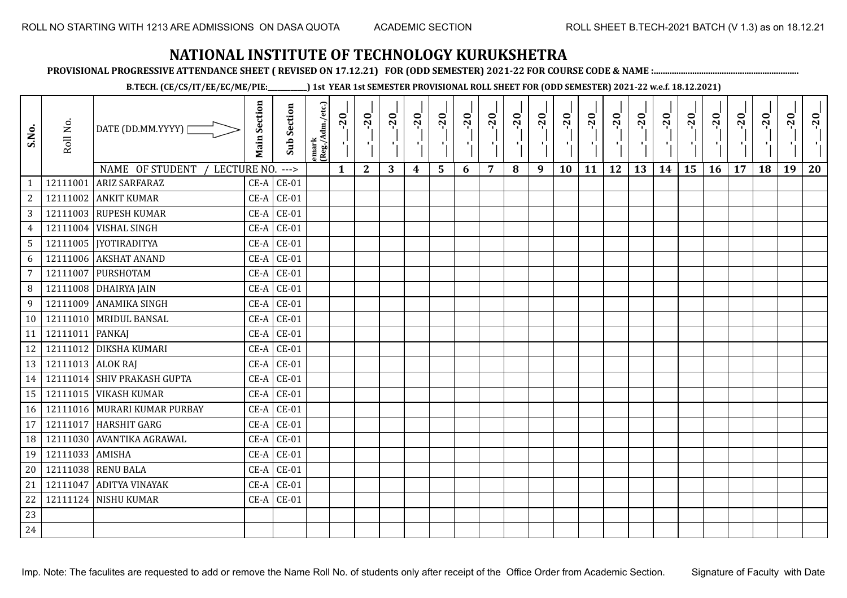**PROVISIONAL PROGRESSIVE ATTENDANCE SHEET ( REVISED ON 17.12.21) FOR (ODD SEMESTER) 2021-22 FOR COURSE CODE & NAME :................................................................**

**B.TECH. (CE/CS/IT/EE/EC/ME/PIE:\_\_\_\_\_\_\_\_\_\_\_\_) 1st YEAR 1st SEMESTER PROVISIONAL ROLL SHEET FOR (ODD SEMESTER) 2021-22 w.e.f. 18.12.2021)**

| S.No.                          | Roll No.          | DATE (DD.MM.YYYY)                                      | <b>Main Section</b> | <b>Sub Section</b>       | emark<br> (Reg./Adm./etc.) | $-20$        | $-20$<br>π÷  | $-20$<br>л÷. | $-20$<br>π÷ | $-20$<br>тj | $-20$<br>×, | $-20$ | $-20$ | $-20$<br>пļ | $-20$<br>л, | $-20$<br>шĵ | $-20$<br>шĵ | $-20$<br>로 | $-20$<br>$\blacksquare$ | $-20$<br>ار<br>ا | $-20$<br>-96 | $-20$ | $-20$ | $-20$<br>×. | $-20$ |
|--------------------------------|-------------------|--------------------------------------------------------|---------------------|--------------------------|----------------------------|--------------|--------------|--------------|-------------|-------------|-------------|-------|-------|-------------|-------------|-------------|-------------|------------|-------------------------|------------------|--------------|-------|-------|-------------|-------|
|                                | 12111001          | NAME OF STUDENT<br>LECTURE NO.<br><b>ARIZ SARFARAZ</b> |                     | $--->$<br>$CE-A$ $CE-01$ |                            | $\mathbf{1}$ | $\mathbf{2}$ | 3            | 4           | 5           | 6           | 7     | 8     | 9           | 10          | 11          | 12          | 13         | 14                      | 15               | 16           | 17    | 18    | 19          | 20    |
| $\mathbf{1}$<br>$\overline{c}$ | 12111002          | <b>ANKIT KUMAR</b>                                     | $CE-A$              | $CE-01$                  |                            |              |              |              |             |             |             |       |       |             |             |             |             |            |                         |                  |              |       |       |             |       |
|                                |                   | 12111003 RUPESH KUMAR                                  | $CE-A$              | $CE-01$                  |                            |              |              |              |             |             |             |       |       |             |             |             |             |            |                         |                  |              |       |       |             |       |
| 3                              | 12111004          | <b>VISHAL SINGH</b>                                    | $CE-A$              | $CE-01$                  |                            |              |              |              |             |             |             |       |       |             |             |             |             |            |                         |                  |              |       |       |             |       |
| $\overline{4}$                 |                   | 12111005   [YOTIRADITYA                                | $CE-A$              | $CE-01$                  |                            |              |              |              |             |             |             |       |       |             |             |             |             |            |                         |                  |              |       |       |             |       |
| $5\overline{)}$                | 12111006          | <b>AKSHAT ANAND</b>                                    | $CE-A$              | $CE-01$                  |                            |              |              |              |             |             |             |       |       |             |             |             |             |            |                         |                  |              |       |       |             |       |
| 6<br>7                         | 12111007          | PURSHOTAM                                              | $CE-A$              | $CE-01$                  |                            |              |              |              |             |             |             |       |       |             |             |             |             |            |                         |                  |              |       |       |             |       |
| 8                              |                   | 12111008 DHAIRYA JAIN                                  | $CE-A$              | $CE-01$                  |                            |              |              |              |             |             |             |       |       |             |             |             |             |            |                         |                  |              |       |       |             |       |
|                                | 12111009          | <b>ANAMIKA SINGH</b>                                   |                     |                          |                            |              |              |              |             |             |             |       |       |             |             |             |             |            |                         |                  |              |       |       |             |       |
| 9                              |                   |                                                        | $CE-A$              | $CE-01$                  |                            |              |              |              |             |             |             |       |       |             |             |             |             |            |                         |                  |              |       |       |             |       |
| 10                             |                   | 12111010 MRIDUL BANSAL                                 |                     | $CE-A$ $CE-01$           |                            |              |              |              |             |             |             |       |       |             |             |             |             |            |                         |                  |              |       |       |             |       |
| 11                             | 12111011          | <b>PANKAJ</b>                                          | $CE-A$              | $CE-01$                  |                            |              |              |              |             |             |             |       |       |             |             |             |             |            |                         |                  |              |       |       |             |       |
| 12                             |                   | 12111012 DIKSHA KUMARI                                 | $CE-A$              | $CE-01$                  |                            |              |              |              |             |             |             |       |       |             |             |             |             |            |                         |                  |              |       |       |             |       |
| 13                             | 12111013 ALOK RAJ |                                                        | $CE-A$              | $CE-01$                  |                            |              |              |              |             |             |             |       |       |             |             |             |             |            |                         |                  |              |       |       |             |       |
| 14                             |                   | 12111014 SHIV PRAKASH GUPTA                            | $CE-A$              | $CE-01$                  |                            |              |              |              |             |             |             |       |       |             |             |             |             |            |                         |                  |              |       |       |             |       |
| 15                             |                   | 12111015 VIKASH KUMAR                                  | $CE-A$              | $CE-01$                  |                            |              |              |              |             |             |             |       |       |             |             |             |             |            |                         |                  |              |       |       |             |       |
| 16                             |                   | 12111016 MURARI KUMAR PURBAY                           | $CE-A$              | $CE-01$                  |                            |              |              |              |             |             |             |       |       |             |             |             |             |            |                         |                  |              |       |       |             |       |
| 17                             | 12111017          | <b>HARSHIT GARG</b>                                    | $CE-A$              | $CE-01$                  |                            |              |              |              |             |             |             |       |       |             |             |             |             |            |                         |                  |              |       |       |             |       |
| 18                             | 12111030          | <b>AVANTIKA AGRAWAL</b>                                | $CE-A$              | $CE-01$                  |                            |              |              |              |             |             |             |       |       |             |             |             |             |            |                         |                  |              |       |       |             |       |
| 19                             | 12111033 AMISHA   |                                                        | $CE-A$              | $CE-01$                  |                            |              |              |              |             |             |             |       |       |             |             |             |             |            |                         |                  |              |       |       |             |       |
| 20                             |                   | 12111038 RENU BALA                                     |                     | $CE-A$ $CE-01$           |                            |              |              |              |             |             |             |       |       |             |             |             |             |            |                         |                  |              |       |       |             |       |
| 21                             | 12111047          | <b>ADITYA VINAYAK</b>                                  |                     | $CE-A$ $CE-01$           |                            |              |              |              |             |             |             |       |       |             |             |             |             |            |                         |                  |              |       |       |             |       |
| 22                             |                   | 12111124 NISHU KUMAR                                   | $CE-A$              | $CE-01$                  |                            |              |              |              |             |             |             |       |       |             |             |             |             |            |                         |                  |              |       |       |             |       |
| 23                             |                   |                                                        |                     |                          |                            |              |              |              |             |             |             |       |       |             |             |             |             |            |                         |                  |              |       |       |             |       |
| 24                             |                   |                                                        |                     |                          |                            |              |              |              |             |             |             |       |       |             |             |             |             |            |                         |                  |              |       |       |             |       |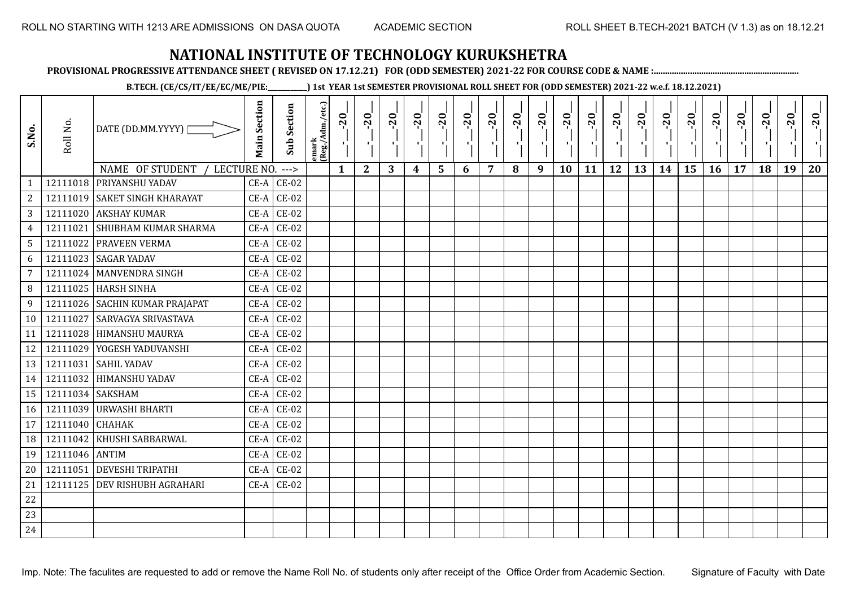**PROVISIONAL PROGRESSIVE ATTENDANCE SHEET ( REVISED ON 17.12.21) FOR (ODD SEMESTER) 2021-22 FOR COURSE CODE & NAME :................................................................**

**B.TECH. (CE/CS/IT/EE/EC/ME/PIE:\_\_\_\_\_\_\_\_\_\_\_\_) 1st YEAR 1st SEMESTER PROVISIONAL ROLL SHEET FOR (ODD SEMESTER) 2021-22 w.e.f. 18.12.2021)**

| S.No.           | Roll No.       | DATE (DD.MM.YYYY)<br>NAME OF STUDENT<br>LECTURE NO. | <b>Main Section</b> | <b>Sub Section</b><br>$--->$ | emark<br>(Reg./Adm./etc.) | $-20$<br>$\mathbf{1}$ | $-20$<br>×.<br>$\mathbf{2}$ | $-20$<br>л.<br>3 | $-20$ | $-20$<br>л.<br>5 | $-20$<br>6 | $-20$<br>7 | $-20$<br>8 | $-20$<br>ш<br>9 | $-20$<br>л,<br>10 | $-20$<br>11 | $-20$<br>πī<br>12 | $-20$<br>13 | $-20$<br>14 | $-20$<br>۰,<br>15 | $-20$<br>16 | $-20$<br>17 | $-20$<br>18 | $-20$<br>л.<br>19 | $-20$<br>20 |
|-----------------|----------------|-----------------------------------------------------|---------------------|------------------------------|---------------------------|-----------------------|-----------------------------|------------------|-------|------------------|------------|------------|------------|-----------------|-------------------|-------------|-------------------|-------------|-------------|-------------------|-------------|-------------|-------------|-------------------|-------------|
| $\mathbf{1}$    |                | 12111018 PRIYANSHU YADAV                            | $CE-A$              | $CE-02$                      |                           |                       |                             |                  | 4     |                  |            |            |            |                 |                   |             |                   |             |             |                   |             |             |             |                   |             |
| $\overline{c}$  |                | 12111019 SAKET SINGH KHARAYAT                       | $CE-A$              | $CE-02$                      |                           |                       |                             |                  |       |                  |            |            |            |                 |                   |             |                   |             |             |                   |             |             |             |                   |             |
| 3               |                | 12111020 AKSHAY KUMAR                               | $CE-A$              | $CE-02$                      |                           |                       |                             |                  |       |                  |            |            |            |                 |                   |             |                   |             |             |                   |             |             |             |                   |             |
| $\overline{4}$  | 12111021       | <b>SHUBHAM KUMAR SHARMA</b>                         | $CE-A$              | $CE-02$                      |                           |                       |                             |                  |       |                  |            |            |            |                 |                   |             |                   |             |             |                   |             |             |             |                   |             |
| $5\phantom{.0}$ |                | 12111022 PRAVEEN VERMA                              | $CE-A$              | $CE-02$                      |                           |                       |                             |                  |       |                  |            |            |            |                 |                   |             |                   |             |             |                   |             |             |             |                   |             |
| 6               | 12111023       | <b>SAGAR YADAV</b>                                  | $CE-A$              | $CE-02$                      |                           |                       |                             |                  |       |                  |            |            |            |                 |                   |             |                   |             |             |                   |             |             |             |                   |             |
| 7               |                | 12111024 MANVENDRA SINGH                            | $CE-A$              | $CE-02$                      |                           |                       |                             |                  |       |                  |            |            |            |                 |                   |             |                   |             |             |                   |             |             |             |                   |             |
| 8               | 12111025       | <b>HARSH SINHA</b>                                  | $CE-A$              | $CE-02$                      |                           |                       |                             |                  |       |                  |            |            |            |                 |                   |             |                   |             |             |                   |             |             |             |                   |             |
| 9               |                | 12111026 SACHIN KUMAR PRAJAPAT                      | $CE-A$              | $CE-02$                      |                           |                       |                             |                  |       |                  |            |            |            |                 |                   |             |                   |             |             |                   |             |             |             |                   |             |
| 10              | 12111027       | <b>SARVAGYA SRIVASTAVA</b>                          | $CE-A$              | $CE-02$                      |                           |                       |                             |                  |       |                  |            |            |            |                 |                   |             |                   |             |             |                   |             |             |             |                   |             |
| 11              | 12111028       | <b>HIMANSHU MAURYA</b>                              | $CE-A$              | $CE-02$                      |                           |                       |                             |                  |       |                  |            |            |            |                 |                   |             |                   |             |             |                   |             |             |             |                   |             |
| 12              |                | 12111029 YOGESH YADUVANSHI                          | CE-A                | $CE-02$                      |                           |                       |                             |                  |       |                  |            |            |            |                 |                   |             |                   |             |             |                   |             |             |             |                   |             |
| 13              | 12111031       | <b>SAHIL YADAV</b>                                  | $CE-A$              | $CE-02$                      |                           |                       |                             |                  |       |                  |            |            |            |                 |                   |             |                   |             |             |                   |             |             |             |                   |             |
| 14              | 12111032       | <b>HIMANSHU YADAV</b>                               | $CE-A$              | $CE-02$                      |                           |                       |                             |                  |       |                  |            |            |            |                 |                   |             |                   |             |             |                   |             |             |             |                   |             |
| 15              | 12111034       | <b>SAKSHAM</b>                                      | $CE-A$              | $CE-02$                      |                           |                       |                             |                  |       |                  |            |            |            |                 |                   |             |                   |             |             |                   |             |             |             |                   |             |
| 16              |                | 12111039 URWASHI BHARTI                             | $CE-A$              | $CE-02$                      |                           |                       |                             |                  |       |                  |            |            |            |                 |                   |             |                   |             |             |                   |             |             |             |                   |             |
| 17              | 12111040       | <b>CHAHAK</b>                                       | $CE-A$              | $CE-02$                      |                           |                       |                             |                  |       |                  |            |            |            |                 |                   |             |                   |             |             |                   |             |             |             |                   |             |
| 18              | 12111042       | KHUSHI SABBARWAL                                    | $CE-A$              | $CE-02$                      |                           |                       |                             |                  |       |                  |            |            |            |                 |                   |             |                   |             |             |                   |             |             |             |                   |             |
| 19              | 12111046 ANTIM |                                                     | $CE-A$              | $CE-02$                      |                           |                       |                             |                  |       |                  |            |            |            |                 |                   |             |                   |             |             |                   |             |             |             |                   |             |
| 20              | 12111051       | <b>DEVESHI TRIPATHI</b>                             | $CE-A$              | $CE-02$                      |                           |                       |                             |                  |       |                  |            |            |            |                 |                   |             |                   |             |             |                   |             |             |             |                   |             |
| 21              | 12111125       | <b>DEV RISHUBH AGRAHARI</b>                         | $CE-A$              | $CE-02$                      |                           |                       |                             |                  |       |                  |            |            |            |                 |                   |             |                   |             |             |                   |             |             |             |                   |             |
| 22              |                |                                                     |                     |                              |                           |                       |                             |                  |       |                  |            |            |            |                 |                   |             |                   |             |             |                   |             |             |             |                   |             |
| 23              |                |                                                     |                     |                              |                           |                       |                             |                  |       |                  |            |            |            |                 |                   |             |                   |             |             |                   |             |             |             |                   |             |
| 24              |                |                                                     |                     |                              |                           |                       |                             |                  |       |                  |            |            |            |                 |                   |             |                   |             |             |                   |             |             |             |                   |             |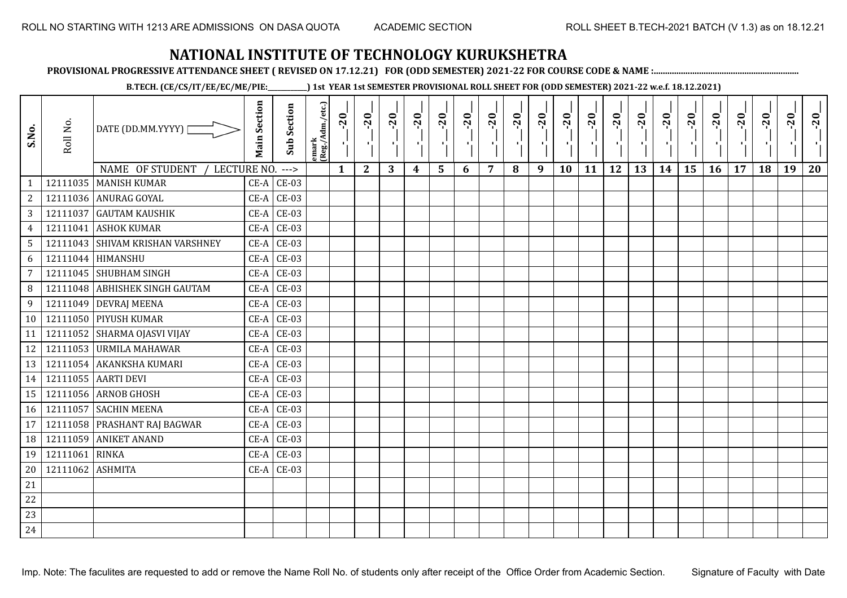**PROVISIONAL PROGRESSIVE ATTENDANCE SHEET ( REVISED ON 17.12.21) FOR (ODD SEMESTER) 2021-22 FOR COURSE CODE & NAME :................................................................**

**B.TECH. (CE/CS/IT/EE/EC/ME/PIE:\_\_\_\_\_\_\_\_\_\_\_\_) 1st YEAR 1st SEMESTER PROVISIONAL ROLL SHEET FOR (ODD SEMESTER) 2021-22 w.e.f. 18.12.2021)**

| S.No.           | Roll No. | DATE (DD.MM.YYYY)  <br>NAME OF STUDENT<br>LECTURE NO. | <b>Main Section</b> | <b>Sub Section</b><br>$--->$ | emark<br> (Reg./Adm./etc.) | $-20$<br>$\mathbf{1}$ | $-20$<br>тj<br>$\mathbf{2}$ | $-20$<br>л÷.<br>3 | $-20$<br>π÷<br>$\boldsymbol{4}$ | $-20$<br>ъJ<br>5 | $-20$<br>×, | $-20$<br>7 | $-20$<br>8 | $-20$<br>пļ<br>9 | $-20$<br>л,<br>10 | $-20$<br>τj<br>11 | $-20$<br>п.<br>12 | $-20$<br>로<br>13 | $-20$<br>$\blacksquare$<br>14 | $-20$<br>ا.<br>ا<br>15 | $-20$<br>-96<br>16 | $-20$<br>17 | $-20$<br>18 | $-20$<br>×.<br>19 | $-20$<br>20 |
|-----------------|----------|-------------------------------------------------------|---------------------|------------------------------|----------------------------|-----------------------|-----------------------------|-------------------|---------------------------------|------------------|-------------|------------|------------|------------------|-------------------|-------------------|-------------------|------------------|-------------------------------|------------------------|--------------------|-------------|-------------|-------------------|-------------|
| $\mathbf{1}$    |          | 12111035   MANISH KUMAR                               |                     | $CE-A$ $CE-03$               |                            |                       |                             |                   |                                 |                  | 6           |            |            |                  |                   |                   |                   |                  |                               |                        |                    |             |             |                   |             |
| $\overline{c}$  |          | 12111036 ANURAG GOYAL                                 | $CE-A$              | <b>CE-03</b>                 |                            |                       |                             |                   |                                 |                  |             |            |            |                  |                   |                   |                   |                  |                               |                        |                    |             |             |                   |             |
| 3               | 12111037 | <b>GAUTAM KAUSHIK</b>                                 | $CE-A$              | <b>CE-03</b>                 |                            |                       |                             |                   |                                 |                  |             |            |            |                  |                   |                   |                   |                  |                               |                        |                    |             |             |                   |             |
| $\overline{4}$  | 12111041 | <b>ASHOK KUMAR</b>                                    | $CE-A$              | $CE-03$                      |                            |                       |                             |                   |                                 |                  |             |            |            |                  |                   |                   |                   |                  |                               |                        |                    |             |             |                   |             |
| $5\phantom{.0}$ |          | 12111043 SHIVAM KRISHAN VARSHNEY                      | $CE-A$              | $CE-03$                      |                            |                       |                             |                   |                                 |                  |             |            |            |                  |                   |                   |                   |                  |                               |                        |                    |             |             |                   |             |
| 6               |          | 12111044 HIMANSHU                                     | $CE-A$              | $CE-03$                      |                            |                       |                             |                   |                                 |                  |             |            |            |                  |                   |                   |                   |                  |                               |                        |                    |             |             |                   |             |
| $\overline{7}$  |          | 12111045 SHUBHAM SINGH                                | $CE-A$              | $CE-03$                      |                            |                       |                             |                   |                                 |                  |             |            |            |                  |                   |                   |                   |                  |                               |                        |                    |             |             |                   |             |
| 8               |          | 12111048 ABHISHEK SINGH GAUTAM                        | $CE-A$              | <b>CE-03</b>                 |                            |                       |                             |                   |                                 |                  |             |            |            |                  |                   |                   |                   |                  |                               |                        |                    |             |             |                   |             |
| 9               |          | 12111049 DEVRAJ MEENA                                 |                     | $CE-A$ $CE-03$               |                            |                       |                             |                   |                                 |                  |             |            |            |                  |                   |                   |                   |                  |                               |                        |                    |             |             |                   |             |
| 10              |          | 12111050 PIYUSH KUMAR                                 |                     | $CE-A$ $CE-03$               |                            |                       |                             |                   |                                 |                  |             |            |            |                  |                   |                   |                   |                  |                               |                        |                    |             |             |                   |             |
| 11              |          | 12111052 SHARMA OJASVI VIJAY                          | $CE-A$              | $CE-03$                      |                            |                       |                             |                   |                                 |                  |             |            |            |                  |                   |                   |                   |                  |                               |                        |                    |             |             |                   |             |
| 12              |          | 12111053 URMILA MAHAWAR                               | $CE-A$              | <b>CE-03</b>                 |                            |                       |                             |                   |                                 |                  |             |            |            |                  |                   |                   |                   |                  |                               |                        |                    |             |             |                   |             |
| 13              |          | 12111054 AKANKSHA KUMARI                              | $CE-A$              | $CE-03$                      |                            |                       |                             |                   |                                 |                  |             |            |            |                  |                   |                   |                   |                  |                               |                        |                    |             |             |                   |             |
| 14              |          | 12111055 AARTI DEVI                                   | $CE-A$              | <b>CE-03</b>                 |                            |                       |                             |                   |                                 |                  |             |            |            |                  |                   |                   |                   |                  |                               |                        |                    |             |             |                   |             |
| 15              |          | 12111056 ARNOB GHOSH                                  | $CE-A$              | $CE-03$                      |                            |                       |                             |                   |                                 |                  |             |            |            |                  |                   |                   |                   |                  |                               |                        |                    |             |             |                   |             |
| 16              |          | 12111057 SACHIN MEENA                                 | $CE-A$              | $CE-03$                      |                            |                       |                             |                   |                                 |                  |             |            |            |                  |                   |                   |                   |                  |                               |                        |                    |             |             |                   |             |
| 17              |          | 12111058 PRASHANT RAJ BAGWAR                          | $CE-A$              | $CE-03$                      |                            |                       |                             |                   |                                 |                  |             |            |            |                  |                   |                   |                   |                  |                               |                        |                    |             |             |                   |             |
| 18              | 12111059 | <b>ANIKET ANAND</b>                                   | $CE-A$              | $CE-03$                      |                            |                       |                             |                   |                                 |                  |             |            |            |                  |                   |                   |                   |                  |                               |                        |                    |             |             |                   |             |
| 19              | 12111061 | <b>RINKA</b>                                          | $CE-A$              | <b>CE-03</b>                 |                            |                       |                             |                   |                                 |                  |             |            |            |                  |                   |                   |                   |                  |                               |                        |                    |             |             |                   |             |
| 20              | 12111062 | <b>ASHMITA</b>                                        |                     | $CE-A$ $CE-03$               |                            |                       |                             |                   |                                 |                  |             |            |            |                  |                   |                   |                   |                  |                               |                        |                    |             |             |                   |             |
| 21              |          |                                                       |                     |                              |                            |                       |                             |                   |                                 |                  |             |            |            |                  |                   |                   |                   |                  |                               |                        |                    |             |             |                   |             |
| 22              |          |                                                       |                     |                              |                            |                       |                             |                   |                                 |                  |             |            |            |                  |                   |                   |                   |                  |                               |                        |                    |             |             |                   |             |
| 23              |          |                                                       |                     |                              |                            |                       |                             |                   |                                 |                  |             |            |            |                  |                   |                   |                   |                  |                               |                        |                    |             |             |                   |             |
| 24              |          |                                                       |                     |                              |                            |                       |                             |                   |                                 |                  |             |            |            |                  |                   |                   |                   |                  |                               |                        |                    |             |             |                   |             |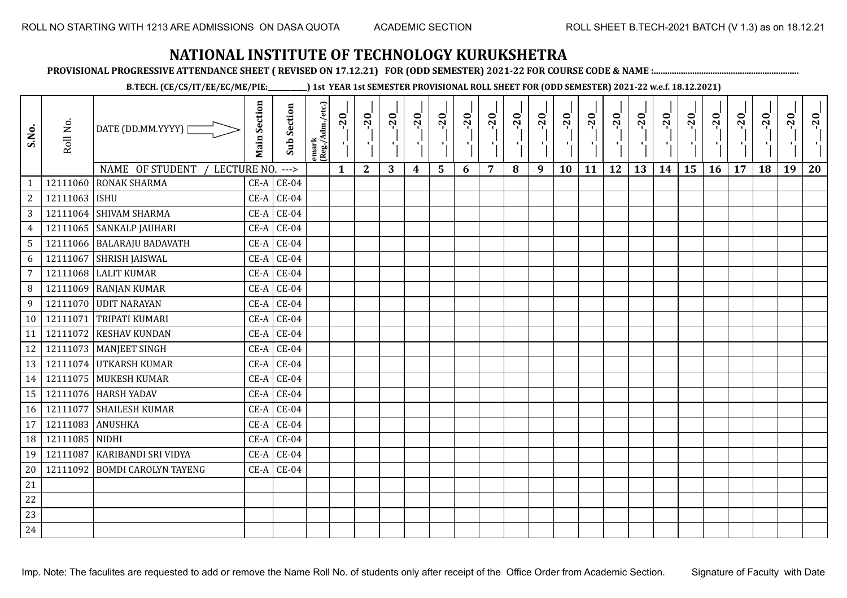**PROVISIONAL PROGRESSIVE ATTENDANCE SHEET ( REVISED ON 17.12.21) FOR (ODD SEMESTER) 2021-22 FOR COURSE CODE & NAME :................................................................**

**B.TECH. (CE/CS/IT/EE/EC/ME/PIE:\_\_\_\_\_\_\_\_\_\_\_\_) 1st YEAR 1st SEMESTER PROVISIONAL ROLL SHEET FOR (ODD SEMESTER) 2021-22 w.e.f. 18.12.2021)**

| S.No.           | Roll No.         | DATE (DD.MM.YYYY) [            | <b>Main Section</b> | <b>Sub Section</b> | emark<br> (Reg./Adm./etc.) | $-20$        | $-20$<br>чļ. | $-20$ | $-20$ | $-20$<br>٠,             | $-20$<br>ч. | $-20$<br>л. | $-20$ | $-20$<br>п, | $-20$<br>л, | $-20$ | $-20$<br>H. | $-20$ | $-20$<br>$\blacksquare$ | $-20$ | $-20$ | $-20$ | $-20$ | $-20$<br>$\mathcal{F}_{\mathcal{F}}$ | $-20$ |
|-----------------|------------------|--------------------------------|---------------------|--------------------|----------------------------|--------------|--------------|-------|-------|-------------------------|-------------|-------------|-------|-------------|-------------|-------|-------------|-------|-------------------------|-------|-------|-------|-------|--------------------------------------|-------|
|                 |                  | NAME OF STUDENT<br>LECTURE NO. |                     | $--->$             |                            | $\mathbf{1}$ | $\mathbf{2}$ | 3     | 4     | $\overline{\mathbf{5}}$ | 6           | 7           | 8     | 9           | 10          | 11    | 12          | 13    | 14                      | 15    | 16    | 17    | 18    | 19                                   | 20    |
|                 | 12111060         | <b>RONAK SHARMA</b>            | $CE-A$              | $CE-04$            |                            |              |              |       |       |                         |             |             |       |             |             |       |             |       |                         |       |       |       |       |                                      |       |
| $\overline{2}$  | 12111063 ISHU    |                                | $CE-A$              | $CE-04$            |                            |              |              |       |       |                         |             |             |       |             |             |       |             |       |                         |       |       |       |       |                                      |       |
| $\mathbf{3}$    |                  | 12111064 SHIVAM SHARMA         | $CE-A$              | $CE-04$            |                            |              |              |       |       |                         |             |             |       |             |             |       |             |       |                         |       |       |       |       |                                      |       |
| $\overline{4}$  |                  | 12111065 SANKALP JAUHARI       | $CE-A$              | $CE-04$            |                            |              |              |       |       |                         |             |             |       |             |             |       |             |       |                         |       |       |       |       |                                      |       |
| $5\phantom{.0}$ |                  | 12111066 BALARAJU BADAVATH     | $CE-A$              | $CE-04$            |                            |              |              |       |       |                         |             |             |       |             |             |       |             |       |                         |       |       |       |       |                                      |       |
| 6               |                  | 12111067 SHRISH JAISWAL        | $CE-A$              | $CE-04$            |                            |              |              |       |       |                         |             |             |       |             |             |       |             |       |                         |       |       |       |       |                                      |       |
| $7\overline{ }$ |                  | $12111068$ LALIT KUMAR         | $CE-A$              | $CE-04$            |                            |              |              |       |       |                         |             |             |       |             |             |       |             |       |                         |       |       |       |       |                                      |       |
| 8 <sup>°</sup>  |                  | 12111069 RANJAN KUMAR          | $CE-A$              | $CE-04$            |                            |              |              |       |       |                         |             |             |       |             |             |       |             |       |                         |       |       |       |       |                                      |       |
| 9               |                  | 12111070 UDIT NARAYAN          | $CE-A$              | $CE-04$            |                            |              |              |       |       |                         |             |             |       |             |             |       |             |       |                         |       |       |       |       |                                      |       |
| 10              |                  | 12111071 TRIPATI KUMARI        | $CE-A$              | $CE-04$            |                            |              |              |       |       |                         |             |             |       |             |             |       |             |       |                         |       |       |       |       |                                      |       |
| 11              | 12111072         | <b>KESHAV KUNDAN</b>           | $CE-A$              | $CE-04$            |                            |              |              |       |       |                         |             |             |       |             |             |       |             |       |                         |       |       |       |       |                                      |       |
| 12              |                  | 12111073   MANJEET SINGH       | $CE-A$              | $CE-04$            |                            |              |              |       |       |                         |             |             |       |             |             |       |             |       |                         |       |       |       |       |                                      |       |
| 13              |                  | 12111074 UTKARSH KUMAR         | $CE-A$              | $CE-04$            |                            |              |              |       |       |                         |             |             |       |             |             |       |             |       |                         |       |       |       |       |                                      |       |
| 14              |                  | 12111075 MUKESH KUMAR          | $CE-A$              | $CE-04$            |                            |              |              |       |       |                         |             |             |       |             |             |       |             |       |                         |       |       |       |       |                                      |       |
| 15              |                  | 12111076 HARSH YADAV           | CE-A                | $CE-04$            |                            |              |              |       |       |                         |             |             |       |             |             |       |             |       |                         |       |       |       |       |                                      |       |
| 16              |                  | 12111077 SHAILESH KUMAR        | $CE-A$              | $CE-04$            |                            |              |              |       |       |                         |             |             |       |             |             |       |             |       |                         |       |       |       |       |                                      |       |
| 17              | 12111083 ANUSHKA |                                | CE-A                | $CE-04$            |                            |              |              |       |       |                         |             |             |       |             |             |       |             |       |                         |       |       |       |       |                                      |       |
| 18              | 12111085 NIDHI   |                                | $CE-A$              | $CE-04$            |                            |              |              |       |       |                         |             |             |       |             |             |       |             |       |                         |       |       |       |       |                                      |       |
| 19              | 12111087         | KARIBANDI SRI VIDYA            | $CE-A$              | $CE-04$            |                            |              |              |       |       |                         |             |             |       |             |             |       |             |       |                         |       |       |       |       |                                      |       |
| 20              |                  | 12111092 BOMDI CAROLYN TAYENG  |                     | $CE-A$ $CE-04$     |                            |              |              |       |       |                         |             |             |       |             |             |       |             |       |                         |       |       |       |       |                                      |       |
| 21              |                  |                                |                     |                    |                            |              |              |       |       |                         |             |             |       |             |             |       |             |       |                         |       |       |       |       |                                      |       |
| 22              |                  |                                |                     |                    |                            |              |              |       |       |                         |             |             |       |             |             |       |             |       |                         |       |       |       |       |                                      |       |
| 23              |                  |                                |                     |                    |                            |              |              |       |       |                         |             |             |       |             |             |       |             |       |                         |       |       |       |       |                                      |       |
| 24              |                  |                                |                     |                    |                            |              |              |       |       |                         |             |             |       |             |             |       |             |       |                         |       |       |       |       |                                      |       |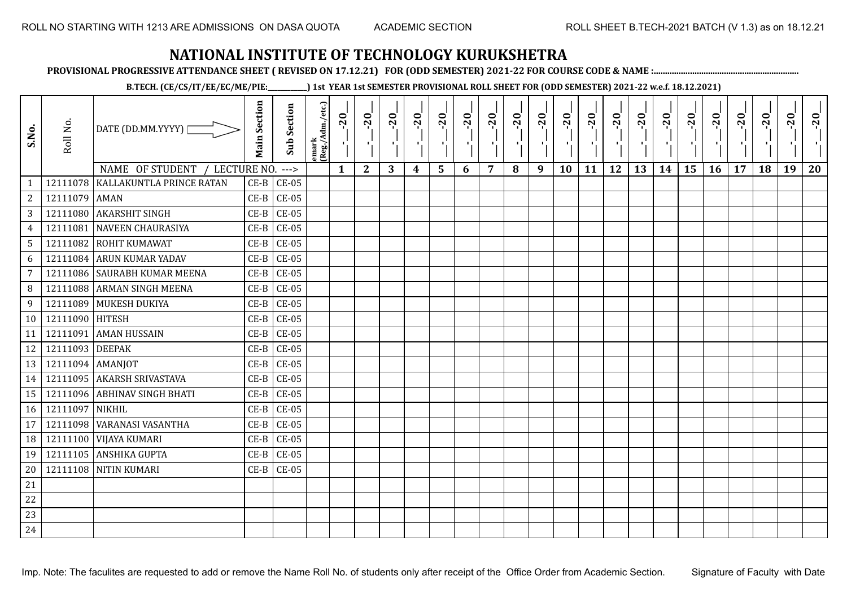**PROVISIONAL PROGRESSIVE ATTENDANCE SHEET ( REVISED ON 17.12.21) FOR (ODD SEMESTER) 2021-22 FOR COURSE CODE & NAME :................................................................**

**B.TECH. (CE/CS/IT/EE/EC/ME/PIE:\_\_\_\_\_\_\_\_\_\_\_\_) 1st YEAR 1st SEMESTER PROVISIONAL ROLL SHEET FOR (ODD SEMESTER) 2021-22 w.e.f. 18.12.2021)**

| S.No.           | Roll No.         | DATE (DD.MM.YYYY)                | <b>Main Section</b> | <b>Sub Section</b> | emark<br>(Reg./Adm./etc.) | $-20$        | $-20$<br>- 1 | $-20$ | $-20$<br>л. | $-20$ | $-20$<br>л. | $-20$<br>л. | $-20$<br>٠ | $-20$<br>AG. | $-20$     | $-20$ | $-20$<br>π÷ | $-20$<br>$\mathbf{F}_{\mathbf{F}}$ | $-20$ | $-20$<br>л. | $-20$     | $-20$<br>л. | $-20$     | $-20$ | $-20$ |
|-----------------|------------------|----------------------------------|---------------------|--------------------|---------------------------|--------------|--------------|-------|-------------|-------|-------------|-------------|------------|--------------|-----------|-------|-------------|------------------------------------|-------|-------------|-----------|-------------|-----------|-------|-------|
|                 |                  | NAME OF STUDENT<br>/ LECTURE NO. |                     | $--->$             |                           | $\mathbf{1}$ | $\mathbf{2}$ | 3     | 4           | 5     | 6           | 7           | 8          | 9            | <b>10</b> | 11    | 12          | 13                                 | 14    | 15          | <b>16</b> | 17          | <b>18</b> | 19    | 20    |
|                 | 12111078         | KALLAKUNTLA PRINCE RATAN         | $CE-B$              | <b>CE-05</b>       |                           |              |              |       |             |       |             |             |            |              |           |       |             |                                    |       |             |           |             |           |       |       |
| 2               | 12111079 AMAN    |                                  | $CE-B$              | $CE-05$            |                           |              |              |       |             |       |             |             |            |              |           |       |             |                                    |       |             |           |             |           |       |       |
| $\mathbf{3}$    |                  | 12111080 AKARSHIT SINGH          | $CE-B$              | $CE-05$            |                           |              |              |       |             |       |             |             |            |              |           |       |             |                                    |       |             |           |             |           |       |       |
| $\overline{4}$  | 12111081         | <b>NAVEEN CHAURASIYA</b>         | $CE-B$              | <b>CE-05</b>       |                           |              |              |       |             |       |             |             |            |              |           |       |             |                                    |       |             |           |             |           |       |       |
| $5\phantom{.0}$ |                  | 12111082 ROHIT KUMAWAT           | $CE-B$              | $CE-05$            |                           |              |              |       |             |       |             |             |            |              |           |       |             |                                    |       |             |           |             |           |       |       |
| 6               |                  | 12111084 ARUN KUMAR YADAV        | $CE-B$              | $CE-05$            |                           |              |              |       |             |       |             |             |            |              |           |       |             |                                    |       |             |           |             |           |       |       |
| $7\overline{ }$ |                  | 12111086 SAURABH KUMAR MEENA     | $CE-B$              | $CE-05$            |                           |              |              |       |             |       |             |             |            |              |           |       |             |                                    |       |             |           |             |           |       |       |
| 8               |                  | 12111088 ARMAN SINGH MEENA       | $CE-B$              | $CE-05$            |                           |              |              |       |             |       |             |             |            |              |           |       |             |                                    |       |             |           |             |           |       |       |
| 9               |                  | 12111089 MUKESH DUKIYA           | $CE-B$              | $CE-05$            |                           |              |              |       |             |       |             |             |            |              |           |       |             |                                    |       |             |           |             |           |       |       |
| 10 <sup>1</sup> | 12111090 HITESH  |                                  | $CE-B$              | $CE-05$            |                           |              |              |       |             |       |             |             |            |              |           |       |             |                                    |       |             |           |             |           |       |       |
| 11              | 12111091         | <b>AMAN HUSSAIN</b>              | $CE-B$              | $CE-05$            |                           |              |              |       |             |       |             |             |            |              |           |       |             |                                    |       |             |           |             |           |       |       |
| 12              | 12111093 DEEPAK  |                                  | $CE-B$              | $CE-05$            |                           |              |              |       |             |       |             |             |            |              |           |       |             |                                    |       |             |           |             |           |       |       |
| 13              | 12111094 AMANJOT |                                  | $CE-B$              | $CE-05$            |                           |              |              |       |             |       |             |             |            |              |           |       |             |                                    |       |             |           |             |           |       |       |
| 14              |                  | 12111095 AKARSH SRIVASTAVA       | $CE-B$              | $CE-05$            |                           |              |              |       |             |       |             |             |            |              |           |       |             |                                    |       |             |           |             |           |       |       |
| 15              | 12111096         | <b>ABHINAV SINGH BHATI</b>       | $CE-B$              | $CE-05$            |                           |              |              |       |             |       |             |             |            |              |           |       |             |                                    |       |             |           |             |           |       |       |
| 16              | 12111097 NIKHIL  |                                  | $CE-B$              | $CE-05$            |                           |              |              |       |             |       |             |             |            |              |           |       |             |                                    |       |             |           |             |           |       |       |
| 17              |                  | 12111098 WARANASI VASANTHA       | $CE-B$              | <b>CE-05</b>       |                           |              |              |       |             |       |             |             |            |              |           |       |             |                                    |       |             |           |             |           |       |       |
| 18              |                  | 12111100 VIJAYA KUMARI           | $CE-B$              | $CE-05$            |                           |              |              |       |             |       |             |             |            |              |           |       |             |                                    |       |             |           |             |           |       |       |
| 19              |                  | 12111105 ANSHIKA GUPTA           | $CE-B$              | $CE-05$            |                           |              |              |       |             |       |             |             |            |              |           |       |             |                                    |       |             |           |             |           |       |       |
| 20              |                  | 12111108 NITIN KUMARI            |                     | $CE-B$ $CE-05$     |                           |              |              |       |             |       |             |             |            |              |           |       |             |                                    |       |             |           |             |           |       |       |
| 21              |                  |                                  |                     |                    |                           |              |              |       |             |       |             |             |            |              |           |       |             |                                    |       |             |           |             |           |       |       |
| 22              |                  |                                  |                     |                    |                           |              |              |       |             |       |             |             |            |              |           |       |             |                                    |       |             |           |             |           |       |       |
| 23              |                  |                                  |                     |                    |                           |              |              |       |             |       |             |             |            |              |           |       |             |                                    |       |             |           |             |           |       |       |
| 24              |                  |                                  |                     |                    |                           |              |              |       |             |       |             |             |            |              |           |       |             |                                    |       |             |           |             |           |       |       |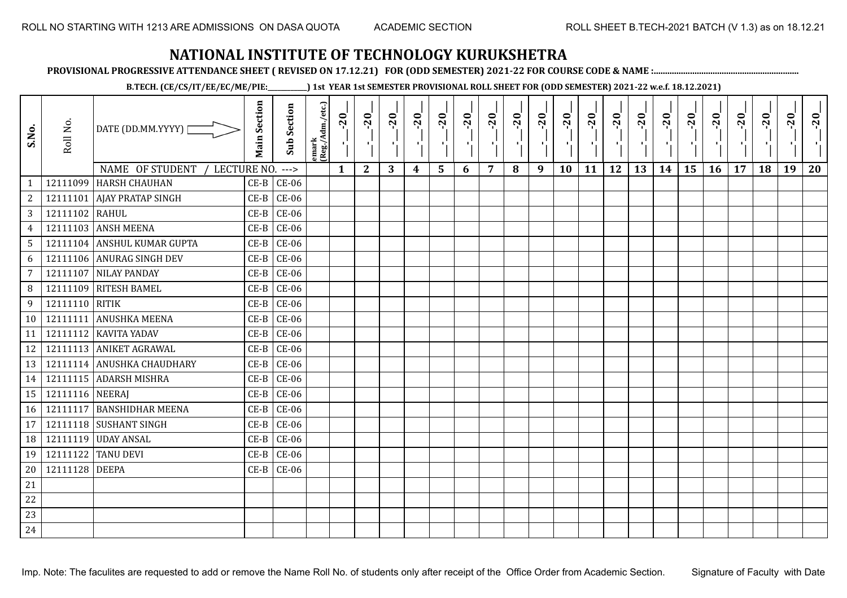**PROVISIONAL PROGRESSIVE ATTENDANCE SHEET ( REVISED ON 17.12.21) FOR (ODD SEMESTER) 2021-22 FOR COURSE CODE & NAME :................................................................**

**B.TECH. (CE/CS/IT/EE/EC/ME/PIE:\_\_\_\_\_\_\_\_\_\_\_\_) 1st YEAR 1st SEMESTER PROVISIONAL ROLL SHEET FOR (ODD SEMESTER) 2021-22 w.e.f. 18.12.2021)**

| S.No.           | Roll No.        | DATE (DD.MM.YYYY) [           | <b>Main Section</b> | <b>Sub Section</b> | emark<br>(Reg./Adm./etc.) | $-1$ $-10$ | $-20$<br>٠,  | $-20$<br>π÷ | $-20$<br>лj | $-20$<br>۱, | $-20$<br>л. | $-20$<br>шj    | $-20$ | $-20$<br>- 1 | $-20$<br>٠, | $-20$ | $-20$<br>шĵ | $-20$<br>로 | $-20$<br>$\blacksquare$ | $-20$ | $-20$<br>У. | $-20$ | $-20$ | $-20$<br>л. | $-20$ |
|-----------------|-----------------|-------------------------------|---------------------|--------------------|---------------------------|------------|--------------|-------------|-------------|-------------|-------------|----------------|-------|--------------|-------------|-------|-------------|------------|-------------------------|-------|-------------|-------|-------|-------------|-------|
|                 |                 | NAME OF STUDENT / LECTURE NO. |                     | $--->$             |                           | 1          | $\mathbf{2}$ | 3           | 4           | 5           | 6           | $\overline{7}$ | 8     | 9            | 10          | 11    | 12          | 13         | 14                      | 15    | 16          | 17    | 18    | 19          | 20    |
| $\mathbf{1}$    |                 | 12111099 HARSH CHAUHAN        | $CE-B$              | $CE-06$            |                           |            |              |             |             |             |             |                |       |              |             |       |             |            |                         |       |             |       |       |             |       |
| $\overline{a}$  |                 | 12111101   AJAY PRATAP SINGH  | $CE-B$              | $CE-06$            |                           |            |              |             |             |             |             |                |       |              |             |       |             |            |                         |       |             |       |       |             |       |
| 3 <sup>1</sup>  | 12111102 RAHUL  |                               | $CE-B$              | $CE-06$            |                           |            |              |             |             |             |             |                |       |              |             |       |             |            |                         |       |             |       |       |             |       |
| $\overline{4}$  |                 | 12111103 ANSH MEENA           | $CE-B$              | $CE-06$            |                           |            |              |             |             |             |             |                |       |              |             |       |             |            |                         |       |             |       |       |             |       |
| 5               |                 | 12111104 ANSHUL KUMAR GUPTA   | $CE-B$              | $CE-06$            |                           |            |              |             |             |             |             |                |       |              |             |       |             |            |                         |       |             |       |       |             |       |
| 6               |                 | 12111106 ANURAG SINGH DEV     | $CE-B$              | $CE-06$            |                           |            |              |             |             |             |             |                |       |              |             |       |             |            |                         |       |             |       |       |             |       |
| $\overline{7}$  |                 | 12111107 NILAY PANDAY         | $CE-B$              | $CE-06$            |                           |            |              |             |             |             |             |                |       |              |             |       |             |            |                         |       |             |       |       |             |       |
| 8               |                 | 12111109 RITESH BAMEL         | $CE-B$              | $CE-06$            |                           |            |              |             |             |             |             |                |       |              |             |       |             |            |                         |       |             |       |       |             |       |
| 9               | 12111110 RITIK  |                               | $CE-B$              | $CE-06$            |                           |            |              |             |             |             |             |                |       |              |             |       |             |            |                         |       |             |       |       |             |       |
| 10 <sup>1</sup> |                 | 12111111 ANUSHKA MEENA        | $CE-B$              | $CE-06$            |                           |            |              |             |             |             |             |                |       |              |             |       |             |            |                         |       |             |       |       |             |       |
| 11              |                 | 12111112 KAVITA YADAV         | $CE-B$              | $CE-06$            |                           |            |              |             |             |             |             |                |       |              |             |       |             |            |                         |       |             |       |       |             |       |
| 12              |                 | 12111113 ANIKET AGRAWAL       | $CE-B$              | $CE-06$            |                           |            |              |             |             |             |             |                |       |              |             |       |             |            |                         |       |             |       |       |             |       |
| 13              |                 | 12111114 ANUSHKA CHAUDHARY    | $CE-B$              | $CE-06$            |                           |            |              |             |             |             |             |                |       |              |             |       |             |            |                         |       |             |       |       |             |       |
| 14              |                 | 12111115 ADARSH MISHRA        | $CE-B$              | $CE-06$            |                           |            |              |             |             |             |             |                |       |              |             |       |             |            |                         |       |             |       |       |             |       |
| 15              | 12111116 NEERAJ |                               | $CE-B$              | $CE-06$            |                           |            |              |             |             |             |             |                |       |              |             |       |             |            |                         |       |             |       |       |             |       |
| 16              |                 | 12111117 BANSHIDHAR MEENA     | $CE-B$              | $CE-06$            |                           |            |              |             |             |             |             |                |       |              |             |       |             |            |                         |       |             |       |       |             |       |
| 17              |                 | 12111118 SUSHANT SINGH        | $CE-B$              | $CE-06$            |                           |            |              |             |             |             |             |                |       |              |             |       |             |            |                         |       |             |       |       |             |       |
| 18              |                 | 12111119 UDAY ANSAL           | $CE-B$              | $CE-06$            |                           |            |              |             |             |             |             |                |       |              |             |       |             |            |                         |       |             |       |       |             |       |
| 19              |                 | 12111122 TANU DEVI            | $CE-B$              | $CE-06$            |                           |            |              |             |             |             |             |                |       |              |             |       |             |            |                         |       |             |       |       |             |       |
| 20              | 12111128 DEEPA  |                               | $CE-B$              | $CE-06$            |                           |            |              |             |             |             |             |                |       |              |             |       |             |            |                         |       |             |       |       |             |       |
| 21              |                 |                               |                     |                    |                           |            |              |             |             |             |             |                |       |              |             |       |             |            |                         |       |             |       |       |             |       |
| 22              |                 |                               |                     |                    |                           |            |              |             |             |             |             |                |       |              |             |       |             |            |                         |       |             |       |       |             |       |
| 23              |                 |                               |                     |                    |                           |            |              |             |             |             |             |                |       |              |             |       |             |            |                         |       |             |       |       |             |       |
| 24              |                 |                               |                     |                    |                           |            |              |             |             |             |             |                |       |              |             |       |             |            |                         |       |             |       |       |             |       |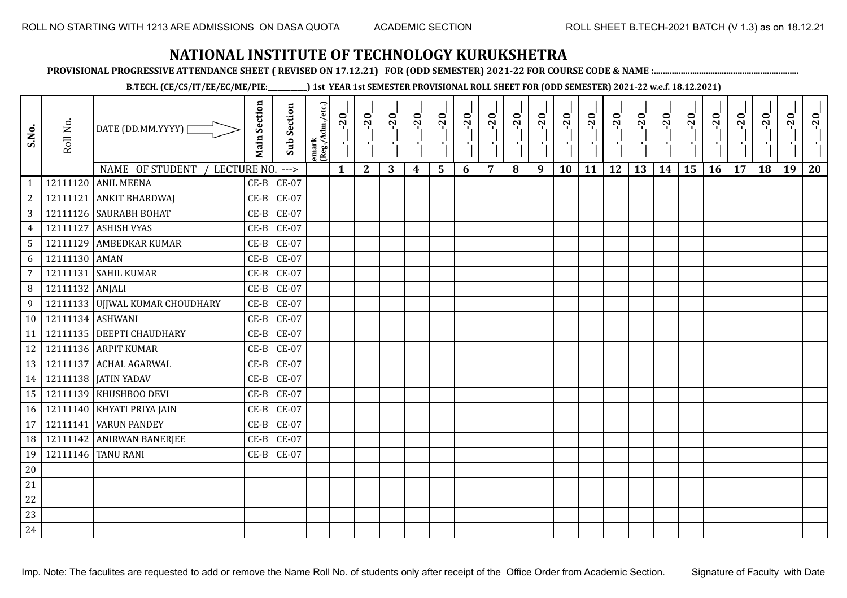**PROVISIONAL PROGRESSIVE ATTENDANCE SHEET ( REVISED ON 17.12.21) FOR (ODD SEMESTER) 2021-22 FOR COURSE CODE & NAME :................................................................**

**B.TECH. (CE/CS/IT/EE/EC/ME/PIE:\_\_\_\_\_\_\_\_\_\_\_\_) 1st YEAR 1st SEMESTER PROVISIONAL ROLL SHEET FOR (ODD SEMESTER) 2021-22 w.e.f. 18.12.2021)**

| S.No.            | Roll No.         | DATE (DD.MM.YYYY)  <br>NAME OF STUDENT<br>LECTURE NO. | <b>Main Section</b> | <b>Sub Section</b><br>$--->$ | emark<br> (Reg./Adm./etc.) | $-20$<br>$\mathbf{1}$ | $-20$<br>π÷<br>$\mathbf{2}$ | $-20$<br>л÷.<br>3 | $-20$<br>π÷<br>4 | $-20$<br>ъJ<br>5 | $-20$<br>×,<br>6 | $-20$<br>7 | $-20$<br>8 | $-20$<br>$\mathbf{L}$<br>9 | $-20$<br>л,<br>10 | $-20$<br>шj<br>11 | $-20$<br>π÷<br>12 | $-20$<br>로<br>13 | $-20$<br>$\blacksquare$<br>14 | $-20$<br>ا.<br>ا<br>15 | $-20$<br>-96<br>16 | $-20$<br>17 | $-20$<br>18 | $-20$<br>×.<br>19 | $-20$<br>20 |
|------------------|------------------|-------------------------------------------------------|---------------------|------------------------------|----------------------------|-----------------------|-----------------------------|-------------------|------------------|------------------|------------------|------------|------------|----------------------------|-------------------|-------------------|-------------------|------------------|-------------------------------|------------------------|--------------------|-------------|-------------|-------------------|-------------|
| $\mathbf{1}$     |                  | 12111120 ANIL MEENA                                   | $CE-B$              | $CE-07$                      |                            |                       |                             |                   |                  |                  |                  |            |            |                            |                   |                   |                   |                  |                               |                        |                    |             |             |                   |             |
| $\overline{c}$   | 12111121         | <b>ANKIT BHARDWAJ</b>                                 | $CE-B$              | $CE-07$                      |                            |                       |                             |                   |                  |                  |                  |            |            |                            |                   |                   |                   |                  |                               |                        |                    |             |             |                   |             |
| 3                |                  | 12111126 SAURABH BOHAT                                | $CE-B$              | $CE-07$                      |                            |                       |                             |                   |                  |                  |                  |            |            |                            |                   |                   |                   |                  |                               |                        |                    |             |             |                   |             |
| $\overline{4}$   | 12111127         | <b>ASHISH VYAS</b>                                    | $CE-B$              | $CE-07$                      |                            |                       |                             |                   |                  |                  |                  |            |            |                            |                   |                   |                   |                  |                               |                        |                    |             |             |                   |             |
| $5\overline{)}$  |                  | 12111129 AMBEDKAR KUMAR                               | $CE-B$              | $CE-07$                      |                            |                       |                             |                   |                  |                  |                  |            |            |                            |                   |                   |                   |                  |                               |                        |                    |             |             |                   |             |
| 6                | 12111130 AMAN    |                                                       | $CE-B$              | $CE-07$                      |                            |                       |                             |                   |                  |                  |                  |            |            |                            |                   |                   |                   |                  |                               |                        |                    |             |             |                   |             |
| 7                | 12111131         | <b>SAHIL KUMAR</b>                                    | $CE-B$              | $CE-07$                      |                            |                       |                             |                   |                  |                  |                  |            |            |                            |                   |                   |                   |                  |                               |                        |                    |             |             |                   |             |
| 8                | 12111132 ANJALI  |                                                       | $CE-B$              | $CE-07$                      |                            |                       |                             |                   |                  |                  |                  |            |            |                            |                   |                   |                   |                  |                               |                        |                    |             |             |                   |             |
| $\boldsymbol{9}$ |                  | 12111133 UJJWAL KUMAR CHOUDHARY                       | $CE-B$              | $CE-07$                      |                            |                       |                             |                   |                  |                  |                  |            |            |                            |                   |                   |                   |                  |                               |                        |                    |             |             |                   |             |
| 10               | 12111134 ASHWANI |                                                       | $CE-B$              | $CE-07$                      |                            |                       |                             |                   |                  |                  |                  |            |            |                            |                   |                   |                   |                  |                               |                        |                    |             |             |                   |             |
| 11               |                  | 12111135 DEEPTI CHAUDHARY                             | $CE-B$              | $CE-07$                      |                            |                       |                             |                   |                  |                  |                  |            |            |                            |                   |                   |                   |                  |                               |                        |                    |             |             |                   |             |
| 12               |                  | 12111136 ARPIT KUMAR                                  | $CE-B$              | $CE-07$                      |                            |                       |                             |                   |                  |                  |                  |            |            |                            |                   |                   |                   |                  |                               |                        |                    |             |             |                   |             |
| 13               | 12111137         | <b>ACHAL AGARWAL</b>                                  | $CE-B$              | $CE-07$                      |                            |                       |                             |                   |                  |                  |                  |            |            |                            |                   |                   |                   |                  |                               |                        |                    |             |             |                   |             |
| 14               |                  | 12111138   JATIN YADAV                                | $CE-B$              | $CE-07$                      |                            |                       |                             |                   |                  |                  |                  |            |            |                            |                   |                   |                   |                  |                               |                        |                    |             |             |                   |             |
| 15               | 12111139         | KHUSHBOO DEVI                                         | $CE-B$              | <b>CE-07</b>                 |                            |                       |                             |                   |                  |                  |                  |            |            |                            |                   |                   |                   |                  |                               |                        |                    |             |             |                   |             |
| 16               |                  | 12111140 KHYATI PRIYA JAIN                            | $CE-B$              | $CE-07$                      |                            |                       |                             |                   |                  |                  |                  |            |            |                            |                   |                   |                   |                  |                               |                        |                    |             |             |                   |             |
| 17               | 12111141         | <b>VARUN PANDEY</b>                                   | $CE-B$              | $CE-07$                      |                            |                       |                             |                   |                  |                  |                  |            |            |                            |                   |                   |                   |                  |                               |                        |                    |             |             |                   |             |
| 18               |                  | 12111142 ANIRWAN BANERJEE                             | $CE-B$              | $CE-07$                      |                            |                       |                             |                   |                  |                  |                  |            |            |                            |                   |                   |                   |                  |                               |                        |                    |             |             |                   |             |
| 19               |                  | 12111146 TANU RANI                                    | $CE-B$              | <b>CE-07</b>                 |                            |                       |                             |                   |                  |                  |                  |            |            |                            |                   |                   |                   |                  |                               |                        |                    |             |             |                   |             |
| 20               |                  |                                                       |                     |                              |                            |                       |                             |                   |                  |                  |                  |            |            |                            |                   |                   |                   |                  |                               |                        |                    |             |             |                   |             |
| 21               |                  |                                                       |                     |                              |                            |                       |                             |                   |                  |                  |                  |            |            |                            |                   |                   |                   |                  |                               |                        |                    |             |             |                   |             |
| 22               |                  |                                                       |                     |                              |                            |                       |                             |                   |                  |                  |                  |            |            |                            |                   |                   |                   |                  |                               |                        |                    |             |             |                   |             |
| 23               |                  |                                                       |                     |                              |                            |                       |                             |                   |                  |                  |                  |            |            |                            |                   |                   |                   |                  |                               |                        |                    |             |             |                   |             |
| 24               |                  |                                                       |                     |                              |                            |                       |                             |                   |                  |                  |                  |            |            |                            |                   |                   |                   |                  |                               |                        |                    |             |             |                   |             |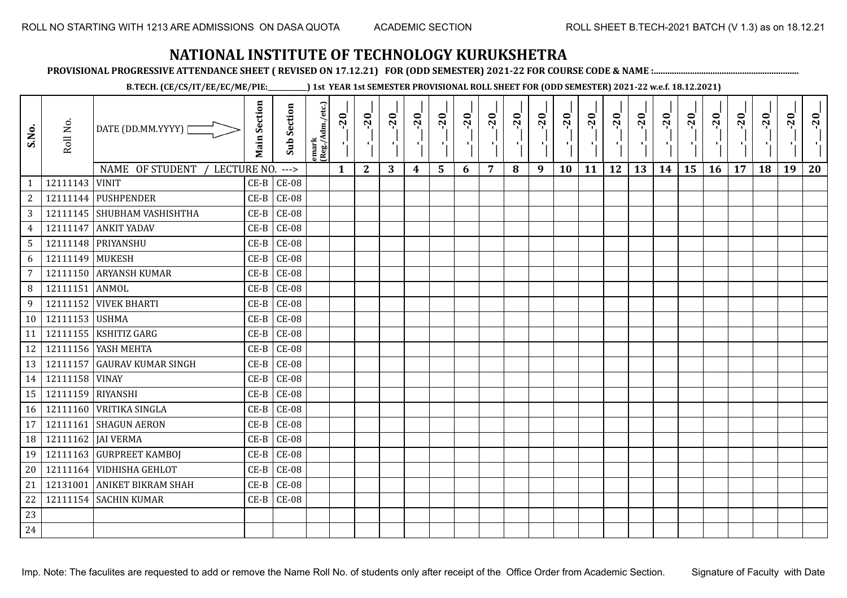**PROVISIONAL PROGRESSIVE ATTENDANCE SHEET ( REVISED ON 17.12.21) FOR (ODD SEMESTER) 2021-22 FOR COURSE CODE & NAME :................................................................**

**B.TECH. (CE/CS/IT/EE/EC/ME/PIE:\_\_\_\_\_\_\_\_\_\_\_\_) 1st YEAR 1st SEMESTER PROVISIONAL ROLL SHEET FOR (ODD SEMESTER) 2021-22 w.e.f. 18.12.2021)**

| S.No.           | Roll No.          | DATE (DD.MM.YYYY) [            | <b>Main Section</b> | Sub Section | emark<br> Reg./Adm./etc.) | $-20$<br>ч.  | $-20$<br>-91 | $-20$ | $-20$<br>$\blacksquare$ | $-20$ | $-20$ | $-20$<br>л. | $-20$<br>٠, | $-20$<br>$\mathcal{F}_{\mathbf{L}}$ | $-20$<br>٠. | $-20$<br>л. | $-20$<br>л÷ | $-20$<br>×. | $-20$ | $-20$ | $-20$ | $-20$ | $-20$<br>÷, | $-20$ | $-20$ |
|-----------------|-------------------|--------------------------------|---------------------|-------------|---------------------------|--------------|--------------|-------|-------------------------|-------|-------|-------------|-------------|-------------------------------------|-------------|-------------|-------------|-------------|-------|-------|-------|-------|-------------|-------|-------|
|                 |                   | NAME OF STUDENT<br>LECTURE NO. |                     | $--->$      |                           | $\mathbf{1}$ | $\mathbf{2}$ | 3     | 4                       | 5     | 6     | 7           | 8           | 9                                   | <b>10</b>   | 11          | 12          | 13          | 14    | 15    | 16    | 17    | 18          | 19    | 20    |
| $\mathbf{1}$    | 12111143          | <b>VINIT</b>                   | $CE-B$              | $CE-08$     |                           |              |              |       |                         |       |       |             |             |                                     |             |             |             |             |       |       |       |       |             |       |       |
| 2               |                   | 12111144 PUSHPENDER            | $CE-B$              | $CE-08$     |                           |              |              |       |                         |       |       |             |             |                                     |             |             |             |             |       |       |       |       |             |       |       |
| $\overline{3}$  |                   | 12111145 SHUBHAM VASHISHTHA    | $CE-B$              | $CE-08$     |                           |              |              |       |                         |       |       |             |             |                                     |             |             |             |             |       |       |       |       |             |       |       |
| $\overline{4}$  | 12111147          | <b>ANKIT YADAV</b>             | $CE-B$              | $CE-08$     |                           |              |              |       |                         |       |       |             |             |                                     |             |             |             |             |       |       |       |       |             |       |       |
| $5\phantom{.0}$ |                   | 12111148 PRIYANSHU             | $CE-B$              | $CE-08$     |                           |              |              |       |                         |       |       |             |             |                                     |             |             |             |             |       |       |       |       |             |       |       |
| 6               | 12111149 MUKESH   |                                | $CE-B$              | $CE-08$     |                           |              |              |       |                         |       |       |             |             |                                     |             |             |             |             |       |       |       |       |             |       |       |
| $7\overline{ }$ |                   | 12111150 ARYANSH KUMAR         | $CE-B$              | $CE-08$     |                           |              |              |       |                         |       |       |             |             |                                     |             |             |             |             |       |       |       |       |             |       |       |
| 8               | 12111151 ANMOL    |                                | $CE-B$              | $CE-08$     |                           |              |              |       |                         |       |       |             |             |                                     |             |             |             |             |       |       |       |       |             |       |       |
| 9               |                   | 12111152 VIVEK BHARTI          | $CE-B$              | $CE-08$     |                           |              |              |       |                         |       |       |             |             |                                     |             |             |             |             |       |       |       |       |             |       |       |
| 10 <sup>1</sup> | 12111153 USHMA    |                                | $CE-B$              | $CE-08$     |                           |              |              |       |                         |       |       |             |             |                                     |             |             |             |             |       |       |       |       |             |       |       |
| 11              | 12111155          | <b>KSHITIZ GARG</b>            | $CE-B$              | $CE-08$     |                           |              |              |       |                         |       |       |             |             |                                     |             |             |             |             |       |       |       |       |             |       |       |
| 12              |                   | 12111156 YASH MEHTA            | $CE-B$              | $CE-08$     |                           |              |              |       |                         |       |       |             |             |                                     |             |             |             |             |       |       |       |       |             |       |       |
| 13              |                   | 12111157 GAURAV KUMAR SINGH    | $CE-B$              | $CE-08$     |                           |              |              |       |                         |       |       |             |             |                                     |             |             |             |             |       |       |       |       |             |       |       |
| 14              | 12111158 VINAY    |                                | $CE-B$              | $CE-08$     |                           |              |              |       |                         |       |       |             |             |                                     |             |             |             |             |       |       |       |       |             |       |       |
| 15              | 12111159 RIYANSHI |                                | $CE-B$              | $CE-08$     |                           |              |              |       |                         |       |       |             |             |                                     |             |             |             |             |       |       |       |       |             |       |       |
| 16              |                   | 12111160 VRITIKA SINGLA        | $CE-B$              | $CE-08$     |                           |              |              |       |                         |       |       |             |             |                                     |             |             |             |             |       |       |       |       |             |       |       |
| 17              |                   | 12111161 SHAGUN AERON          | $CE-B$              | $CE-08$     |                           |              |              |       |                         |       |       |             |             |                                     |             |             |             |             |       |       |       |       |             |       |       |
| 18              |                   | 12111162   JAI VERMA           | $CE-B$              | $CE-08$     |                           |              |              |       |                         |       |       |             |             |                                     |             |             |             |             |       |       |       |       |             |       |       |
| 19              |                   | 12111163 GURPREET KAMBOI       | $CE-B$              | $CE-08$     |                           |              |              |       |                         |       |       |             |             |                                     |             |             |             |             |       |       |       |       |             |       |       |
| 20              |                   | 12111164 VIDHISHA GEHLOT       | $CE-B$              | $CE-08$     |                           |              |              |       |                         |       |       |             |             |                                     |             |             |             |             |       |       |       |       |             |       |       |
| 21              |                   | 12131001 ANIKET BIKRAM SHAH    | $CE-B$              | $CE-08$     |                           |              |              |       |                         |       |       |             |             |                                     |             |             |             |             |       |       |       |       |             |       |       |
| 22              |                   | 12111154 SACHIN KUMAR          | $CE-B$              | $CE-08$     |                           |              |              |       |                         |       |       |             |             |                                     |             |             |             |             |       |       |       |       |             |       |       |
| 23              |                   |                                |                     |             |                           |              |              |       |                         |       |       |             |             |                                     |             |             |             |             |       |       |       |       |             |       |       |
| 24              |                   |                                |                     |             |                           |              |              |       |                         |       |       |             |             |                                     |             |             |             |             |       |       |       |       |             |       |       |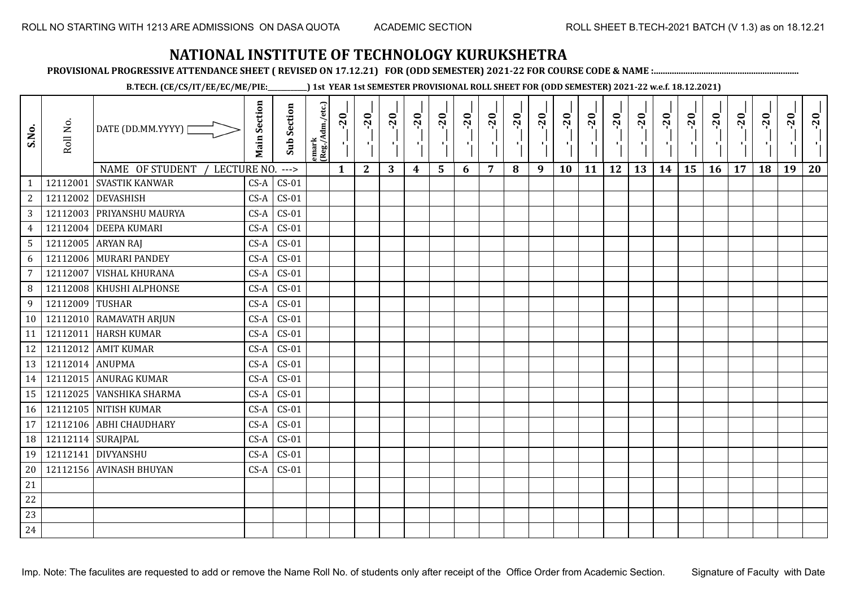**PROVISIONAL PROGRESSIVE ATTENDANCE SHEET ( REVISED ON 17.12.21) FOR (ODD SEMESTER) 2021-22 FOR COURSE CODE & NAME :................................................................**

**B.TECH. (CE/CS/IT/EE/EC/ME/PIE:\_\_\_\_\_\_\_\_\_\_\_\_) 1st YEAR 1st SEMESTER PROVISIONAL ROLL SHEET FOR (ODD SEMESTER) 2021-22 w.e.f. 18.12.2021)**

| S.No.           | Roll No.            | DATE (DD.MM.YYYY)              | <b>Main Section</b> | Sub Section | emark<br> (Reg./Adm./etc.) | $-20$<br>$\mathcal{F}_1$ . | $-20$<br>×.  | $-20$<br>л. | $-20$ | $-20$<br>-90 | $-20$<br>тJ. | $-20$ | $-20$ | $-20$<br>π÷ | $-20$<br>л, | $-20$ | $-20$<br>пJ. | $-20$ | $-20$<br>$\mathbf{r}$ | $-20$<br>۱, | $-20$ | $-20$ | $-20$ | $-20$<br>$\mathcal{F}_{\mathcal{F}}$ | $-20$ |
|-----------------|---------------------|--------------------------------|---------------------|-------------|----------------------------|----------------------------|--------------|-------------|-------|--------------|--------------|-------|-------|-------------|-------------|-------|--------------|-------|-----------------------|-------------|-------|-------|-------|--------------------------------------|-------|
|                 |                     | NAME OF STUDENT<br>LECTURE NO. |                     | $---$       |                            | $\mathbf{1}$               | $\mathbf{2}$ | 3           | 4     | 5            | 6            | 7     | 8     | 9           | 10          | 11    | 12           | 13    | 14                    | 15          | 16    | 17    | 18    | 19                                   | 20    |
| $\mathbf{1}$    | 12112001            | <b>SVASTIK KANWAR</b>          | $CS-A$              | $CS-01$     |                            |                            |              |             |       |              |              |       |       |             |             |       |              |       |                       |             |       |       |       |                                      |       |
| $\mathbf{2}$    | 12112002            | <b>DEVASHISH</b>               | $CS-A$              | $CS-01$     |                            |                            |              |             |       |              |              |       |       |             |             |       |              |       |                       |             |       |       |       |                                      |       |
| 3               |                     | 12112003 PRIYANSHU MAURYA      | $CS-A$              | $CS-01$     |                            |                            |              |             |       |              |              |       |       |             |             |       |              |       |                       |             |       |       |       |                                      |       |
| $\overline{4}$  | 12112004            | <b>DEEPA KUMARI</b>            | $CS-A$              | $CS-01$     |                            |                            |              |             |       |              |              |       |       |             |             |       |              |       |                       |             |       |       |       |                                      |       |
| $5\overline{)}$ |                     | 12112005 ARYAN RAJ             | $CS-A$              | $CS-01$     |                            |                            |              |             |       |              |              |       |       |             |             |       |              |       |                       |             |       |       |       |                                      |       |
| 6               |                     | 12112006 MURARI PANDEY         | $CS-A$              | $CS-01$     |                            |                            |              |             |       |              |              |       |       |             |             |       |              |       |                       |             |       |       |       |                                      |       |
| $7\overline{ }$ | 12112007            | <b>VISHAL KHURANA</b>          | $CS-A$              | $CS-01$     |                            |                            |              |             |       |              |              |       |       |             |             |       |              |       |                       |             |       |       |       |                                      |       |
| 8               | 12112008            | KHUSHI ALPHONSE                | $CS-A$              | $CS-01$     |                            |                            |              |             |       |              |              |       |       |             |             |       |              |       |                       |             |       |       |       |                                      |       |
| 9               | 12112009 TUSHAR     |                                | $CS-A$              | $CS-01$     |                            |                            |              |             |       |              |              |       |       |             |             |       |              |       |                       |             |       |       |       |                                      |       |
| 10              |                     | 12112010 RAMAVATH ARJUN        | $CS-A$              | $CS-01$     |                            |                            |              |             |       |              |              |       |       |             |             |       |              |       |                       |             |       |       |       |                                      |       |
| 11              | 12112011            | <b>HARSH KUMAR</b>             | $CS-A$              | $CS-01$     |                            |                            |              |             |       |              |              |       |       |             |             |       |              |       |                       |             |       |       |       |                                      |       |
| 12              |                     | 12112012 AMIT KUMAR            | $CS-A$              | $CS-01$     |                            |                            |              |             |       |              |              |       |       |             |             |       |              |       |                       |             |       |       |       |                                      |       |
| 13              | 12112014 ANUPMA     |                                | $CS-A$              | $CS-01$     |                            |                            |              |             |       |              |              |       |       |             |             |       |              |       |                       |             |       |       |       |                                      |       |
| 14              |                     | 12112015 ANURAG KUMAR          | $CS-A$              | $CS-01$     |                            |                            |              |             |       |              |              |       |       |             |             |       |              |       |                       |             |       |       |       |                                      |       |
| 15              | 12112025            | <b>VANSHIKA SHARMA</b>         | $CS-A$              | $CS-01$     |                            |                            |              |             |       |              |              |       |       |             |             |       |              |       |                       |             |       |       |       |                                      |       |
| 16              |                     | 12112105 NITISH KUMAR          | $CS-A$              | $CS-01$     |                            |                            |              |             |       |              |              |       |       |             |             |       |              |       |                       |             |       |       |       |                                      |       |
| 17              | 12112106            | <b>ABHI CHAUDHARY</b>          | $CS-A$              | $CS-01$     |                            |                            |              |             |       |              |              |       |       |             |             |       |              |       |                       |             |       |       |       |                                      |       |
| 18              | 12112114   SURAJPAL |                                | $CS-A$              | $CS-01$     |                            |                            |              |             |       |              |              |       |       |             |             |       |              |       |                       |             |       |       |       |                                      |       |
| 19              |                     | 12112141 DIVYANSHU             | $CS-A$              | $CS-01$     |                            |                            |              |             |       |              |              |       |       |             |             |       |              |       |                       |             |       |       |       |                                      |       |
| 20              |                     | 12112156 AVINASH BHUYAN        | $CS-A$              | $CS-01$     |                            |                            |              |             |       |              |              |       |       |             |             |       |              |       |                       |             |       |       |       |                                      |       |
| 21              |                     |                                |                     |             |                            |                            |              |             |       |              |              |       |       |             |             |       |              |       |                       |             |       |       |       |                                      |       |
| 22              |                     |                                |                     |             |                            |                            |              |             |       |              |              |       |       |             |             |       |              |       |                       |             |       |       |       |                                      |       |
| 23              |                     |                                |                     |             |                            |                            |              |             |       |              |              |       |       |             |             |       |              |       |                       |             |       |       |       |                                      |       |
| 24              |                     |                                |                     |             |                            |                            |              |             |       |              |              |       |       |             |             |       |              |       |                       |             |       |       |       |                                      |       |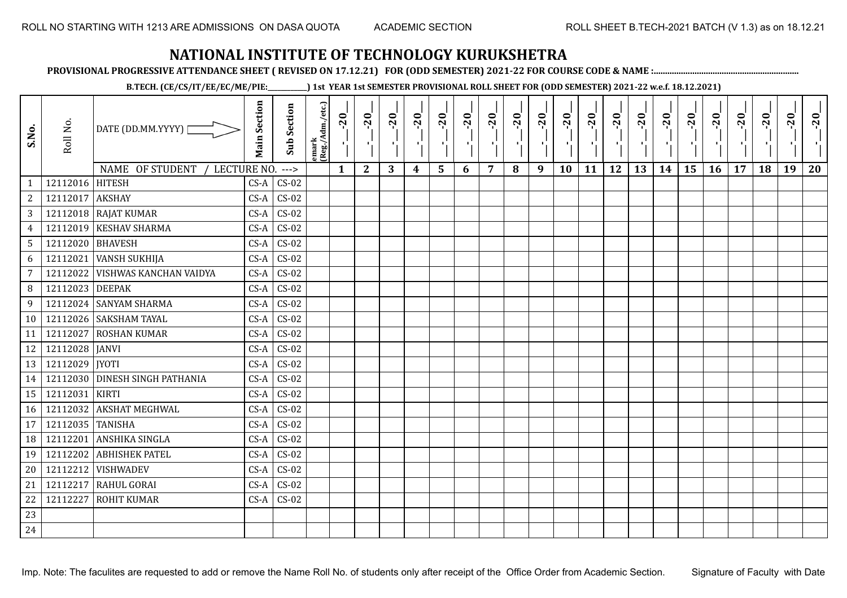**PROVISIONAL PROGRESSIVE ATTENDANCE SHEET ( REVISED ON 17.12.21) FOR (ODD SEMESTER) 2021-22 FOR COURSE CODE & NAME :................................................................**

**B.TECH. (CE/CS/IT/EE/EC/ME/PIE:\_\_\_\_\_\_\_\_\_\_\_\_) 1st YEAR 1st SEMESTER PROVISIONAL ROLL SHEET FOR (ODD SEMESTER) 2021-22 w.e.f. 18.12.2021)**

| S.No.          | Roll No.         | DATE (DD.MM.YYYY)              | <b>Main Section</b> | Sub Section | emark<br> (Reg./Adm./etc.) | $-20$        | $-20$<br>×.  | $-20$<br>л. | $-20$ | $-20$<br>-90 | $-20$<br>тJ. | $-20$ | $-20$ | $-20$<br>π÷ | $-20$<br>л, | $-20$ | $-20$<br>пJ. | $-20$ | $-20$<br>$\mathbf{r}$ | $-20$<br>۱, | $-20$ | $-20$ | $-20$ | $-20$<br>$\mathbf{H}_{\mathbf{A}}$ | $-20$ |
|----------------|------------------|--------------------------------|---------------------|-------------|----------------------------|--------------|--------------|-------------|-------|--------------|--------------|-------|-------|-------------|-------------|-------|--------------|-------|-----------------------|-------------|-------|-------|-------|------------------------------------|-------|
|                |                  | NAME OF STUDENT<br>LECTURE NO. |                     | $---$       |                            | $\mathbf{1}$ | $\mathbf{2}$ | 3           | 4     | 5            | 6            | 7     | 8     | 9           | <b>10</b>   | 11    | 12           | 13    | 14                    | 15          | 16    | 17    | 18    | 19                                 | 20    |
| $\mathbf{1}$   | 12112016         | <b>HITESH</b>                  | $CS-A$              | $CS-02$     |                            |              |              |             |       |              |              |       |       |             |             |       |              |       |                       |             |       |       |       |                                    |       |
| $\sqrt{2}$     | 12112017         | <b>AKSHAY</b>                  | $CS-A$              | $CS-02$     |                            |              |              |             |       |              |              |       |       |             |             |       |              |       |                       |             |       |       |       |                                    |       |
| 3              |                  | 12112018 RAJAT KUMAR           | $CS-A$              | $CS-02$     |                            |              |              |             |       |              |              |       |       |             |             |       |              |       |                       |             |       |       |       |                                    |       |
| $\overline{4}$ |                  | 12112019 KESHAV SHARMA         | $CS-A$              | $CS-02$     |                            |              |              |             |       |              |              |       |       |             |             |       |              |       |                       |             |       |       |       |                                    |       |
| 5              | 12112020 BHAVESH |                                | $CS-A$              | $CS-02$     |                            |              |              |             |       |              |              |       |       |             |             |       |              |       |                       |             |       |       |       |                                    |       |
| 6              | 12112021         | <b>VANSH SUKHIJA</b>           | $CS-A$              | $CS-02$     |                            |              |              |             |       |              |              |       |       |             |             |       |              |       |                       |             |       |       |       |                                    |       |
| $\overline{7}$ | 12112022         | <b>VISHWAS KANCHAN VAIDYA</b>  | $CS-A$              | $CS-02$     |                            |              |              |             |       |              |              |       |       |             |             |       |              |       |                       |             |       |       |       |                                    |       |
| 8              | 12112023         | <b>DEEPAK</b>                  | $CS-A$              | $CS-02$     |                            |              |              |             |       |              |              |       |       |             |             |       |              |       |                       |             |       |       |       |                                    |       |
| 9              |                  | 12112024 SANYAM SHARMA         | $CS-A$              | $CS-02$     |                            |              |              |             |       |              |              |       |       |             |             |       |              |       |                       |             |       |       |       |                                    |       |
| 10             |                  | 12112026 SAKSHAM TAYAL         | $CS-A$              | $CS-02$     |                            |              |              |             |       |              |              |       |       |             |             |       |              |       |                       |             |       |       |       |                                    |       |
| 11             | 12112027         | <b>ROSHAN KUMAR</b>            | $CS-A$              | $CS-02$     |                            |              |              |             |       |              |              |       |       |             |             |       |              |       |                       |             |       |       |       |                                    |       |
| 12             | 12112028 JANVI   |                                | $CS-A$              | $CS-02$     |                            |              |              |             |       |              |              |       |       |             |             |       |              |       |                       |             |       |       |       |                                    |       |
| 13             | 12112029  JYOTI  |                                | $CS-A$              | $CS-02$     |                            |              |              |             |       |              |              |       |       |             |             |       |              |       |                       |             |       |       |       |                                    |       |
| 14             |                  | 12112030 DINESH SINGH PATHANIA | $CS-A$              | $CS-02$     |                            |              |              |             |       |              |              |       |       |             |             |       |              |       |                       |             |       |       |       |                                    |       |
| 15             | 12112031         | <b>KIRTI</b>                   | $CS-A$              | $CS-02$     |                            |              |              |             |       |              |              |       |       |             |             |       |              |       |                       |             |       |       |       |                                    |       |
| 16             | 12112032         | <b>AKSHAT MEGHWAL</b>          | $CS-A$              | $CS-02$     |                            |              |              |             |       |              |              |       |       |             |             |       |              |       |                       |             |       |       |       |                                    |       |
| 17             | 12112035 TANISHA |                                | $CS-A$              | $CS-02$     |                            |              |              |             |       |              |              |       |       |             |             |       |              |       |                       |             |       |       |       |                                    |       |
| 18             | 12112201         | ANSHIKA SINGLA                 | $CS-A$              | $CS-02$     |                            |              |              |             |       |              |              |       |       |             |             |       |              |       |                       |             |       |       |       |                                    |       |
| 19             | 12112202         | <b>ABHISHEK PATEL</b>          | $CS-A$              | $CS-02$     |                            |              |              |             |       |              |              |       |       |             |             |       |              |       |                       |             |       |       |       |                                    |       |
| 20             | 12112212         | <b>VISHWADEV</b>               | $CS-A$              | $CS-02$     |                            |              |              |             |       |              |              |       |       |             |             |       |              |       |                       |             |       |       |       |                                    |       |
| 21             | 12112217         | <b>RAHUL GORAI</b>             | $CS-A$              | $CS-02$     |                            |              |              |             |       |              |              |       |       |             |             |       |              |       |                       |             |       |       |       |                                    |       |
| 22             | 12112227         | <b>ROHIT KUMAR</b>             | $CS-A$              | $CS-02$     |                            |              |              |             |       |              |              |       |       |             |             |       |              |       |                       |             |       |       |       |                                    |       |
| 23             |                  |                                |                     |             |                            |              |              |             |       |              |              |       |       |             |             |       |              |       |                       |             |       |       |       |                                    |       |
| 24             |                  |                                |                     |             |                            |              |              |             |       |              |              |       |       |             |             |       |              |       |                       |             |       |       |       |                                    |       |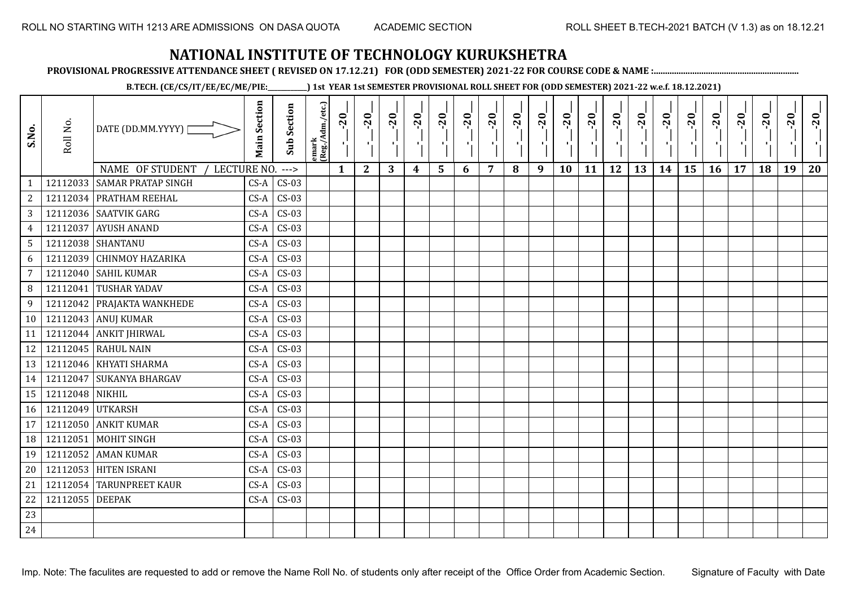**PROVISIONAL PROGRESSIVE ATTENDANCE SHEET ( REVISED ON 17.12.21) FOR (ODD SEMESTER) 2021-22 FOR COURSE CODE & NAME :................................................................**

**B.TECH. (CE/CS/IT/EE/EC/ME/PIE:\_\_\_\_\_\_\_\_\_\_\_\_) 1st YEAR 1st SEMESTER PROVISIONAL ROLL SHEET FOR (ODD SEMESTER) 2021-22 w.e.f. 18.12.2021)**

| S.No.           | Roll No.         | DATE (DD.MM.YYYY)  <br>NAME OF STUDENT<br>LECTURE NO. | <b>Main Section</b> | <b>Sub Section</b> | emark<br> (Reg./Adm./etc.) | $-20$        | $-20$<br>π÷  | $-20$<br>л÷. | $-20$<br>π÷ | $-20$<br>лj | $-20$<br>×, | $-20$ | $-20$ | $-20$<br>пļ | $-20$<br>л, | $-20$<br>шĵ | $-20$<br>шĵ<br>12 | $-20$<br>로 | $-20$<br>$\blacksquare$ | $-20$<br>ا .<br>ا<br>15 | $-20$<br>-96 | $-20$ | $-20$<br>18 | $-20$<br>×.<br>19 | $-20$ |
|-----------------|------------------|-------------------------------------------------------|---------------------|--------------------|----------------------------|--------------|--------------|--------------|-------------|-------------|-------------|-------|-------|-------------|-------------|-------------|-------------------|------------|-------------------------|-------------------------|--------------|-------|-------------|-------------------|-------|
| $\mathbf{1}$    |                  | 12112033 SAMAR PRATAP SINGH                           | $CS-A$              | $--->$<br>$CS-03$  |                            | $\mathbf{1}$ | $\mathbf{2}$ | 3            | 4           | 5           | 6           | 7     | 8     | 9           | 10          | 11          |                   | 13         | 14                      |                         | 16           | 17    |             |                   | 20    |
| $\overline{c}$  |                  | 12112034 PRATHAM REEHAL                               | $CS-A$              | $CS-03$            |                            |              |              |              |             |             |             |       |       |             |             |             |                   |            |                         |                         |              |       |             |                   |       |
| 3               |                  | 12112036 SAATVIK GARG                                 | $CS-A$              | $CS-03$            |                            |              |              |              |             |             |             |       |       |             |             |             |                   |            |                         |                         |              |       |             |                   |       |
| $\overline{4}$  | 12112037         | <b>AYUSH ANAND</b>                                    | $CS-A$              | $CS-03$            |                            |              |              |              |             |             |             |       |       |             |             |             |                   |            |                         |                         |              |       |             |                   |       |
| $5\overline{)}$ |                  | 12112038 SHANTANU                                     | $CS-A$              | $CS-03$            |                            |              |              |              |             |             |             |       |       |             |             |             |                   |            |                         |                         |              |       |             |                   |       |
| 6               |                  | 12112039 CHINMOY HAZARIKA                             | $CS-A$              | $CS-03$            |                            |              |              |              |             |             |             |       |       |             |             |             |                   |            |                         |                         |              |       |             |                   |       |
| 7               |                  | 12112040 SAHIL KUMAR                                  | $CS-A$              | $CS-03$            |                            |              |              |              |             |             |             |       |       |             |             |             |                   |            |                         |                         |              |       |             |                   |       |
| 8               | 12112041         | <b>TUSHAR YADAV</b>                                   | $CS-A$              | $CS-03$            |                            |              |              |              |             |             |             |       |       |             |             |             |                   |            |                         |                         |              |       |             |                   |       |
| 9               |                  | 12112042 PRAJAKTA WANKHEDE                            | $CS-A$              | $CS-03$            |                            |              |              |              |             |             |             |       |       |             |             |             |                   |            |                         |                         |              |       |             |                   |       |
| 10              |                  | 12112043 ANUJ KUMAR                                   | $CS-A$              | $CS-03$            |                            |              |              |              |             |             |             |       |       |             |             |             |                   |            |                         |                         |              |       |             |                   |       |
| 11              |                  | 12112044 ANKIT JHIRWAL                                | $CS-A$              | $CS-03$            |                            |              |              |              |             |             |             |       |       |             |             |             |                   |            |                         |                         |              |       |             |                   |       |
| 12              |                  | 12112045 RAHUL NAIN                                   | $CS-A$              | $CS-03$            |                            |              |              |              |             |             |             |       |       |             |             |             |                   |            |                         |                         |              |       |             |                   |       |
| 13              |                  | 12112046   KHYATI SHARMA                              | $CS-A$              | $CS-03$            |                            |              |              |              |             |             |             |       |       |             |             |             |                   |            |                         |                         |              |       |             |                   |       |
| 14              | 12112047         | <b>SUKANYA BHARGAV</b>                                | $CS-A$              | $CS-03$            |                            |              |              |              |             |             |             |       |       |             |             |             |                   |            |                         |                         |              |       |             |                   |       |
| 15              | 12112048 NIKHIL  |                                                       | $CS-A$              | $CS-03$            |                            |              |              |              |             |             |             |       |       |             |             |             |                   |            |                         |                         |              |       |             |                   |       |
| 16              | 12112049 UTKARSH |                                                       | $CS-A$              | $CS-03$            |                            |              |              |              |             |             |             |       |       |             |             |             |                   |            |                         |                         |              |       |             |                   |       |
| 17              | 12112050         | <b>ANKIT KUMAR</b>                                    | $CS-A$              | $CS-03$            |                            |              |              |              |             |             |             |       |       |             |             |             |                   |            |                         |                         |              |       |             |                   |       |
| 18              | 12112051         | <b>MOHIT SINGH</b>                                    | $CS-A$              | $CS-03$            |                            |              |              |              |             |             |             |       |       |             |             |             |                   |            |                         |                         |              |       |             |                   |       |
| 19              | 12112052         | <b>AMAN KUMAR</b>                                     | $CS-A$              | $CS-03$            |                            |              |              |              |             |             |             |       |       |             |             |             |                   |            |                         |                         |              |       |             |                   |       |
| 20              |                  | 12112053 HITEN ISRANI                                 | $CS-A$              | $CS-03$            |                            |              |              |              |             |             |             |       |       |             |             |             |                   |            |                         |                         |              |       |             |                   |       |
| 21              |                  | 12112054 TARUNPREET KAUR                              | $CS-A$              | $CS-03$            |                            |              |              |              |             |             |             |       |       |             |             |             |                   |            |                         |                         |              |       |             |                   |       |
| 22              | 12112055 DEEPAK  |                                                       | $CS-A$              | $CS-03$            |                            |              |              |              |             |             |             |       |       |             |             |             |                   |            |                         |                         |              |       |             |                   |       |
| 23              |                  |                                                       |                     |                    |                            |              |              |              |             |             |             |       |       |             |             |             |                   |            |                         |                         |              |       |             |                   |       |
| 24              |                  |                                                       |                     |                    |                            |              |              |              |             |             |             |       |       |             |             |             |                   |            |                         |                         |              |       |             |                   |       |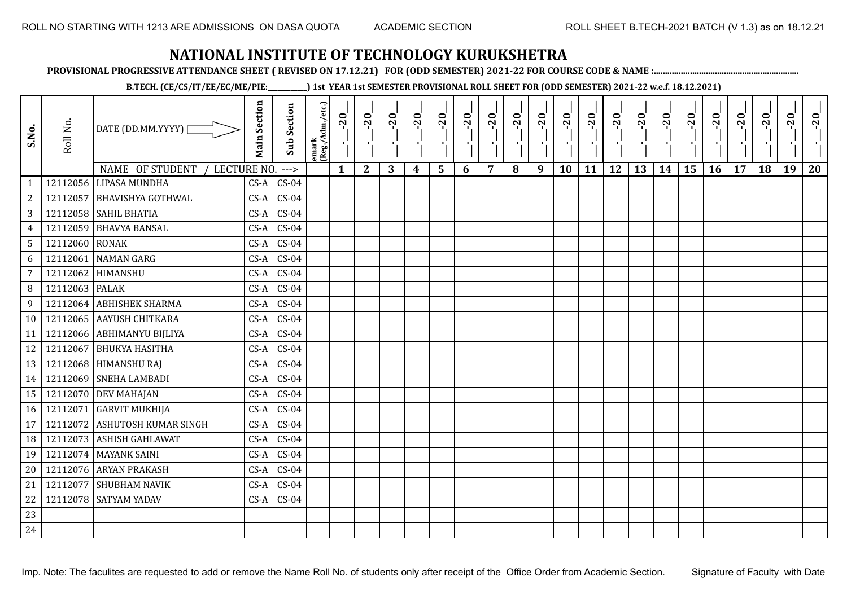**PROVISIONAL PROGRESSIVE ATTENDANCE SHEET ( REVISED ON 17.12.21) FOR (ODD SEMESTER) 2021-22 FOR COURSE CODE & NAME :................................................................**

**B.TECH. (CE/CS/IT/EE/EC/ME/PIE:\_\_\_\_\_\_\_\_\_\_\_\_) 1st YEAR 1st SEMESTER PROVISIONAL ROLL SHEET FOR (ODD SEMESTER) 2021-22 w.e.f. 18.12.2021)**

| S.No.           | Roll No.       | DATE (DD.MM.YYYY) [            | <b>Main Section</b> | <b>Sub Section</b> | emark<br> (Reg./Adm./etc.) | $-20$<br>$\mathcal{F}_1$ . | $-20$        | $-20$ | $-20$ | $-20$          | $-20$<br>л. | $-20$ | $-20$ | $-20$<br>π÷ | $-20$<br>л, | $-20$ | $-20$ | $-20$ | $-20$ | $-20$ | $-20$ | $-20$ | $-20$ | $-20$<br>ч. | $-20$ |
|-----------------|----------------|--------------------------------|---------------------|--------------------|----------------------------|----------------------------|--------------|-------|-------|----------------|-------------|-------|-------|-------------|-------------|-------|-------|-------|-------|-------|-------|-------|-------|-------------|-------|
|                 |                | NAME OF STUDENT<br>LECTURE NO. |                     | $---$              |                            | $\mathbf{1}$               | $\mathbf{2}$ | 3     | 4     | $5\phantom{1}$ | 6           | 7     | 8     | 9           | 10          | 11    | 12    | 13    | 14    | 15    | 16    | 17    | 18    | 19          | 20    |
| 1               | 12112056       | <b>LIPASA MUNDHA</b>           | $CS-A$              | $CS-04$            |                            |                            |              |       |       |                |             |       |       |             |             |       |       |       |       |       |       |       |       |             |       |
| $\overline{c}$  | 12112057       | <b>BHAVISHYA GOTHWAL</b>       | $CS-A$              | $CS-04$            |                            |                            |              |       |       |                |             |       |       |             |             |       |       |       |       |       |       |       |       |             |       |
| $\mathbf{3}$    |                | 12112058 SAHIL BHATIA          | $CS-A$              | $CS-04$            |                            |                            |              |       |       |                |             |       |       |             |             |       |       |       |       |       |       |       |       |             |       |
| $\overline{4}$  | 12112059       | <b>BHAVYA BANSAL</b>           | $CS-A$              | $CS-04$            |                            |                            |              |       |       |                |             |       |       |             |             |       |       |       |       |       |       |       |       |             |       |
| $\mathsf S$     | 12112060 RONAK |                                | $CS-A$              | $CS-04$            |                            |                            |              |       |       |                |             |       |       |             |             |       |       |       |       |       |       |       |       |             |       |
| 6               | 12112061       | <b>NAMAN GARG</b>              | $CS-A$              | $CS-04$            |                            |                            |              |       |       |                |             |       |       |             |             |       |       |       |       |       |       |       |       |             |       |
| 7               | 12112062       | HIMANSHU                       | $CS-A$              | $CS-04$            |                            |                            |              |       |       |                |             |       |       |             |             |       |       |       |       |       |       |       |       |             |       |
| 8               | 12112063       | <b>PALAK</b>                   | $CS-A$              | $CS-04$            |                            |                            |              |       |       |                |             |       |       |             |             |       |       |       |       |       |       |       |       |             |       |
| 9               | 12112064       | <b>ABHISHEK SHARMA</b>         | CS-A                | $CS-04$            |                            |                            |              |       |       |                |             |       |       |             |             |       |       |       |       |       |       |       |       |             |       |
| 10 <sup>1</sup> | 12112065       | <b>AAYUSH CHITKARA</b>         | $CS-A$              | $CS-04$            |                            |                            |              |       |       |                |             |       |       |             |             |       |       |       |       |       |       |       |       |             |       |
| 11              | 12112066       | <b>ABHIMANYU BIJLIYA</b>       | $CS-A$              | $CS-04$            |                            |                            |              |       |       |                |             |       |       |             |             |       |       |       |       |       |       |       |       |             |       |
| 12              | 12112067       | <b>BHUKYA HASITHA</b>          | $CS-A$              | $CS-04$            |                            |                            |              |       |       |                |             |       |       |             |             |       |       |       |       |       |       |       |       |             |       |
| 13              |                | 12112068 HIMANSHU RAJ          | $CS-A$              | $CS-04$            |                            |                            |              |       |       |                |             |       |       |             |             |       |       |       |       |       |       |       |       |             |       |
| 14              | 12112069       | <b>SNEHA LAMBADI</b>           | $CS-A$              | $CS-04$            |                            |                            |              |       |       |                |             |       |       |             |             |       |       |       |       |       |       |       |       |             |       |
| 15              | 12112070       | <b>DEV MAHAJAN</b>             | $CS-A$              | $CS-04$            |                            |                            |              |       |       |                |             |       |       |             |             |       |       |       |       |       |       |       |       |             |       |
| 16              | 12112071       | <b>GARVIT MUKHIJA</b>          | $CS-A$              | $CS-04$            |                            |                            |              |       |       |                |             |       |       |             |             |       |       |       |       |       |       |       |       |             |       |
| 17              | 12112072       | ASHUTOSH KUMAR SINGH           | $CS-A$              | $CS-04$            |                            |                            |              |       |       |                |             |       |       |             |             |       |       |       |       |       |       |       |       |             |       |
| 18              | 12112073       | <b>ASHISH GAHLAWAT</b>         | $CS-A$              | $CS-04$            |                            |                            |              |       |       |                |             |       |       |             |             |       |       |       |       |       |       |       |       |             |       |
| 19              | 12112074       | <b>MAYANK SAINI</b>            | $CS-A$              | $CS-04$            |                            |                            |              |       |       |                |             |       |       |             |             |       |       |       |       |       |       |       |       |             |       |
| 20              | 12112076       | <b>ARYAN PRAKASH</b>           | $CS-A$              | $CS-04$            |                            |                            |              |       |       |                |             |       |       |             |             |       |       |       |       |       |       |       |       |             |       |
| 21              | 12112077       | <b>SHUBHAM NAVIK</b>           | $CS-A$              | $CS-04$            |                            |                            |              |       |       |                |             |       |       |             |             |       |       |       |       |       |       |       |       |             |       |
| 22              | 12112078       | <b>SATYAM YADAV</b>            | $CS-A$              | $CS-04$            |                            |                            |              |       |       |                |             |       |       |             |             |       |       |       |       |       |       |       |       |             |       |
| 23              |                |                                |                     |                    |                            |                            |              |       |       |                |             |       |       |             |             |       |       |       |       |       |       |       |       |             |       |
| 24              |                |                                |                     |                    |                            |                            |              |       |       |                |             |       |       |             |             |       |       |       |       |       |       |       |       |             |       |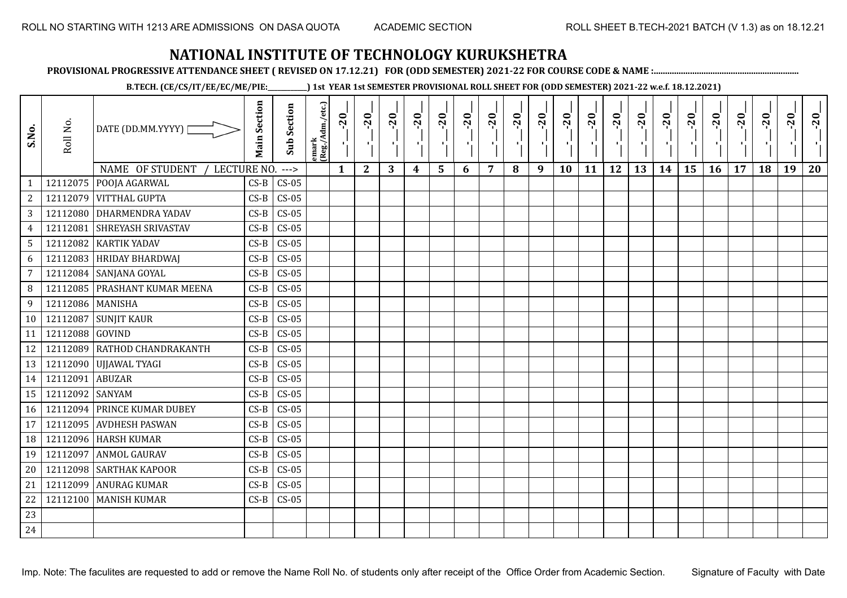**PROVISIONAL PROGRESSIVE ATTENDANCE SHEET ( REVISED ON 17.12.21) FOR (ODD SEMESTER) 2021-22 FOR COURSE CODE & NAME :................................................................**

**B.TECH. (CE/CS/IT/EE/EC/ME/PIE:\_\_\_\_\_\_\_\_\_\_\_\_) 1st YEAR 1st SEMESTER PROVISIONAL ROLL SHEET FOR (ODD SEMESTER) 2021-22 w.e.f. 18.12.2021)**

| S.No.                             | Roll No.         | DATE (DD.MM.YYYY)                                          | <b>Main Section</b> | <b>Sub Section</b> | emark<br>(Reg./Adm./etc.) | $-20$        | $-20$        | $-20$<br>л. | $-20$ | $-20$<br>$\blacksquare$ | $-20$ | $-20$ | $-20$ | $-20$<br>π÷ | $-20$<br>л, | $-20$ | $-20$ | $-20$ | $-20$ | $-20$ | $-20$ | $-20$ | $-20$ | $-20$<br>л. | $-20$ |
|-----------------------------------|------------------|------------------------------------------------------------|---------------------|--------------------|---------------------------|--------------|--------------|-------------|-------|-------------------------|-------|-------|-------|-------------|-------------|-------|-------|-------|-------|-------|-------|-------|-------|-------------|-------|
| $\mathbf{1}$                      |                  | NAME OF STUDENT<br>LECTURE NO.<br>12112075   POOJA AGARWAL | $CS-B$              | $--->$<br>$CS-05$  |                           | $\mathbf{1}$ | $\mathbf{2}$ | 3           | 4     | 5                       | 6     | 7     | 8     | 9           | 10          | 11    | 12    | 13    | 14    | 15    | 16    | 17    | 18    | 19          | 20    |
| $\overline{c}$                    |                  | 12112079 VITTHAL GUPTA                                     | $CS-B$              | $CS-05$            |                           |              |              |             |       |                         |       |       |       |             |             |       |       |       |       |       |       |       |       |             |       |
| 3                                 |                  | 12112080 DHARMENDRA YADAV                                  | $CS-B$              | $CS-05$            |                           |              |              |             |       |                         |       |       |       |             |             |       |       |       |       |       |       |       |       |             |       |
|                                   | 12112081         | <b>SHREYASH SRIVASTAV</b>                                  | $CS-B$              | $CS-05$            |                           |              |              |             |       |                         |       |       |       |             |             |       |       |       |       |       |       |       |       |             |       |
| $\overline{4}$<br>$5\phantom{.0}$ |                  | 12112082 KARTIK YADAV                                      | $CS-B$              | $CS-05$            |                           |              |              |             |       |                         |       |       |       |             |             |       |       |       |       |       |       |       |       |             |       |
| 6                                 | 12112083         | <b>HRIDAY BHARDWAJ</b>                                     | $CS-B$              | $CS-05$            |                           |              |              |             |       |                         |       |       |       |             |             |       |       |       |       |       |       |       |       |             |       |
| $\overline{7}$                    | 12112084         | SANJANA GOYAL                                              | $CS-B$              | $CS-05$            |                           |              |              |             |       |                         |       |       |       |             |             |       |       |       |       |       |       |       |       |             |       |
| 8                                 | 12112085         | PRASHANT KUMAR MEENA                                       | $CS-B$              | $CS-05$            |                           |              |              |             |       |                         |       |       |       |             |             |       |       |       |       |       |       |       |       |             |       |
| $\boldsymbol{9}$                  | 12112086 MANISHA |                                                            | $CS-B$              | $CS-05$            |                           |              |              |             |       |                         |       |       |       |             |             |       |       |       |       |       |       |       |       |             |       |
| 10                                | 12112087         | <b>SUNJIT KAUR</b>                                         | $CS-B$              | $CS-05$            |                           |              |              |             |       |                         |       |       |       |             |             |       |       |       |       |       |       |       |       |             |       |
| 11                                | 12112088 GOVIND  |                                                            | $CS-B$              | $CS-05$            |                           |              |              |             |       |                         |       |       |       |             |             |       |       |       |       |       |       |       |       |             |       |
| 12                                |                  | 12112089 RATHOD CHANDRAKANTH                               | $CS-B$              | $CS-05$            |                           |              |              |             |       |                         |       |       |       |             |             |       |       |       |       |       |       |       |       |             |       |
| 13                                |                  | 12112090 UJJAWAL TYAGI                                     | $CS-B$              | $CS-05$            |                           |              |              |             |       |                         |       |       |       |             |             |       |       |       |       |       |       |       |       |             |       |
| 14                                | 12112091         | <b>ABUZAR</b>                                              | $CS-B$              | $CS-05$            |                           |              |              |             |       |                         |       |       |       |             |             |       |       |       |       |       |       |       |       |             |       |
| 15                                | 12112092 SANYAM  |                                                            | $CS-B$              | $CS-05$            |                           |              |              |             |       |                         |       |       |       |             |             |       |       |       |       |       |       |       |       |             |       |
| 16                                |                  | 12112094 PRINCE KUMAR DUBEY                                | $CS-B$              | $CS-05$            |                           |              |              |             |       |                         |       |       |       |             |             |       |       |       |       |       |       |       |       |             |       |
| 17                                | 12112095         | <b>AVDHESH PASWAN</b>                                      | $CS-B$              | $CS-05$            |                           |              |              |             |       |                         |       |       |       |             |             |       |       |       |       |       |       |       |       |             |       |
| 18                                |                  | 12112096 HARSH KUMAR                                       | $CS-B$              | $CS-05$            |                           |              |              |             |       |                         |       |       |       |             |             |       |       |       |       |       |       |       |       |             |       |
| 19                                | 12112097         | <b>ANMOL GAURAV</b>                                        | $CS-B$              | $CS-05$            |                           |              |              |             |       |                         |       |       |       |             |             |       |       |       |       |       |       |       |       |             |       |
| 20                                |                  | 12112098 SARTHAK KAPOOR                                    | $CS-B$              | $CS-05$            |                           |              |              |             |       |                         |       |       |       |             |             |       |       |       |       |       |       |       |       |             |       |
| 21                                | 12112099         | <b>ANURAG KUMAR</b>                                        | $CS-B$              | $CS-05$            |                           |              |              |             |       |                         |       |       |       |             |             |       |       |       |       |       |       |       |       |             |       |
| 22                                |                  | 12112100 MANISH KUMAR                                      | $CS-B$              | $CS-05$            |                           |              |              |             |       |                         |       |       |       |             |             |       |       |       |       |       |       |       |       |             |       |
| 23                                |                  |                                                            |                     |                    |                           |              |              |             |       |                         |       |       |       |             |             |       |       |       |       |       |       |       |       |             |       |
| 24                                |                  |                                                            |                     |                    |                           |              |              |             |       |                         |       |       |       |             |             |       |       |       |       |       |       |       |       |             |       |
|                                   |                  |                                                            |                     |                    |                           |              |              |             |       |                         |       |       |       |             |             |       |       |       |       |       |       |       |       |             |       |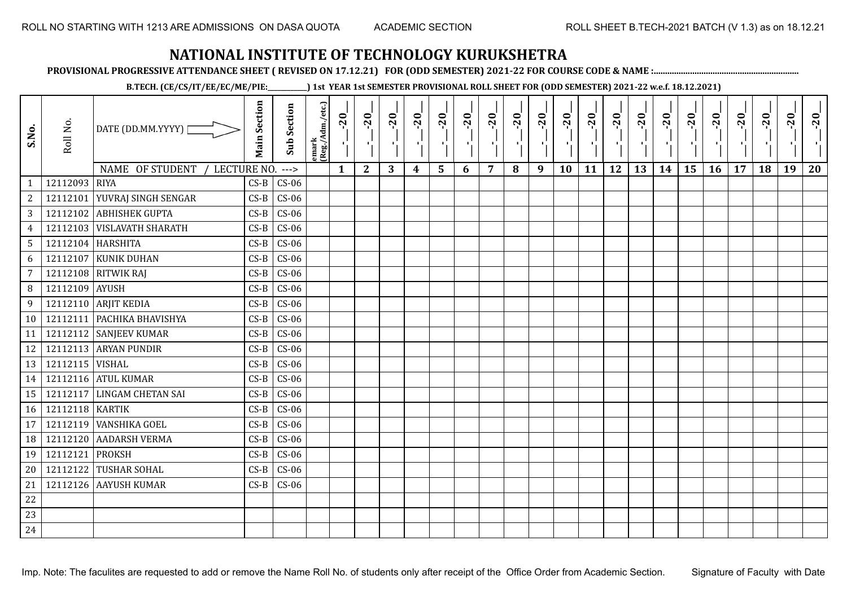**PROVISIONAL PROGRESSIVE ATTENDANCE SHEET ( REVISED ON 17.12.21) FOR (ODD SEMESTER) 2021-22 FOR COURSE CODE & NAME :................................................................**

**B.TECH. (CE/CS/IT/EE/EC/ME/PIE:\_\_\_\_\_\_\_\_\_\_\_\_) 1st YEAR 1st SEMESTER PROVISIONAL ROLL SHEET FOR (ODD SEMESTER) 2021-22 w.e.f. 18.12.2021)**

| S.No.           | Roll No.          | DATE (DD.MM.YYYY)  <br>NAME OF STUDENT<br>LECTURE NO. | <b>Main Section</b> | <b>Sub Section</b><br>$---$ | emark<br>(Reg./Adm./etc.) | $-20$<br>$\mathbf{1}$ | $-20$<br>л÷,<br>$\mathbf{2}$ | $-20$<br>л.<br>3 | $-20$<br>4 | $-20$<br>л.<br>5 | $-20$<br>6 | $-20$<br>7 | $-20$<br>8 | $-20$<br>π÷<br>9 | $-20$<br>л,<br>10 | $-20$<br>11 | $-20$<br>πī<br>12 | $-20$<br>13 | $-20$<br>14 | $-20$<br>۱,<br>15 | $-20$<br>16 | $-20$<br>17 | $-20$<br>18 | $-20$<br>ч.<br>19 | $-20$<br>20 |
|-----------------|-------------------|-------------------------------------------------------|---------------------|-----------------------------|---------------------------|-----------------------|------------------------------|------------------|------------|------------------|------------|------------|------------|------------------|-------------------|-------------|-------------------|-------------|-------------|-------------------|-------------|-------------|-------------|-------------------|-------------|
| $\mathbf{1}$    | 12112093          | <b>RIYA</b>                                           | $CS-B$              | $CS-06$                     |                           |                       |                              |                  |            |                  |            |            |            |                  |                   |             |                   |             |             |                   |             |             |             |                   |             |
| 2               | 12112101          | <b>YUVRAJ SINGH SENGAR</b>                            | $CS-B$              | $CS-06$                     |                           |                       |                              |                  |            |                  |            |            |            |                  |                   |             |                   |             |             |                   |             |             |             |                   |             |
| 3               |                   | 12112102 ABHISHEK GUPTA                               | $CS-B$              | $CS-06$                     |                           |                       |                              |                  |            |                  |            |            |            |                  |                   |             |                   |             |             |                   |             |             |             |                   |             |
| $\overline{4}$  |                   | 12112103   VISLAVATH SHARATH                          | $CS-B$              | $CS-06$                     |                           |                       |                              |                  |            |                  |            |            |            |                  |                   |             |                   |             |             |                   |             |             |             |                   |             |
| $5\phantom{.0}$ | 12112104 HARSHITA |                                                       | $CS-B$              | $CS-06$                     |                           |                       |                              |                  |            |                  |            |            |            |                  |                   |             |                   |             |             |                   |             |             |             |                   |             |
| 6               | 12112107          | <b>KUNIK DUHAN</b>                                    | $CS-B$              | $CS-06$                     |                           |                       |                              |                  |            |                  |            |            |            |                  |                   |             |                   |             |             |                   |             |             |             |                   |             |
| $\overline{7}$  | 12112108          | <b>RITWIK RAJ</b>                                     | $CS-B$              | $CS-06$                     |                           |                       |                              |                  |            |                  |            |            |            |                  |                   |             |                   |             |             |                   |             |             |             |                   |             |
| 8               | 12112109          | <b>AYUSH</b>                                          | $CS-B$              | $CS-06$                     |                           |                       |                              |                  |            |                  |            |            |            |                  |                   |             |                   |             |             |                   |             |             |             |                   |             |
| 9               |                   | 12112110 ARJIT KEDIA                                  | $CS-B$              | $CS-06$                     |                           |                       |                              |                  |            |                  |            |            |            |                  |                   |             |                   |             |             |                   |             |             |             |                   |             |
| 10              |                   | 12112111 PACHIKA BHAVISHYA                            | $CS-B$              | $CS-06$                     |                           |                       |                              |                  |            |                  |            |            |            |                  |                   |             |                   |             |             |                   |             |             |             |                   |             |
| 11              |                   | 12112112 SANJEEV KUMAR                                | $CS-B$              | $CS-06$                     |                           |                       |                              |                  |            |                  |            |            |            |                  |                   |             |                   |             |             |                   |             |             |             |                   |             |
| 12              |                   | 12112113 ARYAN PUNDIR                                 | $CS-B$              | $CS-06$                     |                           |                       |                              |                  |            |                  |            |            |            |                  |                   |             |                   |             |             |                   |             |             |             |                   |             |
| 13              | 12112115 VISHAL   |                                                       | $CS-B$              | $CS-06$                     |                           |                       |                              |                  |            |                  |            |            |            |                  |                   |             |                   |             |             |                   |             |             |             |                   |             |
| 14              |                   | 12112116 ATUL KUMAR                                   | $CS-B$              | $CS-06$                     |                           |                       |                              |                  |            |                  |            |            |            |                  |                   |             |                   |             |             |                   |             |             |             |                   |             |
| 15              | 12112117          | <b>LINGAM CHETAN SAI</b>                              | $CS-B$              | $CS-06$                     |                           |                       |                              |                  |            |                  |            |            |            |                  |                   |             |                   |             |             |                   |             |             |             |                   |             |
| 16              | 12112118 KARTIK   |                                                       | $CS-B$              | $CS-06$                     |                           |                       |                              |                  |            |                  |            |            |            |                  |                   |             |                   |             |             |                   |             |             |             |                   |             |
| 17              | 12112119          | <b>VANSHIKA GOEL</b>                                  | $CS-B$              | $CS-06$                     |                           |                       |                              |                  |            |                  |            |            |            |                  |                   |             |                   |             |             |                   |             |             |             |                   |             |
| 18              | 12112120          | <b>AADARSH VERMA</b>                                  | $CS-B$              | $CS-06$                     |                           |                       |                              |                  |            |                  |            |            |            |                  |                   |             |                   |             |             |                   |             |             |             |                   |             |
| 19              | 12112121          | <b>PROKSH</b>                                         | $CS-B$              | $CS-06$                     |                           |                       |                              |                  |            |                  |            |            |            |                  |                   |             |                   |             |             |                   |             |             |             |                   |             |
| 20              | 12112122          | <b>TUSHAR SOHAL</b>                                   | $CS-B$              | $CS-06$                     |                           |                       |                              |                  |            |                  |            |            |            |                  |                   |             |                   |             |             |                   |             |             |             |                   |             |
| 21              |                   | 12112126 AAYUSH KUMAR                                 | $CS-B$              | $CS-06$                     |                           |                       |                              |                  |            |                  |            |            |            |                  |                   |             |                   |             |             |                   |             |             |             |                   |             |
| 22              |                   |                                                       |                     |                             |                           |                       |                              |                  |            |                  |            |            |            |                  |                   |             |                   |             |             |                   |             |             |             |                   |             |
| 23              |                   |                                                       |                     |                             |                           |                       |                              |                  |            |                  |            |            |            |                  |                   |             |                   |             |             |                   |             |             |             |                   |             |
| 24              |                   |                                                       |                     |                             |                           |                       |                              |                  |            |                  |            |            |            |                  |                   |             |                   |             |             |                   |             |             |             |                   |             |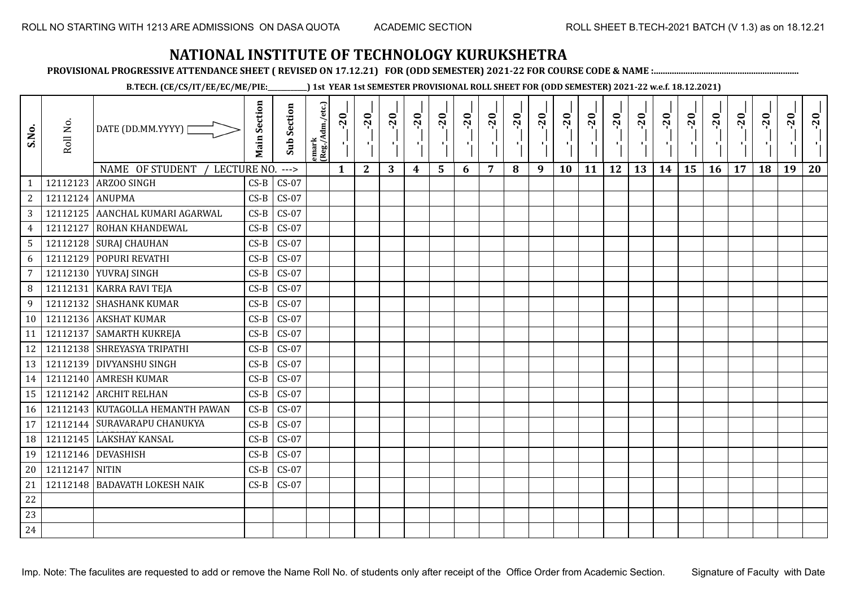**PROVISIONAL PROGRESSIVE ATTENDANCE SHEET ( REVISED ON 17.12.21) FOR (ODD SEMESTER) 2021-22 FOR COURSE CODE & NAME :................................................................**

**B.TECH. (CE/CS/IT/EE/EC/ME/PIE:\_\_\_\_\_\_\_\_\_\_\_\_) 1st YEAR 1st SEMESTER PROVISIONAL ROLL SHEET FOR (ODD SEMESTER) 2021-22 w.e.f. 18.12.2021)**

| 18<br>19<br>20<br>15<br>16<br>17 |
|----------------------------------|
|                                  |
|                                  |
|                                  |
|                                  |
|                                  |
|                                  |
|                                  |
|                                  |
|                                  |
|                                  |
|                                  |
|                                  |
|                                  |
|                                  |
|                                  |
|                                  |
|                                  |
|                                  |
|                                  |
|                                  |
|                                  |
|                                  |
|                                  |
|                                  |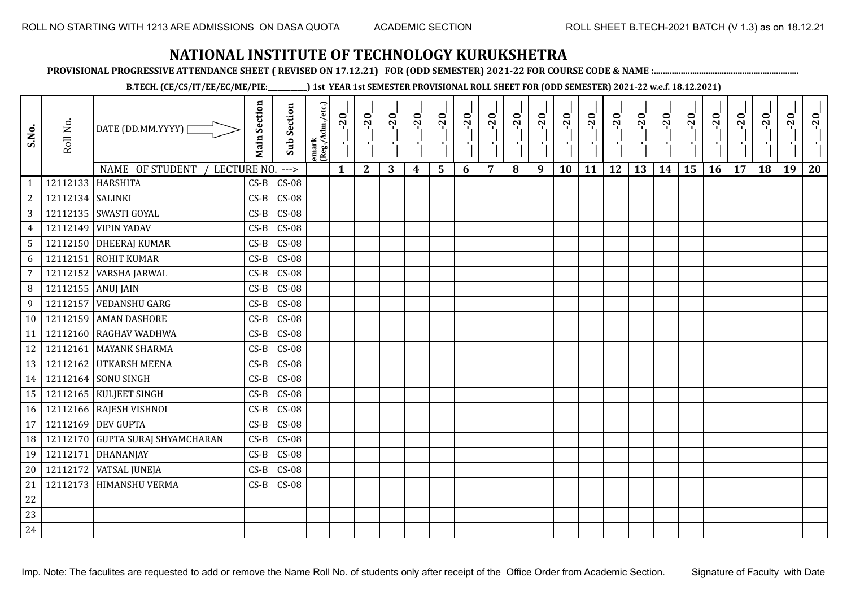**PROVISIONAL PROGRESSIVE ATTENDANCE SHEET ( REVISED ON 17.12.21) FOR (ODD SEMESTER) 2021-22 FOR COURSE CODE & NAME :................................................................**

**B.TECH. (CE/CS/IT/EE/EC/ME/PIE:\_\_\_\_\_\_\_\_\_\_\_\_) 1st YEAR 1st SEMESTER PROVISIONAL ROLL SHEET FOR (ODD SEMESTER) 2021-22 w.e.f. 18.12.2021)**

| S.No.          | Roll No.         | DATE (DD.MM.YYYY)              | <b>Main Section</b> | <b>Sub Section</b> | emark<br> (Reg./Adm./etc.) | $-20$<br>雪   | $-20$        | $-20$ | $-20$ | $-20$ | $-20$<br>×. | $-20$ | $-20$ | $-20$<br>π÷ | $-20$<br>л, | $-20$ | $-20$ | $-20$ | $-20$<br>$\blacksquare$ | $-20$<br>۱, | $-20$ | $-20$ | $-20$ | $-20$<br>×í. | $-20$ |
|----------------|------------------|--------------------------------|---------------------|--------------------|----------------------------|--------------|--------------|-------|-------|-------|-------------|-------|-------|-------------|-------------|-------|-------|-------|-------------------------|-------------|-------|-------|-------|--------------|-------|
|                |                  | NAME OF STUDENT<br>LECTURE NO. |                     | $--->$             |                            | $\mathbf{1}$ | $\mathbf{2}$ | 3     | 4     | 5     | 6           | 7     | 8     | 9           | 10          | 11    | 12    | 13    | 14                      | 15          | 16    | 17    | 18    | 19           | 20    |
| 1              | 12112133         | HARSHITA                       | $CS-B$              | $CS-08$            |                            |              |              |       |       |       |             |       |       |             |             |       |       |       |                         |             |       |       |       |              |       |
| $\sqrt{2}$     | 12112134 SALINKI |                                | $CS-B$              | $CS-08$            |                            |              |              |       |       |       |             |       |       |             |             |       |       |       |                         |             |       |       |       |              |       |
| $\mathbf{3}$   |                  | 12112135 SWASTI GOYAL          | $CS-B$              | $CS-08$            |                            |              |              |       |       |       |             |       |       |             |             |       |       |       |                         |             |       |       |       |              |       |
| $\overline{4}$ | 12112149         | <b>VIPIN YADAV</b>             | $CS-B$              | $CS-08$            |                            |              |              |       |       |       |             |       |       |             |             |       |       |       |                         |             |       |       |       |              |       |
| $\mathsf S$    |                  | 12112150 DHEERAJ KUMAR         | $CS-B$              | $CS-08$            |                            |              |              |       |       |       |             |       |       |             |             |       |       |       |                         |             |       |       |       |              |       |
| 6              | 12112151         | <b>ROHIT KUMAR</b>             | $CS-B$              | $CS-08$            |                            |              |              |       |       |       |             |       |       |             |             |       |       |       |                         |             |       |       |       |              |       |
| $\overline{7}$ | 12112152         | <b>VARSHA JARWAL</b>           | $CS-B$              | $CS-08$            |                            |              |              |       |       |       |             |       |       |             |             |       |       |       |                         |             |       |       |       |              |       |
| $\, 8$         | 12112155         | <b>ANUJ JAIN</b>               | $CS-B$              | $CS-08$            |                            |              |              |       |       |       |             |       |       |             |             |       |       |       |                         |             |       |       |       |              |       |
| 9              | 12112157         | <b>VEDANSHU GARG</b>           | $CS-B$              | $CS-08$            |                            |              |              |       |       |       |             |       |       |             |             |       |       |       |                         |             |       |       |       |              |       |
| 10             | 12112159         | <b>AMAN DASHORE</b>            | $CS-B$              | $CS-08$            |                            |              |              |       |       |       |             |       |       |             |             |       |       |       |                         |             |       |       |       |              |       |
| 11             | 12112160         | <b>RAGHAV WADHWA</b>           | $CS-B$              | $CS-08$            |                            |              |              |       |       |       |             |       |       |             |             |       |       |       |                         |             |       |       |       |              |       |
| 12             | 12112161         | <b>MAYANK SHARMA</b>           | $CS-B$              | $CS-08$            |                            |              |              |       |       |       |             |       |       |             |             |       |       |       |                         |             |       |       |       |              |       |
| 13             |                  | 12112162 UTKARSH MEENA         | $CS-B$              | $CS-08$            |                            |              |              |       |       |       |             |       |       |             |             |       |       |       |                         |             |       |       |       |              |       |
| 14             |                  | 12112164 SONU SINGH            | $CS-B$              | $CS-08$            |                            |              |              |       |       |       |             |       |       |             |             |       |       |       |                         |             |       |       |       |              |       |
| 15             |                  | 12112165 KULJEET SINGH         | $CS-B$              | $CS-08$            |                            |              |              |       |       |       |             |       |       |             |             |       |       |       |                         |             |       |       |       |              |       |
| 16             |                  | 12112166 RAJESH VISHNOI        | $CS-B$              | $CS-08$            |                            |              |              |       |       |       |             |       |       |             |             |       |       |       |                         |             |       |       |       |              |       |
| 17             | 12112169         | <b>DEV GUPTA</b>               | $CS-B$              | $CS-08$            |                            |              |              |       |       |       |             |       |       |             |             |       |       |       |                         |             |       |       |       |              |       |
| 18             | 12112170         | <b>GUPTA SURAJ SHYAMCHARAN</b> | $CS-B$              | $CS-08$            |                            |              |              |       |       |       |             |       |       |             |             |       |       |       |                         |             |       |       |       |              |       |
| 19             | 12112171         | DHANANJAY                      | $CS-B$              | $CS-08$            |                            |              |              |       |       |       |             |       |       |             |             |       |       |       |                         |             |       |       |       |              |       |
| 20             | 12112172         | <b>VATSAL JUNEJA</b>           | $CS-B$              | $CS-08$            |                            |              |              |       |       |       |             |       |       |             |             |       |       |       |                         |             |       |       |       |              |       |
| 21             | 12112173         | <b>HIMANSHU VERMA</b>          | $CS-B$              | $CS-08$            |                            |              |              |       |       |       |             |       |       |             |             |       |       |       |                         |             |       |       |       |              |       |
| $22\,$         |                  |                                |                     |                    |                            |              |              |       |       |       |             |       |       |             |             |       |       |       |                         |             |       |       |       |              |       |
| 23             |                  |                                |                     |                    |                            |              |              |       |       |       |             |       |       |             |             |       |       |       |                         |             |       |       |       |              |       |
| 24             |                  |                                |                     |                    |                            |              |              |       |       |       |             |       |       |             |             |       |       |       |                         |             |       |       |       |              |       |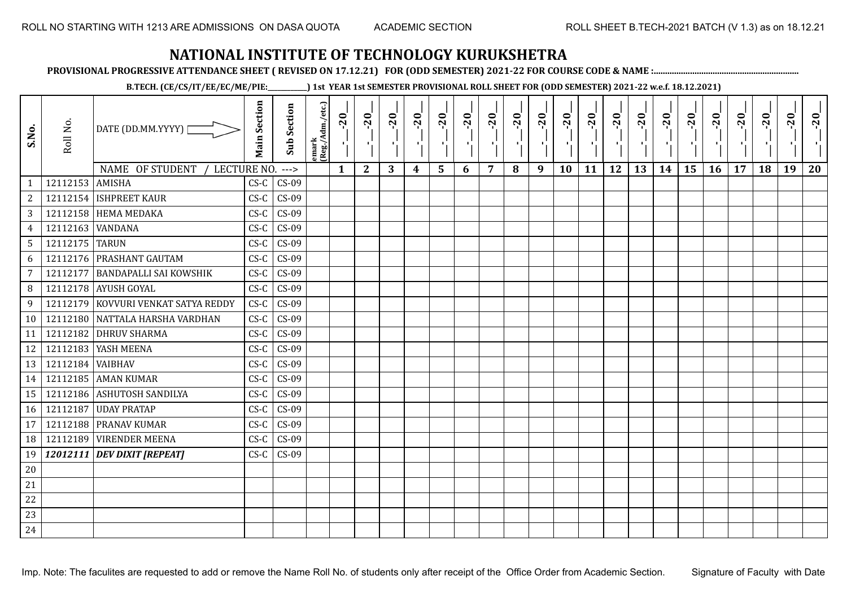**PROVISIONAL PROGRESSIVE ATTENDANCE SHEET ( REVISED ON 17.12.21) FOR (ODD SEMESTER) 2021-22 FOR COURSE CODE & NAME :................................................................**

**B.TECH. (CE/CS/IT/EE/EC/ME/PIE:\_\_\_\_\_\_\_\_\_\_\_\_) 1st YEAR 1st SEMESTER PROVISIONAL ROLL SHEET FOR (ODD SEMESTER) 2021-22 w.e.f. 18.12.2021)**

| S.No.          | Roll No.         | DATE (DD.MM.YYYY)<br>NAME OF STUDENT | <b>Main Section</b> | <b>Sub Section</b> | emark<br> (Reg./Adm./etc.) | $-20$        | $-20$<br>π÷<br>$\mathbf{2}$ | $-20$<br>-10 | $-20$<br>шJ | $-20$<br>$\blacksquare$ | $-20$<br>п, | $-20$<br>٠ | $-20$ | $-20$<br>тj | $-20$<br>٠,<br>10 | $-20$<br>пJ<br>11 | $-20$<br>ТJ<br>12 | $-20$ | $-20$<br>-10<br>14 | $-20$<br>٠i<br>15 | $-20$<br>π÷ | $-20$<br>- 1<br>17 | $-20$<br>18 | $-20$<br>19 | $-20$<br>20 |
|----------------|------------------|--------------------------------------|---------------------|--------------------|----------------------------|--------------|-----------------------------|--------------|-------------|-------------------------|-------------|------------|-------|-------------|-------------------|-------------------|-------------------|-------|--------------------|-------------------|-------------|--------------------|-------------|-------------|-------------|
| $\mathbf{1}$   | 12112153 AMISHA  | LECTURE NO.                          | $CS-C$              | $---$<br>$CS-09$   |                            | $\mathbf{1}$ |                             | 3            | 4           | 5                       | 6           | 7          | 8     | 9           |                   |                   |                   | 13    |                    |                   | 16          |                    |             |             |             |
| $\overline{2}$ |                  | 12112154 ISHPREET KAUR               | $CS-C$              | $CS-09$            |                            |              |                             |              |             |                         |             |            |       |             |                   |                   |                   |       |                    |                   |             |                    |             |             |             |
| $\mathbf{3}$   |                  | 12112158 HEMA MEDAKA                 | $CS-C$              | $CS-09$            |                            |              |                             |              |             |                         |             |            |       |             |                   |                   |                   |       |                    |                   |             |                    |             |             |             |
| $\overline{4}$ | 12112163 WANDANA |                                      | $CS-C$              | $CS-09$            |                            |              |                             |              |             |                         |             |            |       |             |                   |                   |                   |       |                    |                   |             |                    |             |             |             |
| 5 <sup>5</sup> | 12112175 TARUN   |                                      | $CS-C$              | $CS-09$            |                            |              |                             |              |             |                         |             |            |       |             |                   |                   |                   |       |                    |                   |             |                    |             |             |             |
| 6              |                  | 12112176 PRASHANT GAUTAM             | $CS-C$              | $CS-09$            |                            |              |                             |              |             |                         |             |            |       |             |                   |                   |                   |       |                    |                   |             |                    |             |             |             |
| $\overline{7}$ | 12112177         | <b>BANDAPALLI SAI KOWSHIK</b>        | $CS-C$              | $CS-09$            |                            |              |                             |              |             |                         |             |            |       |             |                   |                   |                   |       |                    |                   |             |                    |             |             |             |
| 8              |                  | 12112178 AYUSH GOYAL                 | $CS-C$              | $CS-09$            |                            |              |                             |              |             |                         |             |            |       |             |                   |                   |                   |       |                    |                   |             |                    |             |             |             |
| 9              |                  | 12112179 KOVVURI VENKAT SATYA REDDY  | $CS-C$              | $CS-09$            |                            |              |                             |              |             |                         |             |            |       |             |                   |                   |                   |       |                    |                   |             |                    |             |             |             |
| 10             |                  | 12112180 NATTALA HARSHA VARDHAN      | $CS-C$              | $CS-09$            |                            |              |                             |              |             |                         |             |            |       |             |                   |                   |                   |       |                    |                   |             |                    |             |             |             |
| 11             |                  | 12112182 DHRUV SHARMA                | $CS-C$              | $CS-09$            |                            |              |                             |              |             |                         |             |            |       |             |                   |                   |                   |       |                    |                   |             |                    |             |             |             |
| 12             |                  | 12112183   YASH MEENA                | $CS-C$              | $CS-09$            |                            |              |                             |              |             |                         |             |            |       |             |                   |                   |                   |       |                    |                   |             |                    |             |             |             |
| 13             | 12112184 VAIBHAV |                                      | $CS-C$              | $CS-09$            |                            |              |                             |              |             |                         |             |            |       |             |                   |                   |                   |       |                    |                   |             |                    |             |             |             |
| 14             |                  | 12112185 AMAN KUMAR                  | $CS-C$              | $CS-09$            |                            |              |                             |              |             |                         |             |            |       |             |                   |                   |                   |       |                    |                   |             |                    |             |             |             |
| 15             |                  | 12112186 ASHUTOSH SANDILYA           | $CS-C$              | $CS-09$            |                            |              |                             |              |             |                         |             |            |       |             |                   |                   |                   |       |                    |                   |             |                    |             |             |             |
| 16             |                  | 12112187 UDAY PRATAP                 | $CS-C$              | $CS-09$            |                            |              |                             |              |             |                         |             |            |       |             |                   |                   |                   |       |                    |                   |             |                    |             |             |             |
| 17             |                  | 12112188 PRANAV KUMAR                | $CS-C$              | $CS-09$            |                            |              |                             |              |             |                         |             |            |       |             |                   |                   |                   |       |                    |                   |             |                    |             |             |             |
| 18             |                  | 12112189 VIRENDER MEENA              | $CS-C$              | $CS-09$            |                            |              |                             |              |             |                         |             |            |       |             |                   |                   |                   |       |                    |                   |             |                    |             |             |             |
| 19             |                  | 12012111 DEV DIXIT [REPEAT]          | $CS-C$              | $CS-09$            |                            |              |                             |              |             |                         |             |            |       |             |                   |                   |                   |       |                    |                   |             |                    |             |             |             |
| $20\,$         |                  |                                      |                     |                    |                            |              |                             |              |             |                         |             |            |       |             |                   |                   |                   |       |                    |                   |             |                    |             |             |             |
| 21             |                  |                                      |                     |                    |                            |              |                             |              |             |                         |             |            |       |             |                   |                   |                   |       |                    |                   |             |                    |             |             |             |
| 22             |                  |                                      |                     |                    |                            |              |                             |              |             |                         |             |            |       |             |                   |                   |                   |       |                    |                   |             |                    |             |             |             |
| 23             |                  |                                      |                     |                    |                            |              |                             |              |             |                         |             |            |       |             |                   |                   |                   |       |                    |                   |             |                    |             |             |             |
| 24             |                  |                                      |                     |                    |                            |              |                             |              |             |                         |             |            |       |             |                   |                   |                   |       |                    |                   |             |                    |             |             |             |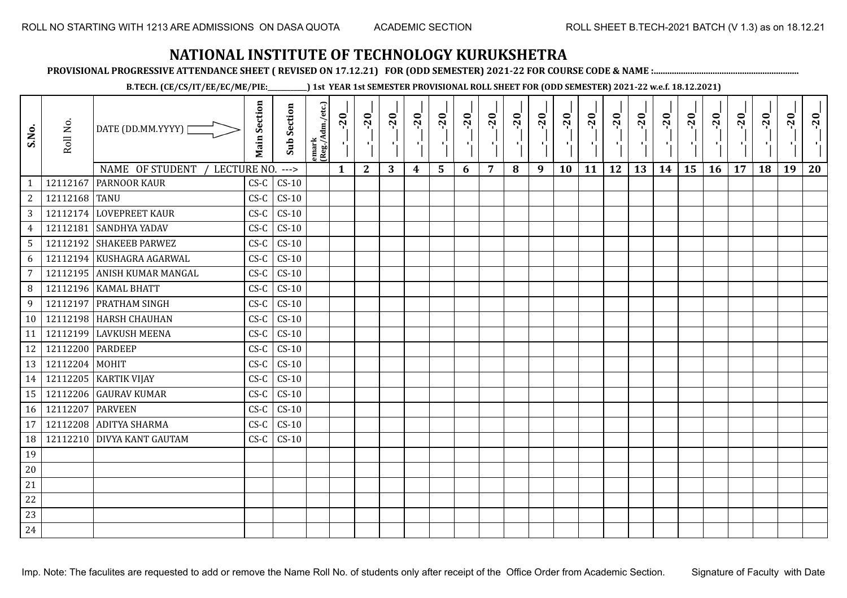**PROVISIONAL PROGRESSIVE ATTENDANCE SHEET ( REVISED ON 17.12.21) FOR (ODD SEMESTER) 2021-22 FOR COURSE CODE & NAME :................................................................**

**B.TECH. (CE/CS/IT/EE/EC/ME/PIE:\_\_\_\_\_\_\_\_\_\_\_\_) 1st YEAR 1st SEMESTER PROVISIONAL ROLL SHEET FOR (ODD SEMESTER) 2021-22 w.e.f. 18.12.2021)**

| S.No.             | Roll No.         | DATE (DD.MM.YYYY)                                     | <b>Main Section</b> | <b>Sub Section</b> | emark<br> (Reg./Adm./etc.) | $-20$        | $-20$        | $-20$<br>л. | $-20$ | $-20$<br>л. | $-20$ | $-20$ | $-20$ | $-20$<br>ш | $-20$<br>л, | $-20$ | $-20$<br>πī | $-20$ | $-20$ | $-20$<br>٠, | $-20$ | $-20$ | $-20$ | $-20$<br>×í. | $-20$ |
|-------------------|------------------|-------------------------------------------------------|---------------------|--------------------|----------------------------|--------------|--------------|-------------|-------|-------------|-------|-------|-------|------------|-------------|-------|-------------|-------|-------|-------------|-------|-------|-------|--------------|-------|
|                   | 12112167         | NAME OF STUDENT<br>LECTURE NO.<br><b>PARNOOR KAUR</b> | $CS-C$              | $--->$             |                            | $\mathbf{1}$ | $\mathbf{2}$ | 3           | 4     | 5           | 6     | 7     | 8     | 9          | 10          | 11    | 12          | 13    | 14    | 15          | 16    | 17    | 18    | 19           | 20    |
| 1<br>$\mathbf{2}$ | 12112168 TANU    |                                                       | $CS-C$              | $CS-10$<br>$CS-10$ |                            |              |              |             |       |             |       |       |       |            |             |       |             |       |       |             |       |       |       |              |       |
| 3                 |                  | 12112174 LOVEPREET KAUR                               | $CS-C$              | $CS-10$            |                            |              |              |             |       |             |       |       |       |            |             |       |             |       |       |             |       |       |       |              |       |
| $\overline{4}$    | 12112181         | <b>SANDHYA YADAV</b>                                  | $CS-C$              | $CS-10$            |                            |              |              |             |       |             |       |       |       |            |             |       |             |       |       |             |       |       |       |              |       |
| $5\overline{)}$   |                  | 12112192 SHAKEEB PARWEZ                               | $CS-C$              | $CS-10$            |                            |              |              |             |       |             |       |       |       |            |             |       |             |       |       |             |       |       |       |              |       |
| 6                 |                  | 12112194 KUSHAGRA AGARWAL                             | $CS-C$              | $CS-10$            |                            |              |              |             |       |             |       |       |       |            |             |       |             |       |       |             |       |       |       |              |       |
| $\overline{7}$    | 12112195         | <b>ANISH KUMAR MANGAL</b>                             | $CS-C$              | $CS-10$            |                            |              |              |             |       |             |       |       |       |            |             |       |             |       |       |             |       |       |       |              |       |
| 8                 |                  | 12112196   KAMAL BHATT                                | $CS-C$              | $CS-10$            |                            |              |              |             |       |             |       |       |       |            |             |       |             |       |       |             |       |       |       |              |       |
| 9                 | 12112197         | <b>PRATHAM SINGH</b>                                  | $CS-C$              | $CS-10$            |                            |              |              |             |       |             |       |       |       |            |             |       |             |       |       |             |       |       |       |              |       |
| 10                |                  | 12112198 HARSH CHAUHAN                                | $CS-C$              | $CS-10$            |                            |              |              |             |       |             |       |       |       |            |             |       |             |       |       |             |       |       |       |              |       |
| 11                | 12112199         | <b>LAVKUSH MEENA</b>                                  | $CS-C$              | $CS-10$            |                            |              |              |             |       |             |       |       |       |            |             |       |             |       |       |             |       |       |       |              |       |
| 12                | 12112200 PARDEEP |                                                       | $CS-C$              | $CS-10$            |                            |              |              |             |       |             |       |       |       |            |             |       |             |       |       |             |       |       |       |              |       |
| 13                | 12112204         | <b>MOHIT</b>                                          | $CS-C$              | $CS-10$            |                            |              |              |             |       |             |       |       |       |            |             |       |             |       |       |             |       |       |       |              |       |
| 14                |                  | 12112205   KARTIK VIJAY                               | $CS-C$              | $CS-10$            |                            |              |              |             |       |             |       |       |       |            |             |       |             |       |       |             |       |       |       |              |       |
| 15                |                  | 12112206 GAURAV KUMAR                                 | $CS-C$              | $CS-10$            |                            |              |              |             |       |             |       |       |       |            |             |       |             |       |       |             |       |       |       |              |       |
|                   |                  | <b>PARVEEN</b>                                        |                     | $CS-10$            |                            |              |              |             |       |             |       |       |       |            |             |       |             |       |       |             |       |       |       |              |       |
| 16                | 12112207         |                                                       | $CS-C$              | $CS-10$            |                            |              |              |             |       |             |       |       |       |            |             |       |             |       |       |             |       |       |       |              |       |
| 17                |                  | 12112208 ADITYA SHARMA                                | $CS-C$              |                    |                            |              |              |             |       |             |       |       |       |            |             |       |             |       |       |             |       |       |       |              |       |
| 18                | 12112210         | <b>DIVYA KANT GAUTAM</b>                              | $CS-C$              | $CS-10$            |                            |              |              |             |       |             |       |       |       |            |             |       |             |       |       |             |       |       |       |              |       |
| 19                |                  |                                                       |                     |                    |                            |              |              |             |       |             |       |       |       |            |             |       |             |       |       |             |       |       |       |              |       |
| 20                |                  |                                                       |                     |                    |                            |              |              |             |       |             |       |       |       |            |             |       |             |       |       |             |       |       |       |              |       |
| 21                |                  |                                                       |                     |                    |                            |              |              |             |       |             |       |       |       |            |             |       |             |       |       |             |       |       |       |              |       |
| 22                |                  |                                                       |                     |                    |                            |              |              |             |       |             |       |       |       |            |             |       |             |       |       |             |       |       |       |              |       |
| 23                |                  |                                                       |                     |                    |                            |              |              |             |       |             |       |       |       |            |             |       |             |       |       |             |       |       |       |              |       |
| 24                |                  |                                                       |                     |                    |                            |              |              |             |       |             |       |       |       |            |             |       |             |       |       |             |       |       |       |              |       |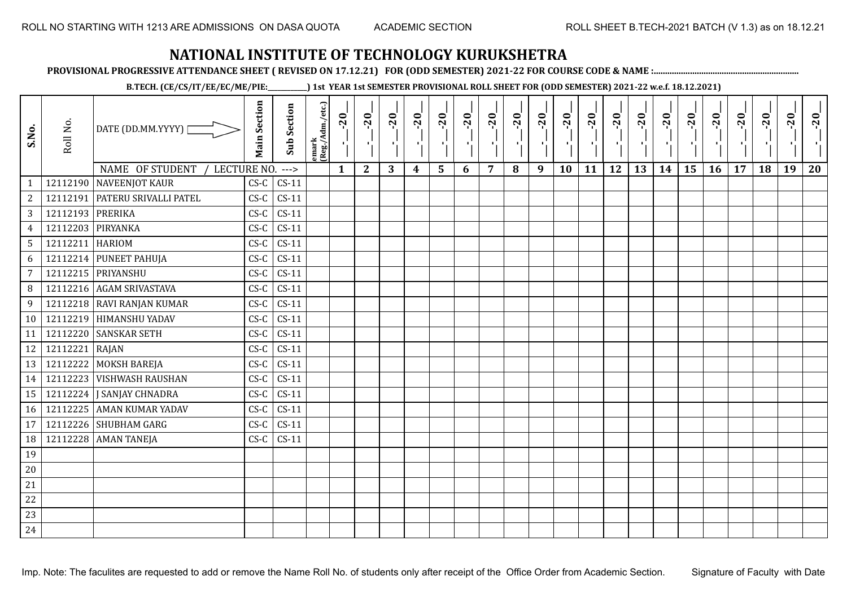**PROVISIONAL PROGRESSIVE ATTENDANCE SHEET ( REVISED ON 17.12.21) FOR (ODD SEMESTER) 2021-22 FOR COURSE CODE & NAME :................................................................**

**B.TECH. (CE/CS/IT/EE/EC/ME/PIE:\_\_\_\_\_\_\_\_\_\_\_\_) 1st YEAR 1st SEMESTER PROVISIONAL ROLL SHEET FOR (ODD SEMESTER) 2021-22 w.e.f. 18.12.2021)**

| S.No.           | Roll No.          | DATE (DD.MM.YYYY) [              | <b>Main Section</b> | <b>Sub Section</b> | emark<br> (Reg./Adm./etc.) | $-20$        | $-20$<br>P,  | $-20$ | $-20$<br>лj | $-20$<br>۱, | $-20$<br>π÷ | $-20$<br>- 1 | $-20$ | $-20$<br>- 1 | $-20$<br>٠ | $-20$<br>$\mathbf{r}$ | $-20$<br>шj | $-20$<br>로 | $-20$<br>$\blacksquare$ | $-20$<br>$\mathbf{r}_1^{\mathrm{T}}$ | $-20$<br>л÷. | $-20$ | $-20$ | $-20$<br>ч, | $-20$ |
|-----------------|-------------------|----------------------------------|---------------------|--------------------|----------------------------|--------------|--------------|-------|-------------|-------------|-------------|--------------|-------|--------------|------------|-----------------------|-------------|------------|-------------------------|--------------------------------------|--------------|-------|-------|-------------|-------|
|                 |                   | NAME OF STUDENT / LECTURE NO.    |                     | $--->$             |                            | $\mathbf{1}$ | $\mathbf{2}$ | 3     | 4           | 5           | 6           | 7            | 8     | 9            | 10         | 11                    | 12          | 13         | 14                      | 15                                   | 16           | 17    | 18    | 19          | 20    |
| $\mathbf{1}$    |                   | 12112190 NAVEENJOT KAUR          | $CS-C$              | $CS-11$            |                            |              |              |       |             |             |             |              |       |              |            |                       |             |            |                         |                                      |              |       |       |             |       |
| $\overline{2}$  |                   | 12112191   PATERU SRIVALLI PATEL | $CS-C$              | $CS-11$            |                            |              |              |       |             |             |             |              |       |              |            |                       |             |            |                         |                                      |              |       |       |             |       |
| $\overline{3}$  | 12112193 PRERIKA  |                                  | $CS-C$              | $CS-11$            |                            |              |              |       |             |             |             |              |       |              |            |                       |             |            |                         |                                      |              |       |       |             |       |
| $\overline{4}$  | 12112203 PIRYANKA |                                  | $CS-C$              | $CS-11$            |                            |              |              |       |             |             |             |              |       |              |            |                       |             |            |                         |                                      |              |       |       |             |       |
| $5\phantom{.0}$ | 12112211 HARIOM   |                                  | $CS-C$              | $CS-11$            |                            |              |              |       |             |             |             |              |       |              |            |                       |             |            |                         |                                      |              |       |       |             |       |
| 6               |                   | 12112214 PUNEET PAHUJA           | $CS-C$              | $CS-11$            |                            |              |              |       |             |             |             |              |       |              |            |                       |             |            |                         |                                      |              |       |       |             |       |
| $\overline{7}$  |                   | 12112215 PRIYANSHU               | $CS-C$              | $CS-11$            |                            |              |              |       |             |             |             |              |       |              |            |                       |             |            |                         |                                      |              |       |       |             |       |
| 8               |                   | 12112216 AGAM SRIVASTAVA         | $CS-C$              | $CS-11$            |                            |              |              |       |             |             |             |              |       |              |            |                       |             |            |                         |                                      |              |       |       |             |       |
| $\overline{9}$  |                   | 12112218 RAVI RANJAN KUMAR       | $CS-C$              | $CS-11$            |                            |              |              |       |             |             |             |              |       |              |            |                       |             |            |                         |                                      |              |       |       |             |       |
| 10              |                   | 12112219 HIMANSHU YADAV          | $CS-C$              | $CS-11$            |                            |              |              |       |             |             |             |              |       |              |            |                       |             |            |                         |                                      |              |       |       |             |       |
| 11              |                   | 12112220 SANSKAR SETH            | $CS-C$              | $CS-11$            |                            |              |              |       |             |             |             |              |       |              |            |                       |             |            |                         |                                      |              |       |       |             |       |
| 12              | 12112221 RAJAN    |                                  | $CS-C$              | $CS-11$            |                            |              |              |       |             |             |             |              |       |              |            |                       |             |            |                         |                                      |              |       |       |             |       |
| 13              |                   | 12112222 MOKSH BAREJA            | $CS-C$              | $CS-11$            |                            |              |              |       |             |             |             |              |       |              |            |                       |             |            |                         |                                      |              |       |       |             |       |
| 14              |                   | 12112223 VISHWASH RAUSHAN        | $CS-C$              | $CS-11$            |                            |              |              |       |             |             |             |              |       |              |            |                       |             |            |                         |                                      |              |       |       |             |       |
| 15              |                   | 12112224   J SANJAY CHNADRA      | $CS-C$              | $CS-11$            |                            |              |              |       |             |             |             |              |       |              |            |                       |             |            |                         |                                      |              |       |       |             |       |
| 16              |                   | 12112225 AMAN KUMAR YADAV        | $CS-C$              | $CS-11$            |                            |              |              |       |             |             |             |              |       |              |            |                       |             |            |                         |                                      |              |       |       |             |       |
| 17              |                   | 12112226 SHUBHAM GARG            | $CS-C$              | $CS-11$            |                            |              |              |       |             |             |             |              |       |              |            |                       |             |            |                         |                                      |              |       |       |             |       |
| 18              |                   | 12112228 AMAN TANEJA             | $CS-C$              | $CS-11$            |                            |              |              |       |             |             |             |              |       |              |            |                       |             |            |                         |                                      |              |       |       |             |       |
| 19              |                   |                                  |                     |                    |                            |              |              |       |             |             |             |              |       |              |            |                       |             |            |                         |                                      |              |       |       |             |       |
| $20\,$          |                   |                                  |                     |                    |                            |              |              |       |             |             |             |              |       |              |            |                       |             |            |                         |                                      |              |       |       |             |       |
| $21\,$          |                   |                                  |                     |                    |                            |              |              |       |             |             |             |              |       |              |            |                       |             |            |                         |                                      |              |       |       |             |       |
| 22              |                   |                                  |                     |                    |                            |              |              |       |             |             |             |              |       |              |            |                       |             |            |                         |                                      |              |       |       |             |       |
| 23              |                   |                                  |                     |                    |                            |              |              |       |             |             |             |              |       |              |            |                       |             |            |                         |                                      |              |       |       |             |       |
| 24              |                   |                                  |                     |                    |                            |              |              |       |             |             |             |              |       |              |            |                       |             |            |                         |                                      |              |       |       |             |       |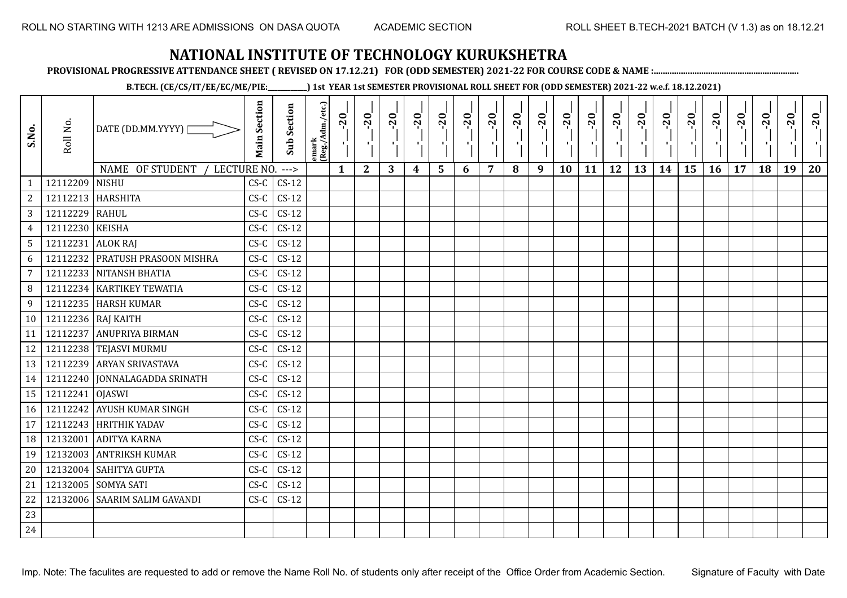**PROVISIONAL PROGRESSIVE ATTENDANCE SHEET ( REVISED ON 17.12.21) FOR (ODD SEMESTER) 2021-22 FOR COURSE CODE & NAME :................................................................**

**B.TECH. (CE/CS/IT/EE/EC/ME/PIE:\_\_\_\_\_\_\_\_\_\_\_\_) 1st YEAR 1st SEMESTER PROVISIONAL ROLL SHEET FOR (ODD SEMESTER) 2021-22 w.e.f. 18.12.2021)**

| S.No.          | Roll No.           | DATE (DD.MM.YYYY)              | <b>Main Section</b> | Sub Section | emark<br> (Reg./Adm./etc.) | $-20$        | $-20$<br>×.  | $-20$<br>л. | $-20$ | $-20$<br>л. | $-20$ | $-20$ | $-20$ | $-20$<br>π÷ | $-20$<br>л, | $-20$ | $-20$<br>πī | $-20$ | $-20$ | $-20$ | $-20$ | $-20$ | $-20$ | $-20$<br>к. | $-20$ |
|----------------|--------------------|--------------------------------|---------------------|-------------|----------------------------|--------------|--------------|-------------|-------|-------------|-------|-------|-------|-------------|-------------|-------|-------------|-------|-------|-------|-------|-------|-------|-------------|-------|
|                |                    | NAME OF STUDENT<br>LECTURE NO. |                     | $---$       |                            | $\mathbf{1}$ | $\mathbf{2}$ | 3           | 4     | 5           | 6     | 7     | 8     | 9           | <b>10</b>   | 11    | 12          | 13    | 14    | 15    | 16    | 17    | 18    | 19          | 20    |
| $\mathbf{1}$   | 12112209           | <b>NISHU</b>                   | $CS-C$              | $CS-12$     |                            |              |              |             |       |             |       |       |       |             |             |       |             |       |       |       |       |       |       |             |       |
| $\sqrt{2}$     | 12112213 HARSHITA  |                                | $CS-C$              | $CS-12$     |                            |              |              |             |       |             |       |       |       |             |             |       |             |       |       |       |       |       |       |             |       |
| 3              | 12112229           | RAHUL                          | $CS-C$              | $CS-12$     |                            |              |              |             |       |             |       |       |       |             |             |       |             |       |       |       |       |       |       |             |       |
| 4              | 12112230           | <b>KEISHA</b>                  | $CS-C$              | $CS-12$     |                            |              |              |             |       |             |       |       |       |             |             |       |             |       |       |       |       |       |       |             |       |
| 5              | 12112231 ALOK RAJ  |                                | $CS-C$              | $CS-12$     |                            |              |              |             |       |             |       |       |       |             |             |       |             |       |       |       |       |       |       |             |       |
| 6              | 12112232           | <b>PRATUSH PRASOON MISHRA</b>  | $CS-C$              | $CS-12$     |                            |              |              |             |       |             |       |       |       |             |             |       |             |       |       |       |       |       |       |             |       |
| $\overline{7}$ |                    | 12112233 NITANSH BHATIA        | $CS-C$              | $CS-12$     |                            |              |              |             |       |             |       |       |       |             |             |       |             |       |       |       |       |       |       |             |       |
| 8              |                    | 12112234   KARTIKEY TEWATIA    | $CS-C$              | $CS-12$     |                            |              |              |             |       |             |       |       |       |             |             |       |             |       |       |       |       |       |       |             |       |
| 9              |                    | 12112235 HARSH KUMAR           | $CS-C$              | $CS-12$     |                            |              |              |             |       |             |       |       |       |             |             |       |             |       |       |       |       |       |       |             |       |
| 10             | 12112236 RAJ KAITH |                                | $CS-C$              | $CS-12$     |                            |              |              |             |       |             |       |       |       |             |             |       |             |       |       |       |       |       |       |             |       |
| 11             | 12112237           | <b>ANUPRIYA BIRMAN</b>         | $CS-C$              | $CS-12$     |                            |              |              |             |       |             |       |       |       |             |             |       |             |       |       |       |       |       |       |             |       |
| 12             |                    | 12112238 TEJASVI MURMU         | $CS-C$              | $CS-12$     |                            |              |              |             |       |             |       |       |       |             |             |       |             |       |       |       |       |       |       |             |       |
| 13             |                    | 12112239 ARYAN SRIVASTAVA      | $CS-C$              | $CS-12$     |                            |              |              |             |       |             |       |       |       |             |             |       |             |       |       |       |       |       |       |             |       |
| 14             |                    | 12112240 JONNALAGADDA SRINATH  | $CS-C$              | $CS-12$     |                            |              |              |             |       |             |       |       |       |             |             |       |             |       |       |       |       |       |       |             |       |
| 15             | 12112241           | <b>OJASWI</b>                  | $CS-C$              | $CS-12$     |                            |              |              |             |       |             |       |       |       |             |             |       |             |       |       |       |       |       |       |             |       |
| 16             |                    | 12112242 AYUSH KUMAR SINGH     | $CS-C$              | $CS-12$     |                            |              |              |             |       |             |       |       |       |             |             |       |             |       |       |       |       |       |       |             |       |
| 17             |                    | 12112243 HRITHIK YADAV         | $CS-C$              | $CS-12$     |                            |              |              |             |       |             |       |       |       |             |             |       |             |       |       |       |       |       |       |             |       |
| 18             | 12132001           | <b>ADITYA KARNA</b>            | $CS-C$              | $CS-12$     |                            |              |              |             |       |             |       |       |       |             |             |       |             |       |       |       |       |       |       |             |       |
| 19             | 12132003           | <b>ANTRIKSH KUMAR</b>          | $CS-C$              | $CS-12$     |                            |              |              |             |       |             |       |       |       |             |             |       |             |       |       |       |       |       |       |             |       |
| 20             | 12132004           | SAHITYA GUPTA                  | $CS-C$              | $CS-12$     |                            |              |              |             |       |             |       |       |       |             |             |       |             |       |       |       |       |       |       |             |       |
| 21             |                    | 12132005 SOMYA SATI            | $CS-C$              | $CS-12$     |                            |              |              |             |       |             |       |       |       |             |             |       |             |       |       |       |       |       |       |             |       |
| 22             |                    | 12132006 SAARIM SALIM GAVANDI  | $CS-C$              | $CS-12$     |                            |              |              |             |       |             |       |       |       |             |             |       |             |       |       |       |       |       |       |             |       |
| 23             |                    |                                |                     |             |                            |              |              |             |       |             |       |       |       |             |             |       |             |       |       |       |       |       |       |             |       |
| 24             |                    |                                |                     |             |                            |              |              |             |       |             |       |       |       |             |             |       |             |       |       |       |       |       |       |             |       |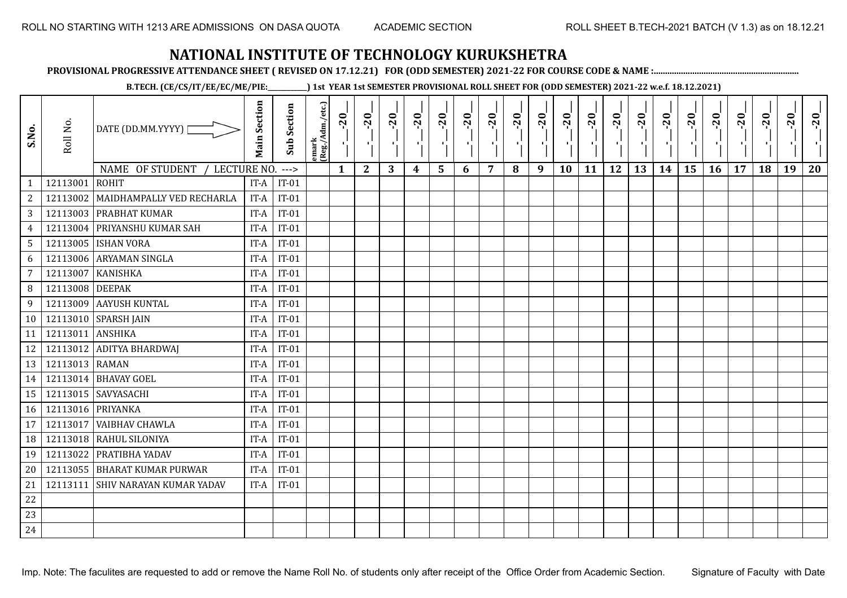**PROVISIONAL PROGRESSIVE ATTENDANCE SHEET ( REVISED ON 17.12.21) FOR (ODD SEMESTER) 2021-22 FOR COURSE CODE & NAME :................................................................**

**B.TECH. (CE/CS/IT/EE/EC/ME/PIE:\_\_\_\_\_\_\_\_\_\_\_\_) 1st YEAR 1st SEMESTER PROVISIONAL ROLL SHEET FOR (ODD SEMESTER) 2021-22 w.e.f. 18.12.2021)**

| S.No.                          | Roll No.          | DATE (DD.MM.YYYY)                              | <b>Main Section</b> | <b>Sub Section</b> | emark<br> (Reg./Adm./etc.) | $-20$        | $-20$<br>×.  | $-20$<br>л. | $-20$ | $-20$<br>л. | $-20$ | $-20$ | $-20$ | $-20$<br>π÷ | $-20$<br>л, | $-20$ | $-20$<br>πī | $-20$ | $-20$ | $-20$<br>۱, | $-20$ | $-20$ | $-20$ | $-20$<br>ч. | $-20$ |
|--------------------------------|-------------------|------------------------------------------------|---------------------|--------------------|----------------------------|--------------|--------------|-------------|-------|-------------|-------|-------|-------|-------------|-------------|-------|-------------|-------|-------|-------------|-------|-------|-------|-------------|-------|
|                                | 12113001          | NAME OF STUDENT<br>LECTURE NO.<br><b>ROHIT</b> |                     | $--->$<br>$IT-01$  |                            | $\mathbf{1}$ | $\mathbf{2}$ | 3           | 4     | 5           | 6     | 7     | 8     | 9           | 10          | 11    | 12          | 13    | 14    | 15          | 16    | 17    | 18    | 19          | 20    |
| $\mathbf{1}$<br>$\overline{c}$ | 12113002          | MAIDHAMPALLY VED RECHARLA                      | IT-A<br>IT-A        | $IT-01$            |                            |              |              |             |       |             |       |       |       |             |             |       |             |       |       |             |       |       |       |             |       |
| 3                              |                   | 12113003 PRABHAT KUMAR                         | IT-A                | $IT-01$            |                            |              |              |             |       |             |       |       |       |             |             |       |             |       |       |             |       |       |       |             |       |
| $\overline{4}$                 | 12113004          | PRIYANSHU KUMAR SAH                            | IT-A                | $IT-01$            |                            |              |              |             |       |             |       |       |       |             |             |       |             |       |       |             |       |       |       |             |       |
| $5\phantom{.0}$                | 12113005          | <b>ISHAN VORA</b>                              | IT-A                | $IT-01$            |                            |              |              |             |       |             |       |       |       |             |             |       |             |       |       |             |       |       |       |             |       |
| 6                              | 12113006          | <b>ARYAMAN SINGLA</b>                          | IT-A                | $IT-01$            |                            |              |              |             |       |             |       |       |       |             |             |       |             |       |       |             |       |       |       |             |       |
| 7                              | 12113007          | <b>KANISHKA</b>                                | IT-A                | $IT-01$            |                            |              |              |             |       |             |       |       |       |             |             |       |             |       |       |             |       |       |       |             |       |
| 8                              | 12113008          | <b>DEEPAK</b>                                  | IT-A                | $IT-01$            |                            |              |              |             |       |             |       |       |       |             |             |       |             |       |       |             |       |       |       |             |       |
| 9                              | 12113009          | <b>AAYUSH KUNTAL</b>                           | IT-A                | $IT-01$            |                            |              |              |             |       |             |       |       |       |             |             |       |             |       |       |             |       |       |       |             |       |
| 10                             |                   | 12113010 SPARSH JAIN                           | IT-A                | $IT-01$            |                            |              |              |             |       |             |       |       |       |             |             |       |             |       |       |             |       |       |       |             |       |
| 11                             | 12113011          | ANSHIKA                                        | IT-A                | $IT-01$            |                            |              |              |             |       |             |       |       |       |             |             |       |             |       |       |             |       |       |       |             |       |
| 12                             |                   | 12113012 ADITYA BHARDWAJ                       | IT-A                | $IT-01$            |                            |              |              |             |       |             |       |       |       |             |             |       |             |       |       |             |       |       |       |             |       |
| 13                             | 12113013 RAMAN    |                                                | IT-A                | $IT-01$            |                            |              |              |             |       |             |       |       |       |             |             |       |             |       |       |             |       |       |       |             |       |
| 14                             |                   | 12113014 BHAVAY GOEL                           | IT-A                | $IT-01$            |                            |              |              |             |       |             |       |       |       |             |             |       |             |       |       |             |       |       |       |             |       |
| 15                             |                   | 12113015 SAVYASACHI                            | IT-A                | $IT-01$            |                            |              |              |             |       |             |       |       |       |             |             |       |             |       |       |             |       |       |       |             |       |
| 16                             | 12113016 PRIYANKA |                                                | IT-A                | $IT-01$            |                            |              |              |             |       |             |       |       |       |             |             |       |             |       |       |             |       |       |       |             |       |
| 17                             | 12113017          | VAIBHAV CHAWLA                                 | IT-A                | $IT-01$            |                            |              |              |             |       |             |       |       |       |             |             |       |             |       |       |             |       |       |       |             |       |
| 18                             | 12113018          | RAHUL SILONIYA                                 | IT-A                | $IT-01$            |                            |              |              |             |       |             |       |       |       |             |             |       |             |       |       |             |       |       |       |             |       |
| 19                             | 12113022          | PRATIBHA YADAV                                 | IT-A                | $IT-01$            |                            |              |              |             |       |             |       |       |       |             |             |       |             |       |       |             |       |       |       |             |       |
| 20                             | 12113055          | <b>BHARAT KUMAR PURWAR</b>                     | IT-A                | $IT-01$            |                            |              |              |             |       |             |       |       |       |             |             |       |             |       |       |             |       |       |       |             |       |
| 21                             | 12113111          | <b>SHIV NARAYAN KUMAR YADAV</b>                | IT-A                | $IT-01$            |                            |              |              |             |       |             |       |       |       |             |             |       |             |       |       |             |       |       |       |             |       |
| 22                             |                   |                                                |                     |                    |                            |              |              |             |       |             |       |       |       |             |             |       |             |       |       |             |       |       |       |             |       |
| 23                             |                   |                                                |                     |                    |                            |              |              |             |       |             |       |       |       |             |             |       |             |       |       |             |       |       |       |             |       |
| 24                             |                   |                                                |                     |                    |                            |              |              |             |       |             |       |       |       |             |             |       |             |       |       |             |       |       |       |             |       |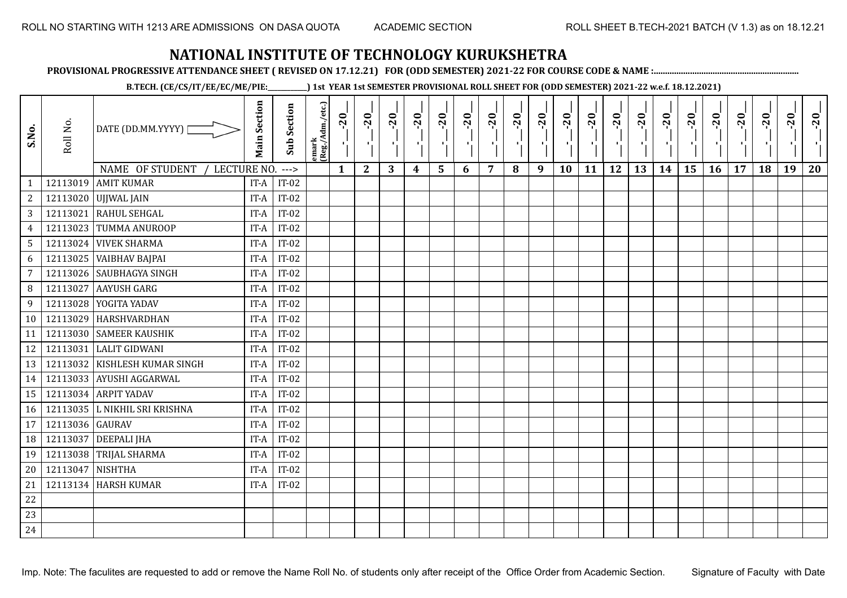**PROVISIONAL PROGRESSIVE ATTENDANCE SHEET ( REVISED ON 17.12.21) FOR (ODD SEMESTER) 2021-22 FOR COURSE CODE & NAME :................................................................**

**B.TECH. (CE/CS/IT/EE/EC/ME/PIE:\_\_\_\_\_\_\_\_\_\_\_\_) 1st YEAR 1st SEMESTER PROVISIONAL ROLL SHEET FOR (ODD SEMESTER) 2021-22 w.e.f. 18.12.2021)**

| S.No.            | Roll No.        | DATE (DD.MM.YYYY)                                   | <b>Main Section</b> | <b>Sub Section</b> | emark<br>(Reg./Adm./etc.) | $-20$        | $-20$        | $-20$<br>л. | $-20$            | $-20$<br>$\blacksquare$ | $-20$ | $-20$ | $-20$ | $-20$<br>π÷ | $-20$<br>л, | $-20$ | $-20$<br>л. | $-20$ | $-20$ | $-20$<br>۱, | $-20$ | $-20$ | $-20$ | $-20$<br>×. | $-20$ |
|------------------|-----------------|-----------------------------------------------------|---------------------|--------------------|---------------------------|--------------|--------------|-------------|------------------|-------------------------|-------|-------|-------|-------------|-------------|-------|-------------|-------|-------|-------------|-------|-------|-------|-------------|-------|
|                  | 12113019        | NAME OF STUDENT<br>LECTURE NO.<br><b>AMIT KUMAR</b> |                     | $---$<br>$IT-02$   |                           | $\mathbf{1}$ | $\mathbf{2}$ | 3           | $\boldsymbol{4}$ | 5                       | 6     | 7     | 8     | 9           | 10          | 11    | 12          | 13    | 14    | 15          | 16    | 17    | 18    | 19          | 20    |
| $\mathbf{1}$     |                 |                                                     | IT-A                | $IT-02$            |                           |              |              |             |                  |                         |       |       |       |             |             |       |             |       |       |             |       |       |       |             |       |
| 2                |                 | 12113020 UJJWAL JAIN                                | IT-A                |                    |                           |              |              |             |                  |                         |       |       |       |             |             |       |             |       |       |             |       |       |       |             |       |
| 3                | 12113021        | RAHUL SEHGAL                                        | IT-A                | $IT-02$            |                           |              |              |             |                  |                         |       |       |       |             |             |       |             |       |       |             |       |       |       |             |       |
| $\overline{4}$   | 12113023        | <b>TUMMA ANUROOP</b>                                | IT-A                | $IT-02$            |                           |              |              |             |                  |                         |       |       |       |             |             |       |             |       |       |             |       |       |       |             |       |
| $5\phantom{.0}$  |                 | 12113024 VIVEK SHARMA                               | IT-A                | $IT-02$            |                           |              |              |             |                  |                         |       |       |       |             |             |       |             |       |       |             |       |       |       |             |       |
| 6                | 12113025        | <b>VAIBHAV BAJPAI</b>                               | IT-A                | $IT-02$            |                           |              |              |             |                  |                         |       |       |       |             |             |       |             |       |       |             |       |       |       |             |       |
| 7                |                 | 12113026 SAUBHAGYA SINGH                            | IT-A                | $IT-02$            |                           |              |              |             |                  |                         |       |       |       |             |             |       |             |       |       |             |       |       |       |             |       |
| 8                | 12113027        | <b>AAYUSH GARG</b>                                  | IT-A                | $IT-02$            |                           |              |              |             |                  |                         |       |       |       |             |             |       |             |       |       |             |       |       |       |             |       |
| $\boldsymbol{9}$ |                 | 12113028 YOGITA YADAV                               | IT-A                | $IT-02$            |                           |              |              |             |                  |                         |       |       |       |             |             |       |             |       |       |             |       |       |       |             |       |
| 10               | 12113029        | HARSHVARDHAN                                        | IT-A                | $IT-02$            |                           |              |              |             |                  |                         |       |       |       |             |             |       |             |       |       |             |       |       |       |             |       |
| 11               |                 | 12113030 SAMEER KAUSHIK                             | IT-A                | $IT-02$            |                           |              |              |             |                  |                         |       |       |       |             |             |       |             |       |       |             |       |       |       |             |       |
| 12               | 12113031        | <b>LALIT GIDWANI</b>                                | IT-A                | $IT-02$            |                           |              |              |             |                  |                         |       |       |       |             |             |       |             |       |       |             |       |       |       |             |       |
| 13               |                 | 12113032 KISHLESH KUMAR SINGH                       | IT-A                | $IT-02$            |                           |              |              |             |                  |                         |       |       |       |             |             |       |             |       |       |             |       |       |       |             |       |
| 14               |                 | 12113033 AYUSHI AGGARWAL                            | IT-A                | $IT-02$            |                           |              |              |             |                  |                         |       |       |       |             |             |       |             |       |       |             |       |       |       |             |       |
| 15               | 12113034        | <b>ARPIT YADAV</b>                                  | IT-A                | $IT-02$            |                           |              |              |             |                  |                         |       |       |       |             |             |       |             |       |       |             |       |       |       |             |       |
| 16               |                 | 12113035 L NIKHIL SRI KRISHNA                       | IT-A                | $IT-02$            |                           |              |              |             |                  |                         |       |       |       |             |             |       |             |       |       |             |       |       |       |             |       |
| 17               | 12113036 GAURAV |                                                     | IT-A                | $IT-02$            |                           |              |              |             |                  |                         |       |       |       |             |             |       |             |       |       |             |       |       |       |             |       |
| 18               | 12113037        | <b>DEEPALI JHA</b>                                  | IT-A                | $IT-02$            |                           |              |              |             |                  |                         |       |       |       |             |             |       |             |       |       |             |       |       |       |             |       |
| 19               | 12113038        | <b>TRIJAL SHARMA</b>                                | IT-A                | $IT-02$            |                           |              |              |             |                  |                         |       |       |       |             |             |       |             |       |       |             |       |       |       |             |       |
| 20               | 12113047        | <b>NISHTHA</b>                                      | IT-A                | $IT-02$            |                           |              |              |             |                  |                         |       |       |       |             |             |       |             |       |       |             |       |       |       |             |       |
| 21               | 12113134        | <b>HARSH KUMAR</b>                                  | IT-A                | $IT-02$            |                           |              |              |             |                  |                         |       |       |       |             |             |       |             |       |       |             |       |       |       |             |       |
| 22               |                 |                                                     |                     |                    |                           |              |              |             |                  |                         |       |       |       |             |             |       |             |       |       |             |       |       |       |             |       |
| 23               |                 |                                                     |                     |                    |                           |              |              |             |                  |                         |       |       |       |             |             |       |             |       |       |             |       |       |       |             |       |
| 24               |                 |                                                     |                     |                    |                           |              |              |             |                  |                         |       |       |       |             |             |       |             |       |       |             |       |       |       |             |       |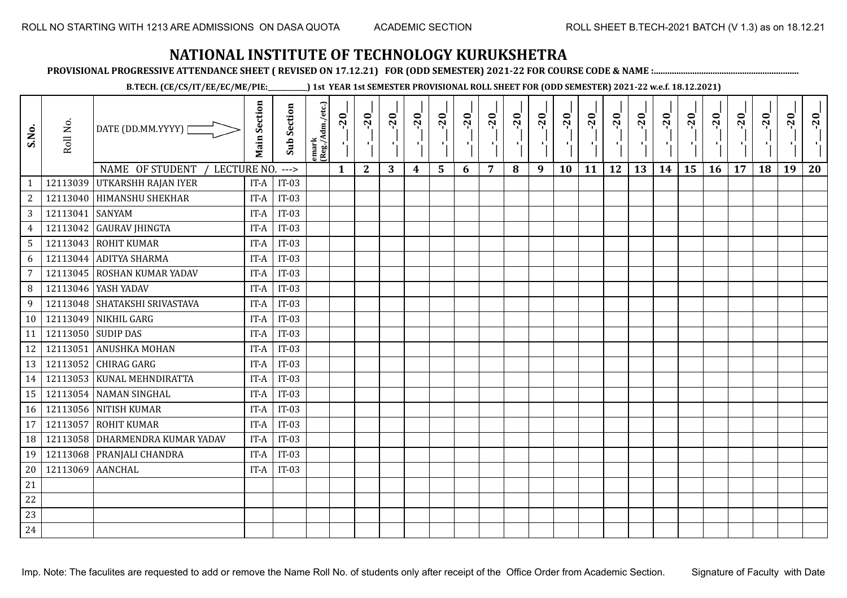**PROVISIONAL PROGRESSIVE ATTENDANCE SHEET ( REVISED ON 17.12.21) FOR (ODD SEMESTER) 2021-22 FOR COURSE CODE & NAME :................................................................**

**B.TECH. (CE/CS/IT/EE/EC/ME/PIE:\_\_\_\_\_\_\_\_\_\_\_\_) 1st YEAR 1st SEMESTER PROVISIONAL ROLL SHEET FOR (ODD SEMESTER) 2021-22 w.e.f. 18.12.2021)**

| S.No.           | Roll No.         | DATE (DD.MM.YYYY)  <br><b>NAME OF STUDENT</b><br>LECTURE NO. | <b>Main Section</b> | <b>Sub Section</b><br>$--->$ | emark<br> (Reg./Adm./etc.) | $-20$<br>$\mathbf{1}$ | $-20$<br>π÷<br>$\mathbf{2}$ | $-20$<br>шĵ<br>3 | $-20$<br>π÷<br>$\boldsymbol{4}$ | $-20$<br>лj<br>5 | $-20$<br>$\blacksquare$ | $-20$<br>7 | $-20$ | $-20$<br>$\mathbf{L}$<br>9 | $-20$<br>л,<br>10 | $-20$<br>шj<br>11 | $-20$<br>π÷<br>12 | $-20$<br>Æ,<br>13 | $-20$<br>$\blacksquare$<br>14 | $-20$<br>ا.<br>ا<br>15 | $-20$<br>$\mathcal{F}_{\mathcal{A}}$ .<br>16 | $-20$<br>17 | $-20$<br>18 | $-20$<br>к.<br>19 | $-20$<br>20 |
|-----------------|------------------|--------------------------------------------------------------|---------------------|------------------------------|----------------------------|-----------------------|-----------------------------|------------------|---------------------------------|------------------|-------------------------|------------|-------|----------------------------|-------------------|-------------------|-------------------|-------------------|-------------------------------|------------------------|----------------------------------------------|-------------|-------------|-------------------|-------------|
| $\mathbf{1}$    | 12113039         | <b>UTKARSHH RAJAN IYER</b>                                   | IT-A                | $IT-03$                      |                            |                       |                             |                  |                                 |                  | 6                       |            | 8     |                            |                   |                   |                   |                   |                               |                        |                                              |             |             |                   |             |
| $\overline{c}$  |                  | 12113040 HIMANSHU SHEKHAR                                    | IT-A                | $IT-03$                      |                            |                       |                             |                  |                                 |                  |                         |            |       |                            |                   |                   |                   |                   |                               |                        |                                              |             |             |                   |             |
| 3               | 12113041         | <b>SANYAM</b>                                                | IT-A                | $IT-03$                      |                            |                       |                             |                  |                                 |                  |                         |            |       |                            |                   |                   |                   |                   |                               |                        |                                              |             |             |                   |             |
| $\overline{4}$  | 12113042         | <b>GAURAV JHINGTA</b>                                        | IT-A                | $IT-03$                      |                            |                       |                             |                  |                                 |                  |                         |            |       |                            |                   |                   |                   |                   |                               |                        |                                              |             |             |                   |             |
| $5\phantom{.0}$ |                  | 12113043 ROHIT KUMAR                                         | IT-A                | $IT-03$                      |                            |                       |                             |                  |                                 |                  |                         |            |       |                            |                   |                   |                   |                   |                               |                        |                                              |             |             |                   |             |
| 6               |                  | 12113044 ADITYA SHARMA                                       | IT-A                | $IT-03$                      |                            |                       |                             |                  |                                 |                  |                         |            |       |                            |                   |                   |                   |                   |                               |                        |                                              |             |             |                   |             |
| $\overline{7}$  | 12113045         | <b>ROSHAN KUMAR YADAV</b>                                    | IT-A                | $IT-03$                      |                            |                       |                             |                  |                                 |                  |                         |            |       |                            |                   |                   |                   |                   |                               |                        |                                              |             |             |                   |             |
| 8               |                  | 12113046 YASH YADAV                                          | IT-A                | $IT-03$                      |                            |                       |                             |                  |                                 |                  |                         |            |       |                            |                   |                   |                   |                   |                               |                        |                                              |             |             |                   |             |
| 9               |                  | 12113048 SHATAKSHI SRIVASTAVA                                | IT-A                | $IT-03$                      |                            |                       |                             |                  |                                 |                  |                         |            |       |                            |                   |                   |                   |                   |                               |                        |                                              |             |             |                   |             |
| 10              | 12113049         | NIKHIL GARG                                                  | IT-A                | $IT-03$                      |                            |                       |                             |                  |                                 |                  |                         |            |       |                            |                   |                   |                   |                   |                               |                        |                                              |             |             |                   |             |
| 11              |                  | 12113050 SUDIP DAS                                           | IT-A                | $IT-03$                      |                            |                       |                             |                  |                                 |                  |                         |            |       |                            |                   |                   |                   |                   |                               |                        |                                              |             |             |                   |             |
| 12              | 12113051         | <b>ANUSHKA MOHAN</b>                                         | IT-A                | $IT-03$                      |                            |                       |                             |                  |                                 |                  |                         |            |       |                            |                   |                   |                   |                   |                               |                        |                                              |             |             |                   |             |
| 13              |                  | 12113052 CHIRAG GARG                                         | IT-A                | $IT-03$                      |                            |                       |                             |                  |                                 |                  |                         |            |       |                            |                   |                   |                   |                   |                               |                        |                                              |             |             |                   |             |
| 14              |                  | 12113053 KUNAL MEHNDIRATTA                                   | IT-A                | $IT-03$                      |                            |                       |                             |                  |                                 |                  |                         |            |       |                            |                   |                   |                   |                   |                               |                        |                                              |             |             |                   |             |
| 15              |                  | 12113054 NAMAN SINGHAL                                       | IT-A                | $IT-03$                      |                            |                       |                             |                  |                                 |                  |                         |            |       |                            |                   |                   |                   |                   |                               |                        |                                              |             |             |                   |             |
| 16              |                  | 12113056 NITISH KUMAR                                        | IT-A                | $IT-03$                      |                            |                       |                             |                  |                                 |                  |                         |            |       |                            |                   |                   |                   |                   |                               |                        |                                              |             |             |                   |             |
| 17              | 12113057         | <b>ROHIT KUMAR</b>                                           | IT-A                | $IT-03$                      |                            |                       |                             |                  |                                 |                  |                         |            |       |                            |                   |                   |                   |                   |                               |                        |                                              |             |             |                   |             |
| 18              | 12113058         | DHARMENDRA KUMAR YADAV                                       | IT-A                | $IT-03$                      |                            |                       |                             |                  |                                 |                  |                         |            |       |                            |                   |                   |                   |                   |                               |                        |                                              |             |             |                   |             |
| 19              |                  | 12113068 PRANJALI CHANDRA                                    | IT-A                | $IT-03$                      |                            |                       |                             |                  |                                 |                  |                         |            |       |                            |                   |                   |                   |                   |                               |                        |                                              |             |             |                   |             |
| 20              | 12113069 AANCHAL |                                                              | IT-A                | $IT-03$                      |                            |                       |                             |                  |                                 |                  |                         |            |       |                            |                   |                   |                   |                   |                               |                        |                                              |             |             |                   |             |
| 21              |                  |                                                              |                     |                              |                            |                       |                             |                  |                                 |                  |                         |            |       |                            |                   |                   |                   |                   |                               |                        |                                              |             |             |                   |             |
| 22              |                  |                                                              |                     |                              |                            |                       |                             |                  |                                 |                  |                         |            |       |                            |                   |                   |                   |                   |                               |                        |                                              |             |             |                   |             |
| 23              |                  |                                                              |                     |                              |                            |                       |                             |                  |                                 |                  |                         |            |       |                            |                   |                   |                   |                   |                               |                        |                                              |             |             |                   |             |
| 24              |                  |                                                              |                     |                              |                            |                       |                             |                  |                                 |                  |                         |            |       |                            |                   |                   |                   |                   |                               |                        |                                              |             |             |                   |             |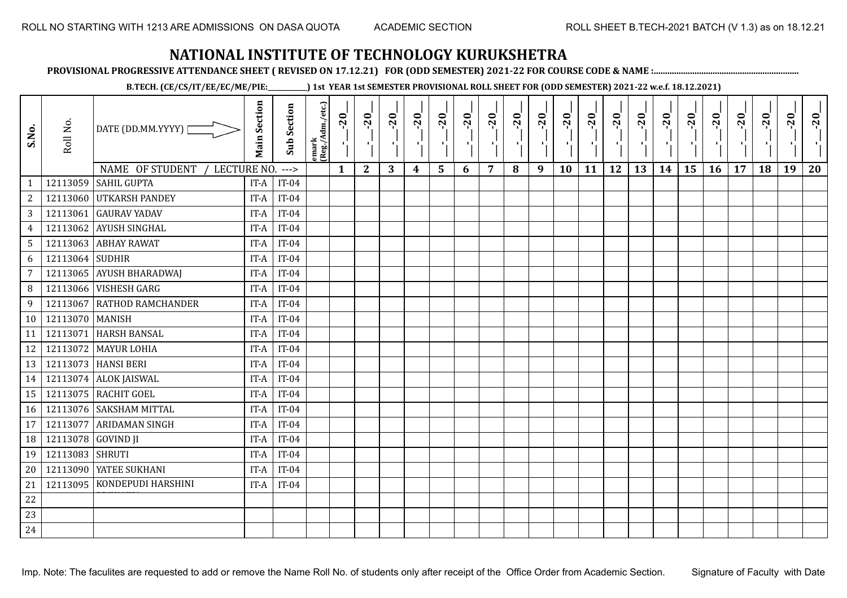**PROVISIONAL PROGRESSIVE ATTENDANCE SHEET ( REVISED ON 17.12.21) FOR (ODD SEMESTER) 2021-22 FOR COURSE CODE & NAME :................................................................**

**B.TECH. (CE/CS/IT/EE/EC/ME/PIE:\_\_\_\_\_\_\_\_\_\_\_\_) 1st YEAR 1st SEMESTER PROVISIONAL ROLL SHEET FOR (ODD SEMESTER) 2021-22 w.e.f. 18.12.2021)**

| S.No.            | Roll No. | DATE (DD.MM.YYYY) [                                  | <b>Main Section</b> | <b>Sub Section</b> | emark<br> (Reg./Adm./etc.) | $-20$<br>$\mathcal{F}_{\mathbf{L}}$ | $-20$<br>л.  | $-20$ | $-20$ | $-20$ | $-20$<br>$\mathbf{r}$ | $-20$ | $-20$ | $-20$<br>π÷ | $-20$<br>л, | $-20$<br>T, | $-20$<br>$\blacksquare$ | $-20$ | $-20$<br>$\mathbf{r}$ | $-20$<br>۱, | $-20$<br>п÷ | $-20$ | $-20$ | $-20$<br>×. | $-20$ |
|------------------|----------|------------------------------------------------------|---------------------|--------------------|----------------------------|-------------------------------------|--------------|-------|-------|-------|-----------------------|-------|-------|-------------|-------------|-------------|-------------------------|-------|-----------------------|-------------|-------------|-------|-------|-------------|-------|
|                  | 12113059 | NAME OF STUDENT<br>LECTURE NO.<br><b>SAHIL GUPTA</b> |                     | $--->$<br>$IT-04$  |                            | $\mathbf{1}$                        | $\mathbf{2}$ | 3     | 4     | 5     | 6                     | 7     | 8     | 9           | 10          | 11          | 12                      | 13    | 14                    | 15          | 16          | 17    | 18    | 19          | 20    |
| $\mathbf{1}$     |          | <b>UTKARSH PANDEY</b>                                | IT-A                | $IT-04$            |                            |                                     |              |       |       |       |                       |       |       |             |             |             |                         |       |                       |             |             |       |       |             |       |
| $\boldsymbol{2}$ | 12113060 | <b>GAURAV YADAV</b>                                  | IT-A                |                    |                            |                                     |              |       |       |       |                       |       |       |             |             |             |                         |       |                       |             |             |       |       |             |       |
| $\mathbf{3}$     | 12113061 |                                                      | IT-A                | $IT-04$            |                            |                                     |              |       |       |       |                       |       |       |             |             |             |                         |       |                       |             |             |       |       |             |       |
| $\boldsymbol{4}$ | 12113062 | <b>AYUSH SINGHAL</b>                                 | IT-A                | $IT-04$            |                            |                                     |              |       |       |       |                       |       |       |             |             |             |                         |       |                       |             |             |       |       |             |       |
| $\sqrt{5}$       | 12113063 | <b>ABHAY RAWAT</b>                                   | IT-A                | $IT-04$            |                            |                                     |              |       |       |       |                       |       |       |             |             |             |                         |       |                       |             |             |       |       |             |       |
| 6                | 12113064 | <b>SUDHIR</b>                                        | IT-A                | $IT-04$            |                            |                                     |              |       |       |       |                       |       |       |             |             |             |                         |       |                       |             |             |       |       |             |       |
| 7                | 12113065 | <b>AYUSH BHARADWAJ</b>                               | IT-A                | $IT-04$            |                            |                                     |              |       |       |       |                       |       |       |             |             |             |                         |       |                       |             |             |       |       |             |       |
| $\, 8$           | 12113066 | <b>VISHESH GARG</b>                                  | IT-A                | $IT-04$            |                            |                                     |              |       |       |       |                       |       |       |             |             |             |                         |       |                       |             |             |       |       |             |       |
| 9                | 12113067 | <b>RATHOD RAMCHANDER</b>                             | IT-A                | $IT-04$            |                            |                                     |              |       |       |       |                       |       |       |             |             |             |                         |       |                       |             |             |       |       |             |       |
| 10 <sup>1</sup>  | 12113070 | MANISH                                               | IT-A                | $IT-04$            |                            |                                     |              |       |       |       |                       |       |       |             |             |             |                         |       |                       |             |             |       |       |             |       |
| 11               | 12113071 | <b>HARSH BANSAL</b>                                  | IT-A                | $IT-04$            |                            |                                     |              |       |       |       |                       |       |       |             |             |             |                         |       |                       |             |             |       |       |             |       |
| 12               | 12113072 | <b>MAYUR LOHIA</b>                                   | IT-A                | $IT-04$            |                            |                                     |              |       |       |       |                       |       |       |             |             |             |                         |       |                       |             |             |       |       |             |       |
| 13               |          | 12113073 HANSI BERI                                  | IT-A                | $IT-04$            |                            |                                     |              |       |       |       |                       |       |       |             |             |             |                         |       |                       |             |             |       |       |             |       |
| 14               | 12113074 | <b>ALOK JAISWAL</b>                                  | IT-A                | $IT-04$            |                            |                                     |              |       |       |       |                       |       |       |             |             |             |                         |       |                       |             |             |       |       |             |       |
| 15               | 12113075 | RACHIT GOEL                                          | IT-A                | $IT-04$            |                            |                                     |              |       |       |       |                       |       |       |             |             |             |                         |       |                       |             |             |       |       |             |       |
| 16               | 12113076 | <b>SAKSHAM MITTAL</b>                                | IT-A                | $IT-04$            |                            |                                     |              |       |       |       |                       |       |       |             |             |             |                         |       |                       |             |             |       |       |             |       |
| 17               | 12113077 | ARIDAMAN SINGH                                       | IT-A                | $IT-04$            |                            |                                     |              |       |       |       |                       |       |       |             |             |             |                         |       |                       |             |             |       |       |             |       |
| 18               | 12113078 | <b>GOVIND JI</b>                                     | IT-A                | $IT-04$            |                            |                                     |              |       |       |       |                       |       |       |             |             |             |                         |       |                       |             |             |       |       |             |       |
| 19               | 12113083 | <b>SHRUTI</b>                                        | IT-A                | $IT-04$            |                            |                                     |              |       |       |       |                       |       |       |             |             |             |                         |       |                       |             |             |       |       |             |       |
| 20               | 12113090 | YATEE SUKHANI                                        | IT-A                | $IT-04$            |                            |                                     |              |       |       |       |                       |       |       |             |             |             |                         |       |                       |             |             |       |       |             |       |
| 21               | 12113095 | KONDEPUDI HARSHINI                                   | IT-A                | $IT-04$            |                            |                                     |              |       |       |       |                       |       |       |             |             |             |                         |       |                       |             |             |       |       |             |       |
| $22\,$           |          |                                                      |                     |                    |                            |                                     |              |       |       |       |                       |       |       |             |             |             |                         |       |                       |             |             |       |       |             |       |
| 23               |          |                                                      |                     |                    |                            |                                     |              |       |       |       |                       |       |       |             |             |             |                         |       |                       |             |             |       |       |             |       |
| 24               |          |                                                      |                     |                    |                            |                                     |              |       |       |       |                       |       |       |             |             |             |                         |       |                       |             |             |       |       |             |       |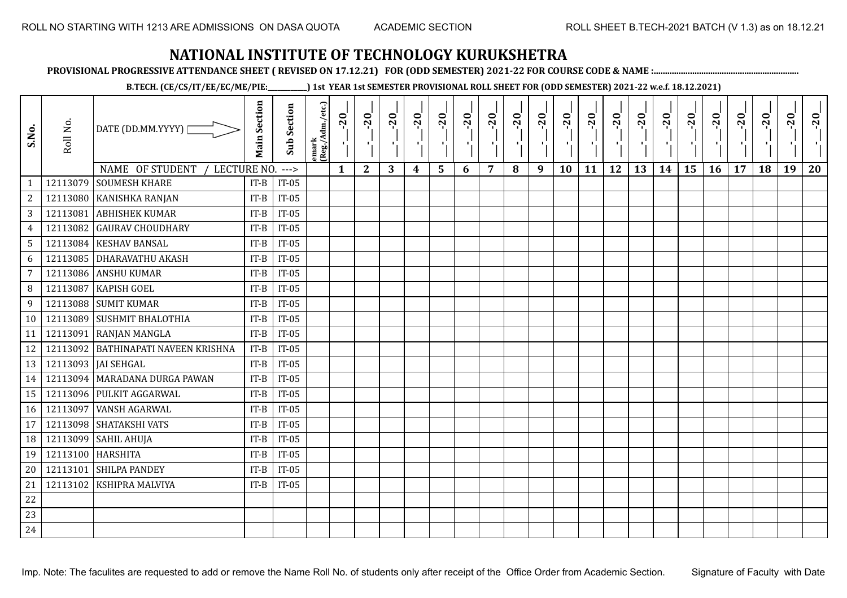**PROVISIONAL PROGRESSIVE ATTENDANCE SHEET ( REVISED ON 17.12.21) FOR (ODD SEMESTER) 2021-22 FOR COURSE CODE & NAME :................................................................**

**B.TECH. (CE/CS/IT/EE/EC/ME/PIE:\_\_\_\_\_\_\_\_\_\_\_\_) 1st YEAR 1st SEMESTER PROVISIONAL ROLL SHEET FOR (ODD SEMESTER) 2021-22 w.e.f. 18.12.2021)**

| S.No.           | Roll No. | DATE (DD.MM.YYYY)  <br>NAME OF STUDENT<br>LECTURE NO. | <b>Main Section</b>                          | <b>Sub Section</b><br>$--->$ | emark<br>(Reg./Adm./etc.) | $-20$<br>$\mathbf{1}$ | $-20$<br>τj<br>$\mathbf{2}$ | $-20$<br>πt<br>3 | $-20$<br>п,<br>4 | $-20$<br>$\blacksquare$<br>5 | $-20$<br>$\mathbf{I}$<br>6 | $-20$<br>$\overline{7}$ | $-20$<br>8 | $-20$<br>π÷<br>9 | $-20$<br>л,<br>10 | $-20$<br>шj<br>11 | $-20$<br>π÷<br>12 | $-20$<br>чļ<br>13 | $-20$<br>$\blacksquare$<br>14 | $-20$<br>۱,<br>15 | $-20$<br>π÷<br>16 | $-20$<br>17 | $-20$<br>18 | $-20$<br>к.<br>19 | $-20$<br>20 |
|-----------------|----------|-------------------------------------------------------|----------------------------------------------|------------------------------|---------------------------|-----------------------|-----------------------------|------------------|------------------|------------------------------|----------------------------|-------------------------|------------|------------------|-------------------|-------------------|-------------------|-------------------|-------------------------------|-------------------|-------------------|-------------|-------------|-------------------|-------------|
| $\mathbf{1}$    | 12113079 | <b>SOUMESH KHARE</b>                                  | $IT-B$                                       | $IT-05$                      |                           |                       |                             |                  |                  |                              |                            |                         |            |                  |                   |                   |                   |                   |                               |                   |                   |             |             |                   |             |
| $\overline{c}$  | 12113080 | <b>KANISHKA RANJAN</b>                                | $IT-B$                                       | $IT-05$                      |                           |                       |                             |                  |                  |                              |                            |                         |            |                  |                   |                   |                   |                   |                               |                   |                   |             |             |                   |             |
| 3               | 12113081 | <b>ABHISHEK KUMAR</b>                                 | $IT-B$                                       | $IT-05$                      |                           |                       |                             |                  |                  |                              |                            |                         |            |                  |                   |                   |                   |                   |                               |                   |                   |             |             |                   |             |
| $\overline{4}$  | 12113082 | <b>GAURAV CHOUDHARY</b>                               | $IT-B$                                       | $IT-05$                      |                           |                       |                             |                  |                  |                              |                            |                         |            |                  |                   |                   |                   |                   |                               |                   |                   |             |             |                   |             |
| $5\phantom{.0}$ | 12113084 | <b>KESHAV BANSAL</b>                                  | $IT-B$                                       | $IT-05$                      |                           |                       |                             |                  |                  |                              |                            |                         |            |                  |                   |                   |                   |                   |                               |                   |                   |             |             |                   |             |
| 6               | 12113085 | <b>DHARAVATHU AKASH</b>                               | $IT-B$                                       | $IT-05$                      |                           |                       |                             |                  |                  |                              |                            |                         |            |                  |                   |                   |                   |                   |                               |                   |                   |             |             |                   |             |
| $\overline{7}$  | 12113086 | <b>ANSHU KUMAR</b>                                    | $IT-B$                                       | $IT-05$                      |                           |                       |                             |                  |                  |                              |                            |                         |            |                  |                   |                   |                   |                   |                               |                   |                   |             |             |                   |             |
| 8               | 12113087 | <b>KAPISH GOEL</b>                                    | $IT-B$                                       | $IT-05$                      |                           |                       |                             |                  |                  |                              |                            |                         |            |                  |                   |                   |                   |                   |                               |                   |                   |             |             |                   |             |
| 9               |          | 12113088 SUMIT KUMAR                                  | $IT-B$                                       | $IT-05$                      |                           |                       |                             |                  |                  |                              |                            |                         |            |                  |                   |                   |                   |                   |                               |                   |                   |             |             |                   |             |
| 10              | 12113089 | <b>SUSHMIT BHALOTHIA</b>                              | $IT-B$                                       | $IT-05$                      |                           |                       |                             |                  |                  |                              |                            |                         |            |                  |                   |                   |                   |                   |                               |                   |                   |             |             |                   |             |
| 11              | 12113091 | <b>RANJAN MANGLA</b>                                  | $IT-B$                                       | $IT-05$                      |                           |                       |                             |                  |                  |                              |                            |                         |            |                  |                   |                   |                   |                   |                               |                   |                   |             |             |                   |             |
| 12              |          | 12113092 BATHINAPATI NAVEEN KRISHNA                   | $IT-B$                                       | $IT-05$                      |                           |                       |                             |                  |                  |                              |                            |                         |            |                  |                   |                   |                   |                   |                               |                   |                   |             |             |                   |             |
| 13              |          | 12113093   JAI SEHGAL                                 | $IT-B$                                       | $IT-05$                      |                           |                       |                             |                  |                  |                              |                            |                         |            |                  |                   |                   |                   |                   |                               |                   |                   |             |             |                   |             |
| 14              |          | 12113094 MARADANA DURGA PAWAN                         | $IT-B$                                       | $IT-05$                      |                           |                       |                             |                  |                  |                              |                            |                         |            |                  |                   |                   |                   |                   |                               |                   |                   |             |             |                   |             |
| 15              | 12113096 | PULKIT AGGARWAL                                       | $IT-B$                                       | $IT-05$                      |                           |                       |                             |                  |                  |                              |                            |                         |            |                  |                   |                   |                   |                   |                               |                   |                   |             |             |                   |             |
| 16              | 12113097 | <b>VANSH AGARWAL</b>                                  | $\ensuremath{\mathsf{IT}\text{-}\mathsf{B}}$ | $IT-05$                      |                           |                       |                             |                  |                  |                              |                            |                         |            |                  |                   |                   |                   |                   |                               |                   |                   |             |             |                   |             |
| 17              | 12113098 | SHATAKSHI VATS                                        | $IT-B$                                       | $IT-05$                      |                           |                       |                             |                  |                  |                              |                            |                         |            |                  |                   |                   |                   |                   |                               |                   |                   |             |             |                   |             |
| 18              | 12113099 | <b>SAHIL AHUJA</b>                                    | $IT-B$                                       | $IT-05$                      |                           |                       |                             |                  |                  |                              |                            |                         |            |                  |                   |                   |                   |                   |                               |                   |                   |             |             |                   |             |
| 19              | 12113100 | <b>HARSHITA</b>                                       | $IT-B$                                       | $IT-05$                      |                           |                       |                             |                  |                  |                              |                            |                         |            |                  |                   |                   |                   |                   |                               |                   |                   |             |             |                   |             |
| 20              | 12113101 | <b>SHILPA PANDEY</b>                                  | $IT-B$                                       | $IT-05$                      |                           |                       |                             |                  |                  |                              |                            |                         |            |                  |                   |                   |                   |                   |                               |                   |                   |             |             |                   |             |
| 21              | 12113102 | KSHIPRA MALVIYA                                       | $IT-B$                                       | $IT-05$                      |                           |                       |                             |                  |                  |                              |                            |                         |            |                  |                   |                   |                   |                   |                               |                   |                   |             |             |                   |             |
| 22              |          |                                                       |                                              |                              |                           |                       |                             |                  |                  |                              |                            |                         |            |                  |                   |                   |                   |                   |                               |                   |                   |             |             |                   |             |
| 23              |          |                                                       |                                              |                              |                           |                       |                             |                  |                  |                              |                            |                         |            |                  |                   |                   |                   |                   |                               |                   |                   |             |             |                   |             |
| 24              |          |                                                       |                                              |                              |                           |                       |                             |                  |                  |                              |                            |                         |            |                  |                   |                   |                   |                   |                               |                   |                   |             |             |                   |             |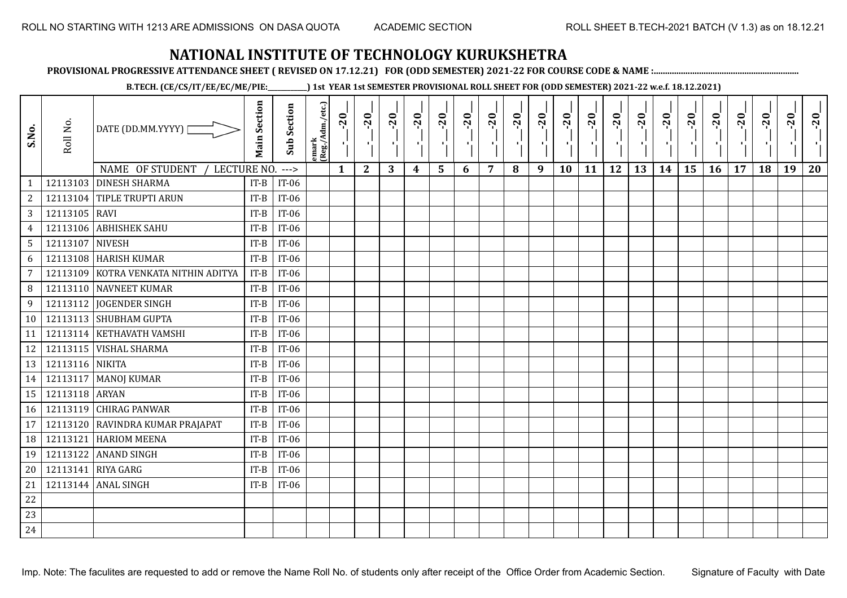**PROVISIONAL PROGRESSIVE ATTENDANCE SHEET ( REVISED ON 17.12.21) FOR (ODD SEMESTER) 2021-22 FOR COURSE CODE & NAME :................................................................**

**B.TECH. (CE/CS/IT/EE/EC/ME/PIE:\_\_\_\_\_\_\_\_\_\_\_\_) 1st YEAR 1st SEMESTER PROVISIONAL ROLL SHEET FOR (ODD SEMESTER) 2021-22 w.e.f. 18.12.2021)**

| S.No.           | Roll No.        | DATE (DD.MM.YYYY)  <br>NAME OF STUDENT<br>LECTURE NO. | <b>Main Section</b> | <b>Sub Section</b><br>$--->$ | emark<br> (Reg./Adm./etc.) | $-20$<br>$\mathbf{1}$ | $-20$<br>π÷<br>$\mathbf{2}$ | $-20$<br>л÷.<br>3 | $-20$<br>π÷<br>$\boldsymbol{4}$ | $-20$<br>лj<br>5 | $-20$<br>$\blacksquare$<br>6 | $-20$<br>$\overline{7}$ | $-20$<br>8 | $-20$<br>пļ<br>9 | $-20$<br>л,<br>10 | $-20$<br>шj<br>11 | $-20$<br>π÷<br>12 | $-20$<br>Æ,<br>13 | $-20$<br>$\blacksquare$<br>14 | $-20$<br>ا.<br>ا<br>15 | $-20$<br>-96<br>16 | $-20$<br>17 | $-20$<br>18 | $-20$<br>×.<br>19 | $-20$<br>20 |
|-----------------|-----------------|-------------------------------------------------------|---------------------|------------------------------|----------------------------|-----------------------|-----------------------------|-------------------|---------------------------------|------------------|------------------------------|-------------------------|------------|------------------|-------------------|-------------------|-------------------|-------------------|-------------------------------|------------------------|--------------------|-------------|-------------|-------------------|-------------|
| $\mathbf{1}$    |                 | 12113103 DINESH SHARMA                                | $IT-B$              | $IT-06$                      |                            |                       |                             |                   |                                 |                  |                              |                         |            |                  |                   |                   |                   |                   |                               |                        |                    |             |             |                   |             |
| $\overline{c}$  |                 | 12113104 TIPLE TRUPTI ARUN                            | $IT-B$              | $IT-06$                      |                            |                       |                             |                   |                                 |                  |                              |                         |            |                  |                   |                   |                   |                   |                               |                        |                    |             |             |                   |             |
| 3               | 12113105 RAVI   |                                                       | $IT-B$              | $IT-06$                      |                            |                       |                             |                   |                                 |                  |                              |                         |            |                  |                   |                   |                   |                   |                               |                        |                    |             |             |                   |             |
| $\overline{4}$  | 12113106        | <b>ABHISHEK SAHU</b>                                  | $IT-B$              | $IT-06$                      |                            |                       |                             |                   |                                 |                  |                              |                         |            |                  |                   |                   |                   |                   |                               |                        |                    |             |             |                   |             |
| $5\phantom{.0}$ | 12113107 NIVESH |                                                       | $IT-B$              | IT-06                        |                            |                       |                             |                   |                                 |                  |                              |                         |            |                  |                   |                   |                   |                   |                               |                        |                    |             |             |                   |             |
| 6               |                 | 12113108 HARISH KUMAR                                 | $IT-B$              | $IT-06$                      |                            |                       |                             |                   |                                 |                  |                              |                         |            |                  |                   |                   |                   |                   |                               |                        |                    |             |             |                   |             |
| 7               | 12113109        | KOTRA VENKATA NITHIN ADITYA                           | $IT-B$              | $IT-06$                      |                            |                       |                             |                   |                                 |                  |                              |                         |            |                  |                   |                   |                   |                   |                               |                        |                    |             |             |                   |             |
| 8               |                 | 12113110 NAVNEET KUMAR                                | $IT-B$              | IT-06                        |                            |                       |                             |                   |                                 |                  |                              |                         |            |                  |                   |                   |                   |                   |                               |                        |                    |             |             |                   |             |
| 9               | 12113112        | <b>JOGENDER SINGH</b>                                 | $IT-B$              | $IT-06$                      |                            |                       |                             |                   |                                 |                  |                              |                         |            |                  |                   |                   |                   |                   |                               |                        |                    |             |             |                   |             |
| 10              |                 | 12113113 SHUBHAM GUPTA                                | $IT-B$              | IT-06                        |                            |                       |                             |                   |                                 |                  |                              |                         |            |                  |                   |                   |                   |                   |                               |                        |                    |             |             |                   |             |
| 11              | 12113114        | <b>KETHAVATH VAMSHI</b>                               | $IT-B$              | $IT-06$                      |                            |                       |                             |                   |                                 |                  |                              |                         |            |                  |                   |                   |                   |                   |                               |                        |                    |             |             |                   |             |
| 12              |                 | 12113115   VISHAL SHARMA                              | $IT-B$              | $IT-06$                      |                            |                       |                             |                   |                                 |                  |                              |                         |            |                  |                   |                   |                   |                   |                               |                        |                    |             |             |                   |             |
| 13              | 12113116 NIKITA |                                                       | $IT-B$              | IT-06                        |                            |                       |                             |                   |                                 |                  |                              |                         |            |                  |                   |                   |                   |                   |                               |                        |                    |             |             |                   |             |
| 14              |                 | 12113117   MANOJ KUMAR                                | $IT-B$              | $IT-06$                      |                            |                       |                             |                   |                                 |                  |                              |                         |            |                  |                   |                   |                   |                   |                               |                        |                    |             |             |                   |             |
| 15              | 12113118 ARYAN  |                                                       | $IT-B$              | $IT-06$                      |                            |                       |                             |                   |                                 |                  |                              |                         |            |                  |                   |                   |                   |                   |                               |                        |                    |             |             |                   |             |
| 16              |                 | 12113119 CHIRAG PANWAR                                | $IT-B$              | IT-06                        |                            |                       |                             |                   |                                 |                  |                              |                         |            |                  |                   |                   |                   |                   |                               |                        |                    |             |             |                   |             |
| 17              | 12113120        | RAVINDRA KUMAR PRAJAPAT                               | $IT-B$              | IT-06                        |                            |                       |                             |                   |                                 |                  |                              |                         |            |                  |                   |                   |                   |                   |                               |                        |                    |             |             |                   |             |
| 18              | 12113121        | <b>HARIOM MEENA</b>                                   | $IT-B$              | $IT-06$                      |                            |                       |                             |                   |                                 |                  |                              |                         |            |                  |                   |                   |                   |                   |                               |                        |                    |             |             |                   |             |
| 19              | 12113122        | <b>ANAND SINGH</b>                                    | $IT-B$              | $IT-06$                      |                            |                       |                             |                   |                                 |                  |                              |                         |            |                  |                   |                   |                   |                   |                               |                        |                    |             |             |                   |             |
| 20              | 12113141        | <b>RIYA GARG</b>                                      | $IT-B$              | $IT-06$                      |                            |                       |                             |                   |                                 |                  |                              |                         |            |                  |                   |                   |                   |                   |                               |                        |                    |             |             |                   |             |
| 21              |                 | 12113144 ANAL SINGH                                   | $IT-B$              | $IT-06$                      |                            |                       |                             |                   |                                 |                  |                              |                         |            |                  |                   |                   |                   |                   |                               |                        |                    |             |             |                   |             |
| 22              |                 |                                                       |                     |                              |                            |                       |                             |                   |                                 |                  |                              |                         |            |                  |                   |                   |                   |                   |                               |                        |                    |             |             |                   |             |
| 23              |                 |                                                       |                     |                              |                            |                       |                             |                   |                                 |                  |                              |                         |            |                  |                   |                   |                   |                   |                               |                        |                    |             |             |                   |             |
| 24              |                 |                                                       |                     |                              |                            |                       |                             |                   |                                 |                  |                              |                         |            |                  |                   |                   |                   |                   |                               |                        |                    |             |             |                   |             |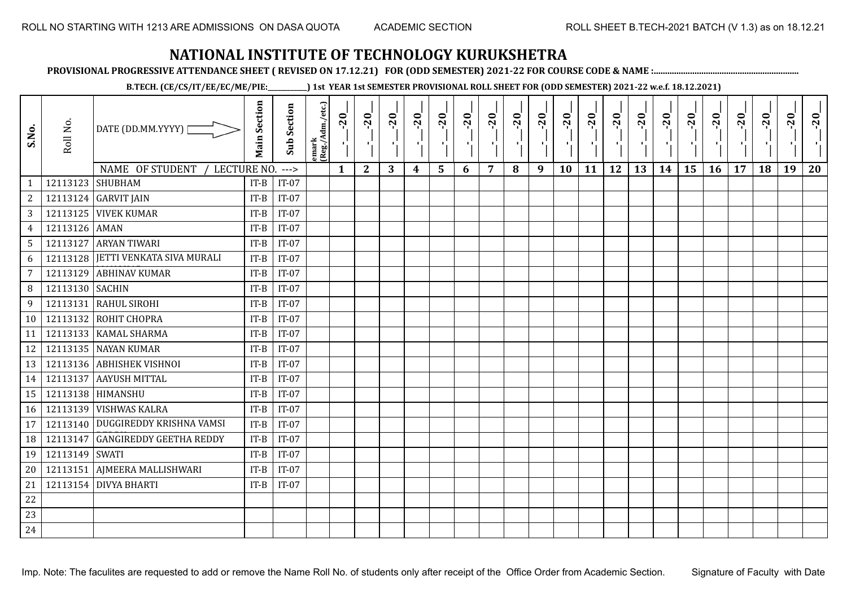**PROVISIONAL PROGRESSIVE ATTENDANCE SHEET ( REVISED ON 17.12.21) FOR (ODD SEMESTER) 2021-22 FOR COURSE CODE & NAME :................................................................**

**B.TECH. (CE/CS/IT/EE/EC/ME/PIE:\_\_\_\_\_\_\_\_\_\_\_\_) 1st YEAR 1st SEMESTER PROVISIONAL ROLL SHEET FOR (ODD SEMESTER) 2021-22 w.e.f. 18.12.2021)**

| S.No.           | Roll No.         | DATE (DD.MM.YYYY)  <br>NAME OF STUDENT | <b>Main Section</b> | <b>Sub Section</b> | emark<br> (Reg./Adm./etc.) | $-20$        | $-20$<br>π÷  | $-20$<br>л÷. | $-20$<br>π÷ | $-20$<br>- 1 | $-20$<br>$\blacksquare$ | $-20$          | $-20$ | $-20$<br>пļ | $-20$<br>л, | $-20$<br>шj | $-20$<br>π÷<br>12 | $-20$<br>Æ, | $-20$<br>$\blacksquare$ | $-20$<br>ا .<br>ا | $-20$<br>-96 | $-20$ | $-20$<br>18 | $-20$<br>×.<br>19 | $-20$<br>20 |
|-----------------|------------------|----------------------------------------|---------------------|--------------------|----------------------------|--------------|--------------|--------------|-------------|--------------|-------------------------|----------------|-------|-------------|-------------|-------------|-------------------|-------------|-------------------------|-------------------|--------------|-------|-------------|-------------------|-------------|
| $\mathbf{1}$    | 12113123 SHUBHAM | LECTURE NO.                            | $IT-B$              | $---$<br>$IT-07$   |                            | $\mathbf{1}$ | $\mathbf{2}$ | 3            | 4           | 5            | 6                       | $\overline{7}$ | 8     | 9           | 10          | 11          |                   | 13          | 14                      | 15                | 16           | 17    |             |                   |             |
| $\overline{c}$  |                  | 12113124 GARVIT JAIN                   | $IT-B$              | $IT-07$            |                            |              |              |              |             |              |                         |                |       |             |             |             |                   |             |                         |                   |              |       |             |                   |             |
| 3               |                  | <b>12113125 VIVEK KUMAR</b>            | $IT-B$              | $IT-07$            |                            |              |              |              |             |              |                         |                |       |             |             |             |                   |             |                         |                   |              |       |             |                   |             |
| $\overline{4}$  | 12113126 AMAN    |                                        | $IT-B$              | $IT-07$            |                            |              |              |              |             |              |                         |                |       |             |             |             |                   |             |                         |                   |              |       |             |                   |             |
| $5\overline{)}$ |                  | 12113127 ARYAN TIWARI                  | $IT-B$              | $IT-07$            |                            |              |              |              |             |              |                         |                |       |             |             |             |                   |             |                         |                   |              |       |             |                   |             |
| 6               |                  | 12113128 JETTI VENKATA SIVA MURALI     | $IT-B$              | $IT-07$            |                            |              |              |              |             |              |                         |                |       |             |             |             |                   |             |                         |                   |              |       |             |                   |             |
| 7               | 12113129         | <b>ABHINAV KUMAR</b>                   | $IT-B$              | $IT-07$            |                            |              |              |              |             |              |                         |                |       |             |             |             |                   |             |                         |                   |              |       |             |                   |             |
| 8               | 12113130 SACHIN  |                                        | $IT-B$              | $IT-07$            |                            |              |              |              |             |              |                         |                |       |             |             |             |                   |             |                         |                   |              |       |             |                   |             |
| 9               | 12113131         | <b>RAHUL SIROHI</b>                    | $IT-B$              | $IT-07$            |                            |              |              |              |             |              |                         |                |       |             |             |             |                   |             |                         |                   |              |       |             |                   |             |
| 10              |                  | 12113132 ROHIT CHOPRA                  | $IT-B$              | $IT-07$            |                            |              |              |              |             |              |                         |                |       |             |             |             |                   |             |                         |                   |              |       |             |                   |             |
| 11              | 12113133         | <b>KAMAL SHARMA</b>                    | $IT-B$              | $IT-07$            |                            |              |              |              |             |              |                         |                |       |             |             |             |                   |             |                         |                   |              |       |             |                   |             |
| 12              |                  | 12113135 NAYAN KUMAR                   | $IT-B$              | $IT-07$            |                            |              |              |              |             |              |                         |                |       |             |             |             |                   |             |                         |                   |              |       |             |                   |             |
| 13              |                  | 12113136 ABHISHEK VISHNOI              | $IT-B$              | $IT-07$            |                            |              |              |              |             |              |                         |                |       |             |             |             |                   |             |                         |                   |              |       |             |                   |             |
| 14              |                  | 12113137 AAYUSH MITTAL                 | $IT-B$              | $IT-07$            |                            |              |              |              |             |              |                         |                |       |             |             |             |                   |             |                         |                   |              |       |             |                   |             |
| 15              |                  | 12113138 HIMANSHU                      | $IT-B$              | $IT-07$            |                            |              |              |              |             |              |                         |                |       |             |             |             |                   |             |                         |                   |              |       |             |                   |             |
| 16              |                  | 12113139 VISHWAS KALRA                 | $IT-B$              | $IT-07$            |                            |              |              |              |             |              |                         |                |       |             |             |             |                   |             |                         |                   |              |       |             |                   |             |
| 17              |                  | 12113140   DUGGIREDDY KRISHNA VAMSI    | $IT-B$              | $IT-07$            |                            |              |              |              |             |              |                         |                |       |             |             |             |                   |             |                         |                   |              |       |             |                   |             |
| 18              | 12113147         | <b>GANGIREDDY GEETHA REDDY</b>         | $IT-B$              | $IT-07$            |                            |              |              |              |             |              |                         |                |       |             |             |             |                   |             |                         |                   |              |       |             |                   |             |
| 19              | 12113149 SWATI   |                                        | $IT-B$              | $IT-07$            |                            |              |              |              |             |              |                         |                |       |             |             |             |                   |             |                         |                   |              |       |             |                   |             |
| 20              |                  | 12113151 AJMEERA MALLISHWARI           | $IT-B$              | $IT-07$            |                            |              |              |              |             |              |                         |                |       |             |             |             |                   |             |                         |                   |              |       |             |                   |             |
| 21              |                  | 12113154 DIVYA BHARTI                  | $IT-B$              | $IT-07$            |                            |              |              |              |             |              |                         |                |       |             |             |             |                   |             |                         |                   |              |       |             |                   |             |
| 22              |                  |                                        |                     |                    |                            |              |              |              |             |              |                         |                |       |             |             |             |                   |             |                         |                   |              |       |             |                   |             |
| 23              |                  |                                        |                     |                    |                            |              |              |              |             |              |                         |                |       |             |             |             |                   |             |                         |                   |              |       |             |                   |             |
| 24              |                  |                                        |                     |                    |                            |              |              |              |             |              |                         |                |       |             |             |             |                   |             |                         |                   |              |       |             |                   |             |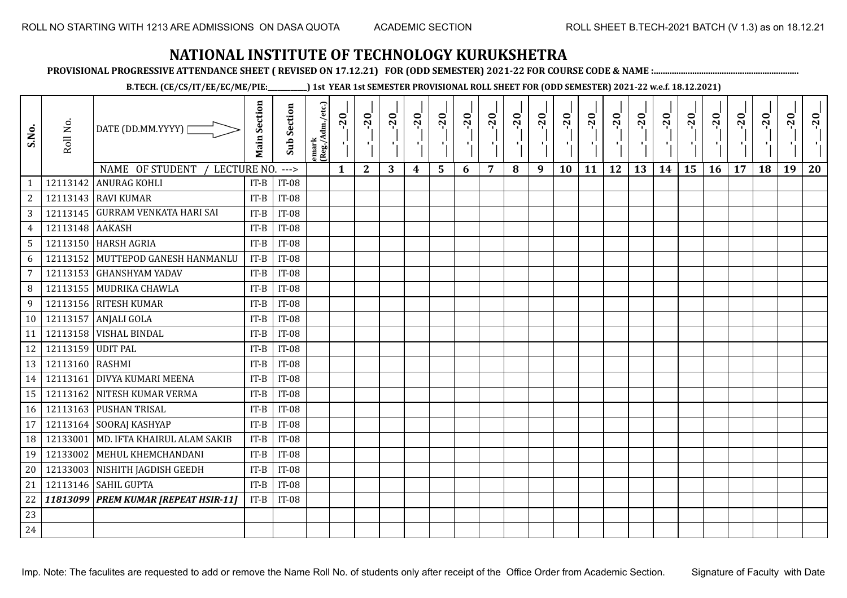**PROVISIONAL PROGRESSIVE ATTENDANCE SHEET ( REVISED ON 17.12.21) FOR (ODD SEMESTER) 2021-22 FOR COURSE CODE & NAME :................................................................**

**B.TECH. (CE/CS/IT/EE/EC/ME/PIE:\_\_\_\_\_\_\_\_\_\_\_\_) 1st YEAR 1st SEMESTER PROVISIONAL ROLL SHEET FOR (ODD SEMESTER) 2021-22 w.e.f. 18.12.2021)**

| S.No.           | Roll No.          | DATE (DD.MM.YYYY)                      | <b>Main Section</b> | Sub Section  | emark<br> (Reg./Adm./etc.) | $-20$        | $-20$<br>×.  | $-20$<br>л. | $-20$ | $-20$<br>-90 | $-20$<br>тJ. | $-20$ | $-20$ | $-20$<br>π÷ | $-20$<br>$\mathbf{F}_{\mathbf{F}}$ | $-20$ | $-20$<br>пJ. | $-20$ | $-20$ | $-20$ | $-20$ | $-20$ | $-20$ | $-20$<br>$\mathcal{F}_{\mathcal{F}}$ | $-20$ |
|-----------------|-------------------|----------------------------------------|---------------------|--------------|----------------------------|--------------|--------------|-------------|-------|--------------|--------------|-------|-------|-------------|------------------------------------|-------|--------------|-------|-------|-------|-------|-------|-------|--------------------------------------|-------|
|                 |                   | NAME OF STUDENT<br>LECTURE NO.         |                     | $---$        |                            | $\mathbf{1}$ | $\mathbf{2}$ | 3           | 4     | 5            | 6            | 7     | 8     | 9           | 10                                 | 11    | 12           | 13    | 14    | 15    | 16    | 17    | 18    | 19                                   | 20    |
| $\mathbf{1}$    | 12113142          | <b>ANURAG KOHLI</b>                    | $IT-B$              | <b>IT-08</b> |                            |              |              |             |       |              |              |       |       |             |                                    |       |              |       |       |       |       |       |       |                                      |       |
| $\overline{c}$  |                   | 12113143 RAVI KUMAR                    | $IT-B$              | <b>IT-08</b> |                            |              |              |             |       |              |              |       |       |             |                                    |       |              |       |       |       |       |       |       |                                      |       |
| 3               |                   | 12113145 GURRAM VENKATA HARI SAI       | $IT-B$              | <b>IT-08</b> |                            |              |              |             |       |              |              |       |       |             |                                    |       |              |       |       |       |       |       |       |                                      |       |
| $\overline{4}$  | 12113148 AAKASH   |                                        | $IT-B$              | <b>IT-08</b> |                            |              |              |             |       |              |              |       |       |             |                                    |       |              |       |       |       |       |       |       |                                      |       |
| 5               |                   | 12113150 HARSH AGRIA                   | $IT-B$              | <b>IT-08</b> |                            |              |              |             |       |              |              |       |       |             |                                    |       |              |       |       |       |       |       |       |                                      |       |
| 6               |                   | 12113152 MUTTEPOD GANESH HANMANLU      | $IT-B$              | <b>IT-08</b> |                            |              |              |             |       |              |              |       |       |             |                                    |       |              |       |       |       |       |       |       |                                      |       |
| $7\overline{ }$ |                   | 12113153 GHANSHYAM YADAV               | $IT-B$              | <b>IT-08</b> |                            |              |              |             |       |              |              |       |       |             |                                    |       |              |       |       |       |       |       |       |                                      |       |
| 8               |                   | 12113155 MUDRIKA CHAWLA                | $IT-B$              | <b>IT-08</b> |                            |              |              |             |       |              |              |       |       |             |                                    |       |              |       |       |       |       |       |       |                                      |       |
| 9               |                   | 12113156 RITESH KUMAR                  | $IT-B$              | <b>IT-08</b> |                            |              |              |             |       |              |              |       |       |             |                                    |       |              |       |       |       |       |       |       |                                      |       |
| 10              | 12113157          | ANJALI GOLA                            | $IT-B$              | <b>IT-08</b> |                            |              |              |             |       |              |              |       |       |             |                                    |       |              |       |       |       |       |       |       |                                      |       |
| 11              |                   | 12113158 VISHAL BINDAL                 | $IT-B$              | <b>IT-08</b> |                            |              |              |             |       |              |              |       |       |             |                                    |       |              |       |       |       |       |       |       |                                      |       |
| 12              | 12113159 UDIT PAL |                                        | $IT-B$              | <b>IT-08</b> |                            |              |              |             |       |              |              |       |       |             |                                    |       |              |       |       |       |       |       |       |                                      |       |
| 13              | 12113160 RASHMI   |                                        | $IT-B$              | $IT-08$      |                            |              |              |             |       |              |              |       |       |             |                                    |       |              |       |       |       |       |       |       |                                      |       |
| 14              |                   | 12113161 DIVYA KUMARI MEENA            | $IT-B$              | <b>IT-08</b> |                            |              |              |             |       |              |              |       |       |             |                                    |       |              |       |       |       |       |       |       |                                      |       |
| 15              |                   | 12113162 NITESH KUMAR VERMA            | $IT-B$              | <b>IT-08</b> |                            |              |              |             |       |              |              |       |       |             |                                    |       |              |       |       |       |       |       |       |                                      |       |
| 16              |                   | 12113163 PUSHAN TRISAL                 | $IT-B$              | <b>IT-08</b> |                            |              |              |             |       |              |              |       |       |             |                                    |       |              |       |       |       |       |       |       |                                      |       |
| 17              |                   | 12113164 SOORAJ KASHYAP                | $IT-B$              | <b>IT-08</b> |                            |              |              |             |       |              |              |       |       |             |                                    |       |              |       |       |       |       |       |       |                                      |       |
| 18              | 12133001          | MD. IFTA KHAIRUL ALAM SAKIB            | $IT-B$              | <b>IT-08</b> |                            |              |              |             |       |              |              |       |       |             |                                    |       |              |       |       |       |       |       |       |                                      |       |
| 19              | 12133002          | MEHUL KHEMCHANDANI                     | $IT-B$              | <b>IT-08</b> |                            |              |              |             |       |              |              |       |       |             |                                    |       |              |       |       |       |       |       |       |                                      |       |
| 20              |                   | 12133003 NISHITH JAGDISH GEEDH         | $IT-B$              | <b>IT-08</b> |                            |              |              |             |       |              |              |       |       |             |                                    |       |              |       |       |       |       |       |       |                                      |       |
| 21              |                   | 12113146 SAHIL GUPTA                   | $IT-B$              | <b>IT-08</b> |                            |              |              |             |       |              |              |       |       |             |                                    |       |              |       |       |       |       |       |       |                                      |       |
| 22              |                   | 11813099   PREM KUMAR [REPEAT HSIR-11] | $IT-B$              | <b>IT-08</b> |                            |              |              |             |       |              |              |       |       |             |                                    |       |              |       |       |       |       |       |       |                                      |       |
| 23              |                   |                                        |                     |              |                            |              |              |             |       |              |              |       |       |             |                                    |       |              |       |       |       |       |       |       |                                      |       |
| 24              |                   |                                        |                     |              |                            |              |              |             |       |              |              |       |       |             |                                    |       |              |       |       |       |       |       |       |                                      |       |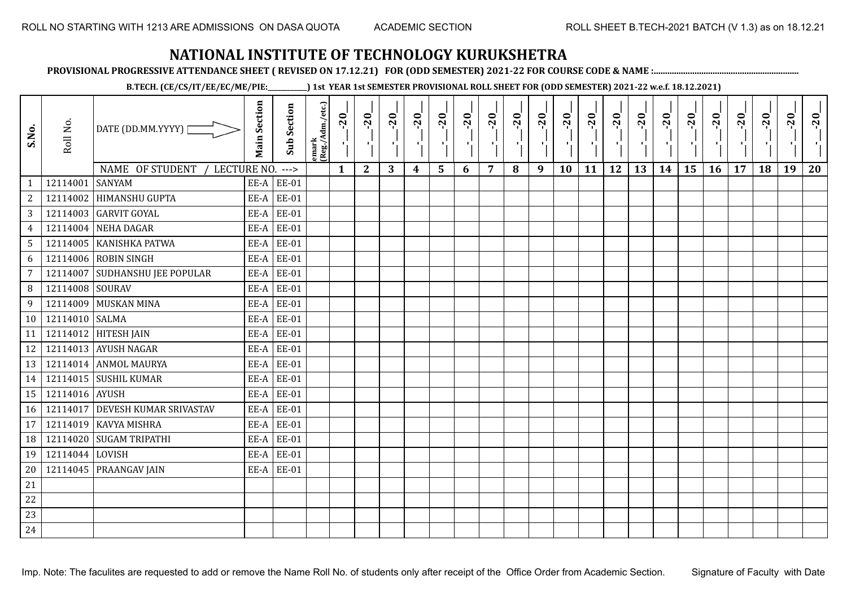**PROVISIONAL PROGRESSIVE ATTENDANCE SHEET ( REVISED ON 17.12.21) FOR (ODD SEMESTER) 2021-22 FOR COURSE CODE & NAME :................................................................**

**B.TECH. (CE/CS/IT/EE/EC/ME/PIE:\_\_\_\_\_\_\_\_\_\_\_\_) 1st YEAR 1st SEMESTER PROVISIONAL ROLL SHEET FOR (ODD SEMESTER) 2021-22 w.e.f. 18.12.2021)**

| S.No.           | Roll No.        | DATE (DD.MM.YYYY)<br>NAME OF STUDENT<br>LECTURE NO. | <b>Main Section</b> | <b>Sub Section</b><br>$---$ | emark<br> (Reg./Adm./etc.) | $-20$<br>$\mathbf{1}$ | $-20$<br>π÷<br>$\mathbf{2}$ | $-20$<br>л÷.<br>3 | $-20$<br>π÷<br>$\boldsymbol{4}$ | $-20$<br>лj<br>5 | $-20$<br>$\blacksquare$<br>6 | $-20$<br>$\overline{7}$ | $-20$<br>8 | $-20$<br>$\mathbf{r}$<br>9 | $-20$<br>л,<br>10 | $-20$<br>шj<br>11 | $-20$<br>π÷<br>12 | $-20$<br>Æ,<br>13 | $-20$<br>$\blacksquare$<br>14 | $-20$<br>ار<br>ا<br>15 | $-20$<br>$\mathcal{F}_{\mathcal{A}}$ .<br>16 | $-20$<br>17 | $-20$<br>18 | $-20$<br>×.<br>19 | $-20$<br>20 |
|-----------------|-----------------|-----------------------------------------------------|---------------------|-----------------------------|----------------------------|-----------------------|-----------------------------|-------------------|---------------------------------|------------------|------------------------------|-------------------------|------------|----------------------------|-------------------|-------------------|-------------------|-------------------|-------------------------------|------------------------|----------------------------------------------|-------------|-------------|-------------------|-------------|
| $\mathbf{1}$    | 12114001        | <b>SANYAM</b>                                       | EE-A                | <b>EE-01</b>                |                            |                       |                             |                   |                                 |                  |                              |                         |            |                            |                   |                   |                   |                   |                               |                        |                                              |             |             |                   |             |
| $\overline{c}$  | 12114002        | <b>HIMANSHU GUPTA</b>                               | EE-A                | <b>EE-01</b>                |                            |                       |                             |                   |                                 |                  |                              |                         |            |                            |                   |                   |                   |                   |                               |                        |                                              |             |             |                   |             |
| 3               |                 | 12114003 GARVIT GOYAL                               | EE-A                | <b>EE-01</b>                |                            |                       |                             |                   |                                 |                  |                              |                         |            |                            |                   |                   |                   |                   |                               |                        |                                              |             |             |                   |             |
| $\overline{4}$  | 12114004        | NEHA DAGAR                                          | EE-A                | <b>EE-01</b>                |                            |                       |                             |                   |                                 |                  |                              |                         |            |                            |                   |                   |                   |                   |                               |                        |                                              |             |             |                   |             |
| $5\phantom{.0}$ |                 | 12114005 KANISHKA PATWA                             | EE-A                | <b>EE-01</b>                |                            |                       |                             |                   |                                 |                  |                              |                         |            |                            |                   |                   |                   |                   |                               |                        |                                              |             |             |                   |             |
| 6               | 12114006        | <b>ROBIN SINGH</b>                                  | EE-A                | <b>EE-01</b>                |                            |                       |                             |                   |                                 |                  |                              |                         |            |                            |                   |                   |                   |                   |                               |                        |                                              |             |             |                   |             |
| 7               | 12114007        | <b>SUDHANSHU JEE POPULAR</b>                        | EE-A                | <b>EE-01</b>                |                            |                       |                             |                   |                                 |                  |                              |                         |            |                            |                   |                   |                   |                   |                               |                        |                                              |             |             |                   |             |
| 8               | 12114008 SOURAV |                                                     | EE-A                | <b>EE-01</b>                |                            |                       |                             |                   |                                 |                  |                              |                         |            |                            |                   |                   |                   |                   |                               |                        |                                              |             |             |                   |             |
| 9               | 12114009        | <b>MUSKAN MINA</b>                                  | EE-A                | <b>EE-01</b>                |                            |                       |                             |                   |                                 |                  |                              |                         |            |                            |                   |                   |                   |                   |                               |                        |                                              |             |             |                   |             |
| 10              | 12114010 SALMA  |                                                     | EE-A                | <b>EE-01</b>                |                            |                       |                             |                   |                                 |                  |                              |                         |            |                            |                   |                   |                   |                   |                               |                        |                                              |             |             |                   |             |
| 11              |                 | 12114012 HITESH JAIN                                | EE-A                | <b>EE-01</b>                |                            |                       |                             |                   |                                 |                  |                              |                         |            |                            |                   |                   |                   |                   |                               |                        |                                              |             |             |                   |             |
| 12              |                 | 12114013 AYUSH NAGAR                                | EE-A                | <b>EE-01</b>                |                            |                       |                             |                   |                                 |                  |                              |                         |            |                            |                   |                   |                   |                   |                               |                        |                                              |             |             |                   |             |
| 13              |                 | 12114014 ANMOL MAURYA                               | EE-A                | <b>EE-01</b>                |                            |                       |                             |                   |                                 |                  |                              |                         |            |                            |                   |                   |                   |                   |                               |                        |                                              |             |             |                   |             |
| 14              |                 | 12114015 SUSHIL KUMAR                               | EE-A                | <b>EE-01</b>                |                            |                       |                             |                   |                                 |                  |                              |                         |            |                            |                   |                   |                   |                   |                               |                        |                                              |             |             |                   |             |
| 15              | 12114016 AYUSH  |                                                     | EE-A                | <b>EE-01</b>                |                            |                       |                             |                   |                                 |                  |                              |                         |            |                            |                   |                   |                   |                   |                               |                        |                                              |             |             |                   |             |
| 16              |                 | 12114017 DEVESH KUMAR SRIVASTAV                     | EE-A                | <b>EE-01</b>                |                            |                       |                             |                   |                                 |                  |                              |                         |            |                            |                   |                   |                   |                   |                               |                        |                                              |             |             |                   |             |
| 17              | 12114019        | <b>KAVYA MISHRA</b>                                 | EE-A                | <b>EE-01</b>                |                            |                       |                             |                   |                                 |                  |                              |                         |            |                            |                   |                   |                   |                   |                               |                        |                                              |             |             |                   |             |
| 18              | 12114020        | <b>SUGAM TRIPATHI</b>                               | EE-A                | <b>EE-01</b>                |                            |                       |                             |                   |                                 |                  |                              |                         |            |                            |                   |                   |                   |                   |                               |                        |                                              |             |             |                   |             |
| 19              | 12114044 LOVISH |                                                     | EE-A                | <b>EE-01</b>                |                            |                       |                             |                   |                                 |                  |                              |                         |            |                            |                   |                   |                   |                   |                               |                        |                                              |             |             |                   |             |
| 20              |                 | 12114045 PRAANGAV JAIN                              | EE-A                | <b>EE-01</b>                |                            |                       |                             |                   |                                 |                  |                              |                         |            |                            |                   |                   |                   |                   |                               |                        |                                              |             |             |                   |             |
| 21              |                 |                                                     |                     |                             |                            |                       |                             |                   |                                 |                  |                              |                         |            |                            |                   |                   |                   |                   |                               |                        |                                              |             |             |                   |             |
| 22              |                 |                                                     |                     |                             |                            |                       |                             |                   |                                 |                  |                              |                         |            |                            |                   |                   |                   |                   |                               |                        |                                              |             |             |                   |             |
| 23              |                 |                                                     |                     |                             |                            |                       |                             |                   |                                 |                  |                              |                         |            |                            |                   |                   |                   |                   |                               |                        |                                              |             |             |                   |             |
| 24              |                 |                                                     |                     |                             |                            |                       |                             |                   |                                 |                  |                              |                         |            |                            |                   |                   |                   |                   |                               |                        |                                              |             |             |                   |             |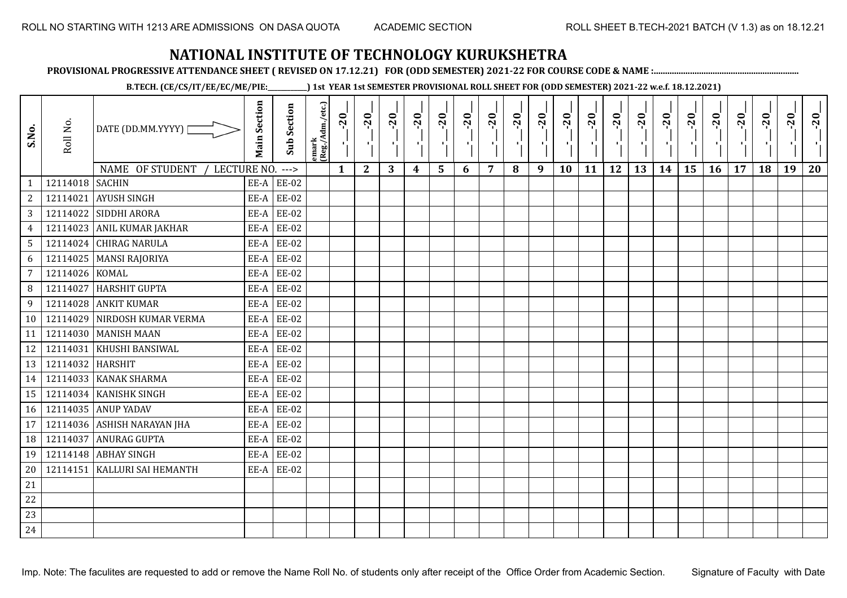**PROVISIONAL PROGRESSIVE ATTENDANCE SHEET ( REVISED ON 17.12.21) FOR (ODD SEMESTER) 2021-22 FOR COURSE CODE & NAME :................................................................**

**B.TECH. (CE/CS/IT/EE/EC/ME/PIE:\_\_\_\_\_\_\_\_\_\_\_\_) 1st YEAR 1st SEMESTER PROVISIONAL ROLL SHEET FOR (ODD SEMESTER) 2021-22 w.e.f. 18.12.2021)**

| S.No.           | Roll No.         | DATE (DD.MM.YYYY)  <br>NAME OF STUDENT<br>LECTURE NO. | <b>Main Section</b> | <b>Sub Section</b><br>$---$ | emark<br> (Reg./Adm./etc.) | $-20$<br>$\mathbf{1}$ | $-20$<br>π÷<br>$\mathbf{2}$ | $-20$<br>л÷.<br>3 | $-20$<br>π÷<br>4 | $-20$<br>лj<br>5 | $-20$<br>×,<br>6 | $-20$<br>$\overline{7}$ | $-20$<br>8 | $-20$<br>пļ<br>9 | $-20$<br>л,<br>10 | $-20$<br>шj<br>11 | $-20$<br>π÷<br>12 | $-20$<br>로<br>13 | $-20$<br>$\blacksquare$<br>14 | $-20$<br>ا.<br>ا<br>15 | $-20$<br>-96<br>16 | $-20$<br>17 | $-20$<br>18 | $-20$<br>×.<br>19 | $-20$<br>20 |
|-----------------|------------------|-------------------------------------------------------|---------------------|-----------------------------|----------------------------|-----------------------|-----------------------------|-------------------|------------------|------------------|------------------|-------------------------|------------|------------------|-------------------|-------------------|-------------------|------------------|-------------------------------|------------------------|--------------------|-------------|-------------|-------------------|-------------|
| $\mathbf{1}$    | 12114018 SACHIN  |                                                       | EE-A                | <b>EE-02</b>                |                            |                       |                             |                   |                  |                  |                  |                         |            |                  |                   |                   |                   |                  |                               |                        |                    |             |             |                   |             |
| $\overline{c}$  | 12114021         | <b>AYUSH SINGH</b>                                    | EE-A                | <b>EE-02</b>                |                            |                       |                             |                   |                  |                  |                  |                         |            |                  |                   |                   |                   |                  |                               |                        |                    |             |             |                   |             |
| 3               |                  | 12114022 SIDDHI ARORA                                 | EE-A                | <b>EE-02</b>                |                            |                       |                             |                   |                  |                  |                  |                         |            |                  |                   |                   |                   |                  |                               |                        |                    |             |             |                   |             |
| $\overline{4}$  |                  | 12114023 ANIL KUMAR JAKHAR                            | EE-A                | EE-02                       |                            |                       |                             |                   |                  |                  |                  |                         |            |                  |                   |                   |                   |                  |                               |                        |                    |             |             |                   |             |
| $5\phantom{.0}$ |                  | 12114024 CHIRAG NARULA                                | EE-A                | <b>EE-02</b>                |                            |                       |                             |                   |                  |                  |                  |                         |            |                  |                   |                   |                   |                  |                               |                        |                    |             |             |                   |             |
| 6               |                  | 12114025   MANSI RAJORIYA                             | EE-A                | <b>EE-02</b>                |                            |                       |                             |                   |                  |                  |                  |                         |            |                  |                   |                   |                   |                  |                               |                        |                    |             |             |                   |             |
| 7               | 12114026 KOMAL   |                                                       | EE-A                | <b>EE-02</b>                |                            |                       |                             |                   |                  |                  |                  |                         |            |                  |                   |                   |                   |                  |                               |                        |                    |             |             |                   |             |
| 8               | 12114027         | <b>HARSHIT GUPTA</b>                                  | EE-A                | <b>EE-02</b>                |                            |                       |                             |                   |                  |                  |                  |                         |            |                  |                   |                   |                   |                  |                               |                        |                    |             |             |                   |             |
| 9               |                  | 12114028 ANKIT KUMAR                                  | EE-A                | <b>EE-02</b>                |                            |                       |                             |                   |                  |                  |                  |                         |            |                  |                   |                   |                   |                  |                               |                        |                    |             |             |                   |             |
| 10              | 12114029         | NIRDOSH KUMAR VERMA                                   | EE-A                | <b>EE-02</b>                |                            |                       |                             |                   |                  |                  |                  |                         |            |                  |                   |                   |                   |                  |                               |                        |                    |             |             |                   |             |
| 11              |                  | 12114030 MANISH MAAN                                  | EE-A                | <b>EE-02</b>                |                            |                       |                             |                   |                  |                  |                  |                         |            |                  |                   |                   |                   |                  |                               |                        |                    |             |             |                   |             |
| 12              | 12114031         | <b>KHUSHI BANSIWAL</b>                                | EE-A                | <b>EE-02</b>                |                            |                       |                             |                   |                  |                  |                  |                         |            |                  |                   |                   |                   |                  |                               |                        |                    |             |             |                   |             |
| 13              | 12114032 HARSHIT |                                                       | EE-A                | EE-02                       |                            |                       |                             |                   |                  |                  |                  |                         |            |                  |                   |                   |                   |                  |                               |                        |                    |             |             |                   |             |
| 14              |                  | 12114033 KANAK SHARMA                                 | EE-A                | <b>EE-02</b>                |                            |                       |                             |                   |                  |                  |                  |                         |            |                  |                   |                   |                   |                  |                               |                        |                    |             |             |                   |             |
| 15              |                  | 12114034 KANISHK SINGH                                | EE-A                | <b>EE-02</b>                |                            |                       |                             |                   |                  |                  |                  |                         |            |                  |                   |                   |                   |                  |                               |                        |                    |             |             |                   |             |
| 16              |                  | 12114035 ANUP YADAV                                   | EE-A                | <b>EE-02</b>                |                            |                       |                             |                   |                  |                  |                  |                         |            |                  |                   |                   |                   |                  |                               |                        |                    |             |             |                   |             |
| 17              |                  | 12114036 ASHISH NARAYAN JHA                           | EE-A                | EE-02                       |                            |                       |                             |                   |                  |                  |                  |                         |            |                  |                   |                   |                   |                  |                               |                        |                    |             |             |                   |             |
| 18              | 12114037         | <b>ANURAG GUPTA</b>                                   | EE-A                | <b>EE-02</b>                |                            |                       |                             |                   |                  |                  |                  |                         |            |                  |                   |                   |                   |                  |                               |                        |                    |             |             |                   |             |
| 19              |                  | 12114148 ABHAY SINGH                                  | EE-A                | <b>EE-02</b>                |                            |                       |                             |                   |                  |                  |                  |                         |            |                  |                   |                   |                   |                  |                               |                        |                    |             |             |                   |             |
| 20              |                  | 12114151   KALLURI SAI HEMANTH                        | EE-A                | <b>EE-02</b>                |                            |                       |                             |                   |                  |                  |                  |                         |            |                  |                   |                   |                   |                  |                               |                        |                    |             |             |                   |             |
| 21              |                  |                                                       |                     |                             |                            |                       |                             |                   |                  |                  |                  |                         |            |                  |                   |                   |                   |                  |                               |                        |                    |             |             |                   |             |
| 22              |                  |                                                       |                     |                             |                            |                       |                             |                   |                  |                  |                  |                         |            |                  |                   |                   |                   |                  |                               |                        |                    |             |             |                   |             |
| 23              |                  |                                                       |                     |                             |                            |                       |                             |                   |                  |                  |                  |                         |            |                  |                   |                   |                   |                  |                               |                        |                    |             |             |                   |             |
| 24              |                  |                                                       |                     |                             |                            |                       |                             |                   |                  |                  |                  |                         |            |                  |                   |                   |                   |                  |                               |                        |                    |             |             |                   |             |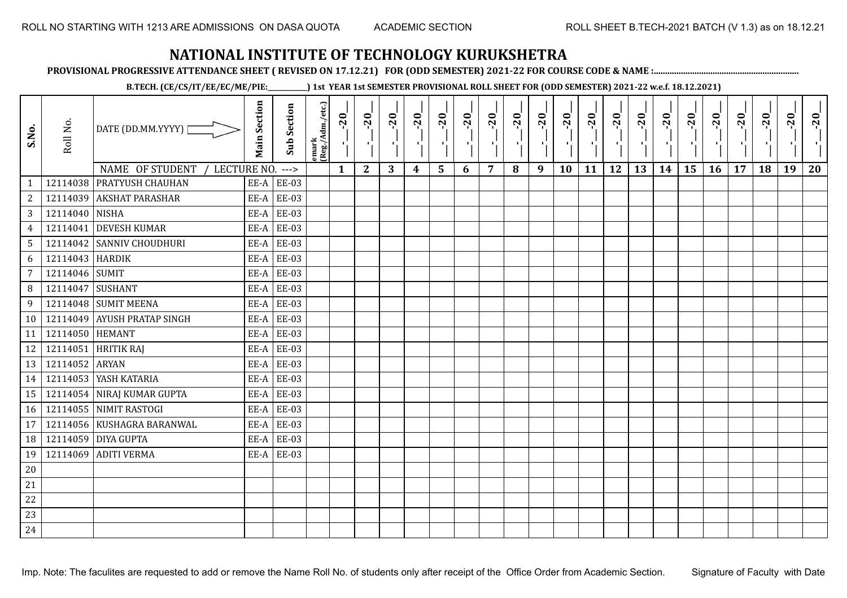**PROVISIONAL PROGRESSIVE ATTENDANCE SHEET ( REVISED ON 17.12.21) FOR (ODD SEMESTER) 2021-22 FOR COURSE CODE & NAME :................................................................**

**B.TECH. (CE/CS/IT/EE/EC/ME/PIE:\_\_\_\_\_\_\_\_\_\_\_\_) 1st YEAR 1st SEMESTER PROVISIONAL ROLL SHEET FOR (ODD SEMESTER) 2021-22 w.e.f. 18.12.2021)**

| S.No.           | Roll No.         | DATE (DD.MM.YYYY) [            | <b>Main Section</b> | <b>Sub Section</b> | lemark<br>(Reg./Adm./etc.) | $-20$<br>τĻ. | $-20$<br>-11 | $-20$ | $-20$<br>H)      | $-20$<br>ا .   | $-20$ | $-20$ | $-20$<br>τ, | $-20$<br>$\mathcal{F}_{\mathbf{L}}$ | $-20$<br>×. | $-20$<br>чŀ. | $-20$<br>ч÷ | $-20$<br>чļ | $-20$ | $-20$ | $-20$ | $-20$ | $-20$ | $-20$ | $-20$ |
|-----------------|------------------|--------------------------------|---------------------|--------------------|----------------------------|--------------|--------------|-------|------------------|----------------|-------|-------|-------------|-------------------------------------|-------------|--------------|-------------|-------------|-------|-------|-------|-------|-------|-------|-------|
|                 |                  | NAME OF STUDENT<br>LECTURE NO. |                     | $--->$             |                            | $\mathbf{1}$ | $\mathbf{2}$ | 3     | $\boldsymbol{4}$ | $5\phantom{1}$ | 6     | 7     | 8           | 9                                   | 10          | 11           | 12          | 13          | 14    | 15    | 16    | 17    | 18    | 19    | 20    |
| 1               |                  | 12114038 PRATYUSH CHAUHAN      |                     | $EE-A$ $EE-03$     |                            |              |              |       |                  |                |       |       |             |                                     |             |              |             |             |       |       |       |       |       |       |       |
| $\overline{2}$  |                  | 12114039 AKSHAT PARASHAR       |                     | EE-A $EE-03$       |                            |              |              |       |                  |                |       |       |             |                                     |             |              |             |             |       |       |       |       |       |       |       |
| 3 <sup>1</sup>  | 12114040 NISHA   |                                |                     | $EE-A$ $EE-03$     |                            |              |              |       |                  |                |       |       |             |                                     |             |              |             |             |       |       |       |       |       |       |       |
| $\overline{4}$  |                  | 12114041 DEVESH KUMAR          | EE-A                | <b>EE-03</b>       |                            |              |              |       |                  |                |       |       |             |                                     |             |              |             |             |       |       |       |       |       |       |       |
| 5               |                  | 12114042 SANNIV CHOUDHURI      |                     | EE-A $EE-03$       |                            |              |              |       |                  |                |       |       |             |                                     |             |              |             |             |       |       |       |       |       |       |       |
| 6               | 12114043 HARDIK  |                                | EE-A                | <b>EE-03</b>       |                            |              |              |       |                  |                |       |       |             |                                     |             |              |             |             |       |       |       |       |       |       |       |
| $7\overline{ }$ | 12114046 SUMIT   |                                |                     | $EE-A$ $EE-03$     |                            |              |              |       |                  |                |       |       |             |                                     |             |              |             |             |       |       |       |       |       |       |       |
| 8               | 12114047 SUSHANT |                                |                     | EE-A EE-03         |                            |              |              |       |                  |                |       |       |             |                                     |             |              |             |             |       |       |       |       |       |       |       |
| 9               |                  | 12114048 SUMIT MEENA           |                     | $EE-A$ $EE-03$     |                            |              |              |       |                  |                |       |       |             |                                     |             |              |             |             |       |       |       |       |       |       |       |
| 10 <sup>1</sup> |                  | 12114049 AYUSH PRATAP SINGH    |                     | $EE-A$ $EE-03$     |                            |              |              |       |                  |                |       |       |             |                                     |             |              |             |             |       |       |       |       |       |       |       |
| 11              | 12114050 HEMANT  |                                |                     | $EE-A$ $EE-03$     |                            |              |              |       |                  |                |       |       |             |                                     |             |              |             |             |       |       |       |       |       |       |       |
| 12              |                  | 12114051 HRITIK RAJ            |                     | $EE-A$ $EE-03$     |                            |              |              |       |                  |                |       |       |             |                                     |             |              |             |             |       |       |       |       |       |       |       |
| 13              | 12114052 ARYAN   |                                | EE-A                | <b>EE-03</b>       |                            |              |              |       |                  |                |       |       |             |                                     |             |              |             |             |       |       |       |       |       |       |       |
| 14              |                  | 12114053 YASH KATARIA          |                     | EE-A $EE-03$       |                            |              |              |       |                  |                |       |       |             |                                     |             |              |             |             |       |       |       |       |       |       |       |
| 15              |                  | 12114054 NIRAJ KUMAR GUPTA     | EE-A                | <b>EE-03</b>       |                            |              |              |       |                  |                |       |       |             |                                     |             |              |             |             |       |       |       |       |       |       |       |
| 16              |                  | 12114055 NIMIT RASTOGI         |                     | $EE-A$ $EE-03$     |                            |              |              |       |                  |                |       |       |             |                                     |             |              |             |             |       |       |       |       |       |       |       |
| 17              |                  | 12114056 KUSHAGRA BARANWAL     |                     | EE-A EE-03         |                            |              |              |       |                  |                |       |       |             |                                     |             |              |             |             |       |       |       |       |       |       |       |
| 18              |                  | 12114059 DIYA GUPTA            |                     | $EE-A$ $EE-03$     |                            |              |              |       |                  |                |       |       |             |                                     |             |              |             |             |       |       |       |       |       |       |       |
| 19              |                  | 12114069 ADITI VERMA           |                     | $EE-A$ $EE-03$     |                            |              |              |       |                  |                |       |       |             |                                     |             |              |             |             |       |       |       |       |       |       |       |
| $20\,$          |                  |                                |                     |                    |                            |              |              |       |                  |                |       |       |             |                                     |             |              |             |             |       |       |       |       |       |       |       |
| $21\,$          |                  |                                |                     |                    |                            |              |              |       |                  |                |       |       |             |                                     |             |              |             |             |       |       |       |       |       |       |       |
| 22              |                  |                                |                     |                    |                            |              |              |       |                  |                |       |       |             |                                     |             |              |             |             |       |       |       |       |       |       |       |
| 23              |                  |                                |                     |                    |                            |              |              |       |                  |                |       |       |             |                                     |             |              |             |             |       |       |       |       |       |       |       |
| 24              |                  |                                |                     |                    |                            |              |              |       |                  |                |       |       |             |                                     |             |              |             |             |       |       |       |       |       |       |       |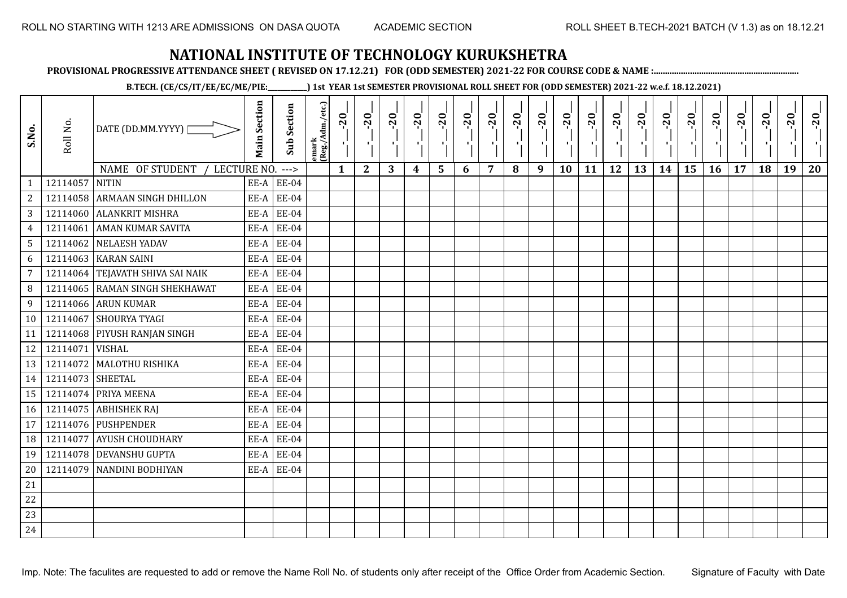**PROVISIONAL PROGRESSIVE ATTENDANCE SHEET ( REVISED ON 17.12.21) FOR (ODD SEMESTER) 2021-22 FOR COURSE CODE & NAME :................................................................**

**B.TECH. (CE/CS/IT/EE/EC/ME/PIE:\_\_\_\_\_\_\_\_\_\_\_\_) 1st YEAR 1st SEMESTER PROVISIONAL ROLL SHEET FOR (ODD SEMESTER) 2021-22 w.e.f. 18.12.2021)**

| S.No.          | Roll No.         | DATE (DD.MM.YYYY)<br>NAME OF STUDENT<br>LECTURE NO. | <b>Main Section</b> | <b>Sub Section</b><br>$--->$ | emark<br> (Reg./Adm./etc.) | $-20$<br>$\mathbf{1}$ | $-20$<br>$\mathbf{2}$ | $-20$<br>л.<br>3 | $-20$<br>4 | $-20$<br>л.<br>5 | $-20$<br>6 | $-20$<br>7 | $-20$<br>8 | $-20$<br>п.<br>9 | $-20$<br>л,<br>10 | $-20$<br>11 | $-20$<br>πī<br>12 | $-20$<br>13 | $-20$<br>14 | $-20$<br>15 | $-20$<br>16 | $-20$<br>17 | $-20$<br>18 | $-20$<br>ч.<br>19 | $-20$<br>20 |
|----------------|------------------|-----------------------------------------------------|---------------------|------------------------------|----------------------------|-----------------------|-----------------------|------------------|------------|------------------|------------|------------|------------|------------------|-------------------|-------------|-------------------|-------------|-------------|-------------|-------------|-------------|-------------|-------------------|-------------|
| $\mathbf{1}$   | 12114057         | <b>NITIN</b>                                        | EE-A                | <b>EE-04</b>                 |                            |                       |                       |                  |            |                  |            |            |            |                  |                   |             |                   |             |             |             |             |             |             |                   |             |
| $\overline{c}$ |                  | 12114058 ARMAAN SINGH DHILLON                       | EE-A                | <b>EE-04</b>                 |                            |                       |                       |                  |            |                  |            |            |            |                  |                   |             |                   |             |             |             |             |             |             |                   |             |
| $\mathbf{3}$   |                  | 12114060 ALANKRIT MISHRA                            | EE-A                | <b>EE-04</b>                 |                            |                       |                       |                  |            |                  |            |            |            |                  |                   |             |                   |             |             |             |             |             |             |                   |             |
| $\overline{4}$ | 12114061         | <b>AMAN KUMAR SAVITA</b>                            | EE-A                | <b>EE-04</b>                 |                            |                       |                       |                  |            |                  |            |            |            |                  |                   |             |                   |             |             |             |             |             |             |                   |             |
| 5              |                  | 12114062 NELAESH YADAV                              | EE-A                | <b>EE-04</b>                 |                            |                       |                       |                  |            |                  |            |            |            |                  |                   |             |                   |             |             |             |             |             |             |                   |             |
| 6              | 12114063         | <b>KARAN SAINI</b>                                  | EE-A                | <b>EE-04</b>                 |                            |                       |                       |                  |            |                  |            |            |            |                  |                   |             |                   |             |             |             |             |             |             |                   |             |
| $\overline{7}$ |                  | 12114064 TEJAVATH SHIVA SAI NAIK                    | EE-A                | <b>EE-04</b>                 |                            |                       |                       |                  |            |                  |            |            |            |                  |                   |             |                   |             |             |             |             |             |             |                   |             |
| 8              |                  | 12114065 RAMAN SINGH SHEKHAWAT                      | EE-A                | <b>EE-04</b>                 |                            |                       |                       |                  |            |                  |            |            |            |                  |                   |             |                   |             |             |             |             |             |             |                   |             |
| 9              |                  | 12114066 ARUN KUMAR                                 | EE-A                | <b>EE-04</b>                 |                            |                       |                       |                  |            |                  |            |            |            |                  |                   |             |                   |             |             |             |             |             |             |                   |             |
| 10             | 12114067         | <b>SHOURYA TYAGI</b>                                | EE-A                | <b>EE-04</b>                 |                            |                       |                       |                  |            |                  |            |            |            |                  |                   |             |                   |             |             |             |             |             |             |                   |             |
| 11             |                  | 12114068 PIYUSH RANJAN SINGH                        | EE-A                | <b>EE-04</b>                 |                            |                       |                       |                  |            |                  |            |            |            |                  |                   |             |                   |             |             |             |             |             |             |                   |             |
| 12             | 12114071 VISHAL  |                                                     | EE-A                | <b>EE-04</b>                 |                            |                       |                       |                  |            |                  |            |            |            |                  |                   |             |                   |             |             |             |             |             |             |                   |             |
| 13             | 12114072         | MALOTHU RISHIKA                                     | EE-A                | <b>EE-04</b>                 |                            |                       |                       |                  |            |                  |            |            |            |                  |                   |             |                   |             |             |             |             |             |             |                   |             |
| 14             | 12114073 SHEETAL |                                                     | EE-A                | <b>EE-04</b>                 |                            |                       |                       |                  |            |                  |            |            |            |                  |                   |             |                   |             |             |             |             |             |             |                   |             |
| 15             | 12114074         | PRIYA MEENA                                         | EE-A                | <b>EE-04</b>                 |                            |                       |                       |                  |            |                  |            |            |            |                  |                   |             |                   |             |             |             |             |             |             |                   |             |
| 16             |                  | 12114075 ABHISHEK RAJ                               | EE-A                | <b>EE-04</b>                 |                            |                       |                       |                  |            |                  |            |            |            |                  |                   |             |                   |             |             |             |             |             |             |                   |             |
| 17             |                  | 12114076 PUSHPENDER                                 | EE-A                | <b>EE-04</b>                 |                            |                       |                       |                  |            |                  |            |            |            |                  |                   |             |                   |             |             |             |             |             |             |                   |             |
| 18             | 12114077         | <b>AYUSH CHOUDHARY</b>                              | EE-A                | <b>EE-04</b>                 |                            |                       |                       |                  |            |                  |            |            |            |                  |                   |             |                   |             |             |             |             |             |             |                   |             |
| 19             |                  | 12114078 DEVANSHU GUPTA                             | EE-A                | <b>EE-04</b>                 |                            |                       |                       |                  |            |                  |            |            |            |                  |                   |             |                   |             |             |             |             |             |             |                   |             |
| 20             |                  | 12114079 NANDINI BODHIYAN                           | EE-A                | <b>EE-04</b>                 |                            |                       |                       |                  |            |                  |            |            |            |                  |                   |             |                   |             |             |             |             |             |             |                   |             |
| 21             |                  |                                                     |                     |                              |                            |                       |                       |                  |            |                  |            |            |            |                  |                   |             |                   |             |             |             |             |             |             |                   |             |
| 22             |                  |                                                     |                     |                              |                            |                       |                       |                  |            |                  |            |            |            |                  |                   |             |                   |             |             |             |             |             |             |                   |             |
| 23             |                  |                                                     |                     |                              |                            |                       |                       |                  |            |                  |            |            |            |                  |                   |             |                   |             |             |             |             |             |             |                   |             |
| 24             |                  |                                                     |                     |                              |                            |                       |                       |                  |            |                  |            |            |            |                  |                   |             |                   |             |             |             |             |             |             |                   |             |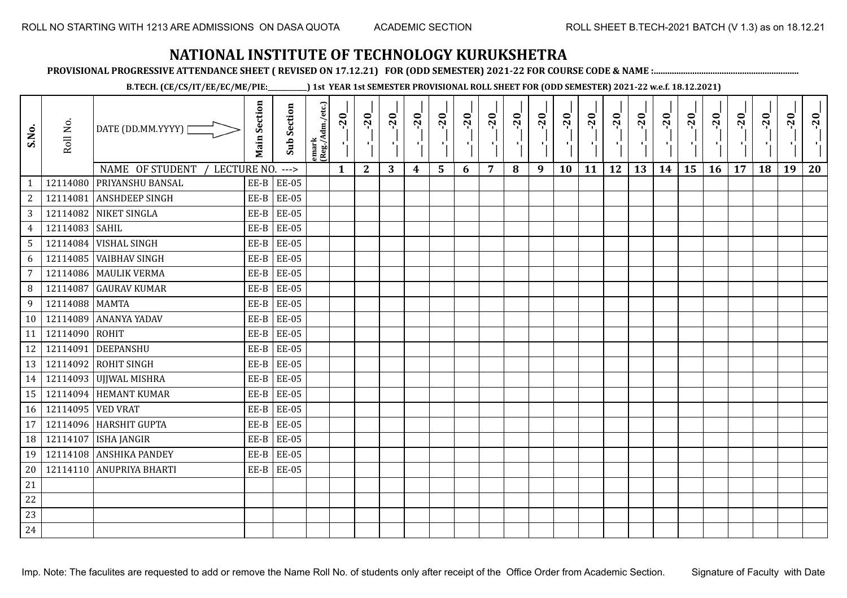**PROVISIONAL PROGRESSIVE ATTENDANCE SHEET ( REVISED ON 17.12.21) FOR (ODD SEMESTER) 2021-22 FOR COURSE CODE & NAME :................................................................**

**B.TECH. (CE/CS/IT/EE/EC/ME/PIE:\_\_\_\_\_\_\_\_\_\_\_\_) 1st YEAR 1st SEMESTER PROVISIONAL ROLL SHEET FOR (ODD SEMESTER) 2021-22 w.e.f. 18.12.2021)**

| S.No.           | Roll No.          | DATE (DD.MM.YYYY) [              | <b>Main Section</b> | <b>Sub Section</b> | emark<br> (Reg./Adm./etc.) | $-20$        | $-20$<br>×.  | $-20$ | $-20$<br>п, | $-20$<br>۱, | $-20$<br>-9 | $-20$<br>- 1 | $-20$ | $-20$<br>-10 | $-20$<br>л, | $-20$ | $-20$<br>πt | $-20$<br>로 | $-20$<br>$\blacksquare$ | $-20$ | $-20$<br>$\mathcal{F}_{\mathbf{r}}$ . | $-20$ | $-20$ | $-20$<br>ч, | $-20$ |
|-----------------|-------------------|----------------------------------|---------------------|--------------------|----------------------------|--------------|--------------|-------|-------------|-------------|-------------|--------------|-------|--------------|-------------|-------|-------------|------------|-------------------------|-------|---------------------------------------|-------|-------|-------------|-------|
|                 |                   | NAME OF STUDENT /<br>LECTURE NO. |                     | $--->$             |                            | $\mathbf{1}$ | $\mathbf{2}$ | 3     | 4           | 5           | 6           | 7            | 8     | 9            | 10          | 11    | 12          | 13         | 14                      | 15    | 16                                    | 17    | 18    | 19          | 20    |
| $\mathbf{1}$    |                   | 12114080 PRIYANSHU BANSAL        |                     | $EE-B$ $EE-05$     |                            |              |              |       |             |             |             |              |       |              |             |       |             |            |                         |       |                                       |       |       |             |       |
| $\sqrt{2}$      |                   | 12114081 ANSHDEEP SINGH          | EE-B                | <b>EE-05</b>       |                            |              |              |       |             |             |             |              |       |              |             |       |             |            |                         |       |                                       |       |       |             |       |
| 3               |                   | 12114082 NIKET SINGLA            | EE-B                | <b>EE-05</b>       |                            |              |              |       |             |             |             |              |       |              |             |       |             |            |                         |       |                                       |       |       |             |       |
| $\overline{4}$  | 12114083 SAHIL    |                                  | EE-B                | <b>EE-05</b>       |                            |              |              |       |             |             |             |              |       |              |             |       |             |            |                         |       |                                       |       |       |             |       |
| 5               |                   | 12114084 VISHAL SINGH            | $EE-B$              | <b>EE-05</b>       |                            |              |              |       |             |             |             |              |       |              |             |       |             |            |                         |       |                                       |       |       |             |       |
| 6               |                   | 12114085 VAIBHAV SINGH           | EE-B                | <b>EE-05</b>       |                            |              |              |       |             |             |             |              |       |              |             |       |             |            |                         |       |                                       |       |       |             |       |
| $\overline{7}$  |                   | 12114086 MAULIK VERMA            | EE-B                | <b>EE-05</b>       |                            |              |              |       |             |             |             |              |       |              |             |       |             |            |                         |       |                                       |       |       |             |       |
| 8               |                   | 12114087 GAURAV KUMAR            | $EE-B$              | <b>EE-05</b>       |                            |              |              |       |             |             |             |              |       |              |             |       |             |            |                         |       |                                       |       |       |             |       |
| 9               | 12114088 MAMTA    |                                  | EE-B                | <b>EE-05</b>       |                            |              |              |       |             |             |             |              |       |              |             |       |             |            |                         |       |                                       |       |       |             |       |
| 10 <sup>1</sup> |                   | 12114089 ANANYA YADAV            | EE-B                | <b>EE-05</b>       |                            |              |              |       |             |             |             |              |       |              |             |       |             |            |                         |       |                                       |       |       |             |       |
| 11              | 12114090 ROHIT    |                                  | EE-B                | <b>EE-05</b>       |                            |              |              |       |             |             |             |              |       |              |             |       |             |            |                         |       |                                       |       |       |             |       |
| 12              |                   | 12114091 DEEPANSHU               | EE-B                | <b>EE-05</b>       |                            |              |              |       |             |             |             |              |       |              |             |       |             |            |                         |       |                                       |       |       |             |       |
| 13              |                   | 12114092 ROHIT SINGH             | EE-B                | <b>EE-05</b>       |                            |              |              |       |             |             |             |              |       |              |             |       |             |            |                         |       |                                       |       |       |             |       |
| 14              |                   | 12114093 UJJWAL MISHRA           | EE-B                | <b>EE-05</b>       |                            |              |              |       |             |             |             |              |       |              |             |       |             |            |                         |       |                                       |       |       |             |       |
| 15              |                   | 12114094 HEMANT KUMAR            | EE-B                | <b>EE-05</b>       |                            |              |              |       |             |             |             |              |       |              |             |       |             |            |                         |       |                                       |       |       |             |       |
| 16              | 12114095 VED VRAT |                                  | $EE-B$              | <b>EE-05</b>       |                            |              |              |       |             |             |             |              |       |              |             |       |             |            |                         |       |                                       |       |       |             |       |
| 17              |                   | 12114096 HARSHIT GUPTA           | $EE-B$              | <b>EE-05</b>       |                            |              |              |       |             |             |             |              |       |              |             |       |             |            |                         |       |                                       |       |       |             |       |
| 18              |                   | 12114107   ISHA JANGIR           | EE-B                | <b>EE-05</b>       |                            |              |              |       |             |             |             |              |       |              |             |       |             |            |                         |       |                                       |       |       |             |       |
| 19              |                   | 12114108 ANSHIKA PANDEY          | EE-B                | <b>EE-05</b>       |                            |              |              |       |             |             |             |              |       |              |             |       |             |            |                         |       |                                       |       |       |             |       |
| 20              |                   | 12114110 ANUPRIYA BHARTI         |                     | $EE-B$ $EE-05$     |                            |              |              |       |             |             |             |              |       |              |             |       |             |            |                         |       |                                       |       |       |             |       |
| 21              |                   |                                  |                     |                    |                            |              |              |       |             |             |             |              |       |              |             |       |             |            |                         |       |                                       |       |       |             |       |
| 22              |                   |                                  |                     |                    |                            |              |              |       |             |             |             |              |       |              |             |       |             |            |                         |       |                                       |       |       |             |       |
| 23              |                   |                                  |                     |                    |                            |              |              |       |             |             |             |              |       |              |             |       |             |            |                         |       |                                       |       |       |             |       |
| 24              |                   |                                  |                     |                    |                            |              |              |       |             |             |             |              |       |              |             |       |             |            |                         |       |                                       |       |       |             |       |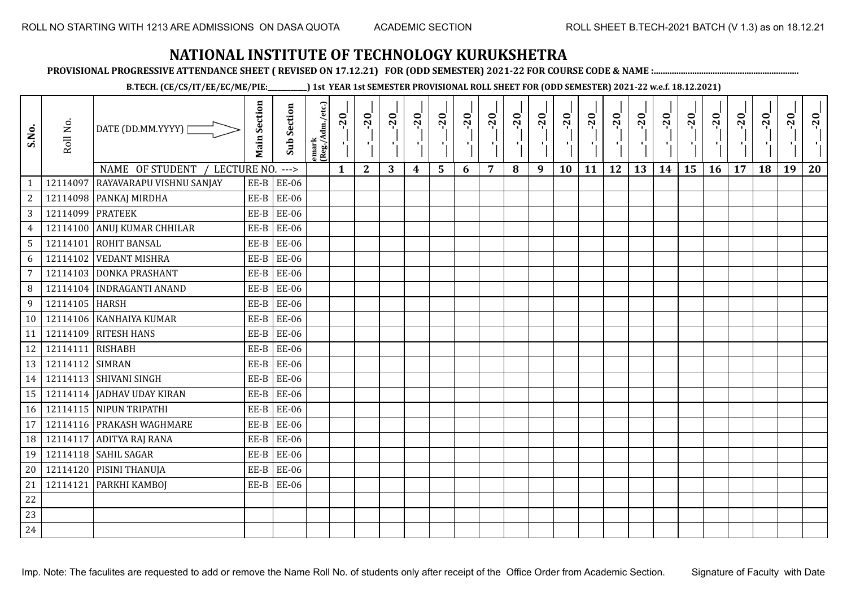**PROVISIONAL PROGRESSIVE ATTENDANCE SHEET ( REVISED ON 17.12.21) FOR (ODD SEMESTER) 2021-22 FOR COURSE CODE & NAME :................................................................**

**B.TECH. (CE/CS/IT/EE/EC/ME/PIE:\_\_\_\_\_\_\_\_\_\_\_\_) 1st YEAR 1st SEMESTER PROVISIONAL ROLL SHEET FOR (ODD SEMESTER) 2021-22 w.e.f. 18.12.2021)**

| S.No.           | Roll No.         | DATE (DD.MM.YYYY) [            | <b>Main Section</b> | Sub Section  | emark<br>(Reg./Adm./etc.) | $-20$        | $-20$        | $-20$<br>л. | $-20$ | $-20$<br>чj | $-20$ | $-20$ | $-20$ | $-20$<br>п., | $-20$<br>л, | $-20$ | $-20$<br>пJ. | $-20$ | $-20$ | $-20$ | $-20$ | $-20$ | $-20$ | $-20$<br>$\mathbf{F}_{\mathbf{r}}$ | $-20$ |
|-----------------|------------------|--------------------------------|---------------------|--------------|---------------------------|--------------|--------------|-------------|-------|-------------|-------|-------|-------|--------------|-------------|-------|--------------|-------|-------|-------|-------|-------|-------|------------------------------------|-------|
|                 |                  | NAME OF STUDENT<br>LECTURE NO. |                     | $--->$       |                           | $\mathbf{1}$ | $\mathbf{2}$ | 3           | 4     | 5           | 6     | 7     | 8     | 9            | 10          | 11    | 12           | 13    | 14    | 15    | 16    | 17    | 18    | 19                                 | 20    |
| $\mathbf{1}$    | 12114097         | RAYAVARAPU VISHNU SANJAY       | $EE-B$              | <b>EE-06</b> |                           |              |              |             |       |             |       |       |       |              |             |       |              |       |       |       |       |       |       |                                    |       |
| $\overline{c}$  |                  | 12114098 PANKAJ MIRDHA         | $EE-B$              | EE-06        |                           |              |              |             |       |             |       |       |       |              |             |       |              |       |       |       |       |       |       |                                    |       |
| 3               | 12114099 PRATEEK |                                | $EE-B$              | <b>EE-06</b> |                           |              |              |             |       |             |       |       |       |              |             |       |              |       |       |       |       |       |       |                                    |       |
| $\overline{4}$  |                  | 12114100 ANUJ KUMAR CHHILAR    | $EE-B$              | <b>EE-06</b> |                           |              |              |             |       |             |       |       |       |              |             |       |              |       |       |       |       |       |       |                                    |       |
| $5\phantom{.0}$ |                  | 12114101 ROHIT BANSAL          | EE-B                | <b>EE-06</b> |                           |              |              |             |       |             |       |       |       |              |             |       |              |       |       |       |       |       |       |                                    |       |
| 6               | 12114102         | <b>VEDANT MISHRA</b>           | EE-B                | <b>EE-06</b> |                           |              |              |             |       |             |       |       |       |              |             |       |              |       |       |       |       |       |       |                                    |       |
| $\overline{7}$  |                  | 12114103 DONKA PRASHANT        | $EE-B$              | EE-06        |                           |              |              |             |       |             |       |       |       |              |             |       |              |       |       |       |       |       |       |                                    |       |
| 8               |                  | 12114104   INDRAGANTI ANAND    | EE-B                | <b>EE-06</b> |                           |              |              |             |       |             |       |       |       |              |             |       |              |       |       |       |       |       |       |                                    |       |
| 9               | 12114105 HARSH   |                                | EE-B                | <b>EE-06</b> |                           |              |              |             |       |             |       |       |       |              |             |       |              |       |       |       |       |       |       |                                    |       |
| 10 <sup>°</sup> |                  | 12114106 KANHAIYA KUMAR        | $EE-B$              | <b>EE-06</b> |                           |              |              |             |       |             |       |       |       |              |             |       |              |       |       |       |       |       |       |                                    |       |
| 11              | 12114109         | <b>RITESH HANS</b>             | EE-B                | <b>EE-06</b> |                           |              |              |             |       |             |       |       |       |              |             |       |              |       |       |       |       |       |       |                                    |       |
| 12              | 12114111 RISHABH |                                | EE-B                | <b>EE-06</b> |                           |              |              |             |       |             |       |       |       |              |             |       |              |       |       |       |       |       |       |                                    |       |
| 13              | 12114112 SIMRAN  |                                | EE-B                | <b>EE-06</b> |                           |              |              |             |       |             |       |       |       |              |             |       |              |       |       |       |       |       |       |                                    |       |
| 14              |                  | 12114113 SHIVANI SINGH         | $EE-B$              | <b>EE-06</b> |                           |              |              |             |       |             |       |       |       |              |             |       |              |       |       |       |       |       |       |                                    |       |
| 15              |                  | 12114114 JADHAV UDAY KIRAN     | $EE-B$              | <b>EE-06</b> |                           |              |              |             |       |             |       |       |       |              |             |       |              |       |       |       |       |       |       |                                    |       |
| 16              |                  | 12114115 NIPUN TRIPATHI        | EE-B                | <b>EE-06</b> |                           |              |              |             |       |             |       |       |       |              |             |       |              |       |       |       |       |       |       |                                    |       |
| 17              |                  | 12114116 PRAKASH WAGHMARE      | $EE-B$              | <b>EE-06</b> |                           |              |              |             |       |             |       |       |       |              |             |       |              |       |       |       |       |       |       |                                    |       |
| 18              |                  | 12114117 ADITYA RAJ RANA       | $EE-B$              | <b>EE-06</b> |                           |              |              |             |       |             |       |       |       |              |             |       |              |       |       |       |       |       |       |                                    |       |
| 19              |                  | 12114118 SAHIL SAGAR           | $EE-B$              | <b>EE-06</b> |                           |              |              |             |       |             |       |       |       |              |             |       |              |       |       |       |       |       |       |                                    |       |
| 20              |                  | 12114120 PISINI THANUJA        | $EE-B$              | <b>EE-06</b> |                           |              |              |             |       |             |       |       |       |              |             |       |              |       |       |       |       |       |       |                                    |       |
| 21              | 12114121         | PARKHI KAMBOJ                  | EE-B                | <b>EE-06</b> |                           |              |              |             |       |             |       |       |       |              |             |       |              |       |       |       |       |       |       |                                    |       |
| 22              |                  |                                |                     |              |                           |              |              |             |       |             |       |       |       |              |             |       |              |       |       |       |       |       |       |                                    |       |
| 23              |                  |                                |                     |              |                           |              |              |             |       |             |       |       |       |              |             |       |              |       |       |       |       |       |       |                                    |       |
| 24              |                  |                                |                     |              |                           |              |              |             |       |             |       |       |       |              |             |       |              |       |       |       |       |       |       |                                    |       |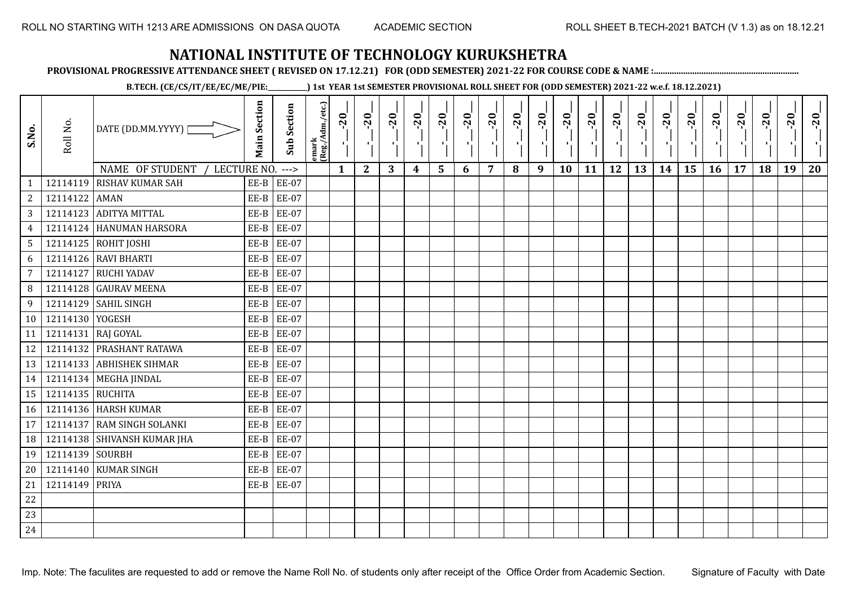**PROVISIONAL PROGRESSIVE ATTENDANCE SHEET ( REVISED ON 17.12.21) FOR (ODD SEMESTER) 2021-22 FOR COURSE CODE & NAME :................................................................**

**B.TECH. (CE/CS/IT/EE/EC/ME/PIE:\_\_\_\_\_\_\_\_\_\_\_\_) 1st YEAR 1st SEMESTER PROVISIONAL ROLL SHEET FOR (ODD SEMESTER) 2021-22 w.e.f. 18.12.2021)**

| S.No.           | Roll No.         | DATE (DD.MM.YYYY) [            | <b>Main Section</b> | <b>Sub Section</b> | emark<br> (Reg./Adm./etc.) | $-20$        | $-20$<br>P,  | $-20$ | $-20$<br>п,      | $-20$<br>۱, | $-20$<br>л. | $-20$<br>π÷ | $-20$ | $-20$<br>ΠJ | $-20$<br>л, | $-20$ | $-20$<br>п. | $-20$<br>로 | $-20$<br>$\blacksquare$ | $-20$ | $-20$<br>л., | $-20$ | $-20$ | $-20$<br>ч, | $-20$ |
|-----------------|------------------|--------------------------------|---------------------|--------------------|----------------------------|--------------|--------------|-------|------------------|-------------|-------------|-------------|-------|-------------|-------------|-------|-------------|------------|-------------------------|-------|--------------|-------|-------|-------------|-------|
|                 |                  | NAME OF STUDENT<br>LECTURE NO. |                     | $--->$             |                            | $\mathbf{1}$ | $\mathbf{2}$ | 3     | $\boldsymbol{4}$ | 5           | 6           | 7           | 8     | 9           | 10          | 11    | 12          | 13         | 14                      | 15    | 16           | 17    | 18    | 19          | 20    |
|                 | 12114119         | <b>RISHAV KUMAR SAH</b>        |                     | $EE-B$ $EE-07$     |                            |              |              |       |                  |             |             |             |       |             |             |       |             |            |                         |       |              |       |       |             |       |
| $\overline{a}$  | 12114122 AMAN    |                                | EE-B                | <b>EE-07</b>       |                            |              |              |       |                  |             |             |             |       |             |             |       |             |            |                         |       |              |       |       |             |       |
| $\overline{3}$  |                  | 12114123 ADITYA MITTAL         | EE-B                | <b>EE-07</b>       |                            |              |              |       |                  |             |             |             |       |             |             |       |             |            |                         |       |              |       |       |             |       |
| $\overline{4}$  |                  | 12114124 HANUMAN HARSORA       | EE-B                | <b>EE-07</b>       |                            |              |              |       |                  |             |             |             |       |             |             |       |             |            |                         |       |              |       |       |             |       |
| 5               |                  | 12114125 ROHIT JOSHI           | $EE-B$              | <b>EE-07</b>       |                            |              |              |       |                  |             |             |             |       |             |             |       |             |            |                         |       |              |       |       |             |       |
| 6               |                  | 12114126 RAVI BHARTI           | EE-B                | <b>EE-07</b>       |                            |              |              |       |                  |             |             |             |       |             |             |       |             |            |                         |       |              |       |       |             |       |
| $\overline{7}$  |                  | 12114127 RUCHI YADAV           | EE-B                | <b>EE-07</b>       |                            |              |              |       |                  |             |             |             |       |             |             |       |             |            |                         |       |              |       |       |             |       |
| 8               |                  | 12114128 GAURAV MEENA          | $EE-B$              | <b>EE-07</b>       |                            |              |              |       |                  |             |             |             |       |             |             |       |             |            |                         |       |              |       |       |             |       |
| 9               |                  | 12114129 SAHIL SINGH           | EE-B                | <b>EE-07</b>       |                            |              |              |       |                  |             |             |             |       |             |             |       |             |            |                         |       |              |       |       |             |       |
| 10 <sup>1</sup> | 12114130 YOGESH  |                                | EE-B                | <b>EE-07</b>       |                            |              |              |       |                  |             |             |             |       |             |             |       |             |            |                         |       |              |       |       |             |       |
| 11              |                  | 12114131 RAJ GOYAL             | EE-B                | <b>EE-07</b>       |                            |              |              |       |                  |             |             |             |       |             |             |       |             |            |                         |       |              |       |       |             |       |
| 12              |                  | 12114132 PRASHANT RATAWA       | EE-B                | <b>EE-07</b>       |                            |              |              |       |                  |             |             |             |       |             |             |       |             |            |                         |       |              |       |       |             |       |
| 13              |                  | 12114133 ABHISHEK SIHMAR       | $EE-B$              | <b>EE-07</b>       |                            |              |              |       |                  |             |             |             |       |             |             |       |             |            |                         |       |              |       |       |             |       |
| 14              |                  | 12114134 MEGHA JINDAL          | EE-B                | <b>EE-07</b>       |                            |              |              |       |                  |             |             |             |       |             |             |       |             |            |                         |       |              |       |       |             |       |
| 15              | 12114135 RUCHITA |                                | EE-B                | <b>EE-07</b>       |                            |              |              |       |                  |             |             |             |       |             |             |       |             |            |                         |       |              |       |       |             |       |
| 16              |                  | 12114136 HARSH KUMAR           | $EE-B$              | <b>EE-07</b>       |                            |              |              |       |                  |             |             |             |       |             |             |       |             |            |                         |       |              |       |       |             |       |
| 17              |                  | 12114137 RAM SINGH SOLANKI     | $EE-B$              | <b>EE-07</b>       |                            |              |              |       |                  |             |             |             |       |             |             |       |             |            |                         |       |              |       |       |             |       |
| 18              |                  | 12114138 SHIVANSH KUMAR JHA    | EE-B                | <b>EE-07</b>       |                            |              |              |       |                  |             |             |             |       |             |             |       |             |            |                         |       |              |       |       |             |       |
| 19              | 12114139 SOURBH  |                                | EE-B                | <b>EE-07</b>       |                            |              |              |       |                  |             |             |             |       |             |             |       |             |            |                         |       |              |       |       |             |       |
| $20\,$          |                  | 12114140 KUMAR SINGH           | EE-B                | <b>EE-07</b>       |                            |              |              |       |                  |             |             |             |       |             |             |       |             |            |                         |       |              |       |       |             |       |
| 21              | 12114149 PRIYA   |                                | $EE-B$              | <b>EE-07</b>       |                            |              |              |       |                  |             |             |             |       |             |             |       |             |            |                         |       |              |       |       |             |       |
| 22              |                  |                                |                     |                    |                            |              |              |       |                  |             |             |             |       |             |             |       |             |            |                         |       |              |       |       |             |       |
| 23              |                  |                                |                     |                    |                            |              |              |       |                  |             |             |             |       |             |             |       |             |            |                         |       |              |       |       |             |       |
| 24              |                  |                                |                     |                    |                            |              |              |       |                  |             |             |             |       |             |             |       |             |            |                         |       |              |       |       |             |       |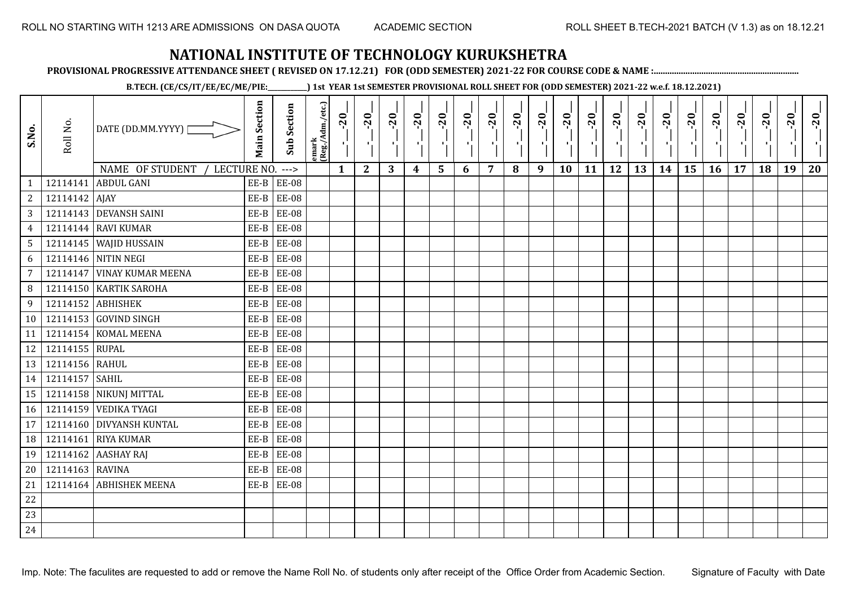**PROVISIONAL PROGRESSIVE ATTENDANCE SHEET ( REVISED ON 17.12.21) FOR (ODD SEMESTER) 2021-22 FOR COURSE CODE & NAME :................................................................**

**B.TECH. (CE/CS/IT/EE/EC/ME/PIE:\_\_\_\_\_\_\_\_\_\_\_\_) 1st YEAR 1st SEMESTER PROVISIONAL ROLL SHEET FOR (ODD SEMESTER) 2021-22 w.e.f. 18.12.2021)**

| S.No.           | Roll No.        | DATE (DD.MM.YYYY) [           | <b>Main Section</b> | <b>Sub Section</b> | emark<br> (Reg./Adm./etc.) | $-20$ | $-20$<br>٠,  | $-20$<br>π÷ | $-20$<br>лj | $-20$<br>۱, | $-20$<br>чļ. | $-20$<br>шj | $-20$ | $-20$<br>л. | $-20$<br>٠, | $-20$<br>т! | $-20$<br>π÷ | $-20$<br>로 | $-20$<br>$\blacksquare$ | $-20$<br>$\frac{1}{1}$ | $-20$<br>чĻ. | $-20$ | $-20$ | $-20$<br>×í. | $-20$ |
|-----------------|-----------------|-------------------------------|---------------------|--------------------|----------------------------|-------|--------------|-------------|-------------|-------------|--------------|-------------|-------|-------------|-------------|-------------|-------------|------------|-------------------------|------------------------|--------------|-------|-------|--------------|-------|
|                 |                 | NAME OF STUDENT / LECTURE NO. |                     | $--->$             |                            | 1     | $\mathbf{2}$ | 3           | 4           | 5           | 6            | 7           | 8     | 9           | 10          | 11          | 12          | 13         | 14                      | 15                     | 16           | 17    | 18    | 19           | 20    |
|                 |                 | 12114141 ABDUL GANI           |                     | $EE-B$ $EE-08$     |                            |       |              |             |             |             |              |             |       |             |             |             |             |            |                         |                        |              |       |       |              |       |
| $\overline{2}$  | 12114142 AJAY   |                               | $EE-B$              | <b>EE-08</b>       |                            |       |              |             |             |             |              |             |       |             |             |             |             |            |                         |                        |              |       |       |              |       |
| $\overline{3}$  |                 | 12114143 DEVANSH SAINI        | $EE-B$              | <b>EE-08</b>       |                            |       |              |             |             |             |              |             |       |             |             |             |             |            |                         |                        |              |       |       |              |       |
| $\overline{4}$  |                 | 12114144 RAVI KUMAR           | EE-B                | <b>EE-08</b>       |                            |       |              |             |             |             |              |             |       |             |             |             |             |            |                         |                        |              |       |       |              |       |
| 5 <sup>5</sup>  |                 | 12114145 WAJID HUSSAIN        | EE-B                | <b>EE-08</b>       |                            |       |              |             |             |             |              |             |       |             |             |             |             |            |                         |                        |              |       |       |              |       |
| 6               |                 | 12114146 NITIN NEGI           | EE-B                | <b>EE-08</b>       |                            |       |              |             |             |             |              |             |       |             |             |             |             |            |                         |                        |              |       |       |              |       |
| $\overline{7}$  |                 | 12114147 VINAY KUMAR MEENA    | EE-B                | <b>EE-08</b>       |                            |       |              |             |             |             |              |             |       |             |             |             |             |            |                         |                        |              |       |       |              |       |
| 8               |                 | 12114150 KARTIK SAROHA        | EE-B                | <b>EE-08</b>       |                            |       |              |             |             |             |              |             |       |             |             |             |             |            |                         |                        |              |       |       |              |       |
| 9               |                 | 12114152 ABHISHEK             | EE-B                | <b>EE-08</b>       |                            |       |              |             |             |             |              |             |       |             |             |             |             |            |                         |                        |              |       |       |              |       |
| 10 <sup>1</sup> |                 | 12114153 GOVIND SINGH         |                     | $EE-B$ $EE-08$     |                            |       |              |             |             |             |              |             |       |             |             |             |             |            |                         |                        |              |       |       |              |       |
| 11              |                 | 12114154 KOMAL MEENA          | EE-B                | <b>EE-08</b>       |                            |       |              |             |             |             |              |             |       |             |             |             |             |            |                         |                        |              |       |       |              |       |
| 12              | 12114155 RUPAL  |                               | EE-B                | <b>EE-08</b>       |                            |       |              |             |             |             |              |             |       |             |             |             |             |            |                         |                        |              |       |       |              |       |
| 13              | 12114156 RAHUL  |                               | $EE-B$              | <b>EE-08</b>       |                            |       |              |             |             |             |              |             |       |             |             |             |             |            |                         |                        |              |       |       |              |       |
| 14              | 12114157 SAHIL  |                               | $EE-B$              | <b>EE-08</b>       |                            |       |              |             |             |             |              |             |       |             |             |             |             |            |                         |                        |              |       |       |              |       |
| 15              |                 | 12114158 NIKUNJ MITTAL        | $EE-B$              | <b>EE-08</b>       |                            |       |              |             |             |             |              |             |       |             |             |             |             |            |                         |                        |              |       |       |              |       |
| 16              |                 | 12114159 VEDIKA TYAGI         | EE-B                | <b>EE-08</b>       |                            |       |              |             |             |             |              |             |       |             |             |             |             |            |                         |                        |              |       |       |              |       |
| 17 <sup>1</sup> |                 | 12114160 DIVYANSH KUNTAL      | EE-B                | <b>EE-08</b>       |                            |       |              |             |             |             |              |             |       |             |             |             |             |            |                         |                        |              |       |       |              |       |
| 18              |                 | 12114161 RIYA KUMAR           | EE-B                | <b>EE-08</b>       |                            |       |              |             |             |             |              |             |       |             |             |             |             |            |                         |                        |              |       |       |              |       |
| 19              |                 | 12114162 AASHAY RAJ           | EE-B                | <b>EE-08</b>       |                            |       |              |             |             |             |              |             |       |             |             |             |             |            |                         |                        |              |       |       |              |       |
| 20              | 12114163 RAVINA |                               | EE-B                | <b>EE-08</b>       |                            |       |              |             |             |             |              |             |       |             |             |             |             |            |                         |                        |              |       |       |              |       |
| 21              |                 | 12114164 ABHISHEK MEENA       |                     | $EE-B$ $EE-08$     |                            |       |              |             |             |             |              |             |       |             |             |             |             |            |                         |                        |              |       |       |              |       |
| 22              |                 |                               |                     |                    |                            |       |              |             |             |             |              |             |       |             |             |             |             |            |                         |                        |              |       |       |              |       |
| 23              |                 |                               |                     |                    |                            |       |              |             |             |             |              |             |       |             |             |             |             |            |                         |                        |              |       |       |              |       |
| 24              |                 |                               |                     |                    |                            |       |              |             |             |             |              |             |       |             |             |             |             |            |                         |                        |              |       |       |              |       |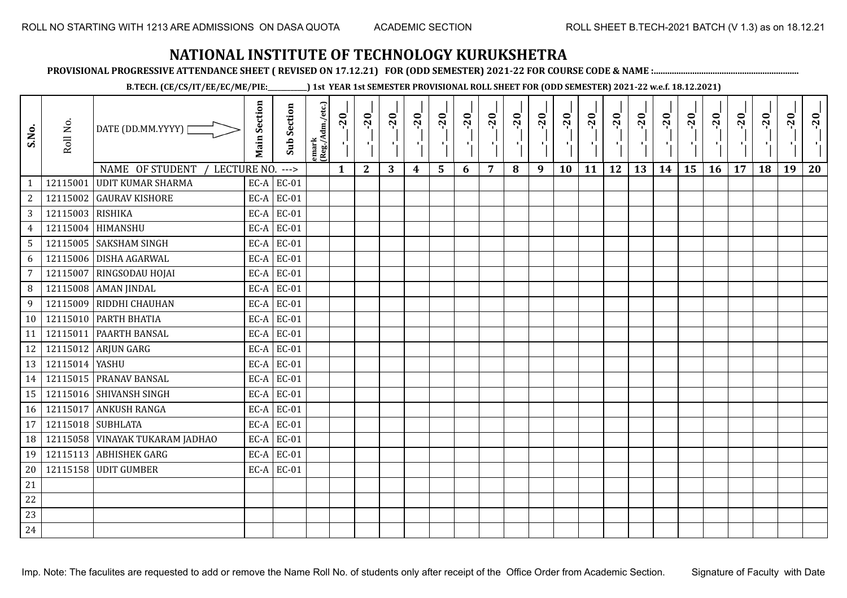**PROVISIONAL PROGRESSIVE ATTENDANCE SHEET ( REVISED ON 17.12.21) FOR (ODD SEMESTER) 2021-22 FOR COURSE CODE & NAME :................................................................**

**B.TECH. (CE/CS/IT/EE/EC/ME/PIE:\_\_\_\_\_\_\_\_\_\_\_\_) 1st YEAR 1st SEMESTER PROVISIONAL ROLL SHEET FOR (ODD SEMESTER) 2021-22 w.e.f. 18.12.2021)**

| S.No.           | Roll No.         | DATE (DD.MM.YYYY)                                          | <b>Main Section</b> | <b>Sub Section</b>      | emark<br> (Reg./Adm./etc.) | $-20$        | $-20$<br>π÷  | $-20$<br>л÷. | $-20$<br>π÷      | $-20$<br>лj | $-20$<br>$\blacksquare$ | $-20$ | $-20$ | $-20$<br>$\mathbf{r}$ | $-20$<br>л, | $-20$<br>шj | $-20$<br>π÷ | $-20$<br>Æ, | $-20$<br>$\blacksquare$ | $-20$<br>ا.<br>ا | $-20$<br>-96 | $-20$ | $-20$ | $-20$<br>×. | $-20$ |
|-----------------|------------------|------------------------------------------------------------|---------------------|-------------------------|----------------------------|--------------|--------------|--------------|------------------|-------------|-------------------------|-------|-------|-----------------------|-------------|-------------|-------------|-------------|-------------------------|------------------|--------------|-------|-------|-------------|-------|
| $\mathbf{1}$    | 12115001         | NAME OF STUDENT<br>LECTURE NO.<br><b>UDIT KUMAR SHARMA</b> |                     | $---$<br>$EC-A$ $EC-01$ |                            | $\mathbf{1}$ | $\mathbf{2}$ | 3            | $\boldsymbol{4}$ | 5           | 6                       | 7     | 8     | 9                     | 10          | 11          | 12          | 13          | 14                      | 15               | 16           | 17    | 18    | 19          | 20    |
| $\overline{c}$  | 12115002         | <b>GAURAV KISHORE</b>                                      | EC-A                | <b>EC-01</b>            |                            |              |              |              |                  |             |                         |       |       |                       |             |             |             |             |                         |                  |              |       |       |             |       |
| 3               | 12115003 RISHIKA |                                                            | $EC-A$              | EC-01                   |                            |              |              |              |                  |             |                         |       |       |                       |             |             |             |             |                         |                  |              |       |       |             |       |
| $\overline{4}$  | 12115004         | <b>HIMANSHU</b>                                            | EC-A                | $EC-01$                 |                            |              |              |              |                  |             |                         |       |       |                       |             |             |             |             |                         |                  |              |       |       |             |       |
| $5\phantom{.0}$ |                  | 12115005 SAKSHAM SINGH                                     | EC-A                | EC-01                   |                            |              |              |              |                  |             |                         |       |       |                       |             |             |             |             |                         |                  |              |       |       |             |       |
| 6               | 12115006         | <b>DISHA AGARWAL</b>                                       | EC-A                | $EC-01$                 |                            |              |              |              |                  |             |                         |       |       |                       |             |             |             |             |                         |                  |              |       |       |             |       |
| 7               | 12115007         | RINGSODAU HOJAI                                            | $EC-A$              | EC-01                   |                            |              |              |              |                  |             |                         |       |       |                       |             |             |             |             |                         |                  |              |       |       |             |       |
| 8               | 12115008         | <b>AMAN JINDAL</b>                                         | EC-A                | EC-01                   |                            |              |              |              |                  |             |                         |       |       |                       |             |             |             |             |                         |                  |              |       |       |             |       |
| 9               | 12115009         | RIDDHI CHAUHAN                                             |                     | $EC-A$ EC-01            |                            |              |              |              |                  |             |                         |       |       |                       |             |             |             |             |                         |                  |              |       |       |             |       |
| 10              |                  | 12115010 PARTH BHATIA                                      |                     | $EC-A$ EC-01            |                            |              |              |              |                  |             |                         |       |       |                       |             |             |             |             |                         |                  |              |       |       |             |       |
| 11              | 12115011         | <b>PAARTH BANSAL</b>                                       | EC-A                | EC-01                   |                            |              |              |              |                  |             |                         |       |       |                       |             |             |             |             |                         |                  |              |       |       |             |       |
| 12              |                  | 12115012 ARJUN GARG                                        | EC-A                | EC-01                   |                            |              |              |              |                  |             |                         |       |       |                       |             |             |             |             |                         |                  |              |       |       |             |       |
| 13              | 12115014 YASHU   |                                                            | $EC-A$              | $EC-01$                 |                            |              |              |              |                  |             |                         |       |       |                       |             |             |             |             |                         |                  |              |       |       |             |       |
| 14              |                  | 12115015 PRANAV BANSAL                                     | $EC-A$              | EC-01                   |                            |              |              |              |                  |             |                         |       |       |                       |             |             |             |             |                         |                  |              |       |       |             |       |
| 15              |                  | 12115016 SHIVANSH SINGH                                    | EC-A                | $EC-01$                 |                            |              |              |              |                  |             |                         |       |       |                       |             |             |             |             |                         |                  |              |       |       |             |       |
| 16              |                  | 12115017 ANKUSH RANGA                                      | EC-A                | EC-01                   |                            |              |              |              |                  |             |                         |       |       |                       |             |             |             |             |                         |                  |              |       |       |             |       |
| 17              | 12115018         | <b>SUBHLATA</b>                                            | EC-A                | $EC-01$                 |                            |              |              |              |                  |             |                         |       |       |                       |             |             |             |             |                         |                  |              |       |       |             |       |
| 18              | 12115058         | <b>VINAYAK TUKARAM JADHAO</b>                              |                     | $EC-A$ EC-01            |                            |              |              |              |                  |             |                         |       |       |                       |             |             |             |             |                         |                  |              |       |       |             |       |
| 19              |                  | 12115113 ABHISHEK GARG                                     | $EC-A$              | <b>EC-01</b>            |                            |              |              |              |                  |             |                         |       |       |                       |             |             |             |             |                         |                  |              |       |       |             |       |
| 20              |                  | 12115158 UDIT GUMBER                                       |                     | $EC-A$ EC-01            |                            |              |              |              |                  |             |                         |       |       |                       |             |             |             |             |                         |                  |              |       |       |             |       |
| 21              |                  |                                                            |                     |                         |                            |              |              |              |                  |             |                         |       |       |                       |             |             |             |             |                         |                  |              |       |       |             |       |
| 22              |                  |                                                            |                     |                         |                            |              |              |              |                  |             |                         |       |       |                       |             |             |             |             |                         |                  |              |       |       |             |       |
| 23              |                  |                                                            |                     |                         |                            |              |              |              |                  |             |                         |       |       |                       |             |             |             |             |                         |                  |              |       |       |             |       |
| 24              |                  |                                                            |                     |                         |                            |              |              |              |                  |             |                         |       |       |                       |             |             |             |             |                         |                  |              |       |       |             |       |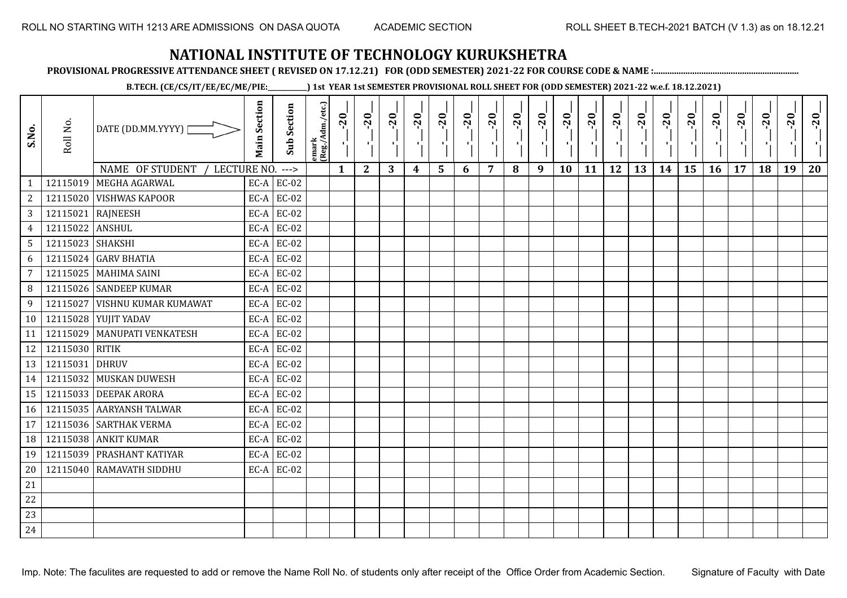**PROVISIONAL PROGRESSIVE ATTENDANCE SHEET ( REVISED ON 17.12.21) FOR (ODD SEMESTER) 2021-22 FOR COURSE CODE & NAME :................................................................**

**B.TECH. (CE/CS/IT/EE/EC/ME/PIE:\_\_\_\_\_\_\_\_\_\_\_\_) 1st YEAR 1st SEMESTER PROVISIONAL ROLL SHEET FOR (ODD SEMESTER) 2021-22 w.e.f. 18.12.2021)**

| S.No.           | Roll No.         | DATE (DD.MM.YYYY)                   | <b>Main Section</b> | <b>Sub Section</b> | emark<br>(Reg./Adm./etc.) | $-20$        | $-20$<br>×.  | $-20$ | $-20$ | $-20$<br>л, | $-20$ | $-20$ | $-20$ | $-20$<br>$\blacksquare$ | $-20$<br>٠ | $-20$ | $-20$<br>H. | $-20$ | $-20$ | $-20$ | $-20$ | $-20$ | $-20$ | $-20$<br>$\mathcal{F}_{\mathcal{A}}$ | $-20$ |
|-----------------|------------------|-------------------------------------|---------------------|--------------------|---------------------------|--------------|--------------|-------|-------|-------------|-------|-------|-------|-------------------------|------------|-------|-------------|-------|-------|-------|-------|-------|-------|--------------------------------------|-------|
|                 |                  | NAME OF STUDENT<br>LECTURE NO. ---> |                     |                    |                           | $\mathbf{1}$ | $\mathbf{2}$ | 3     | 4     | 5           | 6     | 7     | 8     | 9                       | 10         | 11    | 12          | 13    | 14    | 15    | 16    | 17    | 18    | 19                                   | 20    |
| $\mathbf{1}$    |                  | 12115019 MEGHA AGARWAL              |                     | $EC-A$ $EC-02$     |                           |              |              |       |       |             |       |       |       |                         |            |       |             |       |       |       |       |       |       |                                      |       |
| $\sqrt{2}$      |                  | 12115020 VISHWAS KAPOOR             |                     | $EC-A$ EC-02       |                           |              |              |       |       |             |       |       |       |                         |            |       |             |       |       |       |       |       |       |                                      |       |
| $\mathbf{3}$    |                  | 12115021 RAJNEESH                   |                     | $EC-A$ EC-02       |                           |              |              |       |       |             |       |       |       |                         |            |       |             |       |       |       |       |       |       |                                      |       |
| $\overline{4}$  | 12115022 ANSHUL  |                                     | EC-A                | EC-02              |                           |              |              |       |       |             |       |       |       |                         |            |       |             |       |       |       |       |       |       |                                      |       |
| 5               | 12115023 SHAKSHI |                                     |                     | $EC-A$ EC-02       |                           |              |              |       |       |             |       |       |       |                         |            |       |             |       |       |       |       |       |       |                                      |       |
| 6               |                  | 12115024 GARV BHATIA                | $EC-A$              | EC-02              |                           |              |              |       |       |             |       |       |       |                         |            |       |             |       |       |       |       |       |       |                                      |       |
| $\overline{7}$  |                  | 12115025 MAHIMA SAINI               |                     | $EC-A$ EC-02       |                           |              |              |       |       |             |       |       |       |                         |            |       |             |       |       |       |       |       |       |                                      |       |
| 8               |                  | 12115026 SANDEEP KUMAR              |                     | $EC-A$ EC-02       |                           |              |              |       |       |             |       |       |       |                         |            |       |             |       |       |       |       |       |       |                                      |       |
| 9               | 12115027         | <b>VISHNU KUMAR KUMAWAT</b>         |                     | $EC-A$ EC-02       |                           |              |              |       |       |             |       |       |       |                         |            |       |             |       |       |       |       |       |       |                                      |       |
| 10 <sup>1</sup> |                  | 12115028 YUJIT YADAV                |                     | $EC-A$ EC-02       |                           |              |              |       |       |             |       |       |       |                         |            |       |             |       |       |       |       |       |       |                                      |       |
| 11              |                  | 12115029   MANUPATI VENKATESH       |                     | $EC-A$ EC-02       |                           |              |              |       |       |             |       |       |       |                         |            |       |             |       |       |       |       |       |       |                                      |       |
| 12              | 12115030 RITIK   |                                     |                     | $EC-A$ $EC-02$     |                           |              |              |       |       |             |       |       |       |                         |            |       |             |       |       |       |       |       |       |                                      |       |
| 13              | 12115031 DHRUV   |                                     |                     | $EC-A$ EC-02       |                           |              |              |       |       |             |       |       |       |                         |            |       |             |       |       |       |       |       |       |                                      |       |
| 14              |                  | 12115032 MUSKAN DUWESH              |                     | $EC-A$ EC-02       |                           |              |              |       |       |             |       |       |       |                         |            |       |             |       |       |       |       |       |       |                                      |       |
| 15              |                  | 12115033 DEEPAK ARORA               | EC-A                | EC-02              |                           |              |              |       |       |             |       |       |       |                         |            |       |             |       |       |       |       |       |       |                                      |       |
| 16              |                  | 12115035 AARYANSH TALWAR            | EC-A                | EC-02              |                           |              |              |       |       |             |       |       |       |                         |            |       |             |       |       |       |       |       |       |                                      |       |
| 17              |                  | 12115036 SARTHAK VERMA              | EC-A                | EC-02              |                           |              |              |       |       |             |       |       |       |                         |            |       |             |       |       |       |       |       |       |                                      |       |
| 18              |                  | 12115038 ANKIT KUMAR                |                     | $EC-A$ EC-02       |                           |              |              |       |       |             |       |       |       |                         |            |       |             |       |       |       |       |       |       |                                      |       |
| 19              |                  | 12115039 PRASHANT KATIYAR           | EC-A                | EC-02              |                           |              |              |       |       |             |       |       |       |                         |            |       |             |       |       |       |       |       |       |                                      |       |
| 20              |                  | 12115040 RAMAVATH SIDDHU            |                     | $EC-A$ EC-02       |                           |              |              |       |       |             |       |       |       |                         |            |       |             |       |       |       |       |       |       |                                      |       |
| 21              |                  |                                     |                     |                    |                           |              |              |       |       |             |       |       |       |                         |            |       |             |       |       |       |       |       |       |                                      |       |
| 22              |                  |                                     |                     |                    |                           |              |              |       |       |             |       |       |       |                         |            |       |             |       |       |       |       |       |       |                                      |       |
| 23              |                  |                                     |                     |                    |                           |              |              |       |       |             |       |       |       |                         |            |       |             |       |       |       |       |       |       |                                      |       |
| 24              |                  |                                     |                     |                    |                           |              |              |       |       |             |       |       |       |                         |            |       |             |       |       |       |       |       |       |                                      |       |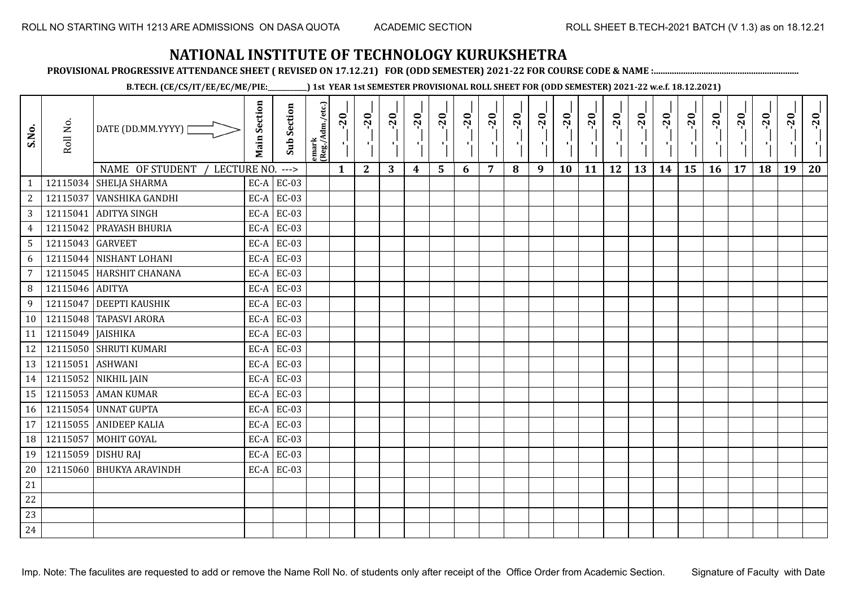**PROVISIONAL PROGRESSIVE ATTENDANCE SHEET ( REVISED ON 17.12.21) FOR (ODD SEMESTER) 2021-22 FOR COURSE CODE & NAME :................................................................**

**B.TECH. (CE/CS/IT/EE/EC/ME/PIE:\_\_\_\_\_\_\_\_\_\_\_\_) 1st YEAR 1st SEMESTER PROVISIONAL ROLL SHEET FOR (ODD SEMESTER) 2021-22 w.e.f. 18.12.2021)**

| S.No.           | Roll No.            | DATE (DD.MM.YYYY) [            | <b>Main Section</b> | <b>Sub Section</b> | emark<br>(Reg./Adm./etc.) | $-20$        | $-20$<br>국).<br>11 | $-20$ | $-20$<br>шj      | $-20$<br>۰,             | $-20$<br>ч. | $-20$<br>л. | $-20$ | $-20$<br>D. | $-20$<br>$\mathbf{F}_{\mathbf{F}}$ | $-20$ | $-20$<br>Œ. | $-20$ | $-20$<br>-90 | $-20$ | $-20$ | $-20$ | $-20$ | $-20$<br>$\mathbf{F}_{\mathbf{F}}$ | $-20$ |
|-----------------|---------------------|--------------------------------|---------------------|--------------------|---------------------------|--------------|--------------------|-------|------------------|-------------------------|-------------|-------------|-------|-------------|------------------------------------|-------|-------------|-------|--------------|-------|-------|-------|-------|------------------------------------|-------|
|                 |                     | NAME OF STUDENT<br>LECTURE NO. |                     | $--->$             |                           | $\mathbf{1}$ | $\mathbf{2}$       | 3     | $\boldsymbol{4}$ | $\overline{\mathbf{5}}$ | 6           | 7           | 8     | 9           | 10                                 | 11    | 12          | 13    | 14           | 15    | 16    | 17    | 18    | 19                                 | 20    |
| $\mathbf{1}$    |                     | 12115034 SHELJA SHARMA         |                     | $EC-A$ EC-03       |                           |              |                    |       |                  |                         |             |             |       |             |                                    |       |             |       |              |       |       |       |       |                                    |       |
| $\sqrt{2}$      |                     | 12115037 VANSHIKA GANDHI       |                     | $EC-A$ EC-03       |                           |              |                    |       |                  |                         |             |             |       |             |                                    |       |             |       |              |       |       |       |       |                                    |       |
| $\mathbf{3}$    |                     | 12115041 ADITYA SINGH          |                     | $EC-A$ EC-03       |                           |              |                    |       |                  |                         |             |             |       |             |                                    |       |             |       |              |       |       |       |       |                                    |       |
| $\overline{4}$  |                     | 12115042 PRAYASH BHURIA        | EC-A                | EC-03              |                           |              |                    |       |                  |                         |             |             |       |             |                                    |       |             |       |              |       |       |       |       |                                    |       |
| $5\phantom{.0}$ | 12115043 GARVEET    |                                |                     | $EC-A$ EC-03       |                           |              |                    |       |                  |                         |             |             |       |             |                                    |       |             |       |              |       |       |       |       |                                    |       |
| 6               |                     | 12115044 NISHANT LOHANI        | $EC-A$              | EC-03              |                           |              |                    |       |                  |                         |             |             |       |             |                                    |       |             |       |              |       |       |       |       |                                    |       |
| $\overline{7}$  |                     | 12115045 HARSHIT CHANANA       |                     | $EC-A$ EC-03       |                           |              |                    |       |                  |                         |             |             |       |             |                                    |       |             |       |              |       |       |       |       |                                    |       |
| 8               | 12115046 ADITYA     |                                | EC-A                | EC-03              |                           |              |                    |       |                  |                         |             |             |       |             |                                    |       |             |       |              |       |       |       |       |                                    |       |
| 9               |                     | 12115047 DEEPTI KAUSHIK        |                     | $EC-A$ EC-03       |                           |              |                    |       |                  |                         |             |             |       |             |                                    |       |             |       |              |       |       |       |       |                                    |       |
| 10 <sup>1</sup> |                     | 12115048 TAPASVI ARORA         |                     | $EC-A$ EC-03       |                           |              |                    |       |                  |                         |             |             |       |             |                                    |       |             |       |              |       |       |       |       |                                    |       |
| 11              | 12115049   JAISHIKA |                                | EC-A                | EC-03              |                           |              |                    |       |                  |                         |             |             |       |             |                                    |       |             |       |              |       |       |       |       |                                    |       |
| 12              |                     | 12115050 SHRUTI KUMARI         |                     | $EC-A$ EC-03       |                           |              |                    |       |                  |                         |             |             |       |             |                                    |       |             |       |              |       |       |       |       |                                    |       |
| 13              | 12115051 ASHWANI    |                                | $EC-A$              | EC-03              |                           |              |                    |       |                  |                         |             |             |       |             |                                    |       |             |       |              |       |       |       |       |                                    |       |
| 14              |                     | 12115052 NIKHIL JAIN           |                     | $EC-A$ EC-03       |                           |              |                    |       |                  |                         |             |             |       |             |                                    |       |             |       |              |       |       |       |       |                                    |       |
| 15              |                     | 12115053 AMAN KUMAR            | EC-A                | EC-03              |                           |              |                    |       |                  |                         |             |             |       |             |                                    |       |             |       |              |       |       |       |       |                                    |       |
| 16              |                     | 12115054 UNNAT GUPTA           |                     | $EC-A$ EC-03       |                           |              |                    |       |                  |                         |             |             |       |             |                                    |       |             |       |              |       |       |       |       |                                    |       |
| 17 <sup>1</sup> |                     | 12115055 ANIDEEP KALIA         |                     | $EC-A$ $EC-03$     |                           |              |                    |       |                  |                         |             |             |       |             |                                    |       |             |       |              |       |       |       |       |                                    |       |
| 18              | 12115057            | MOHIT GOYAL                    |                     | $EC-A$ EC-03       |                           |              |                    |       |                  |                         |             |             |       |             |                                    |       |             |       |              |       |       |       |       |                                    |       |
| 19              |                     | 12115059 DISHU RAJ             |                     | $EC-A$ EC-03       |                           |              |                    |       |                  |                         |             |             |       |             |                                    |       |             |       |              |       |       |       |       |                                    |       |
| 20              |                     | 12115060 BHUKYA ARAVINDH       |                     | $EC-A$ EC-03       |                           |              |                    |       |                  |                         |             |             |       |             |                                    |       |             |       |              |       |       |       |       |                                    |       |
| 21              |                     |                                |                     |                    |                           |              |                    |       |                  |                         |             |             |       |             |                                    |       |             |       |              |       |       |       |       |                                    |       |
| 22              |                     |                                |                     |                    |                           |              |                    |       |                  |                         |             |             |       |             |                                    |       |             |       |              |       |       |       |       |                                    |       |
| 23              |                     |                                |                     |                    |                           |              |                    |       |                  |                         |             |             |       |             |                                    |       |             |       |              |       |       |       |       |                                    |       |
| 24              |                     |                                |                     |                    |                           |              |                    |       |                  |                         |             |             |       |             |                                    |       |             |       |              |       |       |       |       |                                    |       |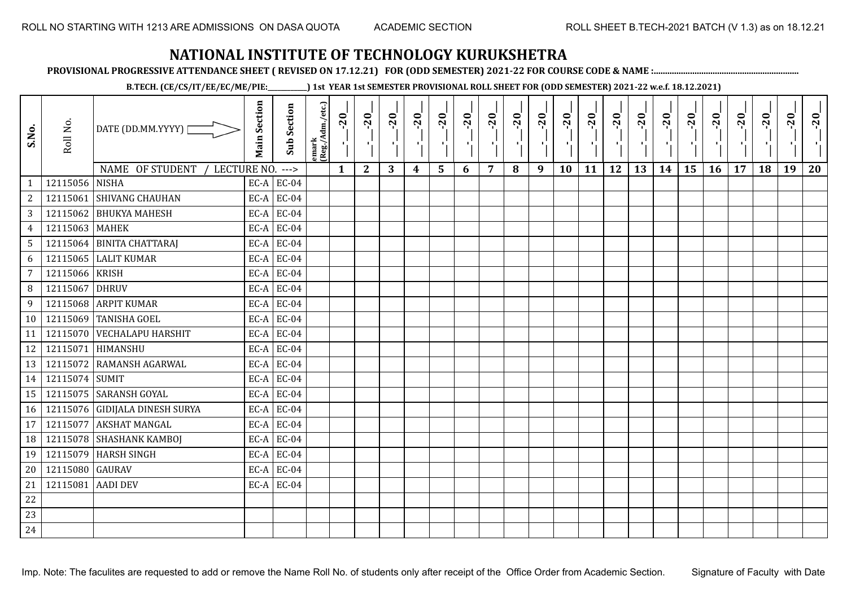**PROVISIONAL PROGRESSIVE ATTENDANCE SHEET ( REVISED ON 17.12.21) FOR (ODD SEMESTER) 2021-22 FOR COURSE CODE & NAME :................................................................**

**B.TECH. (CE/CS/IT/EE/EC/ME/PIE:\_\_\_\_\_\_\_\_\_\_\_\_) 1st YEAR 1st SEMESTER PROVISIONAL ROLL SHEET FOR (ODD SEMESTER) 2021-22 w.e.f. 18.12.2021)**

| S.No.           | Roll No.        | DATE (DD.MM.YYYY)  <br>NAME OF STUDENT<br>LECTURE NO. | <b>Main Section</b> | <b>Sub Section</b><br>$---$ | emark<br> (Reg./Adm./etc.) | $-20$<br>$\mathbf{1}$ | $-20$<br>π÷<br>$\mathbf{2}$ | $-20$<br>л÷.<br>3 | $-20$<br>π÷<br>$\boldsymbol{4}$ | $-20$<br>лj<br>5 | $-20$<br>$\blacksquare$<br>6 | $-20$<br>7 | $-20$<br>8 | $-20$<br>$\mathbf{r}$<br>9 | $-20$<br>л,<br>10 | $-20$<br>шj<br>11 | $-20$<br>π÷<br>12 | $-20$<br>Æ,<br>13 | $-20$<br>$\blacksquare$<br>14 | $-20$<br>ا .<br>ا<br>15 | $-20$<br>-96<br>16 | $-20$<br>17 | $-20$<br>18 | $-20$<br>×.<br>19 | $-20$<br>20 |
|-----------------|-----------------|-------------------------------------------------------|---------------------|-----------------------------|----------------------------|-----------------------|-----------------------------|-------------------|---------------------------------|------------------|------------------------------|------------|------------|----------------------------|-------------------|-------------------|-------------------|-------------------|-------------------------------|-------------------------|--------------------|-------------|-------------|-------------------|-------------|
| $\mathbf{1}$    | 12115056 NISHA  |                                                       |                     | $EC-A$ $EC-04$              |                            |                       |                             |                   |                                 |                  |                              |            |            |                            |                   |                   |                   |                   |                               |                         |                    |             |             |                   |             |
| $\overline{c}$  | 12115061        | <b>SHIVANG CHAUHAN</b>                                | EC-A                | <b>EC-04</b>                |                            |                       |                             |                   |                                 |                  |                              |            |            |                            |                   |                   |                   |                   |                               |                         |                    |             |             |                   |             |
| 3               |                 | 12115062 BHUKYA MAHESH                                | $EC-A$              | <b>EC-04</b>                |                            |                       |                             |                   |                                 |                  |                              |            |            |                            |                   |                   |                   |                   |                               |                         |                    |             |             |                   |             |
| $\overline{4}$  | 12115063 MAHEK  |                                                       | EC-A                | <b>EC-04</b>                |                            |                       |                             |                   |                                 |                  |                              |            |            |                            |                   |                   |                   |                   |                               |                         |                    |             |             |                   |             |
| $5\overline{)}$ |                 | 12115064 BINITA CHATTARAJ                             | EC-A                | <b>EC-04</b>                |                            |                       |                             |                   |                                 |                  |                              |            |            |                            |                   |                   |                   |                   |                               |                         |                    |             |             |                   |             |
| 6               | 12115065        | <b>LALIT KUMAR</b>                                    | EC-A                | <b>EC-04</b>                |                            |                       |                             |                   |                                 |                  |                              |            |            |                            |                   |                   |                   |                   |                               |                         |                    |             |             |                   |             |
| 7               | 12115066        | <b>KRISH</b>                                          | $EC-A$              | <b>EC-04</b>                |                            |                       |                             |                   |                                 |                  |                              |            |            |                            |                   |                   |                   |                   |                               |                         |                    |             |             |                   |             |
| 8               | 12115067        | <b>DHRUV</b>                                          | EC-A                | <b>EC-04</b>                |                            |                       |                             |                   |                                 |                  |                              |            |            |                            |                   |                   |                   |                   |                               |                         |                    |             |             |                   |             |
| 9               | 12115068        | <b>ARPIT KUMAR</b>                                    |                     | $EC-A$ EC-04                |                            |                       |                             |                   |                                 |                  |                              |            |            |                            |                   |                   |                   |                   |                               |                         |                    |             |             |                   |             |
| 10              | 12115069        | <b>TANISHA GOEL</b>                                   |                     | $EC-A$ EC-04                |                            |                       |                             |                   |                                 |                  |                              |            |            |                            |                   |                   |                   |                   |                               |                         |                    |             |             |                   |             |
| 11              | 12115070        | <b>VECHALAPU HARSHIT</b>                              | EC-A                | <b>EC-04</b>                |                            |                       |                             |                   |                                 |                  |                              |            |            |                            |                   |                   |                   |                   |                               |                         |                    |             |             |                   |             |
| 12              |                 | 12115071 HIMANSHU                                     | $EC-A$              | <b>EC-04</b>                |                            |                       |                             |                   |                                 |                  |                              |            |            |                            |                   |                   |                   |                   |                               |                         |                    |             |             |                   |             |
| 13              |                 | 12115072 RAMANSH AGARWAL                              | $EC-A$              | $EC-04$                     |                            |                       |                             |                   |                                 |                  |                              |            |            |                            |                   |                   |                   |                   |                               |                         |                    |             |             |                   |             |
| 14              | 12115074 SUMIT  |                                                       | EC-A                | <b>EC-04</b>                |                            |                       |                             |                   |                                 |                  |                              |            |            |                            |                   |                   |                   |                   |                               |                         |                    |             |             |                   |             |
| 15              |                 | 12115075 SARANSH GOYAL                                | EC-A                | <b>EC-04</b>                |                            |                       |                             |                   |                                 |                  |                              |            |            |                            |                   |                   |                   |                   |                               |                         |                    |             |             |                   |             |
| 16              |                 | 12115076 GIDIJALA DINESH SURYA                        | EC-A                | <b>EC-04</b>                |                            |                       |                             |                   |                                 |                  |                              |            |            |                            |                   |                   |                   |                   |                               |                         |                    |             |             |                   |             |
| 17              | 12115077        | <b>AKSHAT MANGAL</b>                                  | EC-A                | $EC-04$                     |                            |                       |                             |                   |                                 |                  |                              |            |            |                            |                   |                   |                   |                   |                               |                         |                    |             |             |                   |             |
| 18              |                 | 12115078 SHASHANK KAMBOI                              |                     | $EC-A$ EC-04                |                            |                       |                             |                   |                                 |                  |                              |            |            |                            |                   |                   |                   |                   |                               |                         |                    |             |             |                   |             |
| 19              | 12115079        | <b>HARSH SINGH</b>                                    | $EC-A$              | <b>EC-04</b>                |                            |                       |                             |                   |                                 |                  |                              |            |            |                            |                   |                   |                   |                   |                               |                         |                    |             |             |                   |             |
| 20              | 12115080 GAURAV |                                                       |                     | $EC-A$ EC-04                |                            |                       |                             |                   |                                 |                  |                              |            |            |                            |                   |                   |                   |                   |                               |                         |                    |             |             |                   |             |
| 21              | 12115081        | <b>AADI DEV</b>                                       |                     | $EC-A$ EC-04                |                            |                       |                             |                   |                                 |                  |                              |            |            |                            |                   |                   |                   |                   |                               |                         |                    |             |             |                   |             |
| 22              |                 |                                                       |                     |                             |                            |                       |                             |                   |                                 |                  |                              |            |            |                            |                   |                   |                   |                   |                               |                         |                    |             |             |                   |             |
| 23              |                 |                                                       |                     |                             |                            |                       |                             |                   |                                 |                  |                              |            |            |                            |                   |                   |                   |                   |                               |                         |                    |             |             |                   |             |
| 24              |                 |                                                       |                     |                             |                            |                       |                             |                   |                                 |                  |                              |            |            |                            |                   |                   |                   |                   |                               |                         |                    |             |             |                   |             |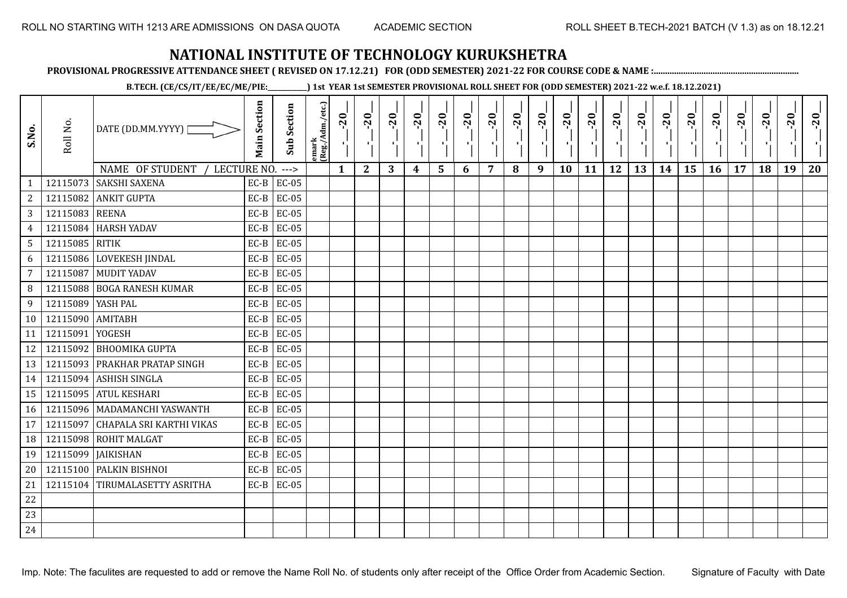**PROVISIONAL PROGRESSIVE ATTENDANCE SHEET ( REVISED ON 17.12.21) FOR (ODD SEMESTER) 2021-22 FOR COURSE CODE & NAME :................................................................**

**B.TECH. (CE/CS/IT/EE/EC/ME/PIE:\_\_\_\_\_\_\_\_\_\_\_\_) 1st YEAR 1st SEMESTER PROVISIONAL ROLL SHEET FOR (ODD SEMESTER) 2021-22 w.e.f. 18.12.2021)**

| S.No.           | Roll No.            | DATE (DD.MM.YYYY)                 | <b>Main Section</b> | <b>Sub Section</b> | emark<br> (Reg./Adm./etc.) | $-20$        | $-20$<br>×.  | $-20$ | $-20$ | $-20$<br>л, | $-20$ | $-20$ | $-20$ | $-20$<br>$\blacksquare$ | $-20$<br>٠ | $-20$ | $-20$<br>H. | $-20$ | $-20$ | $-20$ | $-20$ | $-20$ | $-20$ | $-20$<br>ч. | $-20$ |
|-----------------|---------------------|-----------------------------------|---------------------|--------------------|----------------------------|--------------|--------------|-------|-------|-------------|-------|-------|-------|-------------------------|------------|-------|-------------|-------|-------|-------|-------|-------|-------|-------------|-------|
|                 |                     | NAME OF STUDENT<br>LECTURE NO.    |                     | $--->$             |                            | $\mathbf{1}$ | $\mathbf{2}$ | 3     | 4     | 5           | 6     | 7     | 8     | 9                       | 10         | 11    | 12          | 13    | 14    | 15    | 16    | 17    | 18    | 19          | 20    |
| $\mathbf{1}$    | 12115073            | <b>SAKSHI SAXENA</b>              | $EC-B$              | EC-05              |                            |              |              |       |       |             |       |       |       |                         |            |       |             |       |       |       |       |       |       |             |       |
| $\sqrt{2}$      |                     | 12115082 ANKIT GUPTA              | $EC-B$              | <b>EC-05</b>       |                            |              |              |       |       |             |       |       |       |                         |            |       |             |       |       |       |       |       |       |             |       |
| 3 <sup>1</sup>  | 12115083 REENA      |                                   | $EC-B$              | <b>EC-05</b>       |                            |              |              |       |       |             |       |       |       |                         |            |       |             |       |       |       |       |       |       |             |       |
| $\overline{4}$  |                     | 12115084 HARSH YADAV              | $EC-B$              | EC-05              |                            |              |              |       |       |             |       |       |       |                         |            |       |             |       |       |       |       |       |       |             |       |
| 5 <sup>5</sup>  | 12115085 RITIK      |                                   | $EC-B$              | <b>EC-05</b>       |                            |              |              |       |       |             |       |       |       |                         |            |       |             |       |       |       |       |       |       |             |       |
| 6               |                     | 12115086 LOVEKESH JINDAL          | $EC-B$              | EC-05              |                            |              |              |       |       |             |       |       |       |                         |            |       |             |       |       |       |       |       |       |             |       |
| $\overline{7}$  | 12115087            | <b>MUDIT YADAV</b>                | $EC-B$              | <b>EC-05</b>       |                            |              |              |       |       |             |       |       |       |                         |            |       |             |       |       |       |       |       |       |             |       |
| 8               |                     | 12115088 BOGA RANESH KUMAR        | $EC-B$              | <b>EC-05</b>       |                            |              |              |       |       |             |       |       |       |                         |            |       |             |       |       |       |       |       |       |             |       |
| 9               | 12115089   YASH PAL |                                   | $EC-B$              | <b>EC-05</b>       |                            |              |              |       |       |             |       |       |       |                         |            |       |             |       |       |       |       |       |       |             |       |
| 10 <sup>1</sup> | 12115090 AMITABH    |                                   | $EC-B$              | <b>EC-05</b>       |                            |              |              |       |       |             |       |       |       |                         |            |       |             |       |       |       |       |       |       |             |       |
| 11              | 12115091            | YOGESH                            | EC-B                | EC-05              |                            |              |              |       |       |             |       |       |       |                         |            |       |             |       |       |       |       |       |       |             |       |
| 12              |                     | 12115092 BHOOMIKA GUPTA           | $EC-B$              | <b>EC-05</b>       |                            |              |              |       |       |             |       |       |       |                         |            |       |             |       |       |       |       |       |       |             |       |
| 13              |                     | 12115093 PRAKHAR PRATAP SINGH     | $EC-B$              | <b>EC-05</b>       |                            |              |              |       |       |             |       |       |       |                         |            |       |             |       |       |       |       |       |       |             |       |
| 14              |                     | 12115094 ASHISH SINGLA            | $EC-B$              | <b>EC-05</b>       |                            |              |              |       |       |             |       |       |       |                         |            |       |             |       |       |       |       |       |       |             |       |
| 15              |                     | 12115095 ATUL KESHARI             | $EC-B$              | <b>EC-05</b>       |                            |              |              |       |       |             |       |       |       |                         |            |       |             |       |       |       |       |       |       |             |       |
| 16              |                     | 12115096   MADAMANCHI YASWANTH    | $EC-B$              | <b>EC-05</b>       |                            |              |              |       |       |             |       |       |       |                         |            |       |             |       |       |       |       |       |       |             |       |
| 17              |                     | 12115097 CHAPALA SRI KARTHI VIKAS | $EC-B$              | <b>EC-05</b>       |                            |              |              |       |       |             |       |       |       |                         |            |       |             |       |       |       |       |       |       |             |       |
| 18              |                     | 12115098 ROHIT MALGAT             | $EC-B$              | <b>EC-05</b>       |                            |              |              |       |       |             |       |       |       |                         |            |       |             |       |       |       |       |       |       |             |       |
| 19              |                     | 12115099   JAIKISHAN              | $EC-B$              | <b>EC-05</b>       |                            |              |              |       |       |             |       |       |       |                         |            |       |             |       |       |       |       |       |       |             |       |
| 20              |                     | 12115100 PALKIN BISHNOI           | $EC-B$              | <b>EC-05</b>       |                            |              |              |       |       |             |       |       |       |                         |            |       |             |       |       |       |       |       |       |             |       |
| 21              |                     | 12115104 TIRUMALASETTY ASRITHA    | $EC-B$              | <b>EC-05</b>       |                            |              |              |       |       |             |       |       |       |                         |            |       |             |       |       |       |       |       |       |             |       |
| 22              |                     |                                   |                     |                    |                            |              |              |       |       |             |       |       |       |                         |            |       |             |       |       |       |       |       |       |             |       |
| 23              |                     |                                   |                     |                    |                            |              |              |       |       |             |       |       |       |                         |            |       |             |       |       |       |       |       |       |             |       |
| 24              |                     |                                   |                     |                    |                            |              |              |       |       |             |       |       |       |                         |            |       |             |       |       |       |       |       |       |             |       |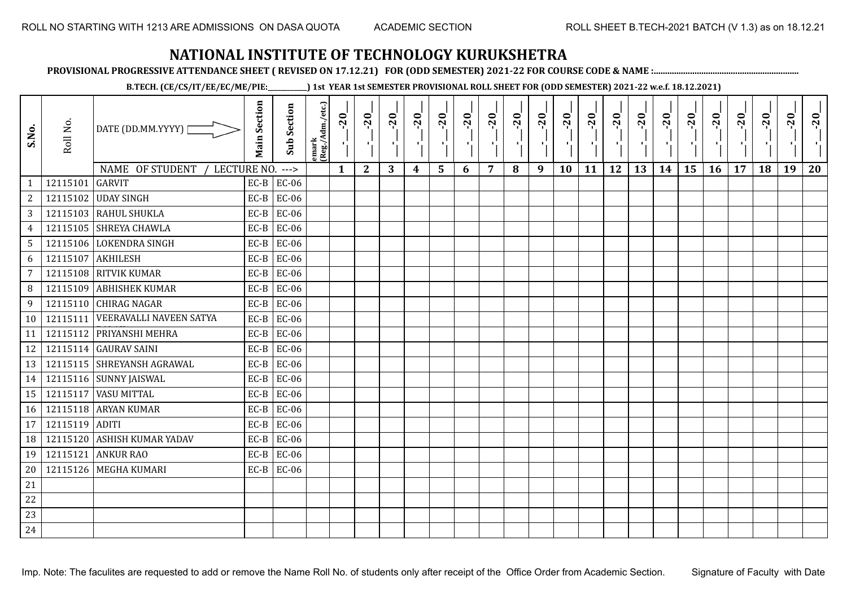**PROVISIONAL PROGRESSIVE ATTENDANCE SHEET ( REVISED ON 17.12.21) FOR (ODD SEMESTER) 2021-22 FOR COURSE CODE & NAME :................................................................**

**B.TECH. (CE/CS/IT/EE/EC/ME/PIE:\_\_\_\_\_\_\_\_\_\_\_\_) 1st YEAR 1st SEMESTER PROVISIONAL ROLL SHEET FOR (ODD SEMESTER) 2021-22 w.e.f. 18.12.2021)**

| S.No.           | Roll No. | DATE (DD.MM.YYYY)              | <b>Main Section</b> | Sub Section  | emark<br> (Reg./Adm./etc.) | $-20$<br>$\mathcal{F}_1$ . | $-20$<br>×.  | $-20$<br>л. | $-20$ | $-20$<br>-90 | $-20$<br>тĪ. | $-20$ | $-20$ | $-20$<br>п÷ | $-20$<br>л, | $-20$ | $-20$<br>пJ. | $-20$ | $-20$<br>$\mathbf{r}$ | $-20$<br>۱, | $-20$ | $-20$ | $-20$ | $-20$<br>$\mathcal{F}_{\mathcal{F}}$ | $-20$ |
|-----------------|----------|--------------------------------|---------------------|--------------|----------------------------|----------------------------|--------------|-------------|-------|--------------|--------------|-------|-------|-------------|-------------|-------|--------------|-------|-----------------------|-------------|-------|-------|-------|--------------------------------------|-------|
|                 |          | NAME OF STUDENT<br>LECTURE NO. |                     | $---$        |                            | $\mathbf{1}$               | $\mathbf{2}$ | 3           | 4     | 5            | 6            | 7     | 8     | 9           | 10          | 11    | 12           | 13    | 14                    | 15          | 16    | 17    | 18    | 19                                   | 20    |
| $\mathbf{1}$    | 12115101 | <b>GARVIT</b>                  | $EC-B$              | EC-06        |                            |                            |              |             |       |              |              |       |       |             |             |       |              |       |                       |             |       |       |       |                                      |       |
| $\mathbf{2}$    | 12115102 | <b>UDAY SINGH</b>              | $EC-B$              | EC-06        |                            |                            |              |             |       |              |              |       |       |             |             |       |              |       |                       |             |       |       |       |                                      |       |
| 3               |          | 12115103 RAHUL SHUKLA          | $EC-B$              | <b>EC-06</b> |                            |                            |              |             |       |              |              |       |       |             |             |       |              |       |                       |             |       |       |       |                                      |       |
| $\overline{4}$  |          | 12115105 SHREYA CHAWLA         | $EC-B$              | <b>EC-06</b> |                            |                            |              |             |       |              |              |       |       |             |             |       |              |       |                       |             |       |       |       |                                      |       |
| 5               |          | 12115106 LOKENDRA SINGH        | $EC-B$              | <b>EC-06</b> |                            |                            |              |             |       |              |              |       |       |             |             |       |              |       |                       |             |       |       |       |                                      |       |
| 6               | 12115107 | AKHILESH                       | $EC-B$              | <b>EC-06</b> |                            |                            |              |             |       |              |              |       |       |             |             |       |              |       |                       |             |       |       |       |                                      |       |
| $7\overline{ }$ |          | 12115108 RITVIK KUMAR          | $EC-B$              | $EC-06$      |                            |                            |              |             |       |              |              |       |       |             |             |       |              |       |                       |             |       |       |       |                                      |       |
| 8               | 12115109 | <b>ABHISHEK KUMAR</b>          | $EC-B$              | <b>EC-06</b> |                            |                            |              |             |       |              |              |       |       |             |             |       |              |       |                       |             |       |       |       |                                      |       |
| 9               |          | 12115110 CHIRAG NAGAR          | $EC-B$              | EC-06        |                            |                            |              |             |       |              |              |       |       |             |             |       |              |       |                       |             |       |       |       |                                      |       |
| 10              | 12115111 | <b>VEERAVALLI NAVEEN SATYA</b> | $EC-B$              | <b>EC-06</b> |                            |                            |              |             |       |              |              |       |       |             |             |       |              |       |                       |             |       |       |       |                                      |       |
| 11              | 12115112 | PRIYANSHI MEHRA                | $EC-B$              | <b>EC-06</b> |                            |                            |              |             |       |              |              |       |       |             |             |       |              |       |                       |             |       |       |       |                                      |       |
| 12              |          | 12115114 GAURAV SAINI          | $EC-B$              | <b>EC-06</b> |                            |                            |              |             |       |              |              |       |       |             |             |       |              |       |                       |             |       |       |       |                                      |       |
| 13              |          | 12115115 SHREYANSH AGRAWAL     | $EC-B$              | <b>EC-06</b> |                            |                            |              |             |       |              |              |       |       |             |             |       |              |       |                       |             |       |       |       |                                      |       |
| 14              |          | 12115116 SUNNY JAISWAL         | $EC-B$              | <b>EC-06</b> |                            |                            |              |             |       |              |              |       |       |             |             |       |              |       |                       |             |       |       |       |                                      |       |
| 15              | 12115117 | <b>VASU MITTAL</b>             | $EC-B$              | <b>EC-06</b> |                            |                            |              |             |       |              |              |       |       |             |             |       |              |       |                       |             |       |       |       |                                      |       |
| 16              |          | 12115118 ARYAN KUMAR           | $EC-B$              | EC-06        |                            |                            |              |             |       |              |              |       |       |             |             |       |              |       |                       |             |       |       |       |                                      |       |
| 17              | 12115119 | <b>ADITI</b>                   | $EC-B$              | EC-06        |                            |                            |              |             |       |              |              |       |       |             |             |       |              |       |                       |             |       |       |       |                                      |       |
| 18              | 12115120 | <b>ASHISH KUMAR YADAV</b>      | $EC-B$              | EC-06        |                            |                            |              |             |       |              |              |       |       |             |             |       |              |       |                       |             |       |       |       |                                      |       |
| 19              | 12115121 | <b>ANKUR RAO</b>               | $EC-B$              | <b>EC-06</b> |                            |                            |              |             |       |              |              |       |       |             |             |       |              |       |                       |             |       |       |       |                                      |       |
| 20              |          | 12115126 MEGHA KUMARI          | $EC-B$              | <b>EC-06</b> |                            |                            |              |             |       |              |              |       |       |             |             |       |              |       |                       |             |       |       |       |                                      |       |
| 21              |          |                                |                     |              |                            |                            |              |             |       |              |              |       |       |             |             |       |              |       |                       |             |       |       |       |                                      |       |
| 22              |          |                                |                     |              |                            |                            |              |             |       |              |              |       |       |             |             |       |              |       |                       |             |       |       |       |                                      |       |
| 23              |          |                                |                     |              |                            |                            |              |             |       |              |              |       |       |             |             |       |              |       |                       |             |       |       |       |                                      |       |
| 24              |          |                                |                     |              |                            |                            |              |             |       |              |              |       |       |             |             |       |              |       |                       |             |       |       |       |                                      |       |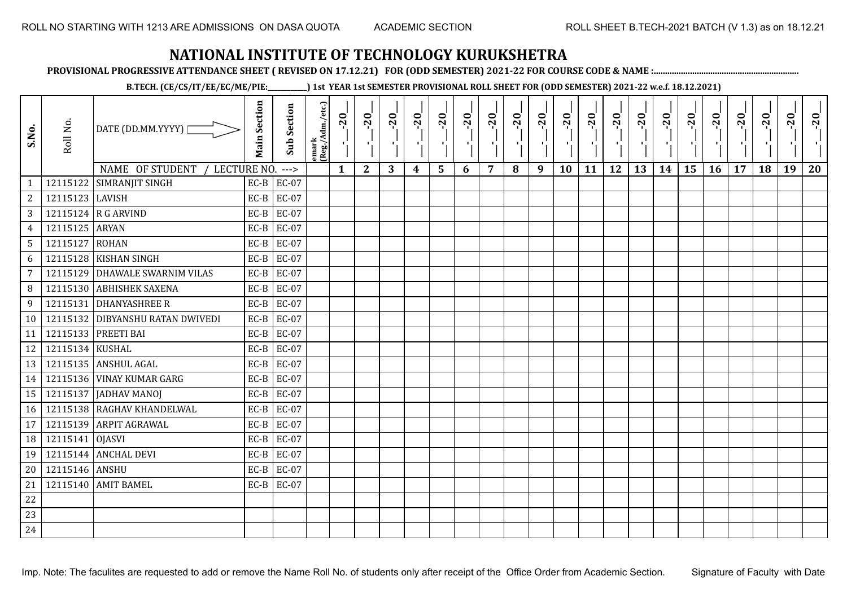**PROVISIONAL PROGRESSIVE ATTENDANCE SHEET ( REVISED ON 17.12.21) FOR (ODD SEMESTER) 2021-22 FOR COURSE CODE & NAME :................................................................**

**B.TECH. (CE/CS/IT/EE/EC/ME/PIE:\_\_\_\_\_\_\_\_\_\_\_\_) 1st YEAR 1st SEMESTER PROVISIONAL ROLL SHEET FOR (ODD SEMESTER) 2021-22 w.e.f. 18.12.2021)**

| S.No.           | Roll No.        | DATE (DD.MM.YYYY)              | <b>Main Section</b> | <b>Sub Section</b> | emark<br> (Reg./Adm./etc.) | $-20$        | $-20$<br>×.  | $-20$<br>л. | $-20$ | $-20$<br>-96 | $-20$<br>тJ. | $-20$ | $-20$ | $-20$<br>$\mathcal{F}_\bullet$ | $-20$<br>$\mathbf{F}_{\mathbf{F}}$ | $-20$ | $-20$<br>пJ. | $-20$ | $-20$<br>$\blacksquare$ | $-20$<br>۱, | $-20$ | $-20$ | $-20$ | $-20$<br>$\mathcal{F}_{\mathcal{F}}$ | $-20$ |
|-----------------|-----------------|--------------------------------|---------------------|--------------------|----------------------------|--------------|--------------|-------------|-------|--------------|--------------|-------|-------|--------------------------------|------------------------------------|-------|--------------|-------|-------------------------|-------------|-------|-------|-------|--------------------------------------|-------|
|                 |                 | NAME OF STUDENT<br>LECTURE NO. |                     | $--->$             |                            | $\mathbf{1}$ | $\mathbf{2}$ | 3           | 4     | 5            | 6            | 7     | 8     | 9                              | 10                                 | 11    | 12           | 13    | 14                      | 15          | 16    | 17    | 18    | 19                                   | 20    |
| $\mathbf{1}$    | 12115122        | SIMRANJIT SINGH                | $EC-B$              | <b>EC-07</b>       |                            |              |              |             |       |              |              |       |       |                                |                                    |       |              |       |                         |             |       |       |       |                                      |       |
| $\mathbf{2}$    | 12115123 LAVISH |                                | $EC-B$              | EC-07              |                            |              |              |             |       |              |              |       |       |                                |                                    |       |              |       |                         |             |       |       |       |                                      |       |
| 3               |                 | 12115124 R G ARVIND            | $EC-B$              | EC-07              |                            |              |              |             |       |              |              |       |       |                                |                                    |       |              |       |                         |             |       |       |       |                                      |       |
| $\overline{4}$  | 12115125 ARYAN  |                                | $EC-B$              | EC-07              |                            |              |              |             |       |              |              |       |       |                                |                                    |       |              |       |                         |             |       |       |       |                                      |       |
| $5\overline{)}$ | 12115127 ROHAN  |                                | $EC-B$              | EC-07              |                            |              |              |             |       |              |              |       |       |                                |                                    |       |              |       |                         |             |       |       |       |                                      |       |
| 6               |                 | 12115128 KISHAN SINGH          | $EC-B$              | <b>EC-07</b>       |                            |              |              |             |       |              |              |       |       |                                |                                    |       |              |       |                         |             |       |       |       |                                      |       |
| $7\overline{ }$ | 12115129        | <b>DHAWALE SWARNIM VILAS</b>   | $EC-B$              | <b>EC-07</b>       |                            |              |              |             |       |              |              |       |       |                                |                                    |       |              |       |                         |             |       |       |       |                                      |       |
| 8               | 12115130        | <b>ABHISHEK SAXENA</b>         | $EC-B$              | EC-07              |                            |              |              |             |       |              |              |       |       |                                |                                    |       |              |       |                         |             |       |       |       |                                      |       |
| 9               | 12115131        | <b>DHANYASHREE R</b>           | $EC-B$              | EC-07              |                            |              |              |             |       |              |              |       |       |                                |                                    |       |              |       |                         |             |       |       |       |                                      |       |
| 10              | 12115132        | <b>DIBYANSHU RATAN DWIVEDI</b> | $EC-B$              | <b>EC-07</b>       |                            |              |              |             |       |              |              |       |       |                                |                                    |       |              |       |                         |             |       |       |       |                                      |       |
| 11              | 12115133        | PREETI BAI                     | $EC-B$              | EC-07              |                            |              |              |             |       |              |              |       |       |                                |                                    |       |              |       |                         |             |       |       |       |                                      |       |
| 12              | 12115134 KUSHAL |                                | $EC-B$              | EC-07              |                            |              |              |             |       |              |              |       |       |                                |                                    |       |              |       |                         |             |       |       |       |                                      |       |
| 13              |                 | 12115135 ANSHUL AGAL           | $EC-B$              | EC-07              |                            |              |              |             |       |              |              |       |       |                                |                                    |       |              |       |                         |             |       |       |       |                                      |       |
| 14              |                 | 12115136 VINAY KUMAR GARG      | $EC-B$              | EC-07              |                            |              |              |             |       |              |              |       |       |                                |                                    |       |              |       |                         |             |       |       |       |                                      |       |
| 15              | 12115137        | JADHAV MANOJ                   | $EC-B$              | EC-07              |                            |              |              |             |       |              |              |       |       |                                |                                    |       |              |       |                         |             |       |       |       |                                      |       |
| 16              |                 | 12115138 RAGHAV KHANDELWAL     | $EC-B$              | EC-07              |                            |              |              |             |       |              |              |       |       |                                |                                    |       |              |       |                         |             |       |       |       |                                      |       |
| 17              | 12115139        | <b>ARPIT AGRAWAL</b>           | $EC-B$              | <b>EC-07</b>       |                            |              |              |             |       |              |              |       |       |                                |                                    |       |              |       |                         |             |       |       |       |                                      |       |
| 18              | 12115141 OJASVI |                                | $EC-B$              | EC-07              |                            |              |              |             |       |              |              |       |       |                                |                                    |       |              |       |                         |             |       |       |       |                                      |       |
| 19              |                 | 12115144 ANCHAL DEVI           | $EC-B$              | EC-07              |                            |              |              |             |       |              |              |       |       |                                |                                    |       |              |       |                         |             |       |       |       |                                      |       |
| 20              | 12115146 ANSHU  |                                | $EC-B$              | EC-07              |                            |              |              |             |       |              |              |       |       |                                |                                    |       |              |       |                         |             |       |       |       |                                      |       |
| 21              |                 | 12115140 AMIT BAMEL            | $EC-B$              | EC-07              |                            |              |              |             |       |              |              |       |       |                                |                                    |       |              |       |                         |             |       |       |       |                                      |       |
| 22              |                 |                                |                     |                    |                            |              |              |             |       |              |              |       |       |                                |                                    |       |              |       |                         |             |       |       |       |                                      |       |
| 23              |                 |                                |                     |                    |                            |              |              |             |       |              |              |       |       |                                |                                    |       |              |       |                         |             |       |       |       |                                      |       |
| 24              |                 |                                |                     |                    |                            |              |              |             |       |              |              |       |       |                                |                                    |       |              |       |                         |             |       |       |       |                                      |       |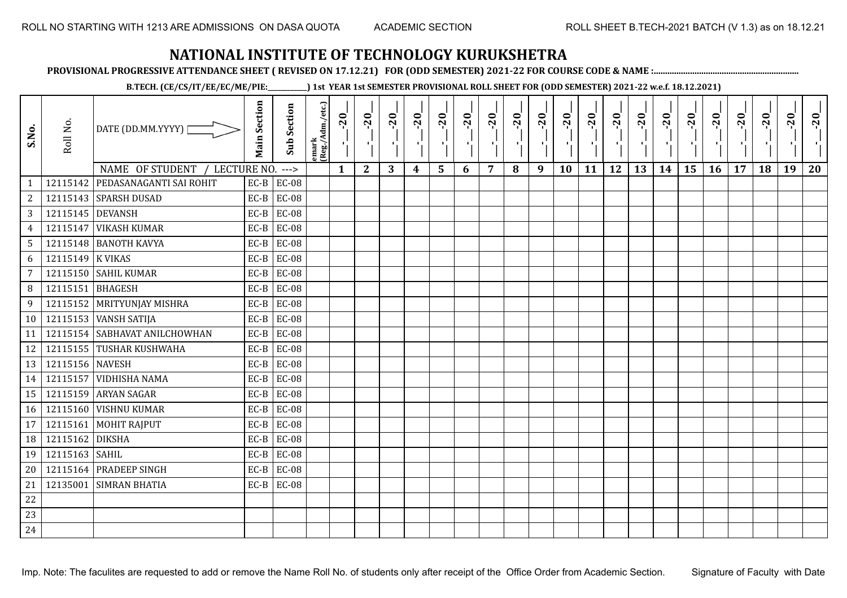**PROVISIONAL PROGRESSIVE ATTENDANCE SHEET ( REVISED ON 17.12.21) FOR (ODD SEMESTER) 2021-22 FOR COURSE CODE & NAME :................................................................**

**B.TECH. (CE/CS/IT/EE/EC/ME/PIE:\_\_\_\_\_\_\_\_\_\_\_\_) 1st YEAR 1st SEMESTER PROVISIONAL ROLL SHEET FOR (ODD SEMESTER) 2021-22 w.e.f. 18.12.2021)**

| S.No.           | Roll No.         | DATE (DD.MM.YYYY) [            | <b>Main Section</b> | Sub Section  | lemark<br>(Reg./Adm./etc.) | $-20$<br>ч.  | $-20$<br>-91 | $-20$ | $-20$<br>$\blacksquare$ | $-20$<br>۱, | $-20$ | $-20$ | $-20$<br>P. | $-20$<br>-57 | $-20$<br>п. | $-20$<br>л÷. | $-20$<br>л÷ | $-20$<br>×. | $-20$ | $-20$ | $-20$ | $-20$ | $-20$<br>۰, | $-20$ | $-20$ |
|-----------------|------------------|--------------------------------|---------------------|--------------|----------------------------|--------------|--------------|-------|-------------------------|-------------|-------|-------|-------------|--------------|-------------|--------------|-------------|-------------|-------|-------|-------|-------|-------------|-------|-------|
|                 |                  | NAME OF STUDENT<br>LECTURE NO. |                     | $---$        |                            | $\mathbf{1}$ | $\mathbf{2}$ | 3     | 4                       | 5           | 6     | 7     | 8           | 9            | <b>10</b>   | 11           | 12          | 13          | 14    | 15    | 16    | 17    | 18          | 19    | 20    |
|                 | 12115142         | PEDASANAGANTI SAI ROHIT        | $EC-B$              | <b>EC-08</b> |                            |              |              |       |                         |             |       |       |             |              |             |              |             |             |       |       |       |       |             |       |       |
| 2               |                  | 12115143 SPARSH DUSAD          | $EC-B$              | <b>EC-08</b> |                            |              |              |       |                         |             |       |       |             |              |             |              |             |             |       |       |       |       |             |       |       |
| $\overline{3}$  | 12115145 DEVANSH |                                | $EC-B$              | <b>EC-08</b> |                            |              |              |       |                         |             |       |       |             |              |             |              |             |             |       |       |       |       |             |       |       |
| $\overline{4}$  | 12115147         | <b>VIKASH KUMAR</b>            | $EC-B$              | <b>EC-08</b> |                            |              |              |       |                         |             |       |       |             |              |             |              |             |             |       |       |       |       |             |       |       |
| $5\phantom{.0}$ |                  | 12115148 BANOTH KAVYA          | $EC-B$              | <b>EC-08</b> |                            |              |              |       |                         |             |       |       |             |              |             |              |             |             |       |       |       |       |             |       |       |
| 6               | 12115149 K VIKAS |                                | $EC-B$              | <b>EC-08</b> |                            |              |              |       |                         |             |       |       |             |              |             |              |             |             |       |       |       |       |             |       |       |
| $\overline{7}$  |                  | 12115150 SAHIL KUMAR           | $EC-B$              | <b>EC-08</b> |                            |              |              |       |                         |             |       |       |             |              |             |              |             |             |       |       |       |       |             |       |       |
| 8               | 12115151 BHAGESH |                                | $EC-B$              | <b>EC-08</b> |                            |              |              |       |                         |             |       |       |             |              |             |              |             |             |       |       |       |       |             |       |       |
| 9               |                  | 12115152 MRITYUNJAY MISHRA     | $EC-B$              | <b>EC-08</b> |                            |              |              |       |                         |             |       |       |             |              |             |              |             |             |       |       |       |       |             |       |       |
| 10              |                  | 12115153 VANSH SATIJA          | $EC-B$              | <b>EC-08</b> |                            |              |              |       |                         |             |       |       |             |              |             |              |             |             |       |       |       |       |             |       |       |
| 11              |                  | 12115154 SABHAVAT ANILCHOWHAN  | $EC-B$              | <b>EC-08</b> |                            |              |              |       |                         |             |       |       |             |              |             |              |             |             |       |       |       |       |             |       |       |
| 12              |                  | 12115155 TUSHAR KUSHWAHA       | $EC-B$              | <b>EC-08</b> |                            |              |              |       |                         |             |       |       |             |              |             |              |             |             |       |       |       |       |             |       |       |
| 13              | 12115156 NAVESH  |                                | $EC-B$              | <b>EC-08</b> |                            |              |              |       |                         |             |       |       |             |              |             |              |             |             |       |       |       |       |             |       |       |
| 14              |                  | 12115157 VIDHISHA NAMA         | $EC-B$              | <b>EC-08</b> |                            |              |              |       |                         |             |       |       |             |              |             |              |             |             |       |       |       |       |             |       |       |
| 15              |                  | 12115159 ARYAN SAGAR           | $EC-B$              | <b>EC-08</b> |                            |              |              |       |                         |             |       |       |             |              |             |              |             |             |       |       |       |       |             |       |       |
| 16              |                  | 12115160 VISHNU KUMAR          | $EC-B$              | <b>EC-08</b> |                            |              |              |       |                         |             |       |       |             |              |             |              |             |             |       |       |       |       |             |       |       |
| 17              | 12115161         | MOHIT RAJPUT                   | $EC-B$              | <b>EC-08</b> |                            |              |              |       |                         |             |       |       |             |              |             |              |             |             |       |       |       |       |             |       |       |
| 18              | 12115162         | <b>DIKSHA</b>                  | $EC-B$              | <b>EC-08</b> |                            |              |              |       |                         |             |       |       |             |              |             |              |             |             |       |       |       |       |             |       |       |
| 19              | 12115163 SAHIL   |                                | $EC-B$              | <b>EC-08</b> |                            |              |              |       |                         |             |       |       |             |              |             |              |             |             |       |       |       |       |             |       |       |
| 20              |                  | 12115164 PRADEEP SINGH         | $EC-B$              | <b>EC-08</b> |                            |              |              |       |                         |             |       |       |             |              |             |              |             |             |       |       |       |       |             |       |       |
| 21              |                  | 12135001 SIMRAN BHATIA         | $EC-B$              | <b>EC-08</b> |                            |              |              |       |                         |             |       |       |             |              |             |              |             |             |       |       |       |       |             |       |       |
| 22              |                  |                                |                     |              |                            |              |              |       |                         |             |       |       |             |              |             |              |             |             |       |       |       |       |             |       |       |
| 23              |                  |                                |                     |              |                            |              |              |       |                         |             |       |       |             |              |             |              |             |             |       |       |       |       |             |       |       |
| 24              |                  |                                |                     |              |                            |              |              |       |                         |             |       |       |             |              |             |              |             |             |       |       |       |       |             |       |       |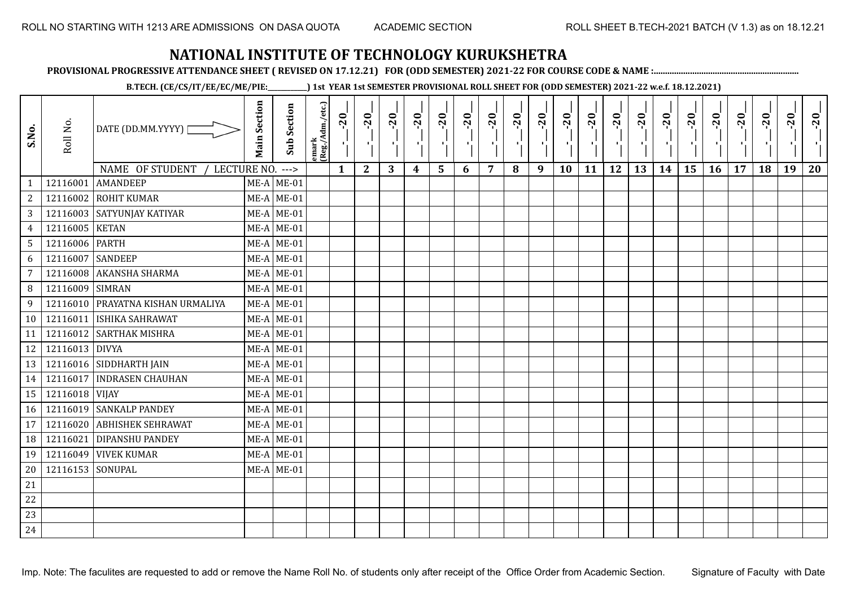**PROVISIONAL PROGRESSIVE ATTENDANCE SHEET ( REVISED ON 17.12.21) FOR (ODD SEMESTER) 2021-22 FOR COURSE CODE & NAME :................................................................**

**B.TECH. (CE/CS/IT/EE/EC/ME/PIE:\_\_\_\_\_\_\_\_\_\_\_\_) 1st YEAR 1st SEMESTER PROVISIONAL ROLL SHEET FOR (ODD SEMESTER) 2021-22 w.e.f. 18.12.2021)**

| S.No.           | Roll No.         | DATE (DD.MM.YYYY)<br>NAME OF STUDENT<br>LECTURE NO. ---> | <b>Main Section</b> | <b>Sub Section</b> | emark<br> (Reg./Adm./etc.) | $-20$<br>$\mathbf{1}$ | $-20$<br>$\mathbf{2}$ | $-20$<br>л.<br>3 | $-20$<br>4 | $-20$<br>л.<br>5 | $-20$<br>6 | $-20$<br>7 | $-20$<br>8 | $-20$<br>π÷<br>9 | $-20$<br>л,<br>10 | $-20$<br>11 | $-20$<br>πī<br>12 | $-20$<br>13 | $-20$<br>14 | $-20$<br>۱,<br>15 | $-20$<br>16 | $-20$<br>17 | $-20$<br>18 | $-20$<br>л.<br>19 | $-20$<br>20 |
|-----------------|------------------|----------------------------------------------------------|---------------------|--------------------|----------------------------|-----------------------|-----------------------|------------------|------------|------------------|------------|------------|------------|------------------|-------------------|-------------|-------------------|-------------|-------------|-------------------|-------------|-------------|-------------|-------------------|-------------|
| $\mathbf{1}$    | 12116001         | <b>AMANDEEP</b>                                          |                     | $ME-A$ ME-01       |                            |                       |                       |                  |            |                  |            |            |            |                  |                   |             |                   |             |             |                   |             |             |             |                   |             |
| $\overline{c}$  | 12116002         | <b>ROHIT KUMAR</b>                                       |                     | $ME-A$ ME-01       |                            |                       |                       |                  |            |                  |            |            |            |                  |                   |             |                   |             |             |                   |             |             |             |                   |             |
| $\overline{3}$  |                  | 12116003 SATYUNJAY KATIYAR                               |                     | $ME-A$ ME-01       |                            |                       |                       |                  |            |                  |            |            |            |                  |                   |             |                   |             |             |                   |             |             |             |                   |             |
| $\overline{4}$  | 12116005         | <b>KETAN</b>                                             |                     | $ME-A$ ME-01       |                            |                       |                       |                  |            |                  |            |            |            |                  |                   |             |                   |             |             |                   |             |             |             |                   |             |
| $5\phantom{.0}$ | 12116006 PARTH   |                                                          |                     | $ME-A$ ME-01       |                            |                       |                       |                  |            |                  |            |            |            |                  |                   |             |                   |             |             |                   |             |             |             |                   |             |
| 6               | 12116007         | <b>SANDEEP</b>                                           |                     | $ME-A$ ME-01       |                            |                       |                       |                  |            |                  |            |            |            |                  |                   |             |                   |             |             |                   |             |             |             |                   |             |
| $\overline{7}$  | 12116008         | AKANSHA SHARMA                                           |                     | $ME-A$ ME-01       |                            |                       |                       |                  |            |                  |            |            |            |                  |                   |             |                   |             |             |                   |             |             |             |                   |             |
| 8               | 12116009         | <b>SIMRAN</b>                                            |                     | $ME-A$ ME-01       |                            |                       |                       |                  |            |                  |            |            |            |                  |                   |             |                   |             |             |                   |             |             |             |                   |             |
| 9               | 12116010         | PRAYATNA KISHAN URMALIYA                                 |                     | $ME-A$ ME-01       |                            |                       |                       |                  |            |                  |            |            |            |                  |                   |             |                   |             |             |                   |             |             |             |                   |             |
| 10              | 12116011         | <b>ISHIKA SAHRAWAT</b>                                   |                     | $ME-A$ ME-01       |                            |                       |                       |                  |            |                  |            |            |            |                  |                   |             |                   |             |             |                   |             |             |             |                   |             |
| 11              |                  | 12116012 SARTHAK MISHRA                                  |                     | $ME-A$ ME-01       |                            |                       |                       |                  |            |                  |            |            |            |                  |                   |             |                   |             |             |                   |             |             |             |                   |             |
| 12              | 12116013 DIVYA   |                                                          |                     | $ME-A$ ME-01       |                            |                       |                       |                  |            |                  |            |            |            |                  |                   |             |                   |             |             |                   |             |             |             |                   |             |
| 13              |                  | 12116016 SIDDHARTH JAIN                                  |                     | $ME-A$ ME-01       |                            |                       |                       |                  |            |                  |            |            |            |                  |                   |             |                   |             |             |                   |             |             |             |                   |             |
| 14              |                  | 12116017 INDRASEN CHAUHAN                                |                     | $ME-A$ ME-01       |                            |                       |                       |                  |            |                  |            |            |            |                  |                   |             |                   |             |             |                   |             |             |             |                   |             |
| 15              | 12116018 VIJAY   |                                                          |                     | $ME-A$ ME-01       |                            |                       |                       |                  |            |                  |            |            |            |                  |                   |             |                   |             |             |                   |             |             |             |                   |             |
| 16              |                  | 12116019 SANKALP PANDEY                                  |                     | $ME-A$ ME-01       |                            |                       |                       |                  |            |                  |            |            |            |                  |                   |             |                   |             |             |                   |             |             |             |                   |             |
| 17              | 12116020         | <b>ABHISHEK SEHRAWAT</b>                                 |                     | $ME-A$ ME-01       |                            |                       |                       |                  |            |                  |            |            |            |                  |                   |             |                   |             |             |                   |             |             |             |                   |             |
| 18              | 12116021         | <b>DIPANSHU PANDEY</b>                                   |                     | $ME-A$ ME-01       |                            |                       |                       |                  |            |                  |            |            |            |                  |                   |             |                   |             |             |                   |             |             |             |                   |             |
| 19              | 12116049         | <b>VIVEK KUMAR</b>                                       |                     | $ME-A$ ME-01       |                            |                       |                       |                  |            |                  |            |            |            |                  |                   |             |                   |             |             |                   |             |             |             |                   |             |
| 20              | 12116153 SONUPAL |                                                          |                     | $ME-A$ ME-01       |                            |                       |                       |                  |            |                  |            |            |            |                  |                   |             |                   |             |             |                   |             |             |             |                   |             |
| 21              |                  |                                                          |                     |                    |                            |                       |                       |                  |            |                  |            |            |            |                  |                   |             |                   |             |             |                   |             |             |             |                   |             |
| 22              |                  |                                                          |                     |                    |                            |                       |                       |                  |            |                  |            |            |            |                  |                   |             |                   |             |             |                   |             |             |             |                   |             |
| 23              |                  |                                                          |                     |                    |                            |                       |                       |                  |            |                  |            |            |            |                  |                   |             |                   |             |             |                   |             |             |             |                   |             |
| 24              |                  |                                                          |                     |                    |                            |                       |                       |                  |            |                  |            |            |            |                  |                   |             |                   |             |             |                   |             |             |             |                   |             |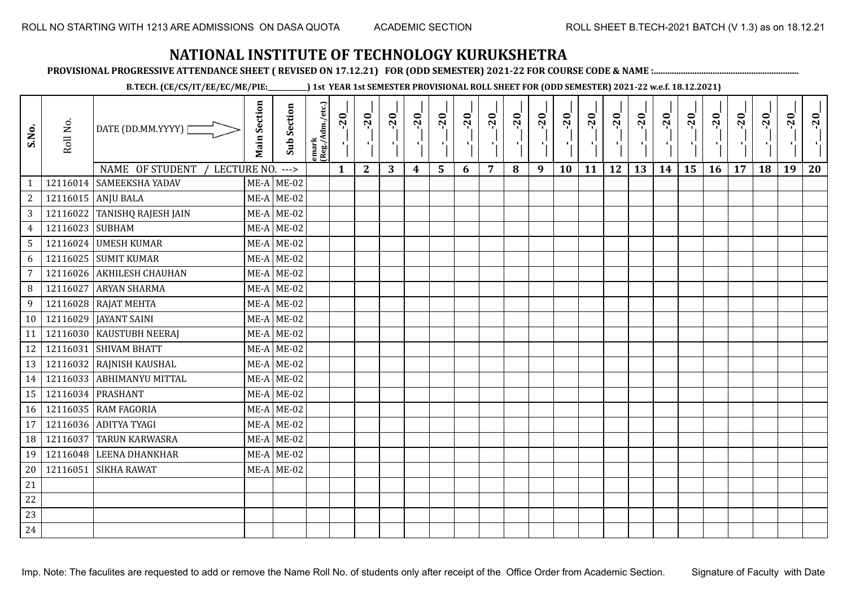**PROVISIONAL PROGRESSIVE ATTENDANCE SHEET ( REVISED ON 17.12.21) FOR (ODD SEMESTER) 2021-22 FOR COURSE CODE & NAME :................................................................**

**B.TECH. (CE/CS/IT/EE/EC/ME/PIE:\_\_\_\_\_\_\_\_\_\_\_\_) 1st YEAR 1st SEMESTER PROVISIONAL ROLL SHEET FOR (ODD SEMESTER) 2021-22 w.e.f. 18.12.2021)**

| S.No.           | Roll No.        | DATE (DD.MM.YYYY)                   | <b>Main Section</b> | <b>Sub Section</b> | emark<br> (Reg./Adm./etc.) | $-20$        | $-20$<br>×.  | $-20$ | $-20$ | $-20$<br>л, | $-20$ | $-20$ | $-20$ | $-20$<br>$\blacksquare$ | $-20$ | $-20$ | $-20$ | $-20$ | $-20$ | $-20$ | $-20$ | $-20$ | $-20$ | $-20$<br>×í. | $-20$ |
|-----------------|-----------------|-------------------------------------|---------------------|--------------------|----------------------------|--------------|--------------|-------|-------|-------------|-------|-------|-------|-------------------------|-------|-------|-------|-------|-------|-------|-------|-------|-------|--------------|-------|
|                 |                 | NAME OF STUDENT<br>LECTURE NO. ---> |                     |                    |                            | $\mathbf{1}$ | $\mathbf{2}$ | 3     | 4     | 5           | 6     | 7     | 8     | 9                       | 10    | 11    | 12    | 13    | 14    | 15    | 16    | 17    | 18    | 19           | 20    |
| 1               |                 | 12116014 SAMEEKSHA YADAV            |                     | $ME-A$ ME-02       |                            |              |              |       |       |             |       |       |       |                         |       |       |       |       |       |       |       |       |       |              |       |
| $\overline{2}$  |                 | 12116015 ANJU BALA                  |                     | $ME-A$ ME-02       |                            |              |              |       |       |             |       |       |       |                         |       |       |       |       |       |       |       |       |       |              |       |
| 3 <sup>7</sup>  |                 | 12116022 TANISHQ RAJESH JAIN        |                     | $ME-A$ ME-02       |                            |              |              |       |       |             |       |       |       |                         |       |       |       |       |       |       |       |       |       |              |       |
| $\overline{4}$  | 12116023 SUBHAM |                                     |                     | $ME-A$ ME-02       |                            |              |              |       |       |             |       |       |       |                         |       |       |       |       |       |       |       |       |       |              |       |
| 5 <sup>5</sup>  |                 | 12116024 UMESH KUMAR                |                     | $ME-A$ ME-02       |                            |              |              |       |       |             |       |       |       |                         |       |       |       |       |       |       |       |       |       |              |       |
| 6               |                 | 12116025 SUMIT KUMAR                |                     | $ME-A$ ME-02       |                            |              |              |       |       |             |       |       |       |                         |       |       |       |       |       |       |       |       |       |              |       |
| $\overline{7}$  |                 | 12116026 AKHILESH CHAUHAN           |                     | $ME-A$ ME-02       |                            |              |              |       |       |             |       |       |       |                         |       |       |       |       |       |       |       |       |       |              |       |
| 8               | 12116027        | <b>ARYAN SHARMA</b>                 |                     | $ME-A$ ME-02       |                            |              |              |       |       |             |       |       |       |                         |       |       |       |       |       |       |       |       |       |              |       |
| 9               |                 | 12116028 RAJAT MEHTA                |                     | $ME-A$ ME-02       |                            |              |              |       |       |             |       |       |       |                         |       |       |       |       |       |       |       |       |       |              |       |
| 10 <sup>1</sup> |                 | 12116029 JAYANT SAINI               |                     | $ME-A$ ME-02       |                            |              |              |       |       |             |       |       |       |                         |       |       |       |       |       |       |       |       |       |              |       |
| 11              |                 | 12116030 KAUSTUBH NEERAJ            |                     | $ME-A$ ME-02       |                            |              |              |       |       |             |       |       |       |                         |       |       |       |       |       |       |       |       |       |              |       |
| 12              |                 | 12116031 SHIVAM BHATT               |                     | $ME-A$ ME-02       |                            |              |              |       |       |             |       |       |       |                         |       |       |       |       |       |       |       |       |       |              |       |
| 13              |                 | 12116032 RAJNISH KAUSHAL            |                     | $ME-A$ ME-02       |                            |              |              |       |       |             |       |       |       |                         |       |       |       |       |       |       |       |       |       |              |       |
| 14              |                 | 12116033 ABHIMANYU MITTAL           |                     | $ME-A$ ME-02       |                            |              |              |       |       |             |       |       |       |                         |       |       |       |       |       |       |       |       |       |              |       |
| 15              |                 | 12116034 PRASHANT                   |                     | $ME-A$ ME-02       |                            |              |              |       |       |             |       |       |       |                         |       |       |       |       |       |       |       |       |       |              |       |
| 16              |                 | 12116035 RAM FAGORIA                |                     | $ME-A$ ME-02       |                            |              |              |       |       |             |       |       |       |                         |       |       |       |       |       |       |       |       |       |              |       |
| 17              |                 | 12116036 ADITYA TYAGI               |                     | $ME-A$ ME-02       |                            |              |              |       |       |             |       |       |       |                         |       |       |       |       |       |       |       |       |       |              |       |
| 18              | 12116037        | <b>TARUN KARWASRA</b>               |                     | $ME-A$ ME-02       |                            |              |              |       |       |             |       |       |       |                         |       |       |       |       |       |       |       |       |       |              |       |
| 19              |                 | 12116048 LEENA DHANKHAR             |                     | $ME-A$ ME-02       |                            |              |              |       |       |             |       |       |       |                         |       |       |       |       |       |       |       |       |       |              |       |
| 20              |                 | 12116051 SIKHA RAWAT                |                     | $ME-A$ ME-02       |                            |              |              |       |       |             |       |       |       |                         |       |       |       |       |       |       |       |       |       |              |       |
| 21              |                 |                                     |                     |                    |                            |              |              |       |       |             |       |       |       |                         |       |       |       |       |       |       |       |       |       |              |       |
| 22              |                 |                                     |                     |                    |                            |              |              |       |       |             |       |       |       |                         |       |       |       |       |       |       |       |       |       |              |       |
| 23              |                 |                                     |                     |                    |                            |              |              |       |       |             |       |       |       |                         |       |       |       |       |       |       |       |       |       |              |       |
| 24              |                 |                                     |                     |                    |                            |              |              |       |       |             |       |       |       |                         |       |       |       |       |       |       |       |       |       |              |       |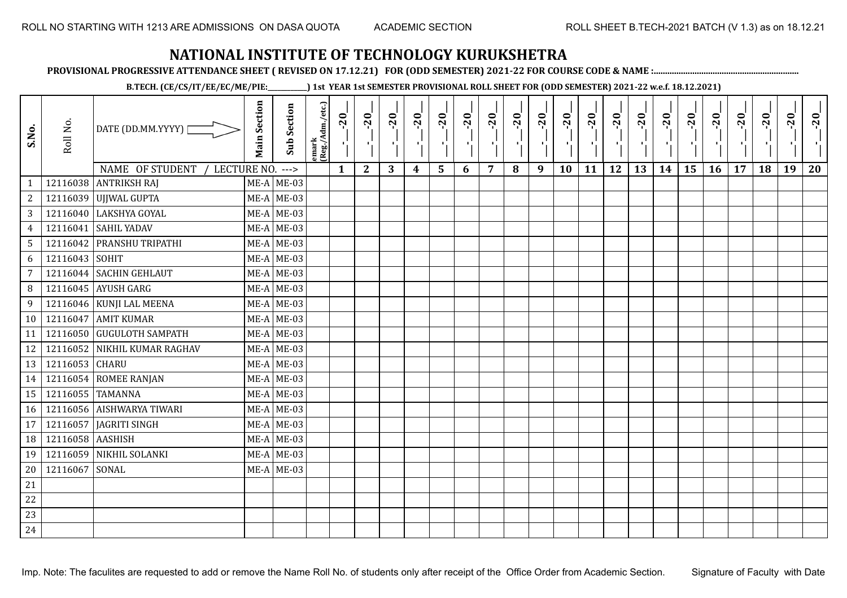**PROVISIONAL PROGRESSIVE ATTENDANCE SHEET ( REVISED ON 17.12.21) FOR (ODD SEMESTER) 2021-22 FOR COURSE CODE & NAME :................................................................**

**B.TECH. (CE/CS/IT/EE/EC/ME/PIE:\_\_\_\_\_\_\_\_\_\_\_\_) 1st YEAR 1st SEMESTER PROVISIONAL ROLL SHEET FOR (ODD SEMESTER) 2021-22 w.e.f. 18.12.2021)**

| S.No.           | Roll No.         | DATE (DD.MM.YYYY) [            | <b>Main Section</b> | Sub Section  | lemark<br>(Reg./Adm./etc.) | $-20$<br>×.  | $-20$<br>-91 | $-20$ | $-20$<br>H)      | $-20$           | $-20$ | $-20$ | $-20$<br>чļ. | $-20$<br>$\mathcal{F}_{\mathbf{L}}$ | $-20$<br>×. | $-20$<br>тŀ, | $-20$<br>чŀ | $-20$<br>чļ. | $-20$ | $-20$ | $-20$ | $-20$ | $-20$ | $-20$ | $-20$ |
|-----------------|------------------|--------------------------------|---------------------|--------------|----------------------------|--------------|--------------|-------|------------------|-----------------|-------|-------|--------------|-------------------------------------|-------------|--------------|-------------|--------------|-------|-------|-------|-------|-------|-------|-------|
|                 |                  | NAME OF STUDENT<br>LECTURE NO. |                     | $--->$       |                            | $\mathbf{1}$ | $\mathbf{2}$ | 3     | $\boldsymbol{4}$ | $5\phantom{.0}$ | 6     | 7     | 8            | 9                                   | 10          | 11           | 12          | 13           | 14    | 15    | 16    | 17    | 18    | 19    | 20    |
| 1               |                  | 12116038 ANTRIKSH RAJ          |                     | $ME-A$ ME-03 |                            |              |              |       |                  |                 |       |       |              |                                     |             |              |             |              |       |       |       |       |       |       |       |
| $\sqrt{2}$      |                  | 12116039 UJJWAL GUPTA          |                     | $ME-A$ ME-03 |                            |              |              |       |                  |                 |       |       |              |                                     |             |              |             |              |       |       |       |       |       |       |       |
| $\overline{3}$  |                  | 12116040 LAKSHYA GOYAL         |                     | $ME-A$ ME-03 |                            |              |              |       |                  |                 |       |       |              |                                     |             |              |             |              |       |       |       |       |       |       |       |
| $\overline{4}$  |                  | 12116041 SAHIL YADAV           |                     | $ME-A$ ME-03 |                            |              |              |       |                  |                 |       |       |              |                                     |             |              |             |              |       |       |       |       |       |       |       |
| $\overline{5}$  |                  | 12116042 PRANSHU TRIPATHI      |                     | $ME-A$ ME-03 |                            |              |              |       |                  |                 |       |       |              |                                     |             |              |             |              |       |       |       |       |       |       |       |
| 6               | 12116043 SOHIT   |                                |                     | $ME-A$ ME-03 |                            |              |              |       |                  |                 |       |       |              |                                     |             |              |             |              |       |       |       |       |       |       |       |
| $\overline{7}$  |                  | 12116044 SACHIN GEHLAUT        |                     | $ME-A$ ME-03 |                            |              |              |       |                  |                 |       |       |              |                                     |             |              |             |              |       |       |       |       |       |       |       |
| 8               |                  | 12116045 AYUSH GARG            |                     | $ME-A$ ME-03 |                            |              |              |       |                  |                 |       |       |              |                                     |             |              |             |              |       |       |       |       |       |       |       |
| 9               |                  | 12116046 KUNJI LAL MEENA       |                     | $ME-A$ ME-03 |                            |              |              |       |                  |                 |       |       |              |                                     |             |              |             |              |       |       |       |       |       |       |       |
| 10 <sup>1</sup> |                  | 12116047 AMIT KUMAR            |                     | $ME-A$ ME-03 |                            |              |              |       |                  |                 |       |       |              |                                     |             |              |             |              |       |       |       |       |       |       |       |
| 11              |                  | 12116050 GUGULOTH SAMPATH      |                     | $ME-A$ ME-03 |                            |              |              |       |                  |                 |       |       |              |                                     |             |              |             |              |       |       |       |       |       |       |       |
| 12              |                  | 12116052 NIKHIL KUMAR RAGHAV   |                     | $ME-A$ ME-03 |                            |              |              |       |                  |                 |       |       |              |                                     |             |              |             |              |       |       |       |       |       |       |       |
| 13              | 12116053 CHARU   |                                |                     | $ME-A$ ME-03 |                            |              |              |       |                  |                 |       |       |              |                                     |             |              |             |              |       |       |       |       |       |       |       |
| 14              |                  | 12116054 ROMEE RANJAN          |                     | $ME-A$ ME-03 |                            |              |              |       |                  |                 |       |       |              |                                     |             |              |             |              |       |       |       |       |       |       |       |
| 15              |                  | 12116055 TAMANNA               |                     | $ME-A$ ME-03 |                            |              |              |       |                  |                 |       |       |              |                                     |             |              |             |              |       |       |       |       |       |       |       |
| 16              |                  | 12116056 AISHWARYA TIWARI      |                     | $ME-A$ ME-03 |                            |              |              |       |                  |                 |       |       |              |                                     |             |              |             |              |       |       |       |       |       |       |       |
| 17              |                  | 12116057 JAGRITI SINGH         |                     | $ME-A$ ME-03 |                            |              |              |       |                  |                 |       |       |              |                                     |             |              |             |              |       |       |       |       |       |       |       |
| 18              | 12116058 AASHISH |                                |                     | $ME-A$ ME-03 |                            |              |              |       |                  |                 |       |       |              |                                     |             |              |             |              |       |       |       |       |       |       |       |
| 19              |                  | 12116059 NIKHIL SOLANKI        |                     | $ME-A$ ME-03 |                            |              |              |       |                  |                 |       |       |              |                                     |             |              |             |              |       |       |       |       |       |       |       |
| 20              | 12116067 SONAL   |                                |                     | $ME-A$ ME-03 |                            |              |              |       |                  |                 |       |       |              |                                     |             |              |             |              |       |       |       |       |       |       |       |
| 21              |                  |                                |                     |              |                            |              |              |       |                  |                 |       |       |              |                                     |             |              |             |              |       |       |       |       |       |       |       |
| 22              |                  |                                |                     |              |                            |              |              |       |                  |                 |       |       |              |                                     |             |              |             |              |       |       |       |       |       |       |       |
| 23              |                  |                                |                     |              |                            |              |              |       |                  |                 |       |       |              |                                     |             |              |             |              |       |       |       |       |       |       |       |
| 24              |                  |                                |                     |              |                            |              |              |       |                  |                 |       |       |              |                                     |             |              |             |              |       |       |       |       |       |       |       |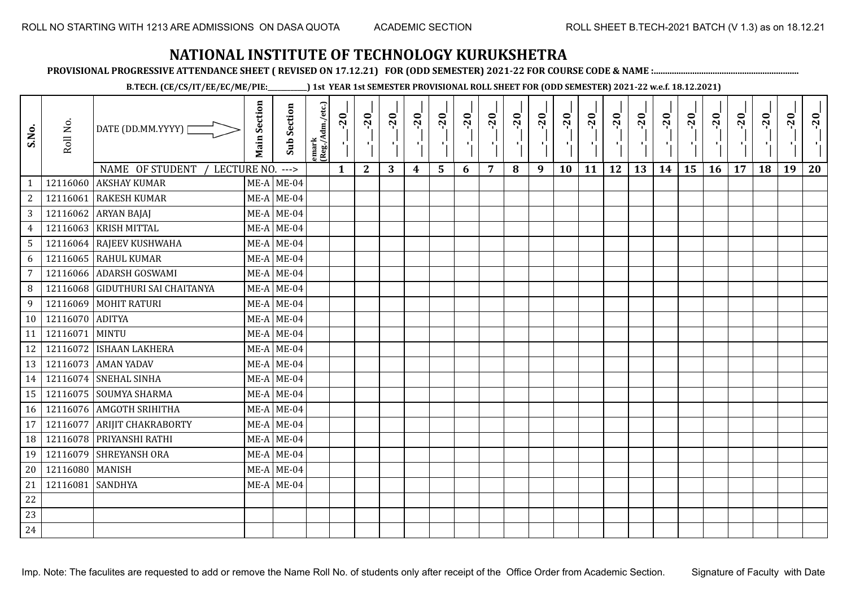**PROVISIONAL PROGRESSIVE ATTENDANCE SHEET ( REVISED ON 17.12.21) FOR (ODD SEMESTER) 2021-22 FOR COURSE CODE & NAME :................................................................**

**B.TECH. (CE/CS/IT/EE/EC/ME/PIE:\_\_\_\_\_\_\_\_\_\_\_\_) 1st YEAR 1st SEMESTER PROVISIONAL ROLL SHEET FOR (ODD SEMESTER) 2021-22 w.e.f. 18.12.2021)**

| S.No.          | Roll No.        | DATE (DD.MM.YYYY) [              | <b>Main Section</b> | <b>Sub Section</b> | emark<br>(Reg./Adm./etc.) | $\overline{20}$ | $-20$        | $-20$<br>л. | $-20$            | $-20$<br>л.    | $-20$ | $-20$          | $-20$ | $-20$<br>π÷ | $-20$<br>л, | $-20$ | $-20$ | $-20$ | $-20$ | $-20$ | $-20$ | $-20$ | $-20$ | $-20$<br>$\mathcal{F}_\mathrm{A}$ | $-20$ |
|----------------|-----------------|----------------------------------|---------------------|--------------------|---------------------------|-----------------|--------------|-------------|------------------|----------------|-------|----------------|-------|-------------|-------------|-------|-------|-------|-------|-------|-------|-------|-------|-----------------------------------|-------|
|                |                 | NAME OF STUDENT<br>LECTURE NO.   |                     | $--->$             |                           | $\mathbf{1}$    | $\mathbf{2}$ | 3           | $\boldsymbol{4}$ | $5\phantom{1}$ | 6     | $\overline{7}$ | 8     | 9           | 10          | 11    | 12    | 13    | 14    | 15    | 16    | 17    | 18    | 19                                | 20    |
| 1              | 12116060        | <b>AKSHAY KUMAR</b>              |                     | $ME-A$ ME-04       |                           |                 |              |             |                  |                |       |                |       |             |             |       |       |       |       |       |       |       |       |                                   |       |
| $\sqrt{2}$     | 12116061        | <b>RAKESH KUMAR</b>              |                     | $ME-A$ ME-04       |                           |                 |              |             |                  |                |       |                |       |             |             |       |       |       |       |       |       |       |       |                                   |       |
| 3              |                 | 12116062 ARYAN BAJAJ             |                     | $ME-A$ ME-04       |                           |                 |              |             |                  |                |       |                |       |             |             |       |       |       |       |       |       |       |       |                                   |       |
| $\overline{4}$ | 12116063        | <b>KRISH MITTAL</b>              |                     | $ME-A$ ME-04       |                           |                 |              |             |                  |                |       |                |       |             |             |       |       |       |       |       |       |       |       |                                   |       |
| 5              |                 | 12116064 RAJEEV KUSHWAHA         |                     | $ME-A$ ME-04       |                           |                 |              |             |                  |                |       |                |       |             |             |       |       |       |       |       |       |       |       |                                   |       |
| 6              |                 | 12116065 RAHUL KUMAR             |                     | $ME-A$ ME-04       |                           |                 |              |             |                  |                |       |                |       |             |             |       |       |       |       |       |       |       |       |                                   |       |
| $\overline{7}$ | 12116066        | <b>ADARSH GOSWAMI</b>            |                     | $ME-A$ ME-04       |                           |                 |              |             |                  |                |       |                |       |             |             |       |       |       |       |       |       |       |       |                                   |       |
| 8              |                 | 12116068 GIDUTHURI SAI CHAITANYA |                     | $ME-A$ ME-04       |                           |                 |              |             |                  |                |       |                |       |             |             |       |       |       |       |       |       |       |       |                                   |       |
| 9              |                 | 12116069 MOHIT RATURI            |                     | $ME-A$ ME-04       |                           |                 |              |             |                  |                |       |                |       |             |             |       |       |       |       |       |       |       |       |                                   |       |
| 10             | 12116070 ADITYA |                                  |                     | $ME-A$ ME-04       |                           |                 |              |             |                  |                |       |                |       |             |             |       |       |       |       |       |       |       |       |                                   |       |
| 11             | 12116071        | <b>MINTU</b>                     |                     | $ME-A$ ME-04       |                           |                 |              |             |                  |                |       |                |       |             |             |       |       |       |       |       |       |       |       |                                   |       |
| 12             |                 | 12116072 ISHAAN LAKHERA          |                     | $ME-A$ ME-04       |                           |                 |              |             |                  |                |       |                |       |             |             |       |       |       |       |       |       |       |       |                                   |       |
| 13             |                 | 12116073 AMAN YADAV              |                     | $ME-A$ ME-04       |                           |                 |              |             |                  |                |       |                |       |             |             |       |       |       |       |       |       |       |       |                                   |       |
| 14             |                 | 12116074 SNEHAL SINHA            |                     | $ME-A$ ME-04       |                           |                 |              |             |                  |                |       |                |       |             |             |       |       |       |       |       |       |       |       |                                   |       |
| 15             |                 | 12116075 SOUMYA SHARMA           |                     | $ME-A$ ME-04       |                           |                 |              |             |                  |                |       |                |       |             |             |       |       |       |       |       |       |       |       |                                   |       |
| 16             |                 | 12116076 AMGOTH SRIHITHA         |                     | $ME-A$ ME-04       |                           |                 |              |             |                  |                |       |                |       |             |             |       |       |       |       |       |       |       |       |                                   |       |
| 17             | 12116077        | <b>ARIJIT CHAKRABORTY</b>        |                     | $ME-A$ ME-04       |                           |                 |              |             |                  |                |       |                |       |             |             |       |       |       |       |       |       |       |       |                                   |       |
| 18             | 12116078        | PRIYANSHI RATHI                  |                     | $ME-A$ ME-04       |                           |                 |              |             |                  |                |       |                |       |             |             |       |       |       |       |       |       |       |       |                                   |       |
| 19             |                 | 12116079 SHREYANSH ORA           |                     | $ME-A$ ME-04       |                           |                 |              |             |                  |                |       |                |       |             |             |       |       |       |       |       |       |       |       |                                   |       |
| 20             | 12116080 MANISH |                                  |                     | $ME-A$ ME-04       |                           |                 |              |             |                  |                |       |                |       |             |             |       |       |       |       |       |       |       |       |                                   |       |
| 21             | 12116081        | <b>SANDHYA</b>                   |                     | $ME-A$ ME-04       |                           |                 |              |             |                  |                |       |                |       |             |             |       |       |       |       |       |       |       |       |                                   |       |
| 22             |                 |                                  |                     |                    |                           |                 |              |             |                  |                |       |                |       |             |             |       |       |       |       |       |       |       |       |                                   |       |
| 23             |                 |                                  |                     |                    |                           |                 |              |             |                  |                |       |                |       |             |             |       |       |       |       |       |       |       |       |                                   |       |
| 24             |                 |                                  |                     |                    |                           |                 |              |             |                  |                |       |                |       |             |             |       |       |       |       |       |       |       |       |                                   |       |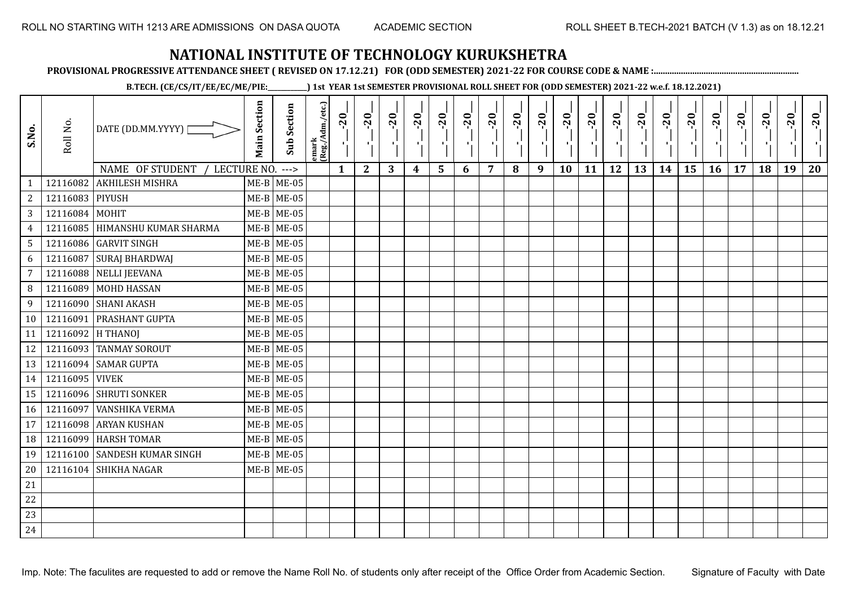**PROVISIONAL PROGRESSIVE ATTENDANCE SHEET ( REVISED ON 17.12.21) FOR (ODD SEMESTER) 2021-22 FOR COURSE CODE & NAME :................................................................**

**B.TECH. (CE/CS/IT/EE/EC/ME/PIE:\_\_\_\_\_\_\_\_\_\_\_\_) 1st YEAR 1st SEMESTER PROVISIONAL ROLL SHEET FOR (ODD SEMESTER) 2021-22 w.e.f. 18.12.2021)**

| S.No.          | Roll No.        | DATE (DD.MM.YYYY)                | <b>Main Section</b> | <b>Sub Section</b> | emark<br>(Reg./Adm./etc.) | $-20$        | $-20$<br>- 1     | $-20$ | $-20$<br>л.      | $-20$<br>r.             | $-20$<br>ч. | $-20$ | $-20$<br>$\blacksquare$ | $-20$<br>$\mathbf{F}_{\mathbf{F}}$ | $-20$ | $-20$ | $-20$<br>π÷ | $-20$<br>$\mathcal{F}_{\mathbf{A}}$ | $-20$ | $-20$ | $-20$ | $-20$<br>$\blacksquare$ | $-20$<br>J, | $-20$ | $-20$ |
|----------------|-----------------|----------------------------------|---------------------|--------------------|---------------------------|--------------|------------------|-------|------------------|-------------------------|-------------|-------|-------------------------|------------------------------------|-------|-------|-------------|-------------------------------------|-------|-------|-------|-------------------------|-------------|-------|-------|
|                |                 | NAME OF STUDENT<br>LECTURE NO.   |                     | $--->$             |                           | $\mathbf{1}$ | $\boldsymbol{2}$ | 3     | $\boldsymbol{4}$ | $\overline{\mathbf{5}}$ | 6           | 7     | 8                       | 9                                  | 10    | 11    | 12          | 13                                  | 14    | 15    | 16    | 17                      | 18          | 19    | 20    |
| $\mathbf{1}$   | 12116082        | <b>AKHILESH MISHRA</b>           |                     | $ME-B$ ME-05       |                           |              |                  |       |                  |                         |             |       |                         |                                    |       |       |             |                                     |       |       |       |                         |             |       |       |
| 2              | 12116083 PIYUSH |                                  |                     | $ME-B$ ME-05       |                           |              |                  |       |                  |                         |             |       |                         |                                    |       |       |             |                                     |       |       |       |                         |             |       |       |
| 3 <sup>7</sup> | 12116084 MOHIT  |                                  |                     | $ME-B$ ME-05       |                           |              |                  |       |                  |                         |             |       |                         |                                    |       |       |             |                                     |       |       |       |                         |             |       |       |
| $\overline{4}$ |                 | 12116085   HIMANSHU KUMAR SHARMA |                     | $ME-B$ ME-05       |                           |              |                  |       |                  |                         |             |       |                         |                                    |       |       |             |                                     |       |       |       |                         |             |       |       |
| 5              |                 | 12116086 GARVIT SINGH            |                     | $ME-B$ ME-05       |                           |              |                  |       |                  |                         |             |       |                         |                                    |       |       |             |                                     |       |       |       |                         |             |       |       |
| 6              | 12116087        | <b>SURAJ BHARDWAJ</b>            |                     | $ME-B$ ME-05       |                           |              |                  |       |                  |                         |             |       |                         |                                    |       |       |             |                                     |       |       |       |                         |             |       |       |
| $\overline{7}$ | 12116088        | <b>NELLI JEEVANA</b>             |                     | $ME-B$ ME-05       |                           |              |                  |       |                  |                         |             |       |                         |                                    |       |       |             |                                     |       |       |       |                         |             |       |       |
| 8              |                 | 12116089 MOHD HASSAN             |                     | $ME-B$ ME-05       |                           |              |                  |       |                  |                         |             |       |                         |                                    |       |       |             |                                     |       |       |       |                         |             |       |       |
| 9              | 12116090        | <b>SHANI AKASH</b>               |                     | $ME-B$ ME-05       |                           |              |                  |       |                  |                         |             |       |                         |                                    |       |       |             |                                     |       |       |       |                         |             |       |       |
| 10             | 12116091        | <b>PRASHANT GUPTA</b>            |                     | $ME-B$ ME-05       |                           |              |                  |       |                  |                         |             |       |                         |                                    |       |       |             |                                     |       |       |       |                         |             |       |       |
| 11             | 12116092        | <b>H THANOI</b>                  |                     | $ME-B$ ME-05       |                           |              |                  |       |                  |                         |             |       |                         |                                    |       |       |             |                                     |       |       |       |                         |             |       |       |
| 12             |                 | 12116093 TANMAY SOROUT           |                     | $ME-B$ ME-05       |                           |              |                  |       |                  |                         |             |       |                         |                                    |       |       |             |                                     |       |       |       |                         |             |       |       |
| 13             |                 | 12116094 SAMAR GUPTA             |                     | $ME-B$ ME-05       |                           |              |                  |       |                  |                         |             |       |                         |                                    |       |       |             |                                     |       |       |       |                         |             |       |       |
| 14             | 12116095 VIVEK  |                                  |                     | $ME-B$ ME-05       |                           |              |                  |       |                  |                         |             |       |                         |                                    |       |       |             |                                     |       |       |       |                         |             |       |       |
| 15             |                 | 12116096 SHRUTI SONKER           |                     | $ME-B$ ME-05       |                           |              |                  |       |                  |                         |             |       |                         |                                    |       |       |             |                                     |       |       |       |                         |             |       |       |
| 16             | 12116097        | <b>VANSHIKA VERMA</b>            |                     | $ME-B$ ME-05       |                           |              |                  |       |                  |                         |             |       |                         |                                    |       |       |             |                                     |       |       |       |                         |             |       |       |
| 17             |                 | 12116098 ARYAN KUSHAN            |                     | $ME-B$ ME-05       |                           |              |                  |       |                  |                         |             |       |                         |                                    |       |       |             |                                     |       |       |       |                         |             |       |       |
| 18             | 12116099        | <b>HARSH TOMAR</b>               |                     | $ME-B$ ME-05       |                           |              |                  |       |                  |                         |             |       |                         |                                    |       |       |             |                                     |       |       |       |                         |             |       |       |
| 19             |                 | 12116100 SANDESH KUMAR SINGH     |                     | $ME-B$ ME-05       |                           |              |                  |       |                  |                         |             |       |                         |                                    |       |       |             |                                     |       |       |       |                         |             |       |       |
| 20             |                 | 12116104 SHIKHA NAGAR            |                     | $ME-B$ ME-05       |                           |              |                  |       |                  |                         |             |       |                         |                                    |       |       |             |                                     |       |       |       |                         |             |       |       |
| 21             |                 |                                  |                     |                    |                           |              |                  |       |                  |                         |             |       |                         |                                    |       |       |             |                                     |       |       |       |                         |             |       |       |
| 22             |                 |                                  |                     |                    |                           |              |                  |       |                  |                         |             |       |                         |                                    |       |       |             |                                     |       |       |       |                         |             |       |       |
| 23             |                 |                                  |                     |                    |                           |              |                  |       |                  |                         |             |       |                         |                                    |       |       |             |                                     |       |       |       |                         |             |       |       |
| 24             |                 |                                  |                     |                    |                           |              |                  |       |                  |                         |             |       |                         |                                    |       |       |             |                                     |       |       |       |                         |             |       |       |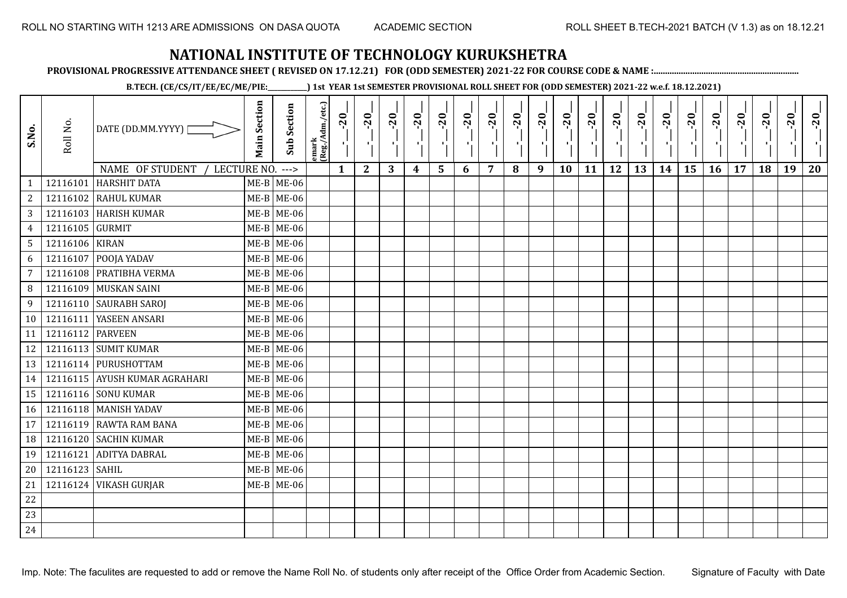**PROVISIONAL PROGRESSIVE ATTENDANCE SHEET ( REVISED ON 17.12.21) FOR (ODD SEMESTER) 2021-22 FOR COURSE CODE & NAME :................................................................**

**B.TECH. (CE/CS/IT/EE/EC/ME/PIE:\_\_\_\_\_\_\_\_\_\_\_\_) 1st YEAR 1st SEMESTER PROVISIONAL ROLL SHEET FOR (ODD SEMESTER) 2021-22 w.e.f. 18.12.2021)**

| S.No.           | Roll No.         | DATE (DD.MM.YYYY) [                   | <b>Main Section</b> | <b>Sub Section</b> | emark<br> (Reg./Adm./etc.) | $-20$        | $-20$<br>н.  | $-20$ | $-20$ | $-20$<br>۰,             | $-20$<br>ч. | $-20$<br>л. | $-20$ | $-20$<br>D. | $-20$<br>л, | $-20$ | $-20$<br>пJ. | $-20$ | $-20$<br>$\mathbf{r}$ | $-20$ | $-20$ | $-20$ | $-20$ | $-20$<br>$\mathcal{F}_{\mathcal{F}}$ | $-20$ |
|-----------------|------------------|---------------------------------------|---------------------|--------------------|----------------------------|--------------|--------------|-------|-------|-------------------------|-------------|-------------|-------|-------------|-------------|-------|--------------|-------|-----------------------|-------|-------|-------|-------|--------------------------------------|-------|
|                 |                  | <b>NAME OF STUDENT</b><br>LECTURE NO. |                     | $--->$             |                            | $\mathbf{1}$ | $\mathbf{2}$ | 3     | 4     | $\overline{\mathbf{5}}$ | 6           | 7           | 8     | 9           | 10          | 11    | 12           | 13    | 14                    | 15    | 16    | 17    | 18    | 19                                   | 20    |
| $\mathbf{1}$    | 12116101         | <b>HARSHIT DATA</b>                   |                     | $ME-B$ ME-06       |                            |              |              |       |       |                         |             |             |       |             |             |       |              |       |                       |       |       |       |       |                                      |       |
| $\overline{2}$  | 12116102         | RAHUL KUMAR                           |                     | $ME-B$ ME-06       |                            |              |              |       |       |                         |             |             |       |             |             |       |              |       |                       |       |       |       |       |                                      |       |
| $\mathbf{3}$    |                  | 12116103 HARISH KUMAR                 |                     | $ME-B$ ME-06       |                            |              |              |       |       |                         |             |             |       |             |             |       |              |       |                       |       |       |       |       |                                      |       |
| $\overline{4}$  | 12116105 GURMIT  |                                       |                     | $ME-B$ ME-06       |                            |              |              |       |       |                         |             |             |       |             |             |       |              |       |                       |       |       |       |       |                                      |       |
| $5\phantom{.0}$ | 12116106 KIRAN   |                                       |                     | $ME-B$ ME-06       |                            |              |              |       |       |                         |             |             |       |             |             |       |              |       |                       |       |       |       |       |                                      |       |
| 6               | 12116107         | POOJA YADAV                           |                     | $ME-B$ ME-06       |                            |              |              |       |       |                         |             |             |       |             |             |       |              |       |                       |       |       |       |       |                                      |       |
| $\overline{7}$  |                  | 12116108 PRATIBHA VERMA               |                     | $ME-B$ ME-06       |                            |              |              |       |       |                         |             |             |       |             |             |       |              |       |                       |       |       |       |       |                                      |       |
| 8 <sup>°</sup>  |                  | 12116109 MUSKAN SAINI                 |                     | $ME-B$ ME-06       |                            |              |              |       |       |                         |             |             |       |             |             |       |              |       |                       |       |       |       |       |                                      |       |
| 9               |                  | 12116110 SAURABH SAROJ                |                     | $ME-B$ ME-06       |                            |              |              |       |       |                         |             |             |       |             |             |       |              |       |                       |       |       |       |       |                                      |       |
| 10              |                  | 12116111 YASEEN ANSARI                |                     | $ME-B$ ME-06       |                            |              |              |       |       |                         |             |             |       |             |             |       |              |       |                       |       |       |       |       |                                      |       |
| 11              | 12116112 PARVEEN |                                       |                     | $ME-B$ ME-06       |                            |              |              |       |       |                         |             |             |       |             |             |       |              |       |                       |       |       |       |       |                                      |       |
| 12              |                  | 12116113 SUMIT KUMAR                  |                     | $ME-B$ ME-06       |                            |              |              |       |       |                         |             |             |       |             |             |       |              |       |                       |       |       |       |       |                                      |       |
| 13              |                  | 12116114 PURUSHOTTAM                  |                     | $ME-B$ ME-06       |                            |              |              |       |       |                         |             |             |       |             |             |       |              |       |                       |       |       |       |       |                                      |       |
| 14              |                  | 12116115 AYUSH KUMAR AGRAHARI         |                     | $ME-B$ ME-06       |                            |              |              |       |       |                         |             |             |       |             |             |       |              |       |                       |       |       |       |       |                                      |       |
| 15              |                  | 12116116 SONU KUMAR                   |                     | $ME-B$ ME-06       |                            |              |              |       |       |                         |             |             |       |             |             |       |              |       |                       |       |       |       |       |                                      |       |
| 16              |                  | 12116118 MANISH YADAV                 |                     | $ME-B$ ME-06       |                            |              |              |       |       |                         |             |             |       |             |             |       |              |       |                       |       |       |       |       |                                      |       |
| 17              |                  | 12116119 RAWTA RAM BANA               |                     | $ME-B$ ME-06       |                            |              |              |       |       |                         |             |             |       |             |             |       |              |       |                       |       |       |       |       |                                      |       |
| 18              |                  | 12116120 SACHIN KUMAR                 |                     | $ME-B$ ME-06       |                            |              |              |       |       |                         |             |             |       |             |             |       |              |       |                       |       |       |       |       |                                      |       |
| 19              | 12116121         | ADITYA DABRAL                         | $ME-B$              | <b>ME-06</b>       |                            |              |              |       |       |                         |             |             |       |             |             |       |              |       |                       |       |       |       |       |                                      |       |
| 20              | 12116123 SAHIL   |                                       |                     | $ME-B$ ME-06       |                            |              |              |       |       |                         |             |             |       |             |             |       |              |       |                       |       |       |       |       |                                      |       |
| 21              |                  | 12116124 VIKASH GURJAR                |                     | $ME-B$ ME-06       |                            |              |              |       |       |                         |             |             |       |             |             |       |              |       |                       |       |       |       |       |                                      |       |
| 22              |                  |                                       |                     |                    |                            |              |              |       |       |                         |             |             |       |             |             |       |              |       |                       |       |       |       |       |                                      |       |
| 23              |                  |                                       |                     |                    |                            |              |              |       |       |                         |             |             |       |             |             |       |              |       |                       |       |       |       |       |                                      |       |
| 24              |                  |                                       |                     |                    |                            |              |              |       |       |                         |             |             |       |             |             |       |              |       |                       |       |       |       |       |                                      |       |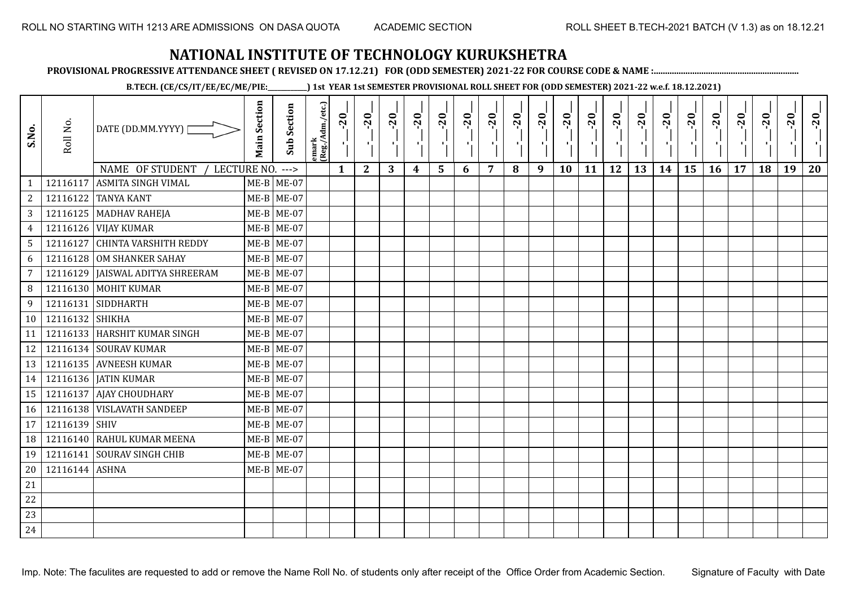**PROVISIONAL PROGRESSIVE ATTENDANCE SHEET ( REVISED ON 17.12.21) FOR (ODD SEMESTER) 2021-22 FOR COURSE CODE & NAME :................................................................**

**B.TECH. (CE/CS/IT/EE/EC/ME/PIE:\_\_\_\_\_\_\_\_\_\_\_\_) 1st YEAR 1st SEMESTER PROVISIONAL ROLL SHEET FOR (ODD SEMESTER) 2021-22 w.e.f. 18.12.2021)**

| S.No.           | Roll No.        | DATE (DD.MM.YYYY)                   | <b>Main Section</b> | <b>Sub Section</b> | emark<br>(Reg./Adm./etc.) | $-20$        | $-20$<br>π÷  | $-20$ | $-20$ | $-20$<br>÷. | $-20$ | $-20$ | $-20$ | $-20$<br>D. | $-20$<br>л, | $-20$ | $-20$<br>пJ. | $-20$ | $-20$ | $-20$ | $-20$ | $-20$ | $-20$ | $-20$<br>ч. | $-20$ |
|-----------------|-----------------|-------------------------------------|---------------------|--------------------|---------------------------|--------------|--------------|-------|-------|-------------|-------|-------|-------|-------------|-------------|-------|--------------|-------|-------|-------|-------|-------|-------|-------------|-------|
|                 |                 | NAME OF STUDENT<br>LECTURE NO. ---> |                     |                    |                           | $\mathbf{1}$ | $\mathbf{2}$ | 3     | 4     | 5           | 6     | 7     | 8     | 9           | 10          | 11    | 12           | 13    | 14    | 15    | 16    | 17    | 18    | 19          | 20    |
| 1               | 12116117        | <b>ASMITA SINGH VIMAL</b>           |                     | $ME-B$ ME-07       |                           |              |              |       |       |             |       |       |       |             |             |       |              |       |       |       |       |       |       |             |       |
| $\overline{2}$  |                 | 12116122 TANYA KANT                 |                     | $ME-B$ ME-07       |                           |              |              |       |       |             |       |       |       |             |             |       |              |       |       |       |       |       |       |             |       |
| $\overline{3}$  |                 | 12116125 MADHAV RAHEJA              |                     | $ME-B$ ME-07       |                           |              |              |       |       |             |       |       |       |             |             |       |              |       |       |       |       |       |       |             |       |
| $\overline{4}$  |                 | 12116126 VIJAY KUMAR                |                     | $ME-B$ ME-07       |                           |              |              |       |       |             |       |       |       |             |             |       |              |       |       |       |       |       |       |             |       |
| $5\phantom{.0}$ |                 | 12116127 CHINTA VARSHITH REDDY      |                     | ME-B ME-07         |                           |              |              |       |       |             |       |       |       |             |             |       |              |       |       |       |       |       |       |             |       |
| 6               |                 | 12116128 OM SHANKER SAHAY           |                     | $ME-B$ ME-07       |                           |              |              |       |       |             |       |       |       |             |             |       |              |       |       |       |       |       |       |             |       |
| $\overline{7}$  |                 | 12116129   JAISWAL ADITYA SHREERAM  |                     | $ME-B$ ME-07       |                           |              |              |       |       |             |       |       |       |             |             |       |              |       |       |       |       |       |       |             |       |
| 8               |                 | 12116130 MOHIT KUMAR                |                     | $ME-B$ ME-07       |                           |              |              |       |       |             |       |       |       |             |             |       |              |       |       |       |       |       |       |             |       |
| 9               |                 | 12116131 SIDDHARTH                  |                     | $ME-B$ ME-07       |                           |              |              |       |       |             |       |       |       |             |             |       |              |       |       |       |       |       |       |             |       |
| 10 <sup>1</sup> | 12116132 SHIKHA |                                     |                     | $ME-B$ ME-07       |                           |              |              |       |       |             |       |       |       |             |             |       |              |       |       |       |       |       |       |             |       |
| 11              |                 | 12116133 HARSHIT KUMAR SINGH        |                     | $ME-B$ ME-07       |                           |              |              |       |       |             |       |       |       |             |             |       |              |       |       |       |       |       |       |             |       |
| 12              |                 | 12116134 SOURAV KUMAR               |                     | $ME-B$ ME-07       |                           |              |              |       |       |             |       |       |       |             |             |       |              |       |       |       |       |       |       |             |       |
| 13              |                 | 12116135 AVNEESH KUMAR              |                     | $ME-B$ ME-07       |                           |              |              |       |       |             |       |       |       |             |             |       |              |       |       |       |       |       |       |             |       |
| 14              |                 | 12116136   JATIN KUMAR              |                     | $ME-B$ ME-07       |                           |              |              |       |       |             |       |       |       |             |             |       |              |       |       |       |       |       |       |             |       |
| 15              |                 | 12116137 AJAY CHOUDHARY             |                     | $ME-B$ ME-07       |                           |              |              |       |       |             |       |       |       |             |             |       |              |       |       |       |       |       |       |             |       |
| 16              |                 | 12116138 VISLAVATH SANDEEP          |                     | $ME-B$ ME-07       |                           |              |              |       |       |             |       |       |       |             |             |       |              |       |       |       |       |       |       |             |       |
| 17              | 12116139 SHIV   |                                     |                     | $ME-B$ ME-07       |                           |              |              |       |       |             |       |       |       |             |             |       |              |       |       |       |       |       |       |             |       |
| 18              |                 | 12116140 RAHUL KUMAR MEENA          |                     | $ME-B$ ME-07       |                           |              |              |       |       |             |       |       |       |             |             |       |              |       |       |       |       |       |       |             |       |
| 19              |                 | 12116141 SOURAV SINGH CHIB          |                     | $ME-B$ ME-07       |                           |              |              |       |       |             |       |       |       |             |             |       |              |       |       |       |       |       |       |             |       |
| 20              | 12116144 ASHNA  |                                     |                     | $ME-B$ ME-07       |                           |              |              |       |       |             |       |       |       |             |             |       |              |       |       |       |       |       |       |             |       |
| 21              |                 |                                     |                     |                    |                           |              |              |       |       |             |       |       |       |             |             |       |              |       |       |       |       |       |       |             |       |
| 22              |                 |                                     |                     |                    |                           |              |              |       |       |             |       |       |       |             |             |       |              |       |       |       |       |       |       |             |       |
| 23              |                 |                                     |                     |                    |                           |              |              |       |       |             |       |       |       |             |             |       |              |       |       |       |       |       |       |             |       |
| 24              |                 |                                     |                     |                    |                           |              |              |       |       |             |       |       |       |             |             |       |              |       |       |       |       |       |       |             |       |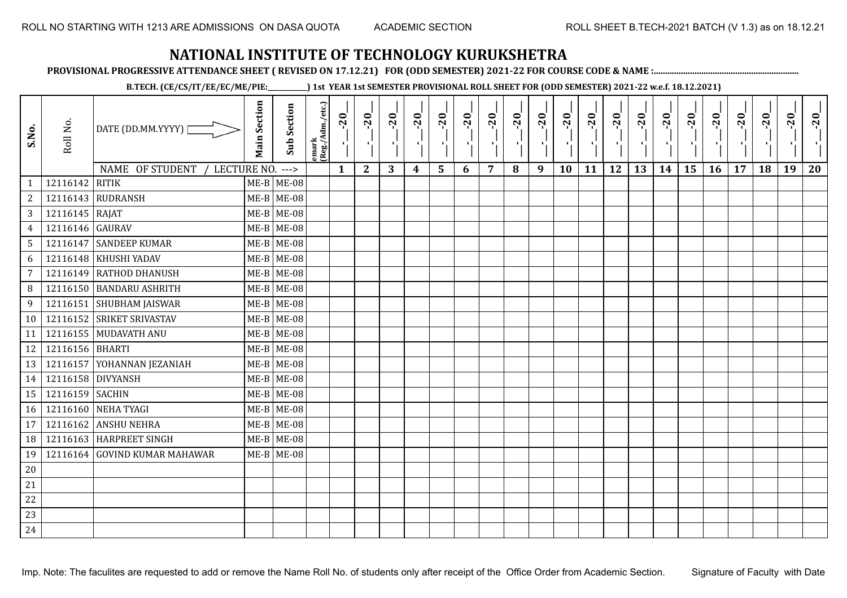**PROVISIONAL PROGRESSIVE ATTENDANCE SHEET ( REVISED ON 17.12.21) FOR (ODD SEMESTER) 2021-22 FOR COURSE CODE & NAME :................................................................**

**B.TECH. (CE/CS/IT/EE/EC/ME/PIE:\_\_\_\_\_\_\_\_\_\_\_\_) 1st YEAR 1st SEMESTER PROVISIONAL ROLL SHEET FOR (ODD SEMESTER) 2021-22 w.e.f. 18.12.2021)**

| S.No.          | Roll No.          | DATE (DD.MM.YYYY)                            | <b>Main Section</b> | <b>Sub Section</b> | emark<br>(Reg./Adm./etc.) | $-20$<br>51  | $-20$<br>$\mathbf{F}_{\mathbf{L}}^{\mathbf{F}}$ | $-20$<br>л÷. | $-20$<br>ΠJ | $-20$<br>۱. | $-20$<br>$\mathcal{F}_{\mathbf{L}}$ | $-20$<br>τj    | $-20$<br>чŀ | $-20$<br>п÷ | $-20$<br>π÷ | $-20$<br>×. | $-20$<br>пļ | $-20$<br>п. | $-20$<br>л÷. | $-20$ | $-20$<br>нΩ. | $-20$ | $-20$ | $-20$<br>тj | $-20$ |
|----------------|-------------------|----------------------------------------------|---------------------|--------------------|---------------------------|--------------|-------------------------------------------------|--------------|-------------|-------------|-------------------------------------|----------------|-------------|-------------|-------------|-------------|-------------|-------------|--------------|-------|--------------|-------|-------|-------------|-------|
| $\mathbf{1}$   | 12116142          | NAME OF STUDENT<br>LECTURE NO. ---><br>RITIK |                     | $ME-B$ ME-08       |                           | $\mathbf{1}$ | $\mathbf{2}$                                    | 3            | 4           | 5           | 6                                   | $\overline{7}$ | 8           | 9           | 10          | 11          | 12          | 13          | 14           | 15    | <b>16</b>    | 17    | 18    | 19          | 20    |
| $\sqrt{2}$     |                   | 12116143 RUDRANSH                            |                     | $ME-B$ ME-08       |                           |              |                                                 |              |             |             |                                     |                |             |             |             |             |             |             |              |       |              |       |       |             |       |
| $\mathbf{3}$   | 12116145 RAJAT    |                                              |                     | $ME-B$ ME-08       |                           |              |                                                 |              |             |             |                                     |                |             |             |             |             |             |             |              |       |              |       |       |             |       |
| $\overline{4}$ | 12116146 GAURAV   |                                              |                     | $ME-B$ ME-08       |                           |              |                                                 |              |             |             |                                     |                |             |             |             |             |             |             |              |       |              |       |       |             |       |
| 5              |                   | 12116147 SANDEEP KUMAR                       |                     | $ME-B$ ME-08       |                           |              |                                                 |              |             |             |                                     |                |             |             |             |             |             |             |              |       |              |       |       |             |       |
| 6              |                   | 12116148 KHUSHI YADAV                        |                     | $ME-B$ ME-08       |                           |              |                                                 |              |             |             |                                     |                |             |             |             |             |             |             |              |       |              |       |       |             |       |
| $\overline{7}$ |                   | 12116149 RATHOD DHANUSH                      |                     | $ME-B$ ME-08       |                           |              |                                                 |              |             |             |                                     |                |             |             |             |             |             |             |              |       |              |       |       |             |       |
| 8              |                   | 12116150 BANDARU ASHRITH                     |                     | $ME-B$ ME-08       |                           |              |                                                 |              |             |             |                                     |                |             |             |             |             |             |             |              |       |              |       |       |             |       |
| 9              |                   | 12116151 SHUBHAM JAISWAR                     |                     | $ME-B$ ME-08       |                           |              |                                                 |              |             |             |                                     |                |             |             |             |             |             |             |              |       |              |       |       |             |       |
| 10             |                   | 12116152 SRIKET SRIVASTAV                    |                     | $ME-B$ ME-08       |                           |              |                                                 |              |             |             |                                     |                |             |             |             |             |             |             |              |       |              |       |       |             |       |
| 11             |                   | 12116155 MUDAVATH ANU                        |                     | $ME-B$ ME-08       |                           |              |                                                 |              |             |             |                                     |                |             |             |             |             |             |             |              |       |              |       |       |             |       |
| 12             | 12116156 BHARTI   |                                              |                     | $ME-B$ ME-08       |                           |              |                                                 |              |             |             |                                     |                |             |             |             |             |             |             |              |       |              |       |       |             |       |
| 13             |                   | 12116157 YOHANNAN JEZANIAH                   |                     | $ME-B$ ME-08       |                           |              |                                                 |              |             |             |                                     |                |             |             |             |             |             |             |              |       |              |       |       |             |       |
| 14             | 12116158 DIVYANSH |                                              |                     | $ME-B$ ME-08       |                           |              |                                                 |              |             |             |                                     |                |             |             |             |             |             |             |              |       |              |       |       |             |       |
| 15             | 12116159 SACHIN   |                                              |                     | $ME-B$ ME-08       |                           |              |                                                 |              |             |             |                                     |                |             |             |             |             |             |             |              |       |              |       |       |             |       |
| 16             |                   | 12116160 NEHA TYAGI                          |                     | $ME-B$ ME-08       |                           |              |                                                 |              |             |             |                                     |                |             |             |             |             |             |             |              |       |              |       |       |             |       |
| 17             |                   | 12116162 ANSHU NEHRA                         |                     | $ME-B$ ME-08       |                           |              |                                                 |              |             |             |                                     |                |             |             |             |             |             |             |              |       |              |       |       |             |       |
| 18             |                   | 12116163 HARPREET SINGH                      |                     | $ME-B$ ME-08       |                           |              |                                                 |              |             |             |                                     |                |             |             |             |             |             |             |              |       |              |       |       |             |       |
| 19             |                   | 12116164 GOVIND KUMAR MAHAWAR                |                     | $ME-B$ ME-08       |                           |              |                                                 |              |             |             |                                     |                |             |             |             |             |             |             |              |       |              |       |       |             |       |
| 20             |                   |                                              |                     |                    |                           |              |                                                 |              |             |             |                                     |                |             |             |             |             |             |             |              |       |              |       |       |             |       |
| 21             |                   |                                              |                     |                    |                           |              |                                                 |              |             |             |                                     |                |             |             |             |             |             |             |              |       |              |       |       |             |       |
| 22             |                   |                                              |                     |                    |                           |              |                                                 |              |             |             |                                     |                |             |             |             |             |             |             |              |       |              |       |       |             |       |
| 23             |                   |                                              |                     |                    |                           |              |                                                 |              |             |             |                                     |                |             |             |             |             |             |             |              |       |              |       |       |             |       |
| 24             |                   |                                              |                     |                    |                           |              |                                                 |              |             |             |                                     |                |             |             |             |             |             |             |              |       |              |       |       |             |       |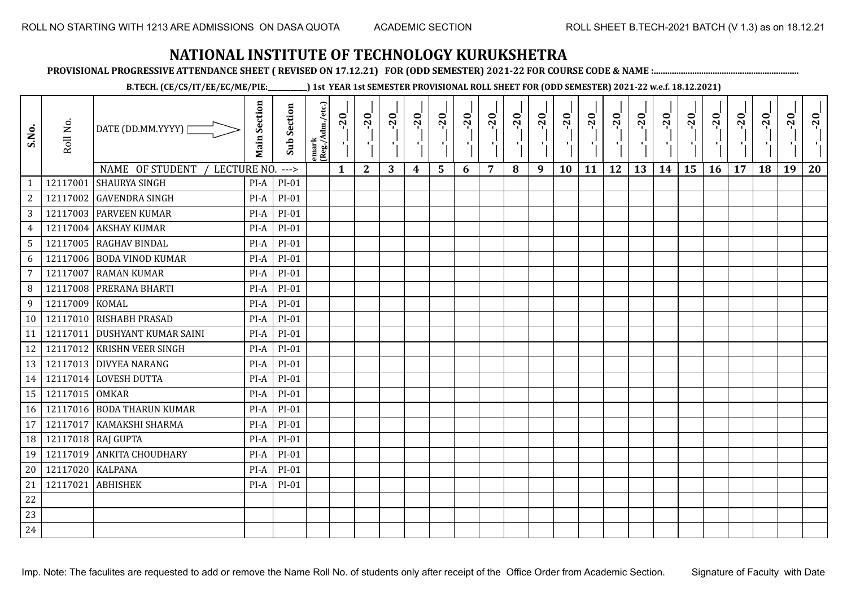**PROVISIONAL PROGRESSIVE ATTENDANCE SHEET ( REVISED ON 17.12.21) FOR (ODD SEMESTER) 2021-22 FOR COURSE CODE & NAME :................................................................**

**B.TECH. (CE/CS/IT/EE/EC/ME/PIE:\_\_\_\_\_\_\_\_\_\_\_\_) 1st YEAR 1st SEMESTER PROVISIONAL ROLL SHEET FOR (ODD SEMESTER) 2021-22 w.e.f. 18.12.2021)**

| S.No.           | Roll No.       | DATE (DD.MM.YYYY)                                      | <b>Main Section</b> | <b>Sub Section</b> | emark<br>(Reg./Adm./etc.) | $-20$        | $-20$<br>×.  | $-20$<br>Œ. | $-20$ | $-20$<br>п. | $-20$ | $-20$ | $-20$ | $-20$<br>ш | $-20$<br>л, | $-20$ | $-20$<br>л. | $-20$ | $-20$ | $-20$<br>٠, | $-20$ | $-20$ | $-20$ | $-20$<br>л. | $-20$ |
|-----------------|----------------|--------------------------------------------------------|---------------------|--------------------|---------------------------|--------------|--------------|-------------|-------|-------------|-------|-------|-------|------------|-------------|-------|-------------|-------|-------|-------------|-------|-------|-------|-------------|-------|
|                 | 12117001       | NAME OF STUDENT<br>LECTURE NO.<br><b>SHAURYA SINGH</b> | $PI-A$              | $--->$             |                           | $\mathbf{1}$ | $\mathbf{2}$ | 3           | 4     | 5           | 6     | 7     | 8     | 9          | 10          | 11    | 12          | 13    | 14    | 15          | 16    | 17    | 18    | 19          | 20    |
| $\mathbf{1}$    |                |                                                        | $PI-A$              | PI-01              |                           |              |              |             |       |             |       |       |       |            |             |       |             |       |       |             |       |       |       |             |       |
| 2               | 12117002       | <b>GAVENDRA SINGH</b>                                  |                     | $PI-01$            |                           |              |              |             |       |             |       |       |       |            |             |       |             |       |       |             |       |       |       |             |       |
| 3               |                | 12117003 PARVEEN KUMAR                                 | $PI-A$              | $PI-01$            |                           |              |              |             |       |             |       |       |       |            |             |       |             |       |       |             |       |       |       |             |       |
| $\overline{4}$  | 12117004       | <b>AKSHAY KUMAR</b>                                    | $PI-A$              | $PI-01$            |                           |              |              |             |       |             |       |       |       |            |             |       |             |       |       |             |       |       |       |             |       |
| $5\phantom{.0}$ |                | 12117005 RAGHAV BINDAL                                 | PI-A                | $PI-01$            |                           |              |              |             |       |             |       |       |       |            |             |       |             |       |       |             |       |       |       |             |       |
| 6               | 12117006       | <b>BODA VINOD KUMAR</b>                                | PI-A                | $PI-01$            |                           |              |              |             |       |             |       |       |       |            |             |       |             |       |       |             |       |       |       |             |       |
| $\overline{7}$  | 12117007       | <b>RAMAN KUMAR</b>                                     | $PI-A$              | $PI-01$            |                           |              |              |             |       |             |       |       |       |            |             |       |             |       |       |             |       |       |       |             |       |
| 8               | 12117008       | PRERANA BHARTI                                         | $PI-A$              | $PI-01$            |                           |              |              |             |       |             |       |       |       |            |             |       |             |       |       |             |       |       |       |             |       |
| 9               | 12117009       | <b>KOMAL</b>                                           | PI-A                | $PI-01$            |                           |              |              |             |       |             |       |       |       |            |             |       |             |       |       |             |       |       |       |             |       |
| 10              | 12117010       | <b>RISHABH PRASAD</b>                                  | PI-A                | $PI-01$            |                           |              |              |             |       |             |       |       |       |            |             |       |             |       |       |             |       |       |       |             |       |
| 11              | 12117011       | <b>DUSHYANT KUMAR SAINI</b>                            | $PI-A$              | $PI-01$            |                           |              |              |             |       |             |       |       |       |            |             |       |             |       |       |             |       |       |       |             |       |
| 12              |                | 12117012 KRISHN VEER SINGH                             | $PI-A$              | PI-01              |                           |              |              |             |       |             |       |       |       |            |             |       |             |       |       |             |       |       |       |             |       |
| 13              |                | 12117013 DIVYEA NARANG                                 | $PI-A$              | $PI-01$            |                           |              |              |             |       |             |       |       |       |            |             |       |             |       |       |             |       |       |       |             |       |
| 14              |                | 12117014 LOVESH DUTTA                                  | PI-A                | $PI-01$            |                           |              |              |             |       |             |       |       |       |            |             |       |             |       |       |             |       |       |       |             |       |
| 15              | 12117015 OMKAR |                                                        | $PI-A$              | $PI-01$            |                           |              |              |             |       |             |       |       |       |            |             |       |             |       |       |             |       |       |       |             |       |
| 16              |                | 12117016 BODA THARUN KUMAR                             | $PI-A$              | $PI-01$            |                           |              |              |             |       |             |       |       |       |            |             |       |             |       |       |             |       |       |       |             |       |
| 17              | 12117017       | KAMAKSHI SHARMA                                        | $PI-A$              | $PI-01$            |                           |              |              |             |       |             |       |       |       |            |             |       |             |       |       |             |       |       |       |             |       |
| 18              | 12117018       | <b>RAJ GUPTA</b>                                       | $PI-A$              | PI-01              |                           |              |              |             |       |             |       |       |       |            |             |       |             |       |       |             |       |       |       |             |       |
| 19              | 12117019       | <b>ANKITA CHOUDHARY</b>                                | PI-A                | $PI-01$            |                           |              |              |             |       |             |       |       |       |            |             |       |             |       |       |             |       |       |       |             |       |
| 20              | 12117020       | <b>KALPANA</b>                                         | $PI-A$              | $PI-01$            |                           |              |              |             |       |             |       |       |       |            |             |       |             |       |       |             |       |       |       |             |       |
| 21              | 12117021       | <b>ABHISHEK</b>                                        | $PI-A$              | $PI-01$            |                           |              |              |             |       |             |       |       |       |            |             |       |             |       |       |             |       |       |       |             |       |
| 22              |                |                                                        |                     |                    |                           |              |              |             |       |             |       |       |       |            |             |       |             |       |       |             |       |       |       |             |       |
| 23              |                |                                                        |                     |                    |                           |              |              |             |       |             |       |       |       |            |             |       |             |       |       |             |       |       |       |             |       |
| 24              |                |                                                        |                     |                    |                           |              |              |             |       |             |       |       |       |            |             |       |             |       |       |             |       |       |       |             |       |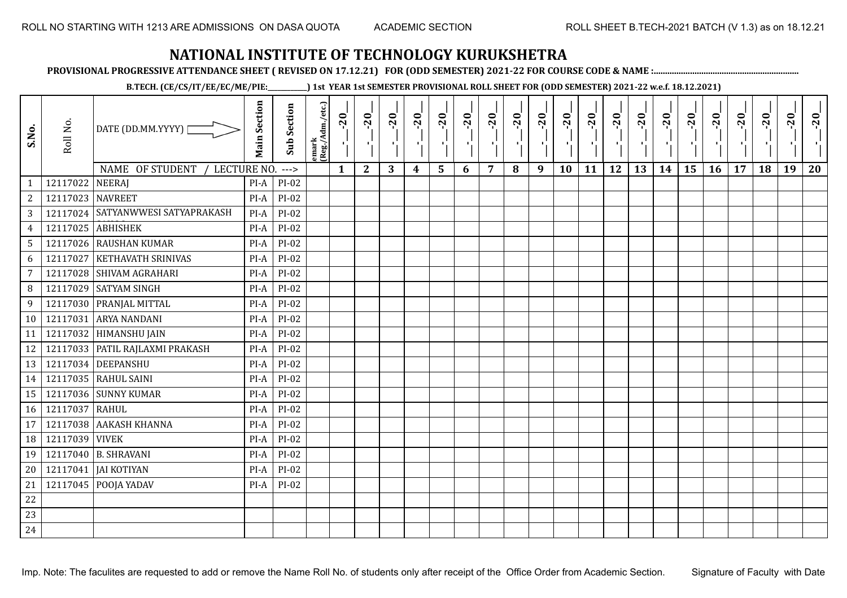**PROVISIONAL PROGRESSIVE ATTENDANCE SHEET ( REVISED ON 17.12.21) FOR (ODD SEMESTER) 2021-22 FOR COURSE CODE & NAME :................................................................**

**B.TECH. (CE/CS/IT/EE/EC/ME/PIE:\_\_\_\_\_\_\_\_\_\_\_\_) 1st YEAR 1st SEMESTER PROVISIONAL ROLL SHEET FOR (ODD SEMESTER) 2021-22 w.e.f. 18.12.2021)**

| S.No.            | Roll No.         | DATE (DD.MM.YYYY) [               | <b>Main Section</b> | <b>Sub Section</b> | emark<br> (Reg./Adm./etc.) | $-20$<br>$\mathcal{F}_1$ . | $-20$        | $-20$ | $-20$ | $-20$          | $-20$<br>л. | $-20$ | $-20$ | $-20$<br>π÷ | $-20$<br>л, | $-20$ | $-20$ | $-20$ | $-20$<br>٠ | $-20$<br>٠, | $-20$ | $-20$ | $-20$ | $-20$<br>ч. | $-20$ |
|------------------|------------------|-----------------------------------|---------------------|--------------------|----------------------------|----------------------------|--------------|-------|-------|----------------|-------------|-------|-------|-------------|-------------|-------|-------|-------|------------|-------------|-------|-------|-------|-------------|-------|
|                  |                  | NAME OF STUDENT<br>LECTURE NO.    |                     | $---$              |                            | $\mathbf{1}$               | $\mathbf{2}$ | 3     | 4     | $5\phantom{1}$ | 6           | 7     | 8     | 9           | 10          | 11    | 12    | 13    | 14         | 15          | 16    | 17    | 18    | 19          | 20    |
| 1                | 12117022         | <b>NEERAJ</b>                     | PI-A                | PI-02              |                            |                            |              |       |       |                |             |       |       |             |             |       |       |       |            |             |       |       |       |             |       |
| $\boldsymbol{2}$ | 12117023 NAVREET |                                   | PI-A                | PI-02              |                            |                            |              |       |       |                |             |       |       |             |             |       |       |       |            |             |       |       |       |             |       |
| $\sqrt{3}$       | 12117024         | SATYANWWESI SATYAPRAKASH          | $PI-A$              | $PI-02$            |                            |                            |              |       |       |                |             |       |       |             |             |       |       |       |            |             |       |       |       |             |       |
| $\overline{4}$   | 12117025         | <b>ABHISHEK</b>                   | $PI-A$              | $PI-02$            |                            |                            |              |       |       |                |             |       |       |             |             |       |       |       |            |             |       |       |       |             |       |
| $\mathsf S$      |                  | 12117026 RAUSHAN KUMAR            | PI-A                | $PI-02$            |                            |                            |              |       |       |                |             |       |       |             |             |       |       |       |            |             |       |       |       |             |       |
| 6                | 12117027         | <b>KETHAVATH SRINIVAS</b>         | PI-A                | PI-02              |                            |                            |              |       |       |                |             |       |       |             |             |       |       |       |            |             |       |       |       |             |       |
| $\overline{7}$   | 12117028         | <b>SHIVAM AGRAHARI</b>            | PI-A                | PI-02              |                            |                            |              |       |       |                |             |       |       |             |             |       |       |       |            |             |       |       |       |             |       |
| 8                | 12117029         | <b>SATYAM SINGH</b>               | PI-A                | PI-02              |                            |                            |              |       |       |                |             |       |       |             |             |       |       |       |            |             |       |       |       |             |       |
| 9                |                  | 12117030 PRANJAL MITTAL           | $PI-A$              | PI-02              |                            |                            |              |       |       |                |             |       |       |             |             |       |       |       |            |             |       |       |       |             |       |
| 10               | 12117031         | <b>ARYA NANDANI</b>               | PI-A                | PI-02              |                            |                            |              |       |       |                |             |       |       |             |             |       |       |       |            |             |       |       |       |             |       |
| 11               |                  | 12117032 HIMANSHU JAIN            | $PI-A$              | $PI-02$            |                            |                            |              |       |       |                |             |       |       |             |             |       |       |       |            |             |       |       |       |             |       |
| 12               |                  | 12117033   PATIL RAJLAXMI PRAKASH | $PI-A$              | $PI-02$            |                            |                            |              |       |       |                |             |       |       |             |             |       |       |       |            |             |       |       |       |             |       |
| 13               |                  | 12117034 DEEPANSHU                | $PI-A$              | $PI-02$            |                            |                            |              |       |       |                |             |       |       |             |             |       |       |       |            |             |       |       |       |             |       |
| 14               |                  | 12117035 RAHUL SAINI              | PI-A                | $PI-02$            |                            |                            |              |       |       |                |             |       |       |             |             |       |       |       |            |             |       |       |       |             |       |
| 15               | 12117036         | <b>SUNNY KUMAR</b>                | $PI-A$              | PI-02              |                            |                            |              |       |       |                |             |       |       |             |             |       |       |       |            |             |       |       |       |             |       |
| 16               | 12117037         | RAHUL                             | PI-A                | PI-02              |                            |                            |              |       |       |                |             |       |       |             |             |       |       |       |            |             |       |       |       |             |       |
| 17               | 12117038         | <b>AAKASH KHANNA</b>              | $PI-A$              | $PI-02$            |                            |                            |              |       |       |                |             |       |       |             |             |       |       |       |            |             |       |       |       |             |       |
| 18               | 12117039         | <b>VIVEK</b>                      | $PI-A$              | PI-02              |                            |                            |              |       |       |                |             |       |       |             |             |       |       |       |            |             |       |       |       |             |       |
| 19               | 12117040         | <b>B. SHRAVANI</b>                | PI-A                | PI-02              |                            |                            |              |       |       |                |             |       |       |             |             |       |       |       |            |             |       |       |       |             |       |
| 20               | 12117041         | <b>JAI KOTIYAN</b>                | $PI-A$              | PI-02              |                            |                            |              |       |       |                |             |       |       |             |             |       |       |       |            |             |       |       |       |             |       |
| 21               | 12117045         | POOJA YADAV                       | PI-A                | $PI-02$            |                            |                            |              |       |       |                |             |       |       |             |             |       |       |       |            |             |       |       |       |             |       |
| $22\,$           |                  |                                   |                     |                    |                            |                            |              |       |       |                |             |       |       |             |             |       |       |       |            |             |       |       |       |             |       |
| 23               |                  |                                   |                     |                    |                            |                            |              |       |       |                |             |       |       |             |             |       |       |       |            |             |       |       |       |             |       |
| 24               |                  |                                   |                     |                    |                            |                            |              |       |       |                |             |       |       |             |             |       |       |       |            |             |       |       |       |             |       |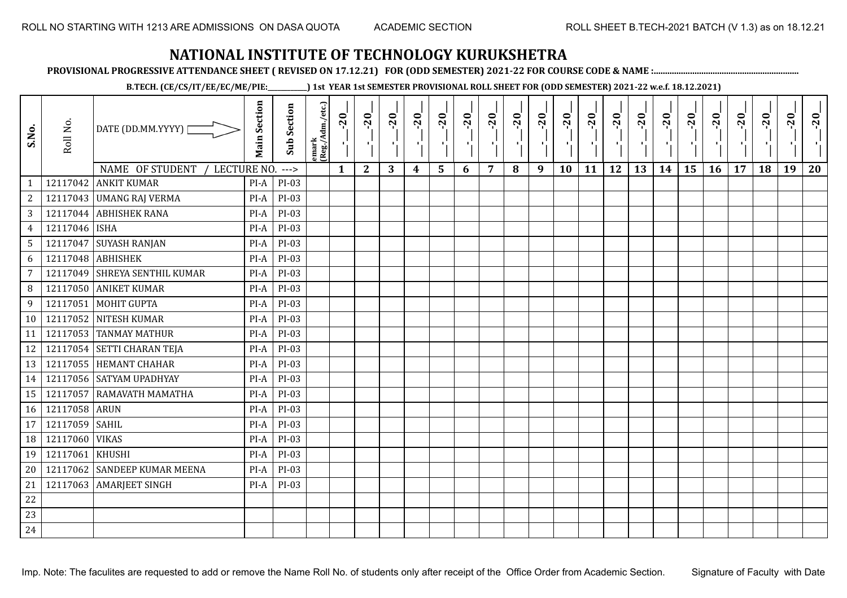**PROVISIONAL PROGRESSIVE ATTENDANCE SHEET ( REVISED ON 17.12.21) FOR (ODD SEMESTER) 2021-22 FOR COURSE CODE & NAME :................................................................**

**B.TECH. (CE/CS/IT/EE/EC/ME/PIE:\_\_\_\_\_\_\_\_\_\_\_\_) 1st YEAR 1st SEMESTER PROVISIONAL ROLL SHEET FOR (ODD SEMESTER) 2021-22 w.e.f. 18.12.2021)**

| S.No.                             | Roll No.      | DATE (DD.MM.YYYY)<br>NAME OF STUDENT | <b>Main Section</b> | <b>Sub Section</b> | emark<br>(Reg./Adm./etc.) | $-20$<br>$\mathbf{1}$ | $-20$<br>×.  | $-20$<br>л. | $-20$ | $-20$<br>$\blacksquare$ | $-20$ | $-20$ | $-20$ | $-20$<br>π÷ | $-20$<br>л, | $-20$ | $-20$<br>л. | $-20$ | $-20$ | $-20$<br>۱, | $-20$ | $-20$ | $-20$ | $-20$<br>л. | $-20$ |
|-----------------------------------|---------------|--------------------------------------|---------------------|--------------------|---------------------------|-----------------------|--------------|-------------|-------|-------------------------|-------|-------|-------|-------------|-------------|-------|-------------|-------|-------|-------------|-------|-------|-------|-------------|-------|
| $\mathbf{1}$                      | 12117042      | LECTURE NO.<br><b>ANKIT KUMAR</b>    | $PI-A$              | $--->$<br>PI-03    |                           |                       | $\mathbf{2}$ | 3           | 4     | 5                       | 6     | 7     | 8     | 9           | 10          | 11    | 12          | 13    | 14    | 15          | 16    | 17    | 18    | 19          | 20    |
| $\overline{c}$                    |               | 12117043 UMANG RAJ VERMA             | PI-A                | PI-03              |                           |                       |              |             |       |                         |       |       |       |             |             |       |             |       |       |             |       |       |       |             |       |
| 3                                 |               | 12117044 ABHISHEK RANA               | PI-A                | PI-03              |                           |                       |              |             |       |                         |       |       |       |             |             |       |             |       |       |             |       |       |       |             |       |
|                                   | 12117046      | <b>ISHA</b>                          | $PI-A$              | PI-03              |                           |                       |              |             |       |                         |       |       |       |             |             |       |             |       |       |             |       |       |       |             |       |
| $\overline{4}$<br>$5\phantom{.0}$ | 12117047      | <b>SUYASH RANJAN</b>                 | PI-A                | PI-03              |                           |                       |              |             |       |                         |       |       |       |             |             |       |             |       |       |             |       |       |       |             |       |
| 6                                 |               | 12117048 ABHISHEK                    | PI-A                | PI-03              |                           |                       |              |             |       |                         |       |       |       |             |             |       |             |       |       |             |       |       |       |             |       |
| 7                                 | 12117049      | SHREYA SENTHIL KUMAR                 | $PI-A$              | PI-03              |                           |                       |              |             |       |                         |       |       |       |             |             |       |             |       |       |             |       |       |       |             |       |
| 8                                 | 12117050      | <b>ANIKET KUMAR</b>                  | $PI-A$              | PI-03              |                           |                       |              |             |       |                         |       |       |       |             |             |       |             |       |       |             |       |       |       |             |       |
| 9                                 | 12117051      | MOHIT GUPTA                          | PI-A                | PI-03              |                           |                       |              |             |       |                         |       |       |       |             |             |       |             |       |       |             |       |       |       |             |       |
| 10                                | 12117052      | <b>NITESH KUMAR</b>                  | PI-A                | PI-03              |                           |                       |              |             |       |                         |       |       |       |             |             |       |             |       |       |             |       |       |       |             |       |
| 11                                | 12117053      | <b>TANMAY MATHUR</b>                 | $PI-A$              | PI-03              |                           |                       |              |             |       |                         |       |       |       |             |             |       |             |       |       |             |       |       |       |             |       |
| 12                                |               | 12117054 SETTI CHARAN TEJA           | $PI-A$              | PI-03              |                           |                       |              |             |       |                         |       |       |       |             |             |       |             |       |       |             |       |       |       |             |       |
| 13                                |               | 12117055 HEMANT CHAHAR               | $PI-A$              | PI-03              |                           |                       |              |             |       |                         |       |       |       |             |             |       |             |       |       |             |       |       |       |             |       |
| 14                                |               | 12117056 SATYAM UPADHYAY             | PI-A                | $PI-03$            |                           |                       |              |             |       |                         |       |       |       |             |             |       |             |       |       |             |       |       |       |             |       |
| 15                                | 12117057      | RAMAVATH MAMATHA                     | $PI-A$              | PI-03              |                           |                       |              |             |       |                         |       |       |       |             |             |       |             |       |       |             |       |       |       |             |       |
| 16                                | 12117058 ARUN |                                      | $PI-A$              | PI-03              |                           |                       |              |             |       |                         |       |       |       |             |             |       |             |       |       |             |       |       |       |             |       |
| 17                                | 12117059      | <b>SAHIL</b>                         | PI-A                | PI-03              |                           |                       |              |             |       |                         |       |       |       |             |             |       |             |       |       |             |       |       |       |             |       |
| 18                                | 12117060      | <b>VIKAS</b>                         | $PI-A$              | PI-03              |                           |                       |              |             |       |                         |       |       |       |             |             |       |             |       |       |             |       |       |       |             |       |
| 19                                | 12117061      | <b>KHUSHI</b>                        | PI-A                | PI-03              |                           |                       |              |             |       |                         |       |       |       |             |             |       |             |       |       |             |       |       |       |             |       |
| 20                                | 12117062      | <b>SANDEEP KUMAR MEENA</b>           | $PI-A$              | PI-03              |                           |                       |              |             |       |                         |       |       |       |             |             |       |             |       |       |             |       |       |       |             |       |
| 21                                | 12117063      | <b>AMARJEET SINGH</b>                | $PI-A$              | PI-03              |                           |                       |              |             |       |                         |       |       |       |             |             |       |             |       |       |             |       |       |       |             |       |
| 22                                |               |                                      |                     |                    |                           |                       |              |             |       |                         |       |       |       |             |             |       |             |       |       |             |       |       |       |             |       |
| 23                                |               |                                      |                     |                    |                           |                       |              |             |       |                         |       |       |       |             |             |       |             |       |       |             |       |       |       |             |       |
| 24                                |               |                                      |                     |                    |                           |                       |              |             |       |                         |       |       |       |             |             |       |             |       |       |             |       |       |       |             |       |
|                                   |               |                                      |                     |                    |                           |                       |              |             |       |                         |       |       |       |             |             |       |             |       |       |             |       |       |       |             |       |